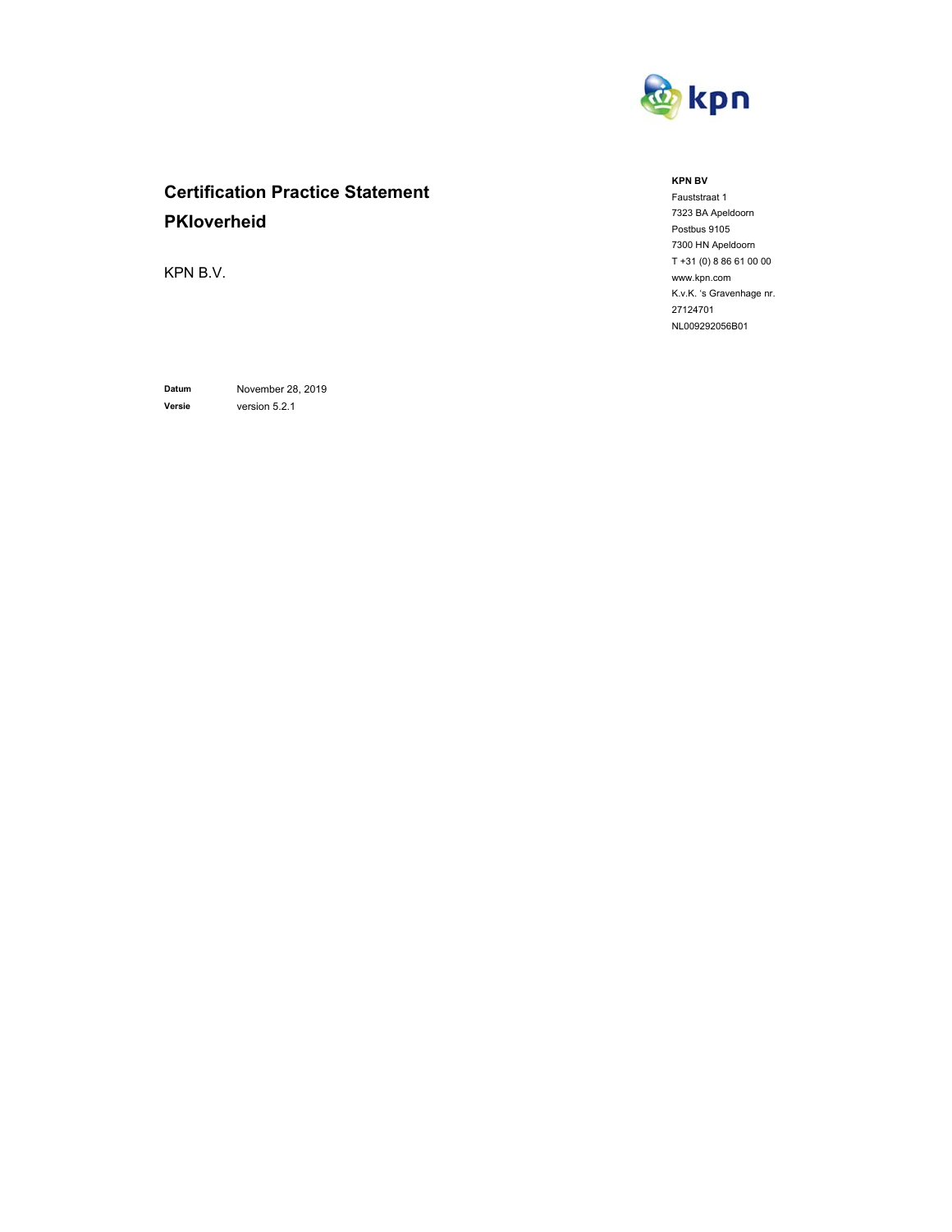

# **Certification Practice Statement PKIoverheid**

KPN B.V.

**Datum** November 28, 2019 **Versie** version 5.2.1

#### **KPN BV**

Fauststraat 1 7323 BA Apeldoorn Postbus 9105 7300 HN Apeldoorn T +31 (0) 8 86 61 00 00 www.kpn.com K.v.K. 's Gravenhage nr. 27124701 NL009292056B01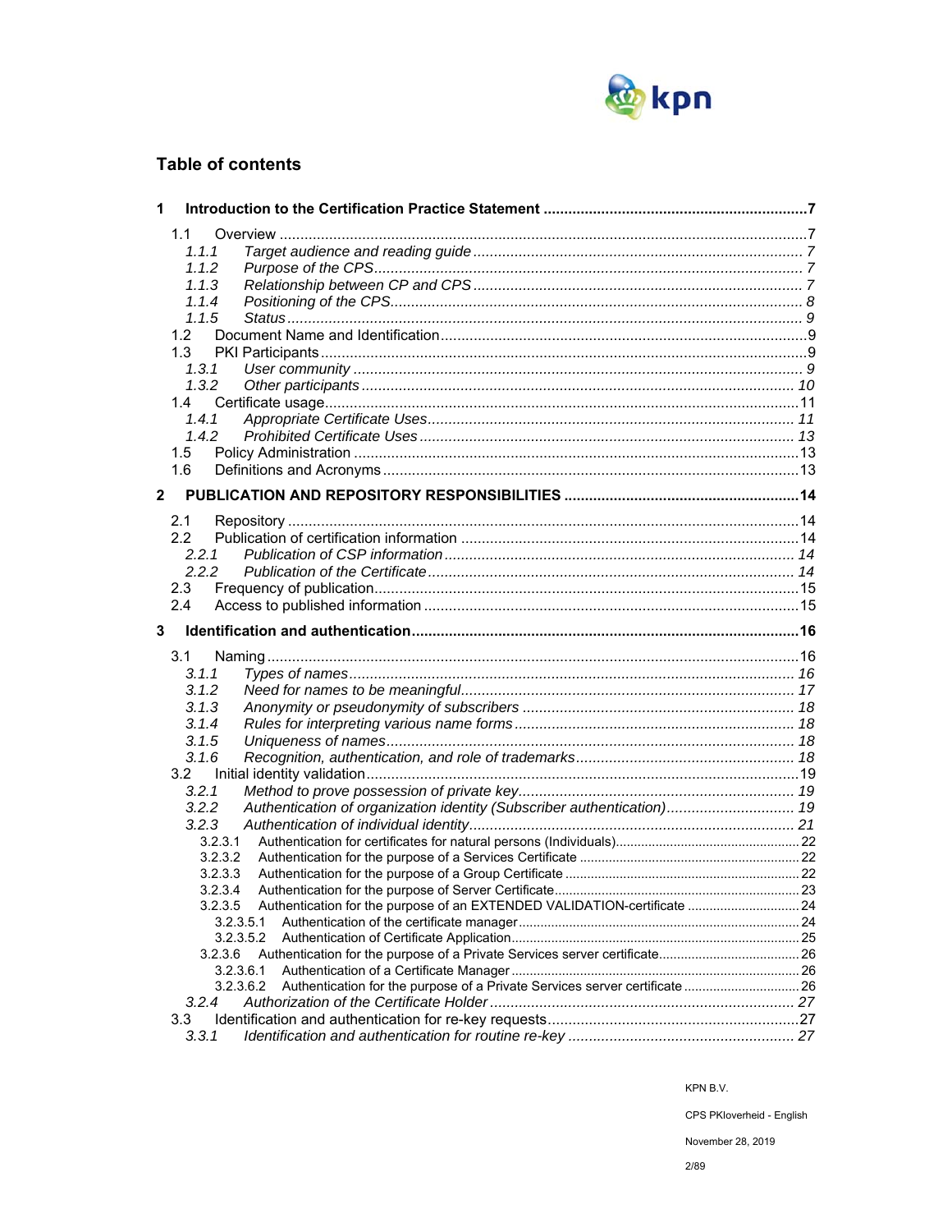

## **Table of contents**

| 1            |                                                                                                   |  |
|--------------|---------------------------------------------------------------------------------------------------|--|
|              | 1.1                                                                                               |  |
|              | 1.1.1                                                                                             |  |
|              | 1.1.2                                                                                             |  |
|              | 1.1.3                                                                                             |  |
|              | 1.1.4                                                                                             |  |
|              | 1.1.5                                                                                             |  |
|              | 1.2                                                                                               |  |
|              | 1.3                                                                                               |  |
|              | 1, 3, 1                                                                                           |  |
|              | 1.3.2                                                                                             |  |
|              | 1.4                                                                                               |  |
|              | 1.4.1                                                                                             |  |
|              | 1.4.2                                                                                             |  |
|              | 1.5                                                                                               |  |
|              | 1.6                                                                                               |  |
| $\mathbf{2}$ |                                                                                                   |  |
|              |                                                                                                   |  |
|              | 2.1                                                                                               |  |
|              | 2.2                                                                                               |  |
|              | 2.2.1                                                                                             |  |
|              | 2.2.2                                                                                             |  |
|              | 2.3                                                                                               |  |
|              | 2.4                                                                                               |  |
| 3            |                                                                                                   |  |
|              | 3.1                                                                                               |  |
|              | 3.1.1                                                                                             |  |
|              | 3.1.2                                                                                             |  |
|              | 3.1.3                                                                                             |  |
|              | 3.1.4                                                                                             |  |
|              | 3.1.5                                                                                             |  |
|              | 3.1.6                                                                                             |  |
|              | 3.2                                                                                               |  |
|              | 3.2.1                                                                                             |  |
|              | 3.2.2<br>Authentication of organization identity (Subscriber authentication) 19                   |  |
|              | 3.2.3                                                                                             |  |
|              | 3.2.3.1                                                                                           |  |
|              | 3.2.3.2                                                                                           |  |
|              | 3.2.3.3                                                                                           |  |
|              | 3.2.3.4                                                                                           |  |
|              | 3.2.3.5<br>Authentication for the purpose of an EXTENDED VALIDATION-certificate  24               |  |
|              | 3.2.3.5.1                                                                                         |  |
|              | 3.2.3.5.2                                                                                         |  |
|              | 3.2.3.6                                                                                           |  |
|              | 3.2.3.6.1                                                                                         |  |
|              | Authentication for the purpose of a Private Services server certificate  26<br>3.2.3.6.2<br>3.2.4 |  |
|              | 3.3                                                                                               |  |
|              | 3.3.1                                                                                             |  |
|              |                                                                                                   |  |

KPN B.V.

CPS PKIoverheid - English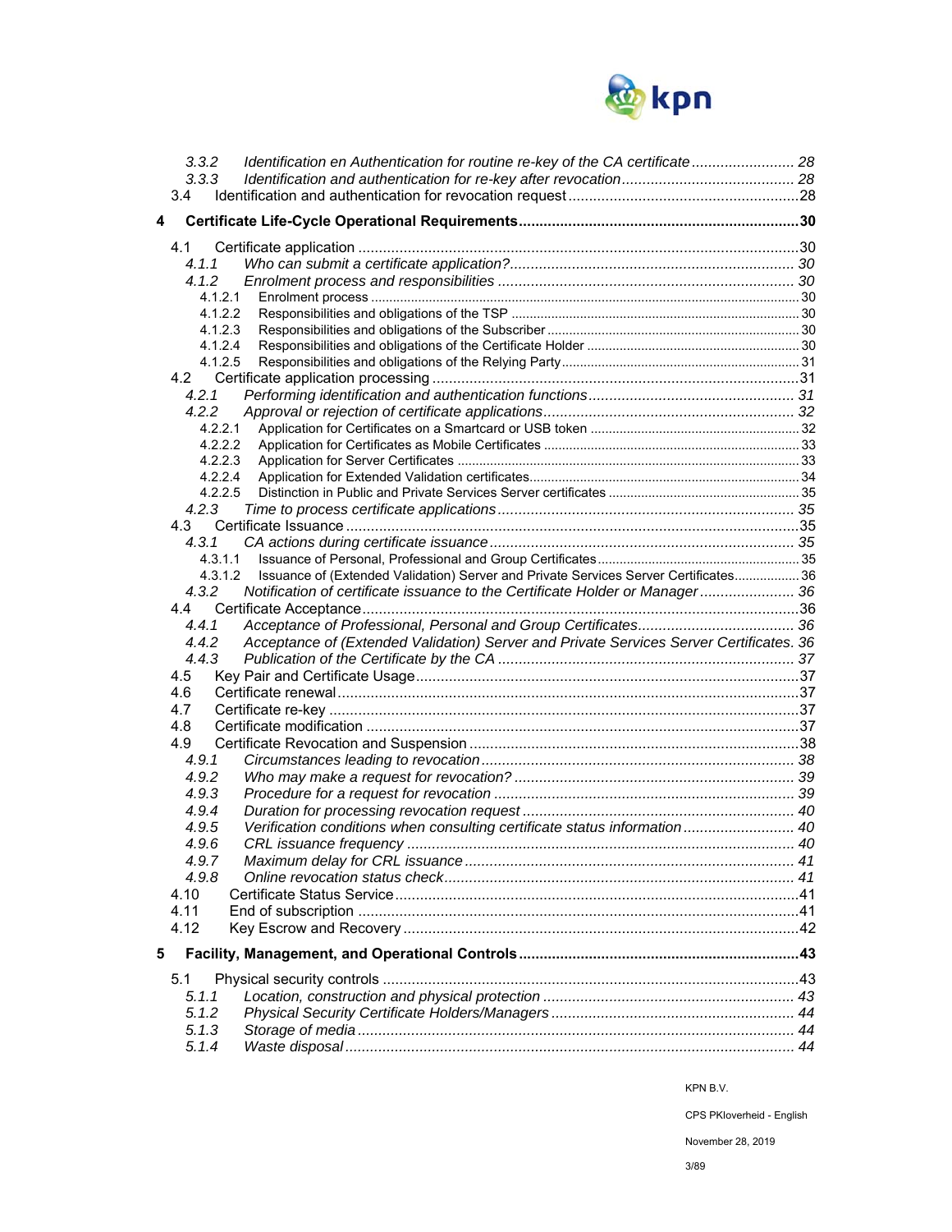

|   | 3.3.2   | Identification en Authentication for routine re-key of the CA certificate 28            |  |
|---|---------|-----------------------------------------------------------------------------------------|--|
|   | 3.3.3   |                                                                                         |  |
|   | 3.4     |                                                                                         |  |
| 4 |         |                                                                                         |  |
|   |         |                                                                                         |  |
|   | 4.1     |                                                                                         |  |
|   | 4.1.1   |                                                                                         |  |
|   | 4.1.2   |                                                                                         |  |
|   | 4.1.2.1 |                                                                                         |  |
|   | 4.1.2.2 |                                                                                         |  |
|   | 4.1.2.3 |                                                                                         |  |
|   | 4.1.2.4 |                                                                                         |  |
|   | 4.1.2.5 |                                                                                         |  |
|   |         |                                                                                         |  |
|   | 4.2.1   |                                                                                         |  |
|   | 4.2.2   |                                                                                         |  |
|   | 4.2.2.1 |                                                                                         |  |
|   | 4.2.2.2 |                                                                                         |  |
|   | 4.2.2.3 |                                                                                         |  |
|   | 4.2.2.4 |                                                                                         |  |
|   | 4.2.2.5 |                                                                                         |  |
|   | 4.2.3   |                                                                                         |  |
|   |         |                                                                                         |  |
|   | 4.3.1   |                                                                                         |  |
|   | 4.3.1.1 |                                                                                         |  |
|   | 4.3.1.2 | Issuance of (Extended Validation) Server and Private Services Server Certificates 36    |  |
|   | 4.3.2   | Notification of certificate issuance to the Certificate Holder or Manager 36            |  |
|   |         |                                                                                         |  |
|   | 4.4.1   |                                                                                         |  |
|   | 4.4.2   | Acceptance of (Extended Validation) Server and Private Services Server Certificates. 36 |  |
|   | 4.4.3   |                                                                                         |  |
|   | 4.5     |                                                                                         |  |
|   | 4.6     |                                                                                         |  |
|   | 4.7     |                                                                                         |  |
|   | 4.8     |                                                                                         |  |
|   | 4.9     |                                                                                         |  |
|   | 4.9.1   |                                                                                         |  |
|   | 4.9.2   |                                                                                         |  |
|   | 4.9.3   |                                                                                         |  |
|   | 4.9.4   |                                                                                         |  |
|   | 4.9.5   | Verification conditions when consulting certificate status information 40               |  |
|   | 4.9.6   |                                                                                         |  |
|   | 4.9.7   |                                                                                         |  |
|   | 4.9.8   |                                                                                         |  |
|   | 4.10    |                                                                                         |  |
|   | 4.11    |                                                                                         |  |
|   | 4.12    |                                                                                         |  |
| 5 |         |                                                                                         |  |
|   |         |                                                                                         |  |
|   | 5.1     |                                                                                         |  |
|   | 5.1.1   |                                                                                         |  |
|   | 5.1.2   |                                                                                         |  |
|   | 5.1.3   |                                                                                         |  |
|   | 5.1.4   |                                                                                         |  |

CPS PKIoverheid - English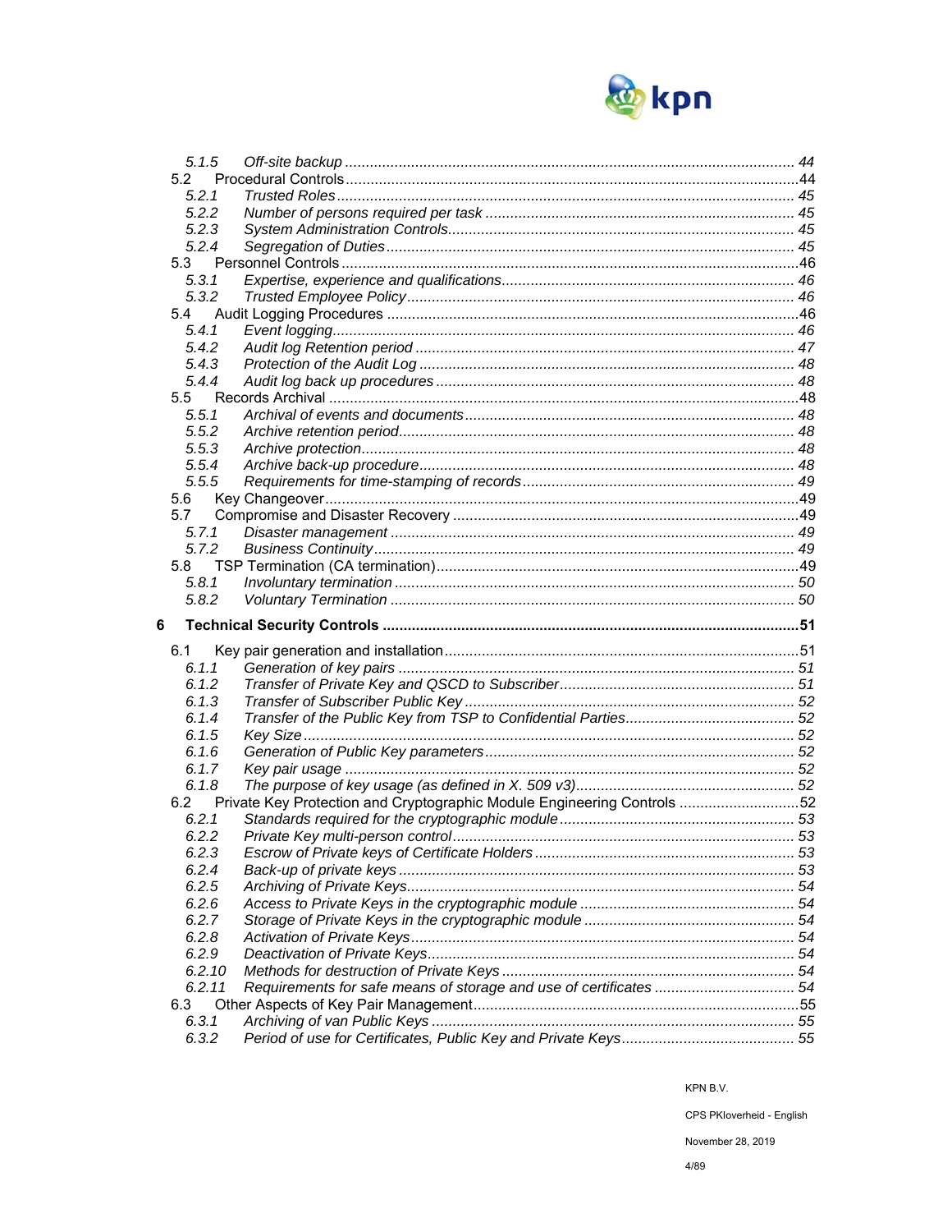

| 5.1.5          |                                                                         |  |
|----------------|-------------------------------------------------------------------------|--|
| 5.2            |                                                                         |  |
| 5.2.1          |                                                                         |  |
| 5.2.2          |                                                                         |  |
| 5.2.3          |                                                                         |  |
| 5.2.4          |                                                                         |  |
| 5.3            |                                                                         |  |
| 5.3.1          |                                                                         |  |
| 5.3.2          |                                                                         |  |
| 5.4            |                                                                         |  |
| 5.4.1          |                                                                         |  |
| 5.4.2          |                                                                         |  |
|                |                                                                         |  |
| 5.4.3          |                                                                         |  |
| 5.4.4          |                                                                         |  |
| 5.5            |                                                                         |  |
| 5.5.1          |                                                                         |  |
| 5.5.2          |                                                                         |  |
| 5.5.3          |                                                                         |  |
| 5.5.4          |                                                                         |  |
| 5.5.5          |                                                                         |  |
| 5.6            |                                                                         |  |
| 5.7            |                                                                         |  |
| 5.7.1          |                                                                         |  |
| 5.7.2          |                                                                         |  |
| 5.8            |                                                                         |  |
| 5.8.1          |                                                                         |  |
|                |                                                                         |  |
| 5.8.2          |                                                                         |  |
|                |                                                                         |  |
| 6              |                                                                         |  |
| 6.1            |                                                                         |  |
| 6.1.1          |                                                                         |  |
| 6.1.2          |                                                                         |  |
| 6.1.3          |                                                                         |  |
| 6.1.4          |                                                                         |  |
| 6.1.5          |                                                                         |  |
| 6.1.6          |                                                                         |  |
| 6.1.7          |                                                                         |  |
| 6.1.8          |                                                                         |  |
| 6.2            | Private Key Protection and Cryptographic Module Engineering Controls 52 |  |
| 6.2.1          |                                                                         |  |
| 6.2.2          |                                                                         |  |
| 6.2.3          |                                                                         |  |
| 6.2.4          |                                                                         |  |
|                |                                                                         |  |
| 6.2.5<br>6.2.6 |                                                                         |  |
|                |                                                                         |  |
| 6.2.7          |                                                                         |  |
| 6.2.8          |                                                                         |  |
| 6.2.9          |                                                                         |  |
| 6.2.10         |                                                                         |  |
| 6.2.11         | Requirements for safe means of storage and use of certificates  54      |  |
| 6.3            |                                                                         |  |
| 6.3.1<br>6.3.2 |                                                                         |  |

KPN B.V.

CPS PKloverheid - English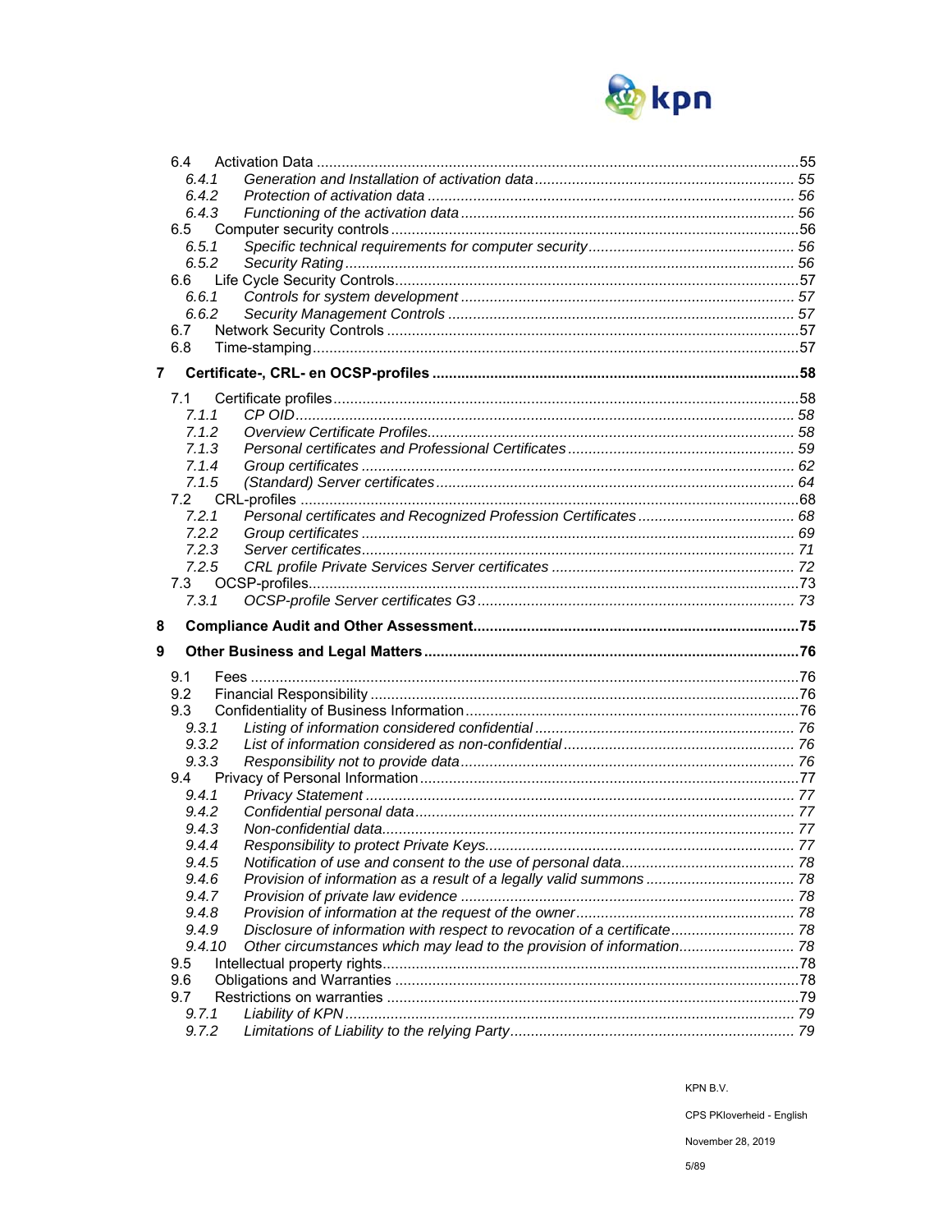

|                | 6.4            |                                                                          |  |
|----------------|----------------|--------------------------------------------------------------------------|--|
|                | 6.4.1          |                                                                          |  |
|                | 6.4.2          |                                                                          |  |
|                | 6.4.3          |                                                                          |  |
|                | 6.5            |                                                                          |  |
|                | 6.5.1          |                                                                          |  |
|                | 6.5.2          |                                                                          |  |
|                | 6.6            |                                                                          |  |
|                | 6.6.1          |                                                                          |  |
|                | 6.6.2          |                                                                          |  |
|                | 6.7<br>6.8     |                                                                          |  |
|                |                |                                                                          |  |
| $\overline{7}$ |                |                                                                          |  |
|                | 7.1            |                                                                          |  |
|                | 7.1.1          |                                                                          |  |
|                | 7.1.2          |                                                                          |  |
|                | 7.1.3          |                                                                          |  |
|                | 7.1.4          |                                                                          |  |
|                | 7.1.5          |                                                                          |  |
|                | 7.2            |                                                                          |  |
|                | 7.2.1          |                                                                          |  |
|                | 7.2.2          |                                                                          |  |
|                | 7.2.3          |                                                                          |  |
|                | 7.2.5          |                                                                          |  |
|                | 7.3            |                                                                          |  |
|                | 7.3.1          |                                                                          |  |
|                |                |                                                                          |  |
| 8              |                |                                                                          |  |
| 9              |                |                                                                          |  |
|                |                |                                                                          |  |
|                | 9.1<br>9.2     |                                                                          |  |
|                | 9.3            |                                                                          |  |
|                | 9, 3, 1        |                                                                          |  |
|                | 9.3.2          |                                                                          |  |
|                | 9.3.3          |                                                                          |  |
|                | 9.4            |                                                                          |  |
|                | 9.4.1          |                                                                          |  |
|                | 9.4.2          |                                                                          |  |
|                | 9.4.3          |                                                                          |  |
|                | 9.4.4          |                                                                          |  |
|                | 9.4.5          |                                                                          |  |
|                | 9.46           |                                                                          |  |
|                | 9.4.7          |                                                                          |  |
|                | 9.4.8          |                                                                          |  |
|                | 9.4.9          | Disclosure of information with respect to revocation of a certificate 78 |  |
|                | 9.4.10         | Other circumstances which may lead to the provision of information 78    |  |
|                | 9.5            |                                                                          |  |
|                | 9.6            |                                                                          |  |
|                | 9.7            |                                                                          |  |
|                | 9.7.1<br>9.7.2 |                                                                          |  |

CPS PKloverheid - English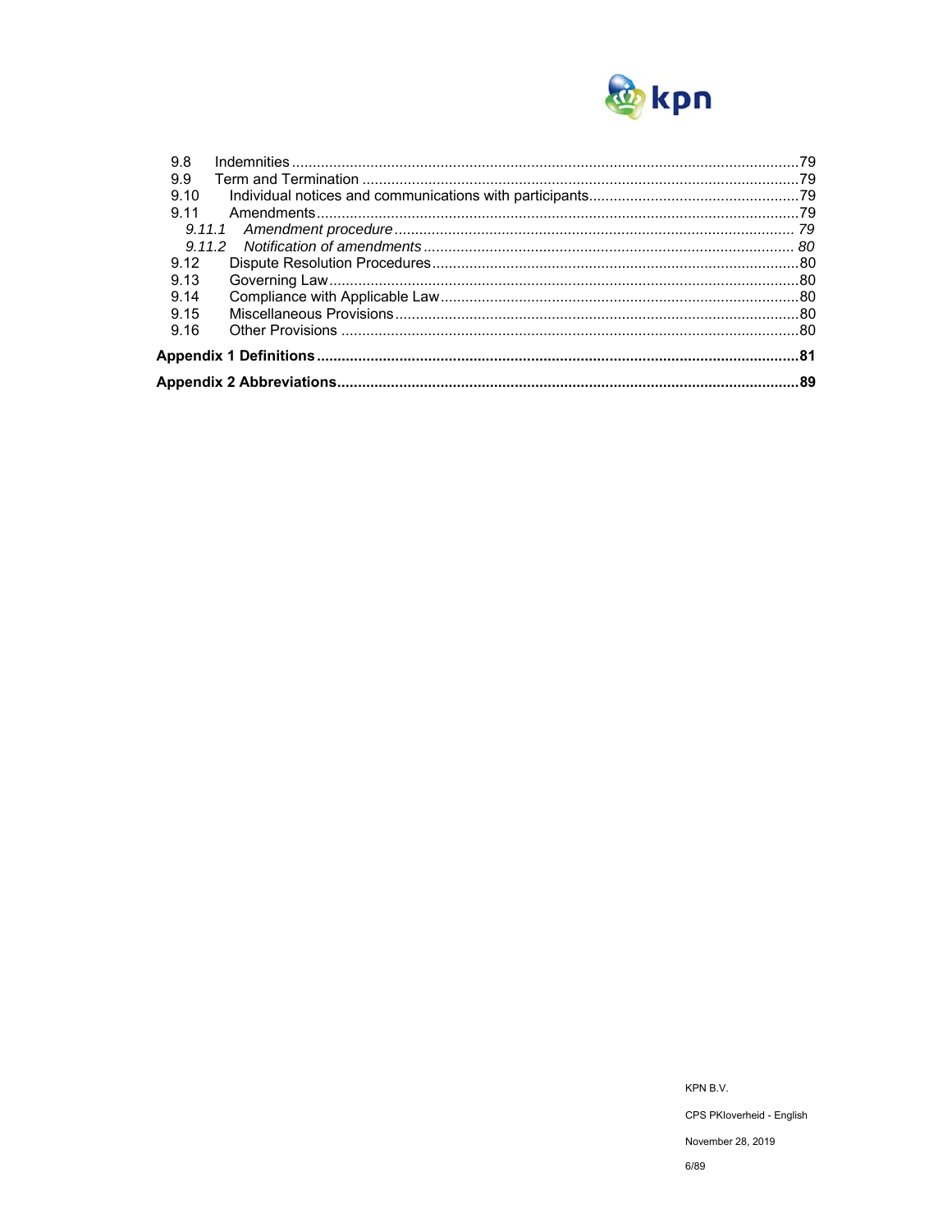

| 9.8  |  |
|------|--|
| 9.9  |  |
| 9.10 |  |
| 9.11 |  |
|      |  |
|      |  |
| 9.12 |  |
| 9.13 |  |
| 9.14 |  |
| 9.15 |  |
| 9.16 |  |
|      |  |
|      |  |

KPN B.V. CPS PKloverheid - English November 28, 2019  $6/89$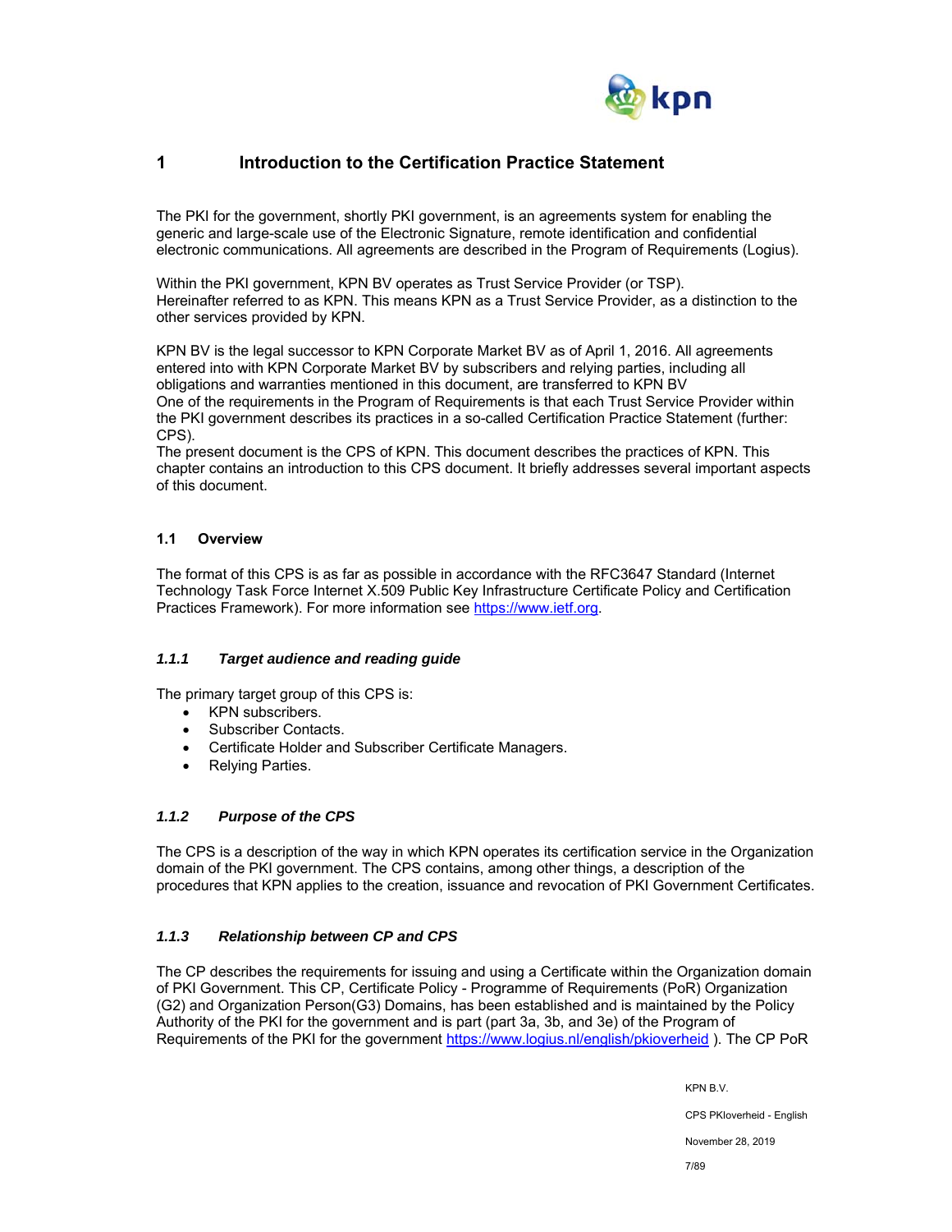

## **1 Introduction to the Certification Practice Statement**

The PKI for the government, shortly PKI government, is an agreements system for enabling the generic and large-scale use of the Electronic Signature, remote identification and confidential electronic communications. All agreements are described in the Program of Requirements (Logius).

Within the PKI government, KPN BV operates as Trust Service Provider (or TSP). Hereinafter referred to as KPN. This means KPN as a Trust Service Provider, as a distinction to the other services provided by KPN.

KPN BV is the legal successor to KPN Corporate Market BV as of April 1, 2016. All agreements entered into with KPN Corporate Market BV by subscribers and relying parties, including all obligations and warranties mentioned in this document, are transferred to KPN BV One of the requirements in the Program of Requirements is that each Trust Service Provider within the PKI government describes its practices in a so-called Certification Practice Statement (further: CPS).

The present document is the CPS of KPN. This document describes the practices of KPN. This chapter contains an introduction to this CPS document. It briefly addresses several important aspects of this document.

## **1.1 Overview**

The format of this CPS is as far as possible in accordance with the RFC3647 Standard (Internet Technology Task Force Internet X.509 Public Key Infrastructure Certificate Policy and Certification Practices Framework). For more information see https://www.ietf.org.

## *1.1.1 Target audience and reading guide*

The primary target group of this CPS is:

- KPN subscribers.
- Subscriber Contacts.
- Certificate Holder and Subscriber Certificate Managers.
- Relying Parties.

## *1.1.2 Purpose of the CPS*

The CPS is a description of the way in which KPN operates its certification service in the Organization domain of the PKI government. The CPS contains, among other things, a description of the procedures that KPN applies to the creation, issuance and revocation of PKI Government Certificates.

## *1.1.3 Relationship between CP and CPS*

The CP describes the requirements for issuing and using a Certificate within the Organization domain of PKI Government. This CP, Certificate Policy - Programme of Requirements (PoR) Organization (G2) and Organization Person(G3) Domains, has been established and is maintained by the Policy Authority of the PKI for the government and is part (part 3a, 3b, and 3e) of the Program of Requirements of the PKI for the government https://www.logius.nl/english/pkioverheid ). The CP PoR

KPN B.V.

CPS PKIoverheid - English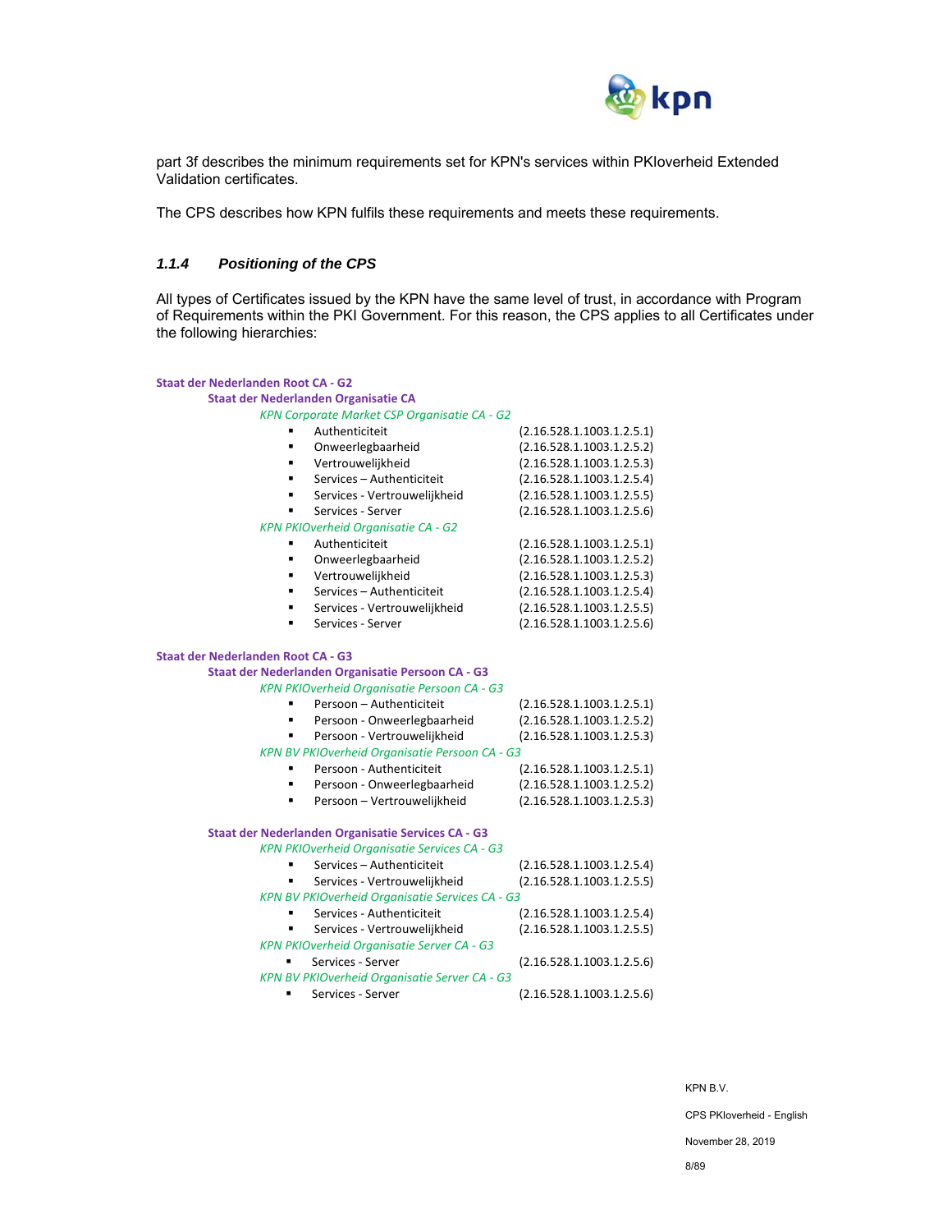

part 3f describes the minimum requirements set for KPN's services within PKIoverheid Extended Validation certificates.

The CPS describes how KPN fulfils these requirements and meets these requirements.

#### *1.1.4 Positioning of the CPS*

All types of Certificates issued by the KPN have the same level of trust, in accordance with Program of Requirements within the PKI Government. For this reason, the CPS applies to all Certificates under the following hierarchies:

#### **Staat der Nederlanden Root CA ‐ G2 Staat der Nederlanden Organisatie CA**  *KPN Corporate Market CSP Organisatie CA ‐ G2*  ■ Authenticiteit (2.16.528.1.1003.1.2.5.1) Onweerlegbaarheid (2.16.528.1.1003.1.2.5.2) Vertrouwelijkheid (2.16.528.1.1003.1.2.5.3) Services – Authenticiteit (2.16.528.1.1003.1.2.5.4) Services ‐ Vertrouwelijkheid (2.16.528.1.1003.1.2.5.5) Services ‐ Server (2.16.528.1.1003.1.2.5.6) *KPN PKIOverheid Organisatie CA ‐ G2*  Authenticiteit (2.16.528.1.1003.1.2.5.1) Additions.com Vertrouwelijkheid (2.16.528.1.1003.1.2.5.3) Services – Authenticiteit (2.16.528.1.1003.1.2.5.4) Services ‐ Vertrouwelijkheid (2.16.528.1.1003.1.2.5.5) ■ Services - Server (2.16.528.1.1003.1.2.5.6) **Staat der Nederlanden Root CA ‐ G3 Staat der Nederlanden Organisatie Persoon CA ‐ G3**  *KPN PKIOverheid Organisatie Persoon CA ‐ G3*  Persoon – Authenticiteit (2.16.528.1.1003.1.2.5.1) ■ Persoon - Onweerlegbaarheid (2.16.528.1.1003.1.2.5.2) ■ Persoon - Vertrouwelijkheid (2.16.528.1.1003.1.2.5.3) *KPN BV PKIOverheid Organisatie Persoon CA ‐ G3*  ■ Persoon - Authenticiteit (2.16.528.1.1003.1.2.5.1) Persoon ‐ Onweerlegbaarheid (2.16.528.1.1003.1.2.5.2) **Persoon – Vertrouwelijkheid**  $(2.16.528.1.1003.1.2.5.3)$ **Staat der Nederlanden Organisatie Services CA ‐ G3**  *KPN PKIOverheid Organisatie Services CA ‐ G3*  Services – Authenticiteit (2.16.528.1.1003.1.2.5.4) Services ‐ Vertrouwelijkheid (2.16.528.1.1003.1.2.5.5) *KPN BV PKIOverheid Organisatie Services CA ‐ G3*  Services - Authenticiteit  $(2.16.528.1.1003.1.2.5.4)$  Services ‐ Vertrouwelijkheid (2.16.528.1.1003.1.2.5.5) *KPN PKIOverheid Organisatie Server CA ‐ G3*  ■ Services - Server (2.16.528.1.1003.1.2.5.6) *KPN BV PKIOverheid Organisatie Server CA ‐ G3*  ■ Services - Server (2.16.528.1.1003.1.2.5.6)

KPN B.V.

CPS PKIoverheid - English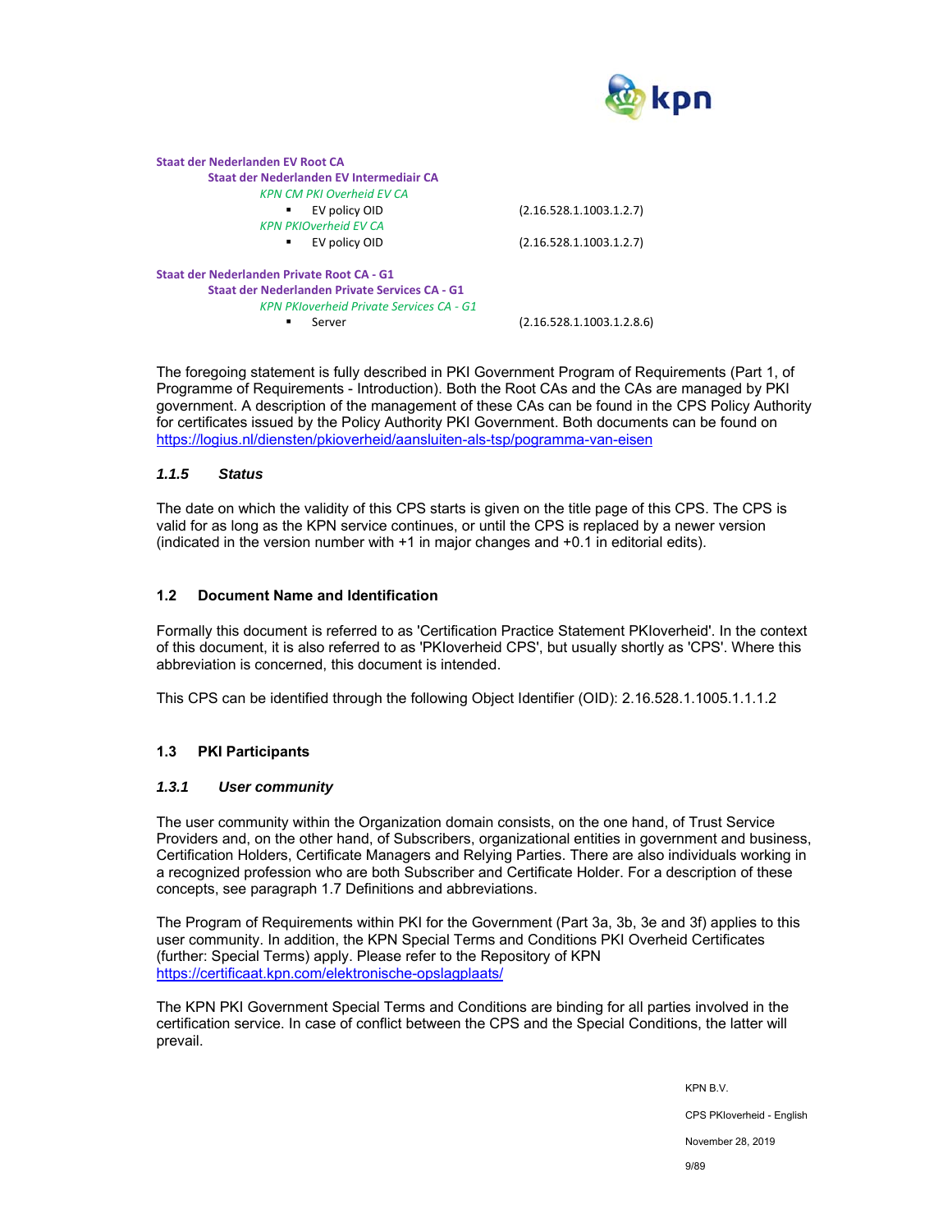

| Staat der Nederlanden EV Root CA                |                           |
|-------------------------------------------------|---------------------------|
| Staat der Nederlanden EV Intermediair CA        |                           |
| <b>KPN CM PKI Overheid EV CA</b>                |                           |
| EV policy OID<br>٠                              | (2.16.528.1.1003.1.2.7)   |
| <b>KPN PKIOverheid EV CA</b>                    |                           |
| EV policy OID<br>٠                              | (2.16.528.1.1003.1.2.7)   |
| Staat der Nederlanden Private Root CA - G1      |                           |
| Staat der Nederlanden Private Services CA - G1  |                           |
| <b>KPN PKIoverheid Private Services CA - G1</b> |                           |
| Server                                          | (2.16.528.1.1003.1.2.8.6) |

The foregoing statement is fully described in PKI Government Program of Requirements (Part 1, of Programme of Requirements - Introduction). Both the Root CAs and the CAs are managed by PKI government. A description of the management of these CAs can be found in the CPS Policy Authority for certificates issued by the Policy Authority PKI Government. Both documents can be found on https://logius.nl/diensten/pkioverheid/aansluiten-als-tsp/pogramma-van-eisen

#### *1.1.5 Status*

The date on which the validity of this CPS starts is given on the title page of this CPS. The CPS is valid for as long as the KPN service continues, or until the CPS is replaced by a newer version (indicated in the version number with +1 in major changes and +0.1 in editorial edits).

#### **1.2 Document Name and Identification**

Formally this document is referred to as 'Certification Practice Statement PKIoverheid'. In the context of this document, it is also referred to as 'PKIoverheid CPS', but usually shortly as 'CPS'. Where this abbreviation is concerned, this document is intended.

This CPS can be identified through the following Object Identifier (OID): 2.16.528.1.1005.1.1.1.2

## **1.3 PKI Participants**

#### *1.3.1 User community*

The user community within the Organization domain consists, on the one hand, of Trust Service Providers and, on the other hand, of Subscribers, organizational entities in government and business, Certification Holders, Certificate Managers and Relying Parties. There are also individuals working in a recognized profession who are both Subscriber and Certificate Holder. For a description of these concepts, see paragraph 1.7 Definitions and abbreviations.

The Program of Requirements within PKI for the Government (Part 3a, 3b, 3e and 3f) applies to this user community. In addition, the KPN Special Terms and Conditions PKI Overheid Certificates (further: Special Terms) apply. Please refer to the Repository of KPN https://certificaat.kpn.com/elektronische-opslagplaats/

The KPN PKI Government Special Terms and Conditions are binding for all parties involved in the certification service. In case of conflict between the CPS and the Special Conditions, the latter will prevail.

KPN B.V.

CPS PKIoverheid - English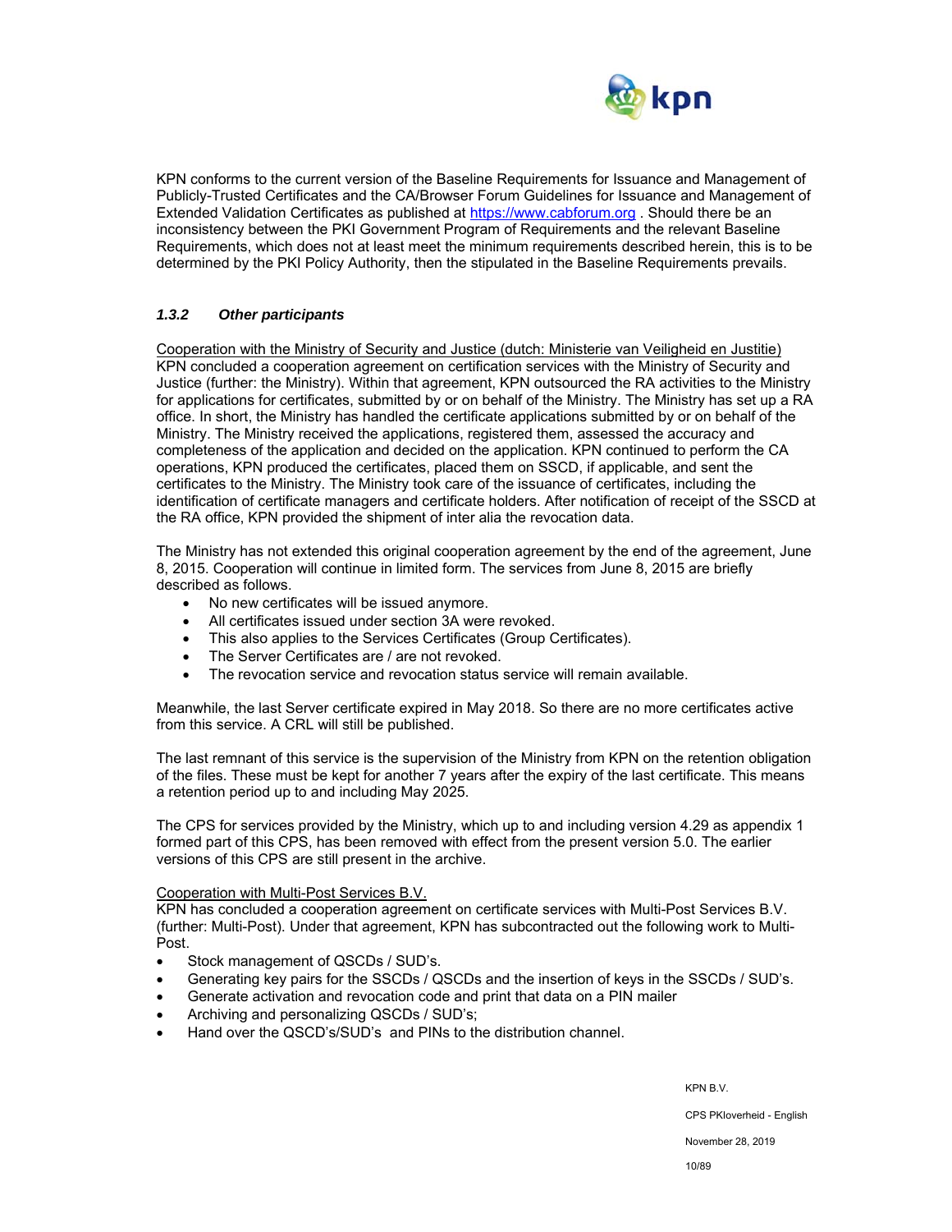

KPN conforms to the current version of the Baseline Requirements for Issuance and Management of Publicly-Trusted Certificates and the CA/Browser Forum Guidelines for Issuance and Management of Extended Validation Certificates as published at https://www.cabforum.org . Should there be an inconsistency between the PKI Government Program of Requirements and the relevant Baseline Requirements, which does not at least meet the minimum requirements described herein, this is to be determined by the PKI Policy Authority, then the stipulated in the Baseline Requirements prevails.

## *1.3.2 Other participants*

Cooperation with the Ministry of Security and Justice (dutch: Ministerie van Veiligheid en Justitie) KPN concluded a cooperation agreement on certification services with the Ministry of Security and Justice (further: the Ministry). Within that agreement, KPN outsourced the RA activities to the Ministry for applications for certificates, submitted by or on behalf of the Ministry. The Ministry has set up a RA office. In short, the Ministry has handled the certificate applications submitted by or on behalf of the Ministry. The Ministry received the applications, registered them, assessed the accuracy and completeness of the application and decided on the application. KPN continued to perform the CA operations, KPN produced the certificates, placed them on SSCD, if applicable, and sent the certificates to the Ministry. The Ministry took care of the issuance of certificates, including the identification of certificate managers and certificate holders. After notification of receipt of the SSCD at the RA office, KPN provided the shipment of inter alia the revocation data.

The Ministry has not extended this original cooperation agreement by the end of the agreement, June 8, 2015. Cooperation will continue in limited form. The services from June 8, 2015 are briefly described as follows.

- No new certificates will be issued anymore.
- All certificates issued under section 3A were revoked.
- This also applies to the Services Certificates (Group Certificates).
- The Server Certificates are / are not revoked.
- The revocation service and revocation status service will remain available.

Meanwhile, the last Server certificate expired in May 2018. So there are no more certificates active from this service. A CRL will still be published.

The last remnant of this service is the supervision of the Ministry from KPN on the retention obligation of the files. These must be kept for another 7 years after the expiry of the last certificate. This means a retention period up to and including May 2025.

The CPS for services provided by the Ministry, which up to and including version 4.29 as appendix 1 formed part of this CPS, has been removed with effect from the present version 5.0. The earlier versions of this CPS are still present in the archive.

#### Cooperation with Multi-Post Services B.V.

KPN has concluded a cooperation agreement on certificate services with Multi-Post Services B.V. (further: Multi-Post). Under that agreement, KPN has subcontracted out the following work to Multi-Post.

- Stock management of QSCDs / SUD's.
- Generating key pairs for the SSCDs / QSCDs and the insertion of keys in the SSCDs / SUD's.
- Generate activation and revocation code and print that data on a PIN mailer
- Archiving and personalizing QSCDs / SUD's;
- Hand over the QSCD's/SUD's and PINs to the distribution channel.

KPN B.V.

CPS PKIoverheid - English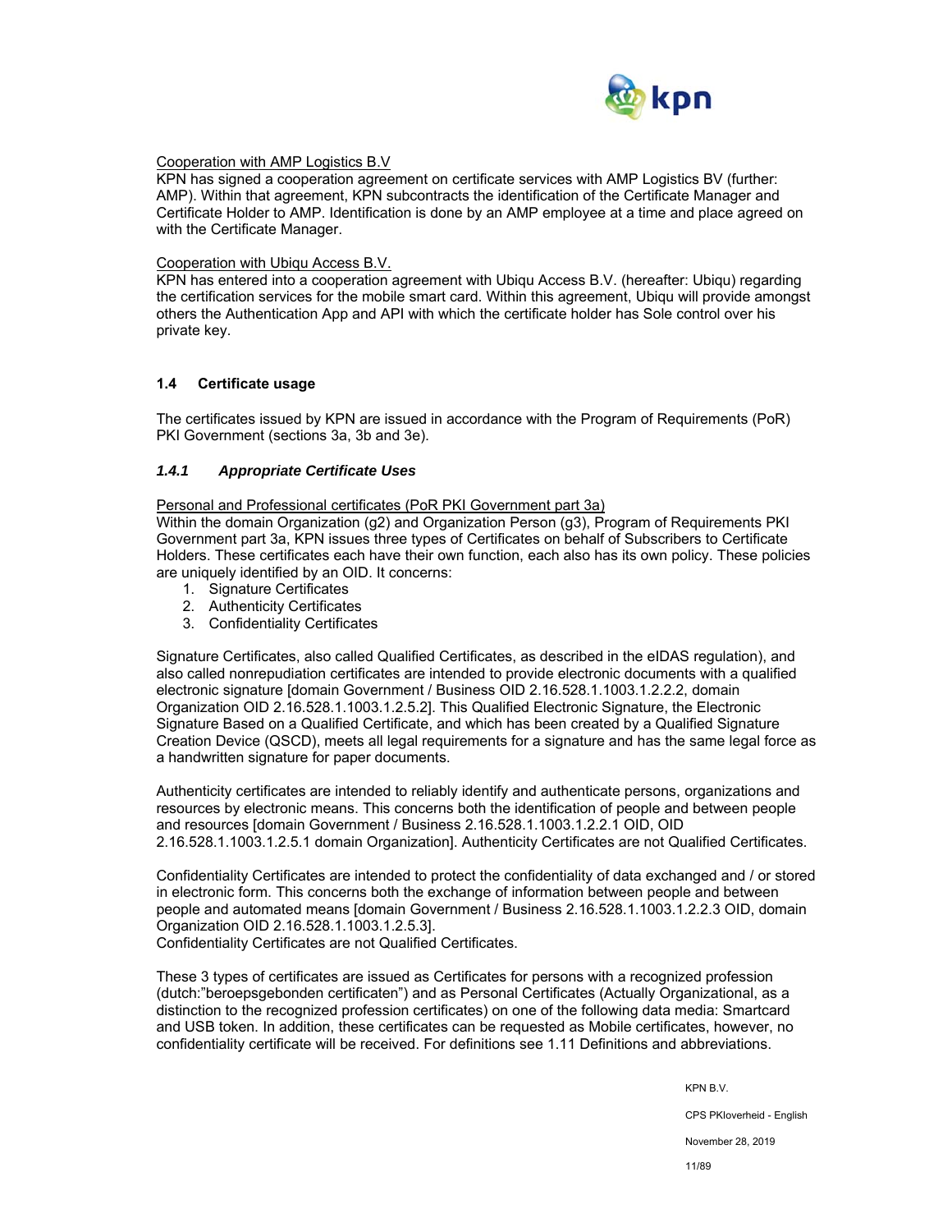

#### Cooperation with AMP Logistics B.V

KPN has signed a cooperation agreement on certificate services with AMP Logistics BV (further: AMP). Within that agreement, KPN subcontracts the identification of the Certificate Manager and Certificate Holder to AMP. Identification is done by an AMP employee at a time and place agreed on with the Certificate Manager.

#### Cooperation with Ubiqu Access B.V.

KPN has entered into a cooperation agreement with Ubiqu Access B.V. (hereafter: Ubiqu) regarding the certification services for the mobile smart card. Within this agreement, Ubiqu will provide amongst others the Authentication App and API with which the certificate holder has Sole control over his private key.

#### **1.4 Certificate usage**

The certificates issued by KPN are issued in accordance with the Program of Requirements (PoR) PKI Government (sections 3a, 3b and 3e).

#### *1.4.1 Appropriate Certificate Uses*

Personal and Professional certificates (PoR PKI Government part 3a)

Within the domain Organization (g2) and Organization Person (g3), Program of Requirements PKI Government part 3a, KPN issues three types of Certificates on behalf of Subscribers to Certificate Holders. These certificates each have their own function, each also has its own policy. These policies are uniquely identified by an OID. It concerns:

- 1. Signature Certificates
- 2. Authenticity Certificates
- 3. Confidentiality Certificates

Signature Certificates, also called Qualified Certificates, as described in the eIDAS regulation), and also called nonrepudiation certificates are intended to provide electronic documents with a qualified electronic signature [domain Government / Business OID 2.16.528.1.1003.1.2.2.2, domain Organization OID 2.16.528.1.1003.1.2.5.2]. This Qualified Electronic Signature, the Electronic Signature Based on a Qualified Certificate, and which has been created by a Qualified Signature Creation Device (QSCD), meets all legal requirements for a signature and has the same legal force as a handwritten signature for paper documents.

Authenticity certificates are intended to reliably identify and authenticate persons, organizations and resources by electronic means. This concerns both the identification of people and between people and resources [domain Government / Business 2.16.528.1.1003.1.2.2.1 OID, OID 2.16.528.1.1003.1.2.5.1 domain Organization]. Authenticity Certificates are not Qualified Certificates.

Confidentiality Certificates are intended to protect the confidentiality of data exchanged and / or stored in electronic form. This concerns both the exchange of information between people and between people and automated means [domain Government / Business 2.16.528.1.1003.1.2.2.3 OID, domain Organization OID 2.16.528.1.1003.1.2.5.3].

Confidentiality Certificates are not Qualified Certificates.

These 3 types of certificates are issued as Certificates for persons with a recognized profession (dutch:"beroepsgebonden certificaten") and as Personal Certificates (Actually Organizational, as a distinction to the recognized profession certificates) on one of the following data media: Smartcard and USB token. In addition, these certificates can be requested as Mobile certificates, however, no confidentiality certificate will be received. For definitions see 1.11 Definitions and abbreviations.

KPN B.V.

CPS PKIoverheid - English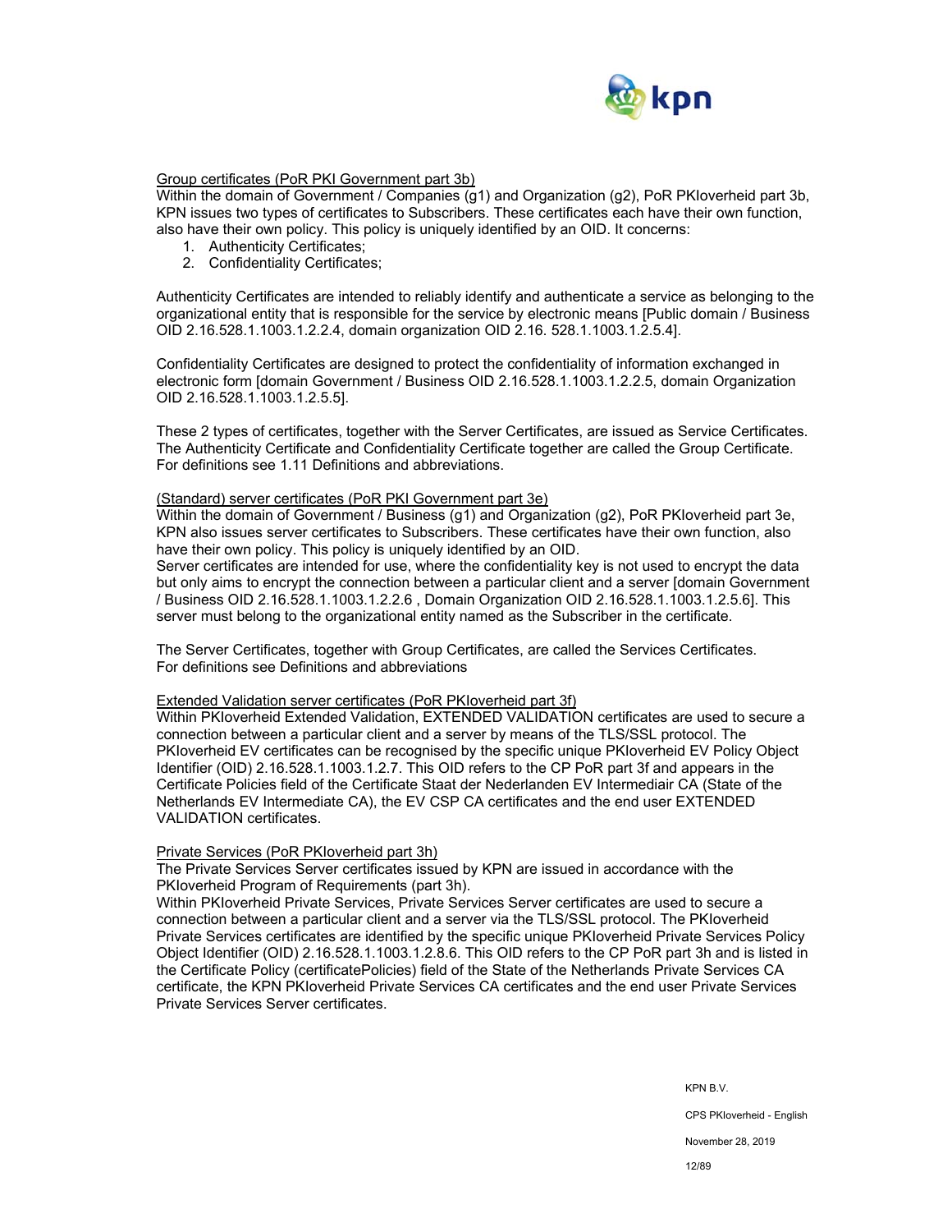

## Group certificates (PoR PKI Government part 3b)

Within the domain of Government / Companies (g1) and Organization (g2), PoR PKIoverheid part 3b, KPN issues two types of certificates to Subscribers. These certificates each have their own function, also have their own policy. This policy is uniquely identified by an OID. It concerns:

- 1. Authenticity Certificates;
- 2. Confidentiality Certificates;

Authenticity Certificates are intended to reliably identify and authenticate a service as belonging to the organizational entity that is responsible for the service by electronic means [Public domain / Business OID 2.16.528.1.1003.1.2.2.4, domain organization OID 2.16. 528.1.1003.1.2.5.4].

Confidentiality Certificates are designed to protect the confidentiality of information exchanged in electronic form [domain Government / Business OID 2.16.528.1.1003.1.2.2.5, domain Organization OID 2.16.528.1.1003.1.2.5.5].

These 2 types of certificates, together with the Server Certificates, are issued as Service Certificates. The Authenticity Certificate and Confidentiality Certificate together are called the Group Certificate. For definitions see 1.11 Definitions and abbreviations.

#### (Standard) server certificates (PoR PKI Government part 3e)

Within the domain of Government / Business (g1) and Organization (g2), PoR PKIoverheid part 3e, KPN also issues server certificates to Subscribers. These certificates have their own function, also have their own policy. This policy is uniquely identified by an OID.

Server certificates are intended for use, where the confidentiality key is not used to encrypt the data but only aims to encrypt the connection between a particular client and a server [domain Government / Business OID 2.16.528.1.1003.1.2.2.6 , Domain Organization OID 2.16.528.1.1003.1.2.5.6]. This server must belong to the organizational entity named as the Subscriber in the certificate.

The Server Certificates, together with Group Certificates, are called the Services Certificates. For definitions see Definitions and abbreviations

#### Extended Validation server certificates (PoR PKIoverheid part 3f)

Within PKIoverheid Extended Validation, EXTENDED VALIDATION certificates are used to secure a connection between a particular client and a server by means of the TLS/SSL protocol. The PKIoverheid EV certificates can be recognised by the specific unique PKIoverheid EV Policy Object Identifier (OID) 2.16.528.1.1003.1.2.7. This OID refers to the CP PoR part 3f and appears in the Certificate Policies field of the Certificate Staat der Nederlanden EV Intermediair CA (State of the Netherlands EV Intermediate CA), the EV CSP CA certificates and the end user EXTENDED VALIDATION certificates.

#### Private Services (PoR PKIoverheid part 3h)

The Private Services Server certificates issued by KPN are issued in accordance with the PKIoverheid Program of Requirements (part 3h).

Within PKIoverheid Private Services, Private Services Server certificates are used to secure a connection between a particular client and a server via the TLS/SSL protocol. The PKIoverheid Private Services certificates are identified by the specific unique PKIoverheid Private Services Policy Object Identifier (OID) 2.16.528.1.1003.1.2.8.6. This OID refers to the CP PoR part 3h and is listed in the Certificate Policy (certificatePolicies) field of the State of the Netherlands Private Services CA certificate, the KPN PKIoverheid Private Services CA certificates and the end user Private Services Private Services Server certificates.

KPN B.V.

CPS PKIoverheid - English

November 28, 2019

12/89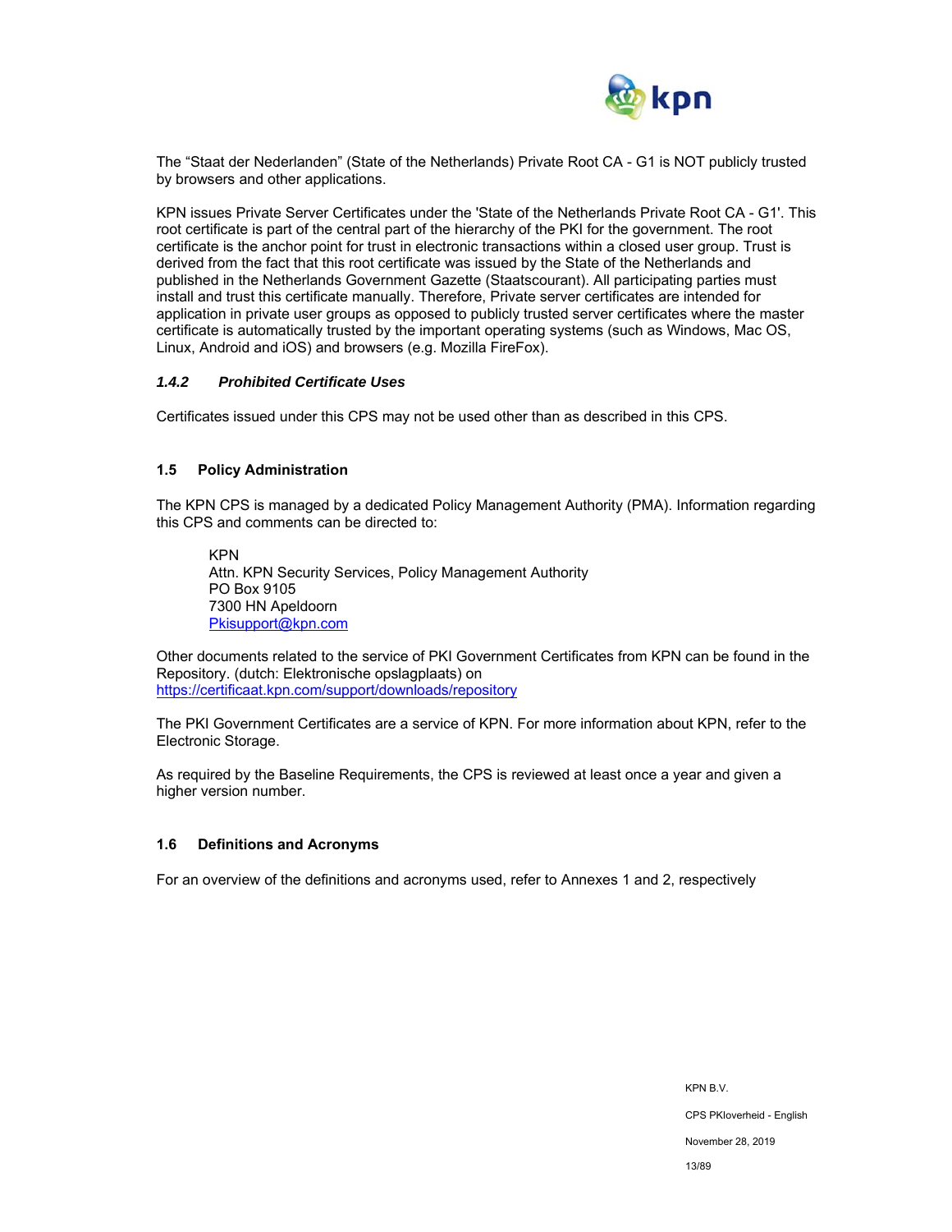

The "Staat der Nederlanden" (State of the Netherlands) Private Root CA - G1 is NOT publicly trusted by browsers and other applications.

KPN issues Private Server Certificates under the 'State of the Netherlands Private Root CA - G1'. This root certificate is part of the central part of the hierarchy of the PKI for the government. The root certificate is the anchor point for trust in electronic transactions within a closed user group. Trust is derived from the fact that this root certificate was issued by the State of the Netherlands and published in the Netherlands Government Gazette (Staatscourant). All participating parties must install and trust this certificate manually. Therefore, Private server certificates are intended for application in private user groups as opposed to publicly trusted server certificates where the master certificate is automatically trusted by the important operating systems (such as Windows, Mac OS, Linux, Android and iOS) and browsers (e.g. Mozilla FireFox).

#### *1.4.2 Prohibited Certificate Uses*

Certificates issued under this CPS may not be used other than as described in this CPS.

#### **1.5 Policy Administration**

The KPN CPS is managed by a dedicated Policy Management Authority (PMA). Information regarding this CPS and comments can be directed to:

KPN Attn. KPN Security Services, Policy Management Authority PO Box 9105 7300 HN Apeldoorn Pkisupport@kpn.com

Other documents related to the service of PKI Government Certificates from KPN can be found in the Repository. (dutch: Elektronische opslagplaats) on https://certificaat.kpn.com/support/downloads/repository

The PKI Government Certificates are a service of KPN. For more information about KPN, refer to the Electronic Storage.

As required by the Baseline Requirements, the CPS is reviewed at least once a year and given a higher version number.

#### **1.6 Definitions and Acronyms**

For an overview of the definitions and acronyms used, refer to Annexes 1 and 2, respectively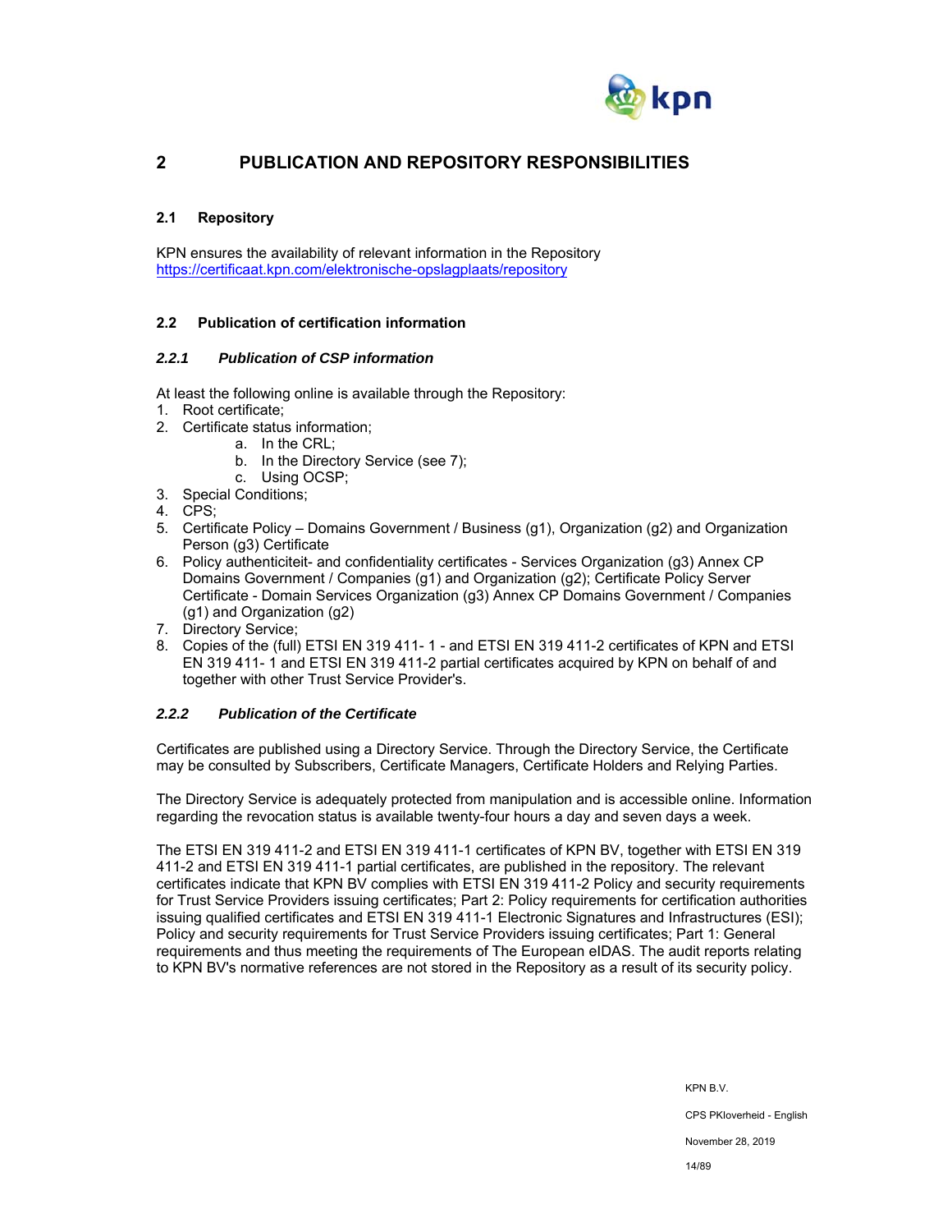

## **2 PUBLICATION AND REPOSITORY RESPONSIBILITIES**

## **2.1 Repository**

KPN ensures the availability of relevant information in the Repository https://certificaat.kpn.com/elektronische-opslagplaats/repository

## **2.2 Publication of certification information**

#### *2.2.1 Publication of CSP information*

At least the following online is available through the Repository:

- 1. Root certificate;
- 2. Certificate status information;
	- a. In the CRL;
	- b. In the Directory Service (see 7);
	- c. Using OCSP;
- 3. Special Conditions;
- 4. CPS;
- 5. Certificate Policy Domains Government / Business (g1), Organization (g2) and Organization Person (g3) Certificate
- 6. Policy authenticiteit- and confidentiality certificates Services Organization (g3) Annex CP Domains Government / Companies (g1) and Organization (g2); Certificate Policy Server Certificate - Domain Services Organization (g3) Annex CP Domains Government / Companies (g1) and Organization (g2)
- 7. Directory Service;
- 8. Copies of the (full) ETSI EN 319 411- 1 and ETSI EN 319 411-2 certificates of KPN and ETSI EN 319 411- 1 and ETSI EN 319 411-2 partial certificates acquired by KPN on behalf of and together with other Trust Service Provider's.

## *2.2.2 Publication of the Certificate*

Certificates are published using a Directory Service. Through the Directory Service, the Certificate may be consulted by Subscribers, Certificate Managers, Certificate Holders and Relying Parties.

The Directory Service is adequately protected from manipulation and is accessible online. Information regarding the revocation status is available twenty-four hours a day and seven days a week.

The ETSI EN 319 411-2 and ETSI EN 319 411-1 certificates of KPN BV, together with ETSI EN 319 411-2 and ETSI EN 319 411-1 partial certificates, are published in the repository. The relevant certificates indicate that KPN BV complies with ETSI EN 319 411-2 Policy and security requirements for Trust Service Providers issuing certificates; Part 2: Policy requirements for certification authorities issuing qualified certificates and ETSI EN 319 411-1 Electronic Signatures and Infrastructures (ESI); Policy and security requirements for Trust Service Providers issuing certificates; Part 1: General requirements and thus meeting the requirements of The European eIDAS. The audit reports relating to KPN BV's normative references are not stored in the Repository as a result of its security policy.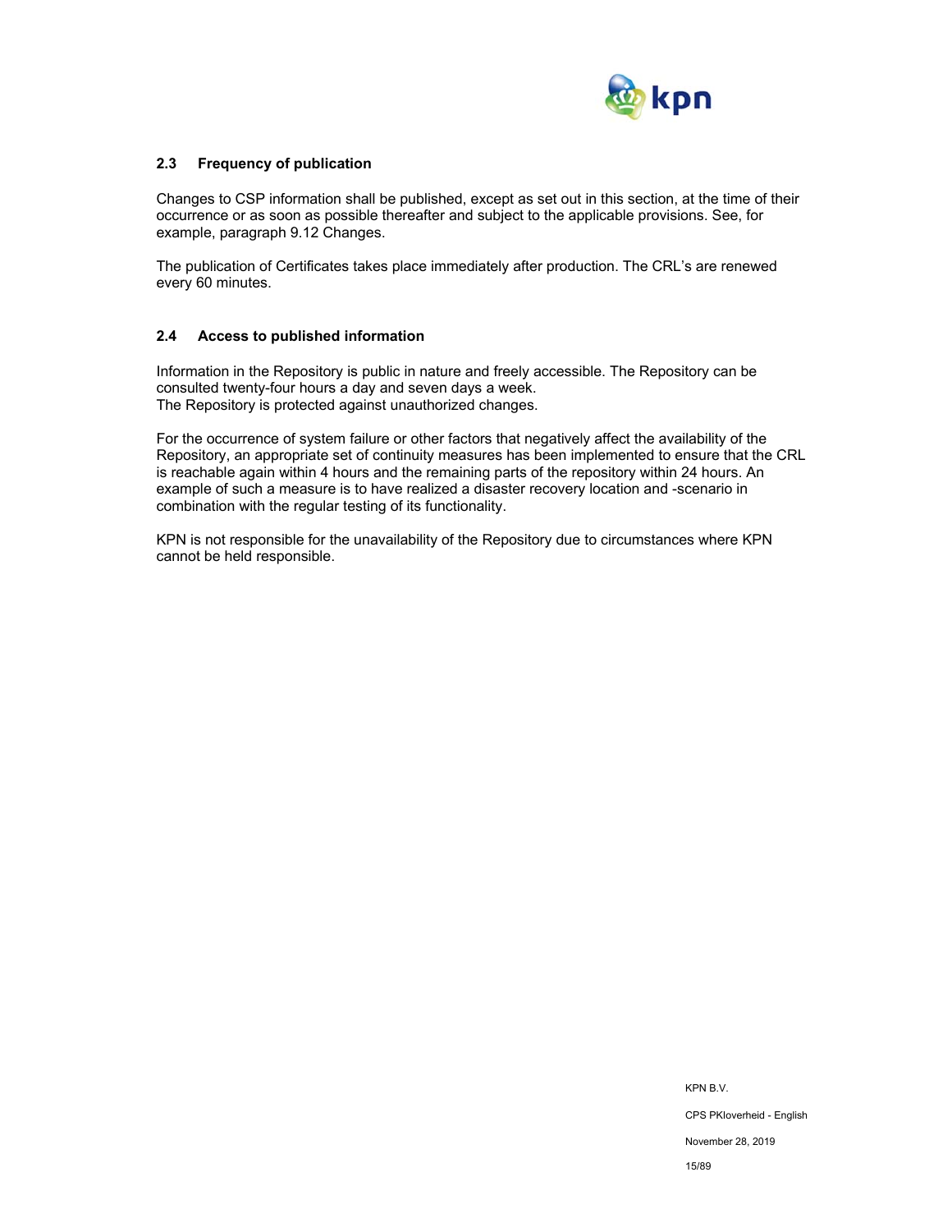

## **2.3 Frequency of publication**

Changes to CSP information shall be published, except as set out in this section, at the time of their occurrence or as soon as possible thereafter and subject to the applicable provisions. See, for example, paragraph 9.12 Changes.

The publication of Certificates takes place immediately after production. The CRL's are renewed every 60 minutes.

#### **2.4 Access to published information**

Information in the Repository is public in nature and freely accessible. The Repository can be consulted twenty-four hours a day and seven days a week. The Repository is protected against unauthorized changes.

For the occurrence of system failure or other factors that negatively affect the availability of the Repository, an appropriate set of continuity measures has been implemented to ensure that the CRL is reachable again within 4 hours and the remaining parts of the repository within 24 hours. An example of such a measure is to have realized a disaster recovery location and -scenario in combination with the regular testing of its functionality.

KPN is not responsible for the unavailability of the Repository due to circumstances where KPN cannot be held responsible.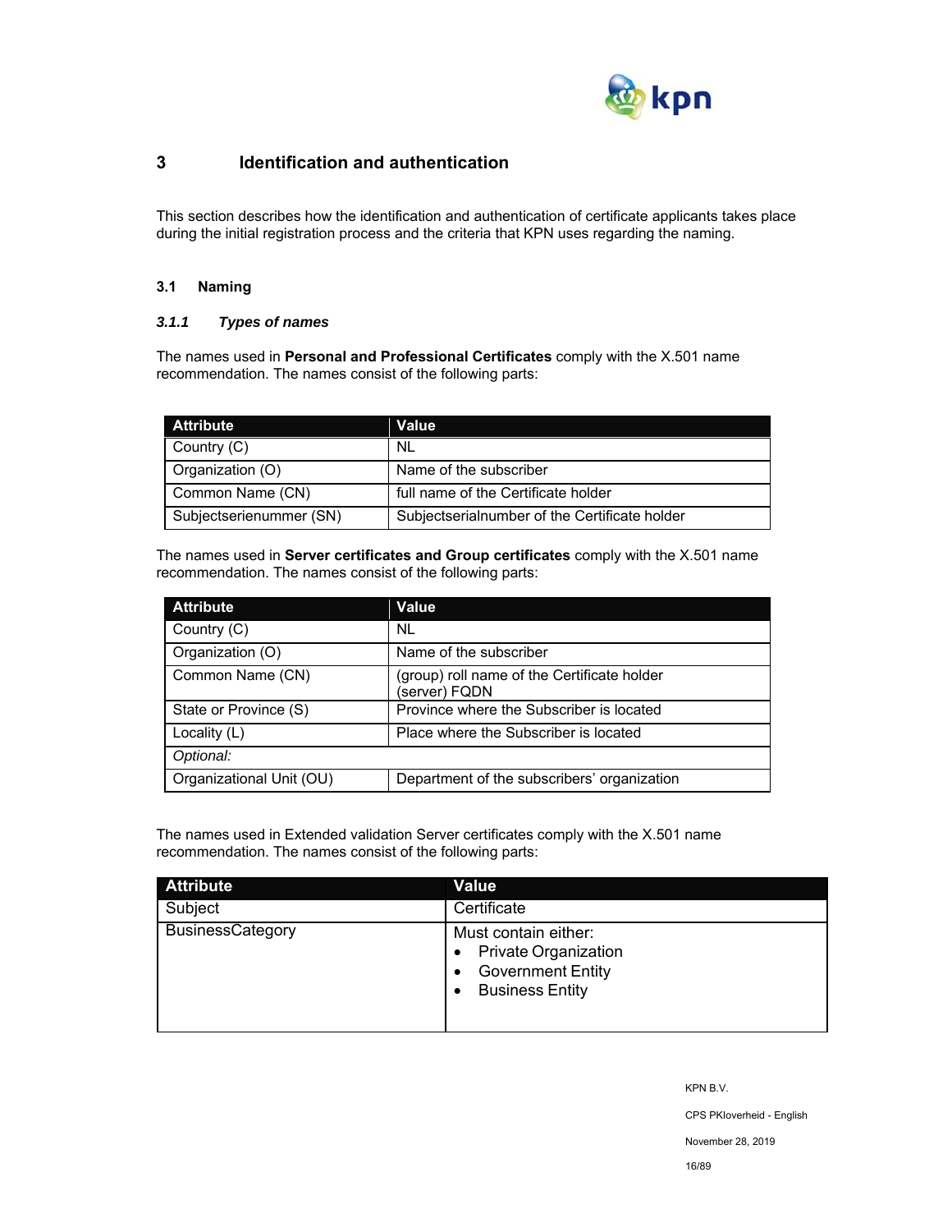

## **3 Identification and authentication**

This section describes how the identification and authentication of certificate applicants takes place during the initial registration process and the criteria that KPN uses regarding the naming.

## **3.1 Naming**

## *3.1.1 Types of names*

The names used in **Personal and Professional Certificates** comply with the X.501 name recommendation. The names consist of the following parts:

| <b>Attribute</b>        | Value                                         |
|-------------------------|-----------------------------------------------|
| Country (C)             | .NL                                           |
| Organization (O)        | Name of the subscriber                        |
| Common Name (CN)        | full name of the Certificate holder           |
| Subjectserienummer (SN) | Subjectserialnumber of the Certificate holder |

The names used in **Server certificates and Group certificates** comply with the X.501 name recommendation. The names consist of the following parts:

| <b>Attribute</b>         | Value                                                        |
|--------------------------|--------------------------------------------------------------|
| Country (C)              | NL.                                                          |
| Organization (O)         | Name of the subscriber                                       |
| Common Name (CN)         | (group) roll name of the Certificate holder<br>(server) FQDN |
| State or Province (S)    | Province where the Subscriber is located                     |
| Locality (L)             | Place where the Subscriber is located                        |
| Optional:                |                                                              |
| Organizational Unit (OU) | Department of the subscribers' organization                  |

The names used in Extended validation Server certificates comply with the X.501 name recommendation. The names consist of the following parts:

| <b>Attribute</b>        | <b>Value</b>                                                                                                   |
|-------------------------|----------------------------------------------------------------------------------------------------------------|
| Subject                 | Certificate                                                                                                    |
| <b>BusinessCategory</b> | Must contain either:<br><b>Private Organization</b><br>٠<br><b>Government Entity</b><br><b>Business Entity</b> |

KPN B.V.

CPS PKIoverheid - English

November 28, 2019

16/89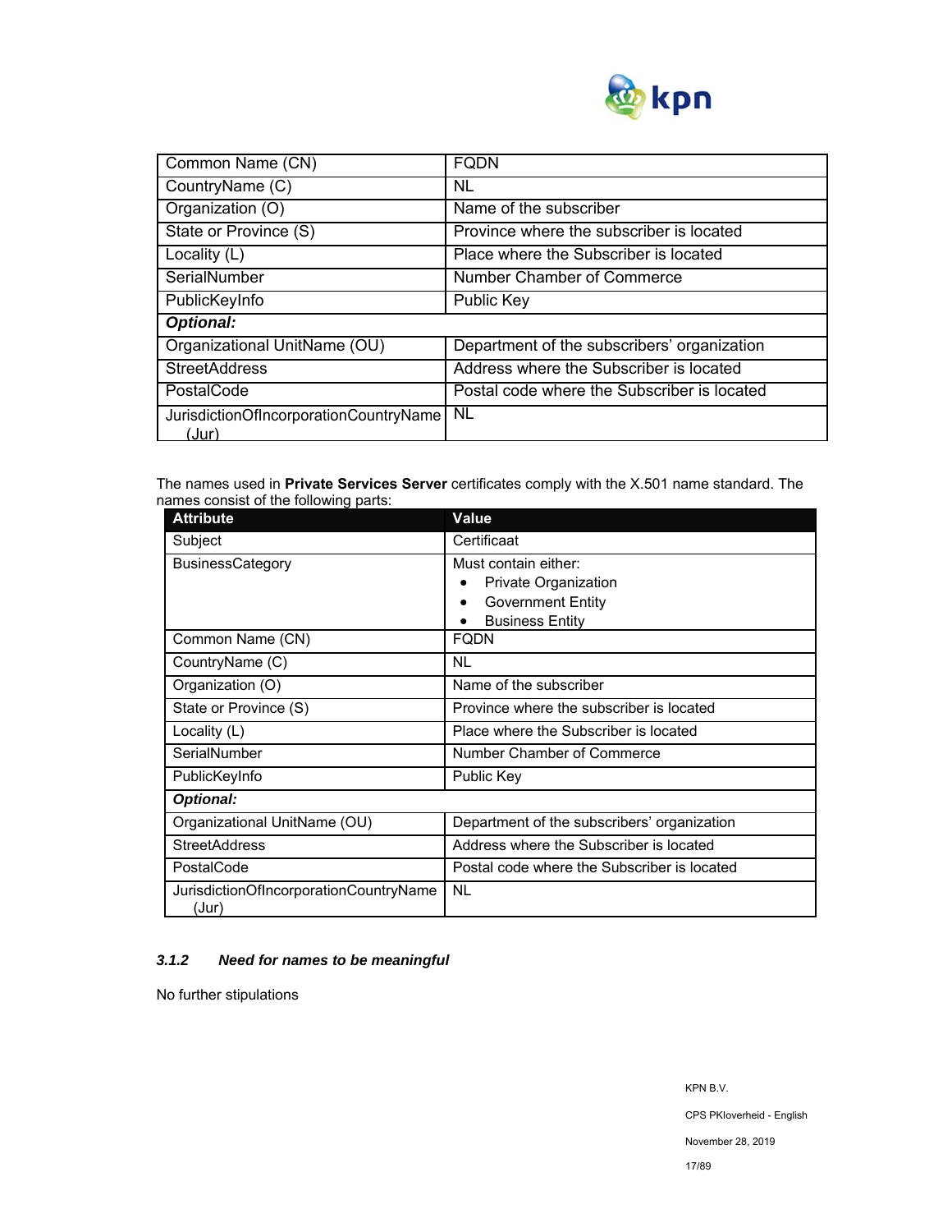

| Common Name (CN)                                | <b>FODN</b>                                 |  |
|-------------------------------------------------|---------------------------------------------|--|
| CountryName (C)                                 | NL                                          |  |
| Organization (O)                                | Name of the subscriber                      |  |
| State or Province (S)                           | Province where the subscriber is located    |  |
| Locality (L)                                    | Place where the Subscriber is located       |  |
| SerialNumber                                    | Number Chamber of Commerce                  |  |
| PublicKeyInfo                                   | <b>Public Key</b>                           |  |
| <b>Optional:</b>                                |                                             |  |
| Organizational UnitName (OU)                    | Department of the subscribers' organization |  |
| <b>StreetAddress</b>                            | Address where the Subscriber is located     |  |
| PostalCode                                      | Postal code where the Subscriber is located |  |
| JurisdictionOfIncorporationCountryName<br>(Jur) | <b>NL</b>                                   |  |

The names used in **Private Services Server** certificates comply with the X.501 name standard. The names consist of the following parts:

| <b>Attribute</b>                                | Value                                       |  |
|-------------------------------------------------|---------------------------------------------|--|
| Subject                                         | Certificaat                                 |  |
| <b>BusinessCategory</b>                         | Must contain either:                        |  |
|                                                 | Private Organization                        |  |
|                                                 | <b>Government Entity</b>                    |  |
|                                                 | <b>Business Entity</b>                      |  |
| Common Name (CN)                                | FQDN                                        |  |
| CountryName (C)                                 | <b>NL</b>                                   |  |
| Organization (O)                                | Name of the subscriber                      |  |
| State or Province (S)                           | Province where the subscriber is located    |  |
| Locality (L)                                    | Place where the Subscriber is located       |  |
| SerialNumber                                    | Number Chamber of Commerce                  |  |
| PublicKeyInfo                                   | Public Key                                  |  |
| <b>Optional:</b>                                |                                             |  |
| Organizational UnitName (OU)                    | Department of the subscribers' organization |  |
| <b>StreetAddress</b>                            | Address where the Subscriber is located     |  |
| PostalCode                                      | Postal code where the Subscriber is located |  |
| JurisdictionOfIncorporationCountryName<br>(Jur) | <b>NL</b>                                   |  |

## *3.1.2 Need for names to be meaningful*

No further stipulations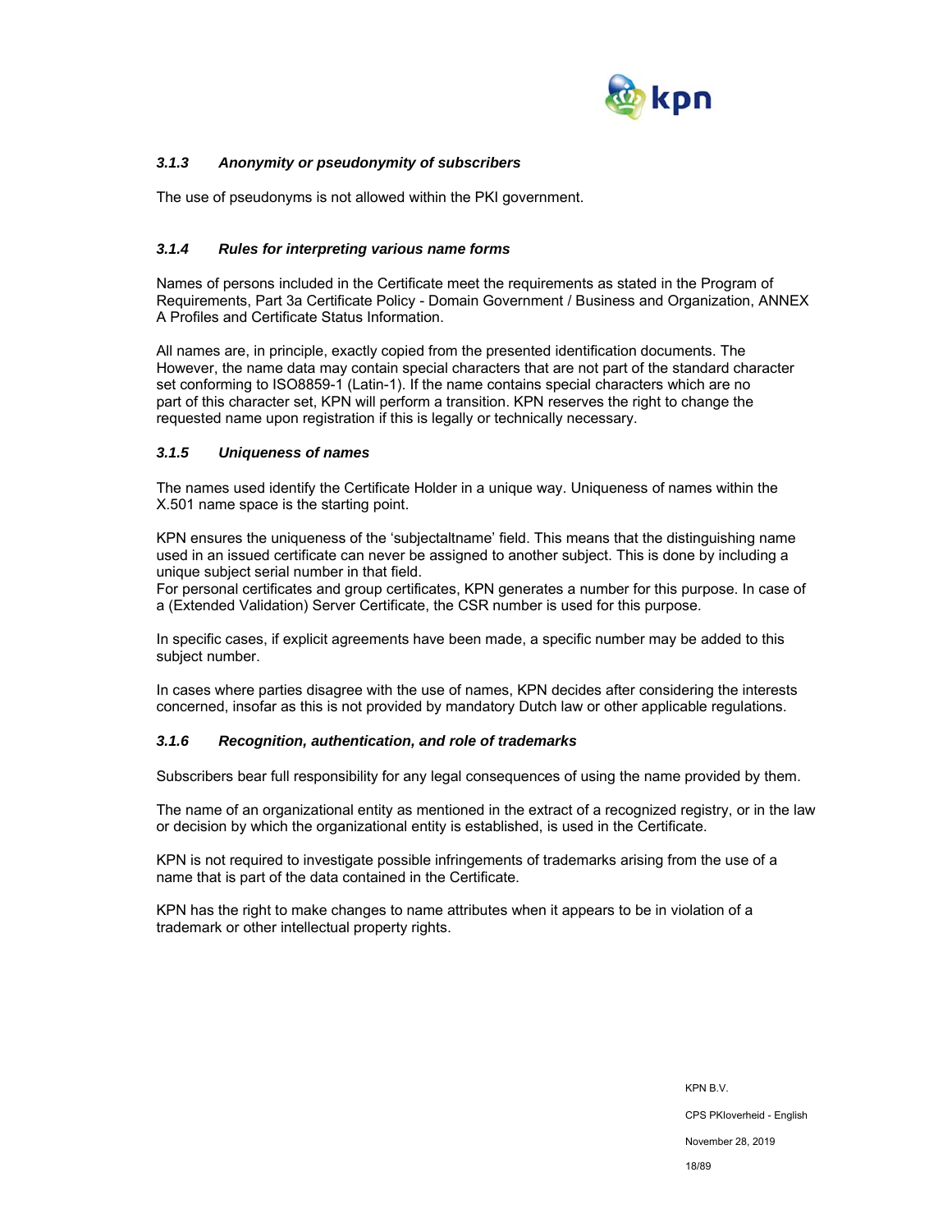

## *3.1.3 Anonymity or pseudonymity of subscribers*

The use of pseudonyms is not allowed within the PKI government.

## *3.1.4 Rules for interpreting various name forms*

Names of persons included in the Certificate meet the requirements as stated in the Program of Requirements, Part 3a Certificate Policy - Domain Government / Business and Organization, ANNEX A Profiles and Certificate Status Information.

All names are, in principle, exactly copied from the presented identification documents. The However, the name data may contain special characters that are not part of the standard character set conforming to ISO8859-1 (Latin-1). If the name contains special characters which are no part of this character set, KPN will perform a transition. KPN reserves the right to change the requested name upon registration if this is legally or technically necessary.

#### *3.1.5 Uniqueness of names*

The names used identify the Certificate Holder in a unique way. Uniqueness of names within the X.501 name space is the starting point.

KPN ensures the uniqueness of the 'subjectaltname' field. This means that the distinguishing name used in an issued certificate can never be assigned to another subject. This is done by including a unique subject serial number in that field.

For personal certificates and group certificates, KPN generates a number for this purpose. In case of a (Extended Validation) Server Certificate, the CSR number is used for this purpose.

In specific cases, if explicit agreements have been made, a specific number may be added to this subject number.

In cases where parties disagree with the use of names, KPN decides after considering the interests concerned, insofar as this is not provided by mandatory Dutch law or other applicable regulations.

#### *3.1.6 Recognition, authentication, and role of trademarks*

Subscribers bear full responsibility for any legal consequences of using the name provided by them.

The name of an organizational entity as mentioned in the extract of a recognized registry, or in the law or decision by which the organizational entity is established, is used in the Certificate.

KPN is not required to investigate possible infringements of trademarks arising from the use of a name that is part of the data contained in the Certificate.

KPN has the right to make changes to name attributes when it appears to be in violation of a trademark or other intellectual property rights.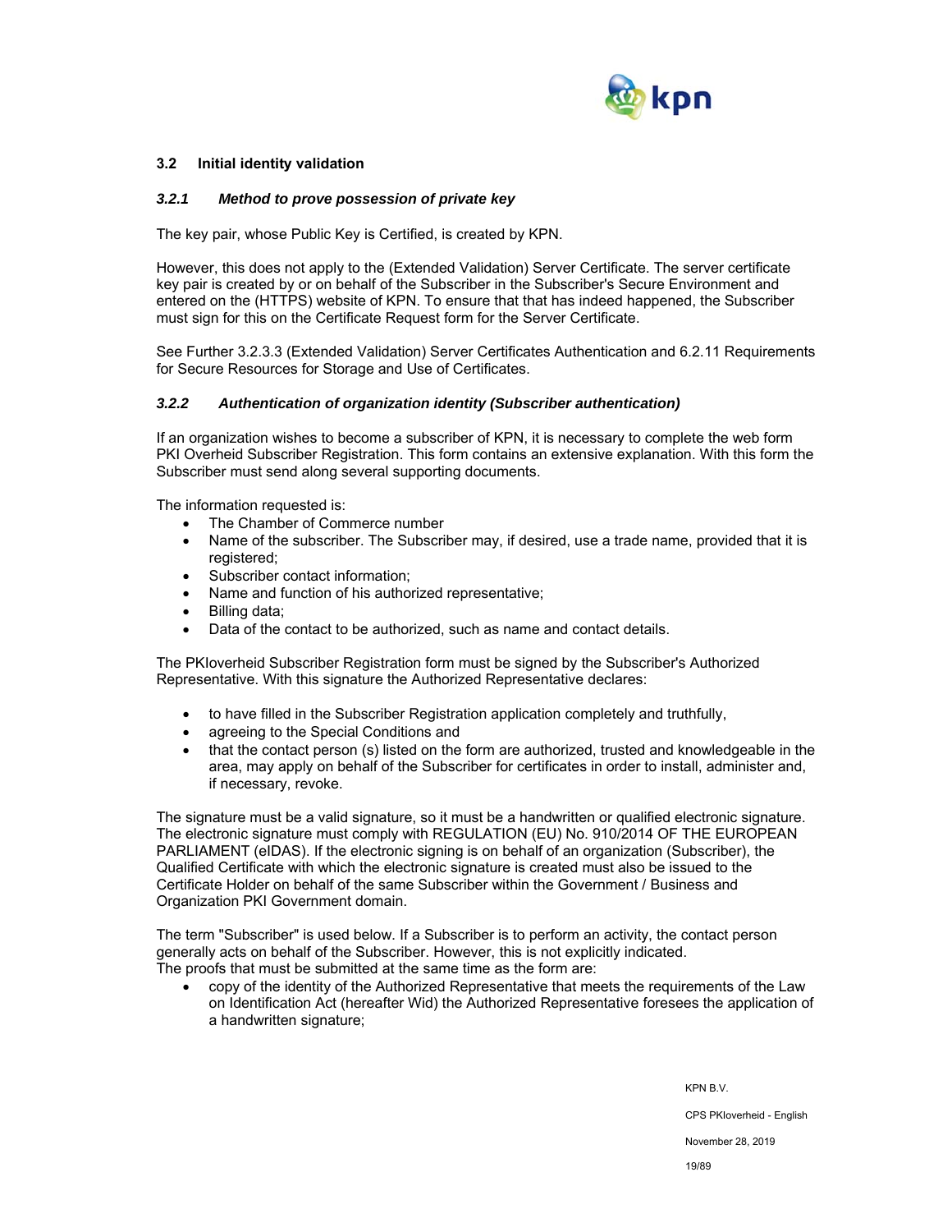

## **3.2 Initial identity validation**

#### *3.2.1 Method to prove possession of private key*

The key pair, whose Public Key is Certified, is created by KPN.

However, this does not apply to the (Extended Validation) Server Certificate. The server certificate key pair is created by or on behalf of the Subscriber in the Subscriber's Secure Environment and entered on the (HTTPS) website of KPN. To ensure that that has indeed happened, the Subscriber must sign for this on the Certificate Request form for the Server Certificate.

See Further 3.2.3.3 (Extended Validation) Server Certificates Authentication and 6.2.11 Requirements for Secure Resources for Storage and Use of Certificates.

#### *3.2.2 Authentication of organization identity (Subscriber authentication)*

If an organization wishes to become a subscriber of KPN, it is necessary to complete the web form PKI Overheid Subscriber Registration. This form contains an extensive explanation. With this form the Subscriber must send along several supporting documents.

The information requested is:

- The Chamber of Commerce number
- Name of the subscriber. The Subscriber may, if desired, use a trade name, provided that it is registered;
- Subscriber contact information:
- Name and function of his authorized representative;
- Billing data;
- Data of the contact to be authorized, such as name and contact details.

The PKIoverheid Subscriber Registration form must be signed by the Subscriber's Authorized Representative. With this signature the Authorized Representative declares:

- to have filled in the Subscriber Registration application completely and truthfully,
- agreeing to the Special Conditions and
- that the contact person (s) listed on the form are authorized, trusted and knowledgeable in the area, may apply on behalf of the Subscriber for certificates in order to install, administer and, if necessary, revoke.

The signature must be a valid signature, so it must be a handwritten or qualified electronic signature. The electronic signature must comply with REGULATION (EU) No. 910/2014 OF THE EUROPEAN PARLIAMENT (eIDAS). If the electronic signing is on behalf of an organization (Subscriber), the Qualified Certificate with which the electronic signature is created must also be issued to the Certificate Holder on behalf of the same Subscriber within the Government / Business and Organization PKI Government domain.

The term "Subscriber" is used below. If a Subscriber is to perform an activity, the contact person generally acts on behalf of the Subscriber. However, this is not explicitly indicated. The proofs that must be submitted at the same time as the form are:

 copy of the identity of the Authorized Representative that meets the requirements of the Law on Identification Act (hereafter Wid) the Authorized Representative foresees the application of a handwritten signature;

> KPN B.V. CPS PKIoverheid - English November 28, 2019

> > 19/89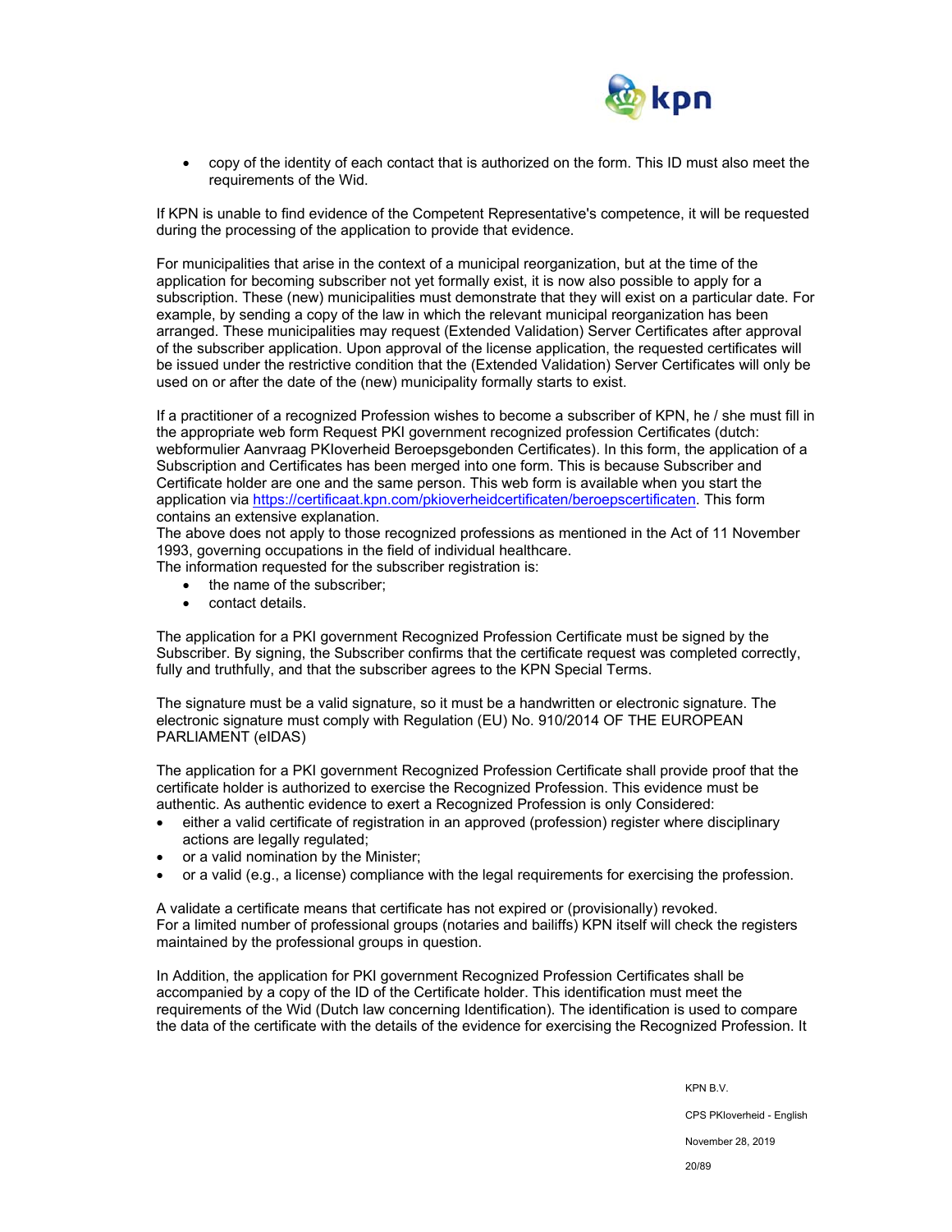

 copy of the identity of each contact that is authorized on the form. This ID must also meet the requirements of the Wid.

If KPN is unable to find evidence of the Competent Representative's competence, it will be requested during the processing of the application to provide that evidence.

For municipalities that arise in the context of a municipal reorganization, but at the time of the application for becoming subscriber not yet formally exist, it is now also possible to apply for a subscription. These (new) municipalities must demonstrate that they will exist on a particular date. For example, by sending a copy of the law in which the relevant municipal reorganization has been arranged. These municipalities may request (Extended Validation) Server Certificates after approval of the subscriber application. Upon approval of the license application, the requested certificates will be issued under the restrictive condition that the (Extended Validation) Server Certificates will only be used on or after the date of the (new) municipality formally starts to exist.

If a practitioner of a recognized Profession wishes to become a subscriber of KPN, he / she must fill in the appropriate web form Request PKI government recognized profession Certificates (dutch: webformulier Aanvraag PKIoverheid Beroepsgebonden Certificates). In this form, the application of a Subscription and Certificates has been merged into one form. This is because Subscriber and Certificate holder are one and the same person. This web form is available when you start the application via https://certificaat.kpn.com/pkioverheidcertificaten/beroepscertificaten. This form contains an extensive explanation.

The above does not apply to those recognized professions as mentioned in the Act of 11 November 1993, governing occupations in the field of individual healthcare.

The information requested for the subscriber registration is:

- the name of the subscriber:
- contact details.

The application for a PKI government Recognized Profession Certificate must be signed by the Subscriber. By signing, the Subscriber confirms that the certificate request was completed correctly, fully and truthfully, and that the subscriber agrees to the KPN Special Terms.

The signature must be a valid signature, so it must be a handwritten or electronic signature. The electronic signature must comply with Regulation (EU) No. 910/2014 OF THE EUROPEAN PARLIAMENT (eIDAS)

The application for a PKI government Recognized Profession Certificate shall provide proof that the certificate holder is authorized to exercise the Recognized Profession. This evidence must be authentic. As authentic evidence to exert a Recognized Profession is only Considered:

- either a valid certificate of registration in an approved (profession) register where disciplinary actions are legally regulated;
- or a valid nomination by the Minister;
- or a valid (e.g., a license) compliance with the legal requirements for exercising the profession.

A validate a certificate means that certificate has not expired or (provisionally) revoked. For a limited number of professional groups (notaries and bailiffs) KPN itself will check the registers maintained by the professional groups in question.

In Addition, the application for PKI government Recognized Profession Certificates shall be accompanied by a copy of the ID of the Certificate holder. This identification must meet the requirements of the Wid (Dutch law concerning Identification). The identification is used to compare the data of the certificate with the details of the evidence for exercising the Recognized Profession. It

KPN B.V.

CPS PKIoverheid - English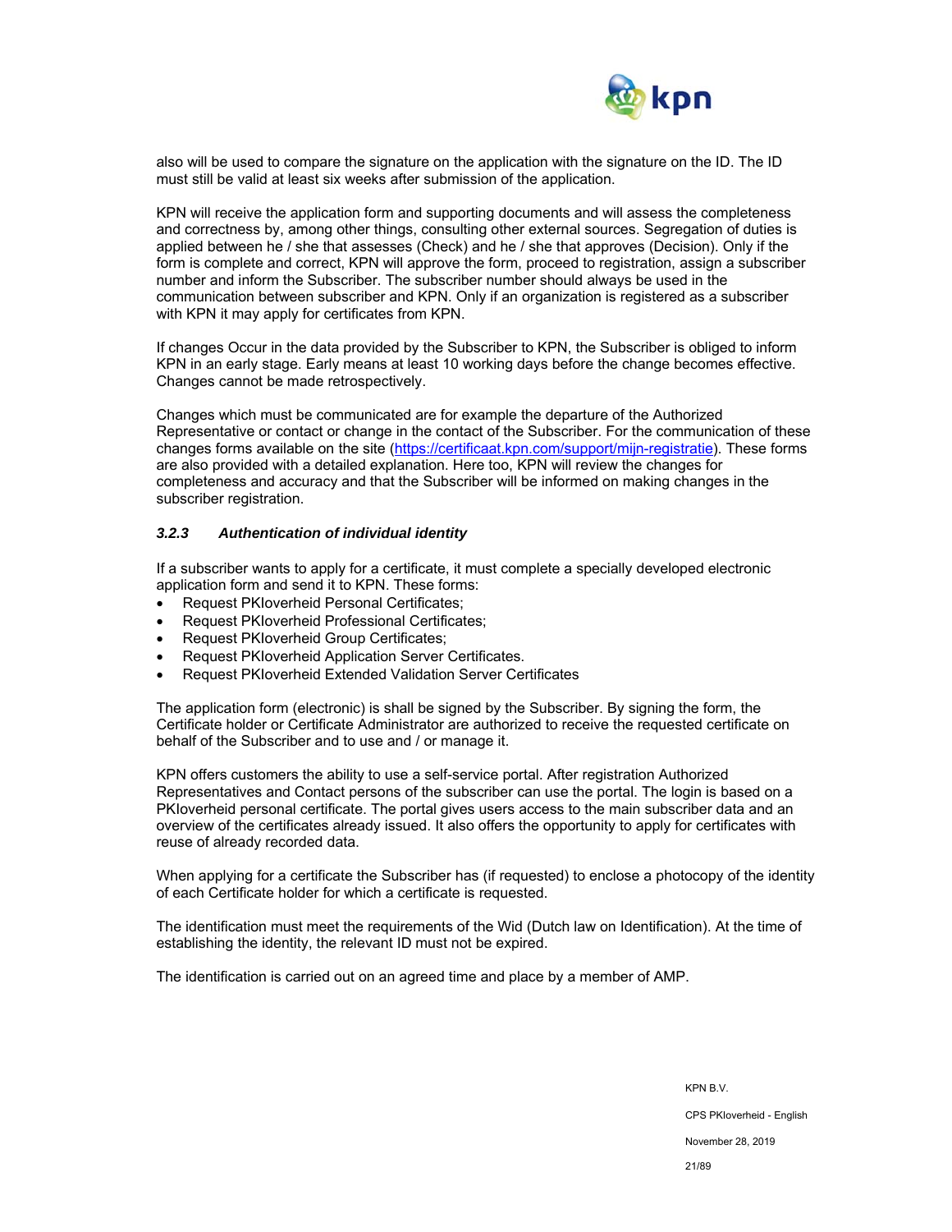

also will be used to compare the signature on the application with the signature on the ID. The ID must still be valid at least six weeks after submission of the application.

KPN will receive the application form and supporting documents and will assess the completeness and correctness by, among other things, consulting other external sources. Segregation of duties is applied between he / she that assesses (Check) and he / she that approves (Decision). Only if the form is complete and correct, KPN will approve the form, proceed to registration, assign a subscriber number and inform the Subscriber. The subscriber number should always be used in the communication between subscriber and KPN. Only if an organization is registered as a subscriber with KPN it may apply for certificates from KPN.

If changes Occur in the data provided by the Subscriber to KPN, the Subscriber is obliged to inform KPN in an early stage. Early means at least 10 working days before the change becomes effective. Changes cannot be made retrospectively.

Changes which must be communicated are for example the departure of the Authorized Representative or contact or change in the contact of the Subscriber. For the communication of these changes forms available on the site (https://certificaat.kpn.com/support/mijn-registratie). These forms are also provided with a detailed explanation. Here too, KPN will review the changes for completeness and accuracy and that the Subscriber will be informed on making changes in the subscriber registration.

#### *3.2.3 Authentication of individual identity*

If a subscriber wants to apply for a certificate, it must complete a specially developed electronic application form and send it to KPN. These forms:

- Request PKIoverheid Personal Certificates;
- Request PKIoverheid Professional Certificates;
- Request PKIoverheid Group Certificates;
- Request PKIoverheid Application Server Certificates.
- Request PKIoverheid Extended Validation Server Certificates

The application form (electronic) is shall be signed by the Subscriber. By signing the form, the Certificate holder or Certificate Administrator are authorized to receive the requested certificate on behalf of the Subscriber and to use and / or manage it.

KPN offers customers the ability to use a self-service portal. After registration Authorized Representatives and Contact persons of the subscriber can use the portal. The login is based on a PKIoverheid personal certificate. The portal gives users access to the main subscriber data and an overview of the certificates already issued. It also offers the opportunity to apply for certificates with reuse of already recorded data.

When applying for a certificate the Subscriber has (if requested) to enclose a photocopy of the identity of each Certificate holder for which a certificate is requested.

The identification must meet the requirements of the Wid (Dutch law on Identification). At the time of establishing the identity, the relevant ID must not be expired.

The identification is carried out on an agreed time and place by a member of AMP.

KPN B.V. CPS PKIoverheid - English November 28, 2019 21/89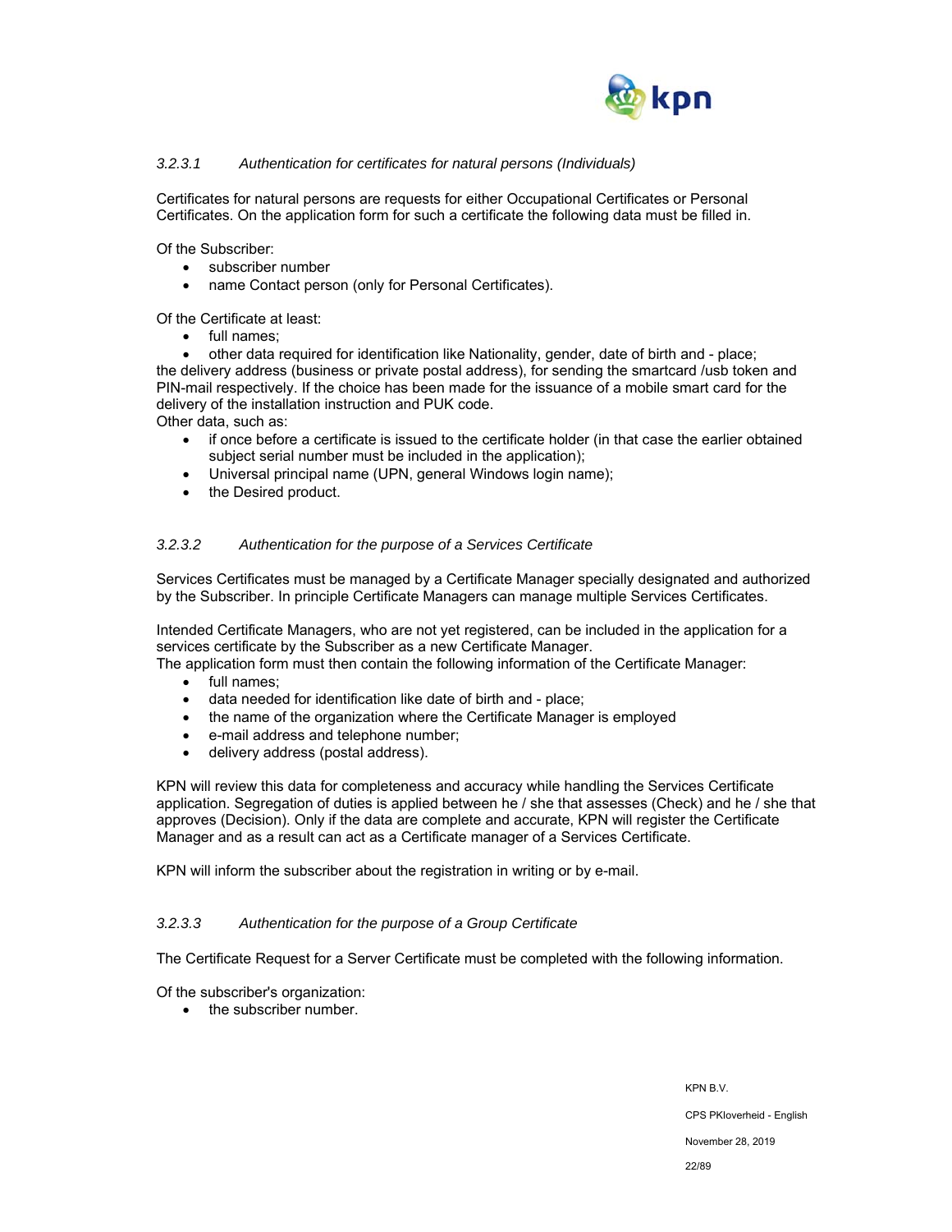

## *3.2.3.1 Authentication for certificates for natural persons (Individuals)*

Certificates for natural persons are requests for either Occupational Certificates or Personal Certificates. On the application form for such a certificate the following data must be filled in.

Of the Subscriber:

- subscriber number
- name Contact person (only for Personal Certificates).

Of the Certificate at least:

• full names;

 other data required for identification like Nationality, gender, date of birth and - place; the delivery address (business or private postal address), for sending the smartcard /usb token and PIN-mail respectively. If the choice has been made for the issuance of a mobile smart card for the delivery of the installation instruction and PUK code.

Other data, such as:

- if once before a certificate is issued to the certificate holder (in that case the earlier obtained subject serial number must be included in the application);
- Universal principal name (UPN, general Windows login name);
- the Desired product.

#### *3.2.3.2 Authentication for the purpose of a Services Certificate*

Services Certificates must be managed by a Certificate Manager specially designated and authorized by the Subscriber. In principle Certificate Managers can manage multiple Services Certificates.

Intended Certificate Managers, who are not yet registered, can be included in the application for a services certificate by the Subscriber as a new Certificate Manager.

The application form must then contain the following information of the Certificate Manager:

- full names;
- data needed for identification like date of birth and place;
- the name of the organization where the Certificate Manager is employed
- e-mail address and telephone number;
- delivery address (postal address).

KPN will review this data for completeness and accuracy while handling the Services Certificate application. Segregation of duties is applied between he / she that assesses (Check) and he / she that approves (Decision). Only if the data are complete and accurate, KPN will register the Certificate Manager and as a result can act as a Certificate manager of a Services Certificate.

KPN will inform the subscriber about the registration in writing or by e-mail.

#### *3.2.3.3 Authentication for the purpose of a Group Certificate*

The Certificate Request for a Server Certificate must be completed with the following information.

Of the subscriber's organization:

• the subscriber number.

KPN B.V. CPS PKIoverheid - English November 28, 2019 22/89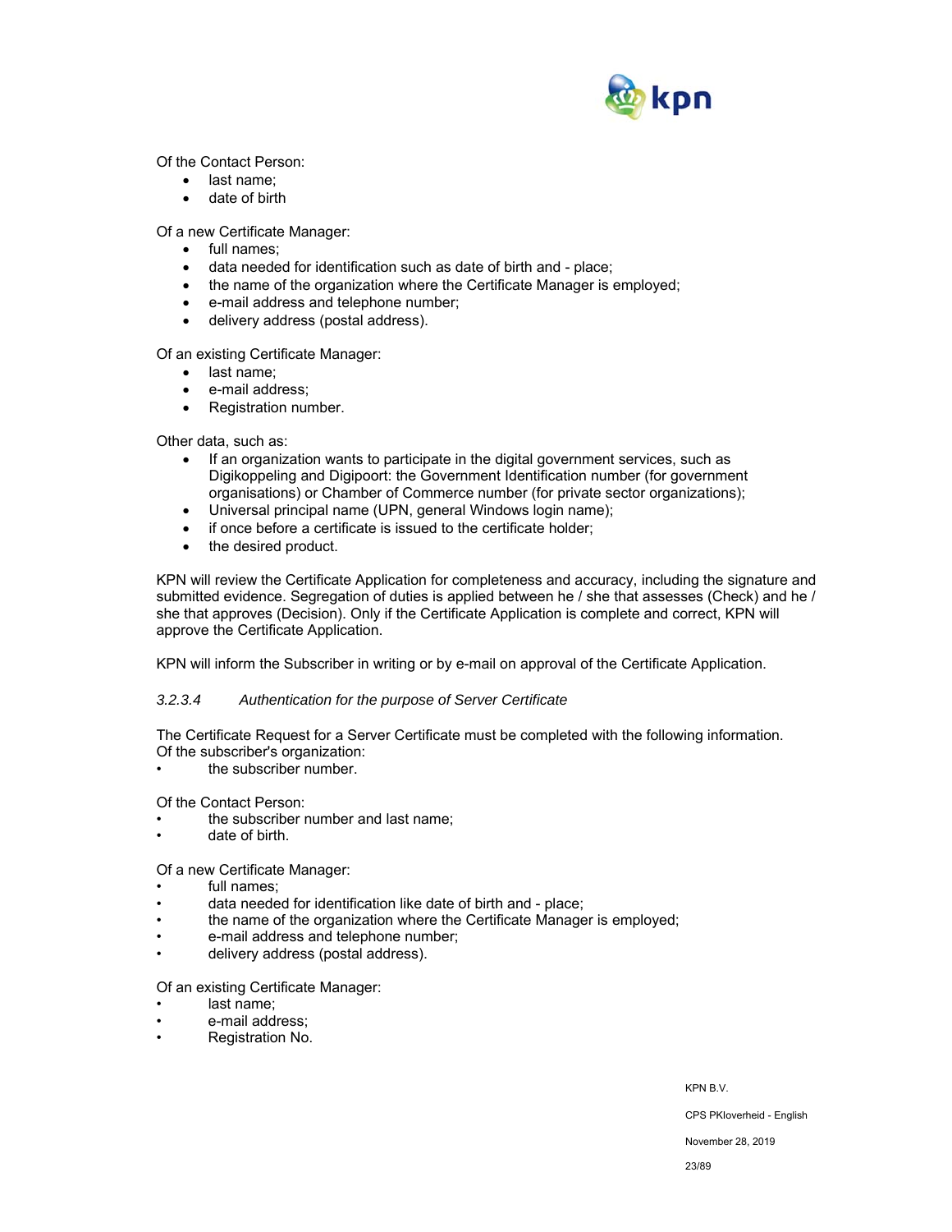

Of the Contact Person:

- last name;
- date of birth

Of a new Certificate Manager:

- full names;
- data needed for identification such as date of birth and place;
- the name of the organization where the Certificate Manager is employed;
- e-mail address and telephone number;
- delivery address (postal address).

Of an existing Certificate Manager:

- last name:
- e-mail address;
- Registration number.

Other data, such as:

- If an organization wants to participate in the digital government services, such as Digikoppeling and Digipoort: the Government Identification number (for government organisations) or Chamber of Commerce number (for private sector organizations);
- Universal principal name (UPN, general Windows login name);
- if once before a certificate is issued to the certificate holder;
- the desired product.

KPN will review the Certificate Application for completeness and accuracy, including the signature and submitted evidence. Segregation of duties is applied between he / she that assesses (Check) and he / she that approves (Decision). Only if the Certificate Application is complete and correct, KPN will approve the Certificate Application.

KPN will inform the Subscriber in writing or by e-mail on approval of the Certificate Application.

#### *3.2.3.4 Authentication for the purpose of Server Certificate*

The Certificate Request for a Server Certificate must be completed with the following information. Of the subscriber's organization:

the subscriber number.

Of the Contact Person:

- the subscriber number and last name;
- date of birth.

#### Of a new Certificate Manager:

- full names:
- data needed for identification like date of birth and place;
- the name of the organization where the Certificate Manager is employed;
- e-mail address and telephone number;
- delivery address (postal address).

Of an existing Certificate Manager:

- last name:
- e-mail address;
- Registration No.

KPN B.V.

CPS PKIoverheid - English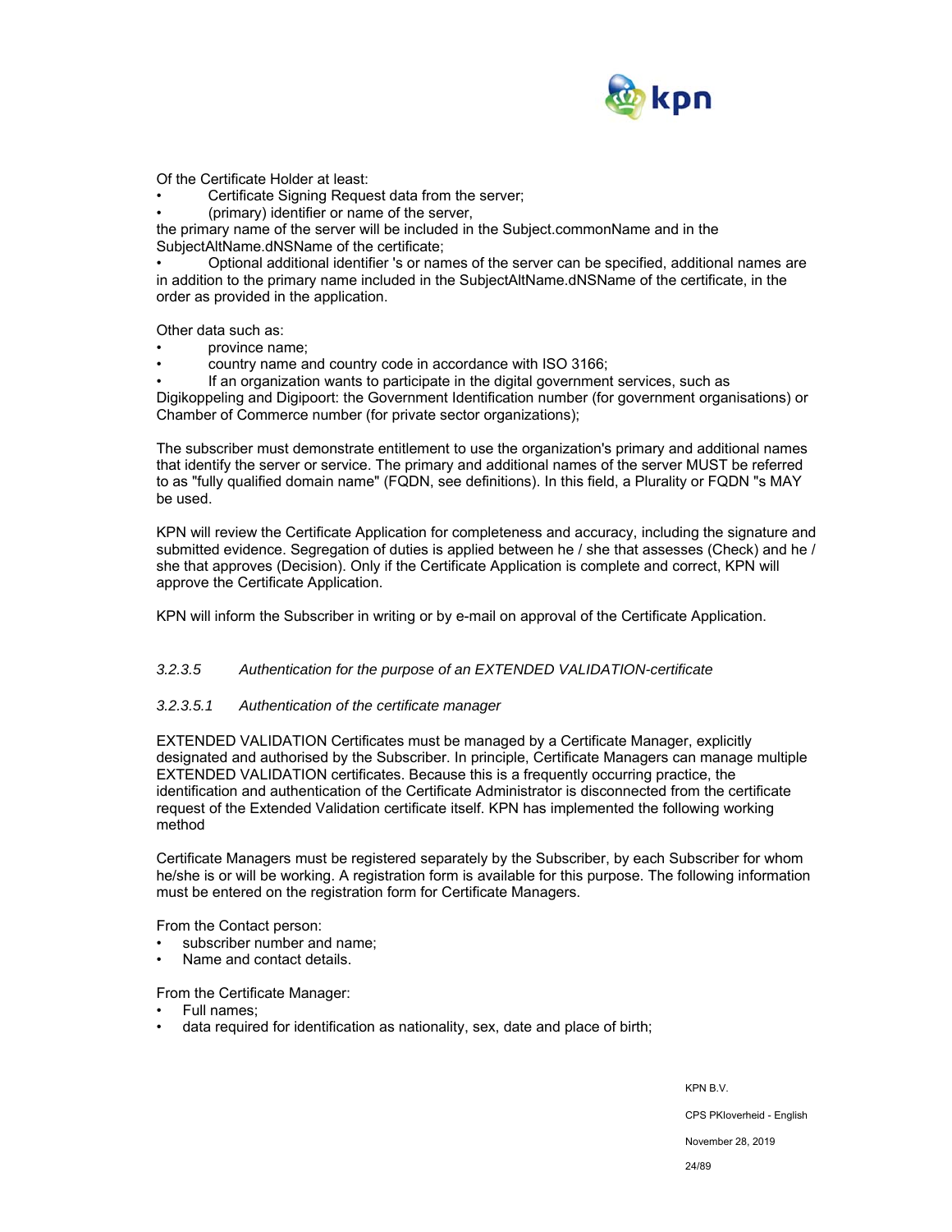

Of the Certificate Holder at least:

Certificate Signing Request data from the server;

• (primary) identifier or name of the server,

the primary name of the server will be included in the Subject.commonName and in the SubjectAltName.dNSName of the certificate;

• Optional additional identifier 's or names of the server can be specified, additional names are in addition to the primary name included in the SubjectAltName.dNSName of the certificate, in the order as provided in the application.

Other data such as:

- province name;
- country name and country code in accordance with ISO 3166;

• If an organization wants to participate in the digital government services, such as Digikoppeling and Digipoort: the Government Identification number (for government organisations) or Chamber of Commerce number (for private sector organizations);

The subscriber must demonstrate entitlement to use the organization's primary and additional names that identify the server or service. The primary and additional names of the server MUST be referred to as "fully qualified domain name" (FQDN, see definitions). In this field, a Plurality or FQDN "s MAY be used.

KPN will review the Certificate Application for completeness and accuracy, including the signature and submitted evidence. Segregation of duties is applied between he / she that assesses (Check) and he / she that approves (Decision). Only if the Certificate Application is complete and correct, KPN will approve the Certificate Application.

KPN will inform the Subscriber in writing or by e-mail on approval of the Certificate Application.

#### *3.2.3.5 Authentication for the purpose of an EXTENDED VALIDATION-certificate*

#### *3.2.3.5.1 Authentication of the certificate manager*

EXTENDED VALIDATION Certificates must be managed by a Certificate Manager, explicitly designated and authorised by the Subscriber. In principle, Certificate Managers can manage multiple EXTENDED VALIDATION certificates. Because this is a frequently occurring practice, the identification and authentication of the Certificate Administrator is disconnected from the certificate request of the Extended Validation certificate itself. KPN has implemented the following working method

Certificate Managers must be registered separately by the Subscriber, by each Subscriber for whom he/she is or will be working. A registration form is available for this purpose. The following information must be entered on the registration form for Certificate Managers.

From the Contact person:

- subscriber number and name;
- Name and contact details.

From the Certificate Manager:

- Full names;
- data required for identification as nationality, sex, date and place of birth;

KPN B.V. CPS PKIoverheid - English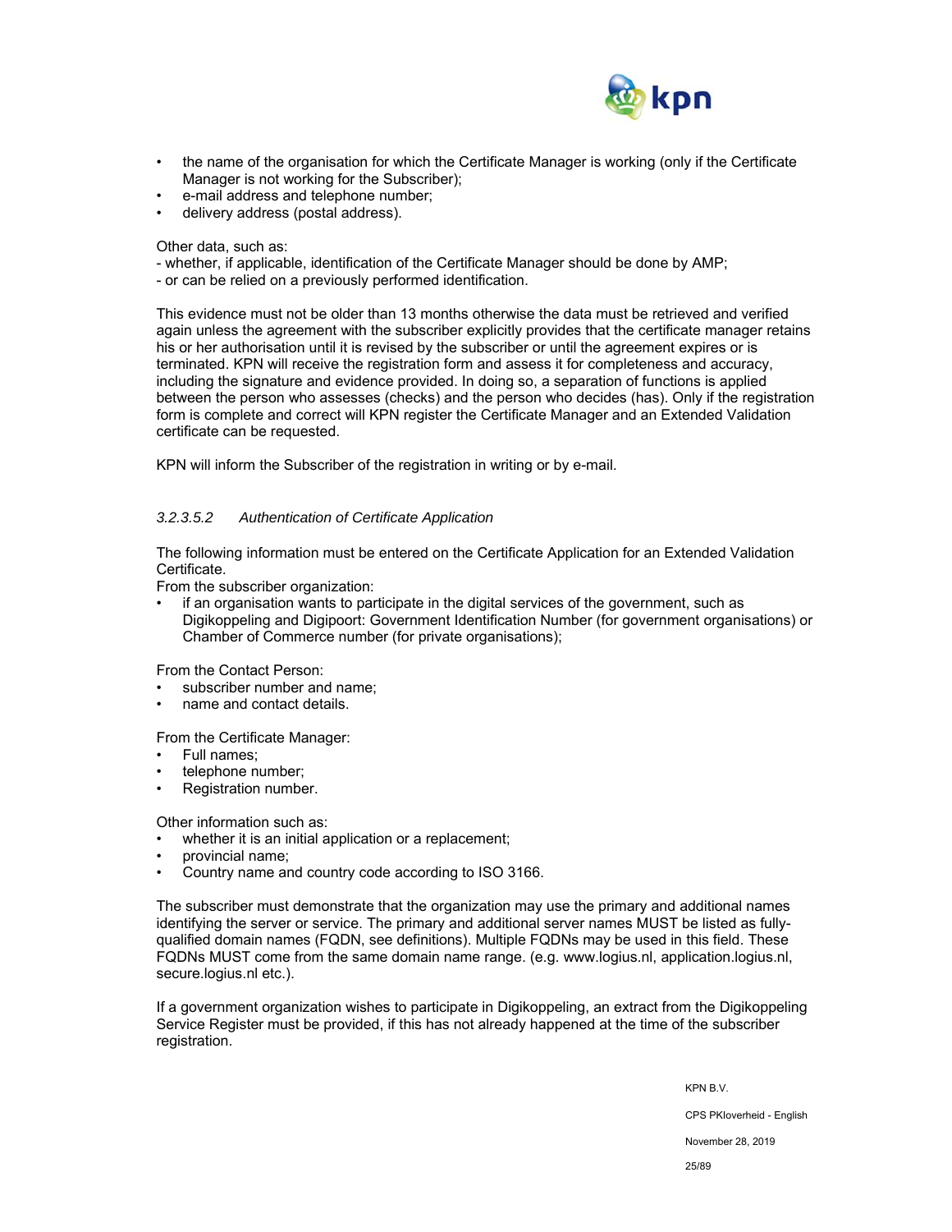

- the name of the organisation for which the Certificate Manager is working (only if the Certificate Manager is not working for the Subscriber);
- e-mail address and telephone number;
- delivery address (postal address).

Other data, such as:

- whether, if applicable, identification of the Certificate Manager should be done by AMP;
- or can be relied on a previously performed identification.

This evidence must not be older than 13 months otherwise the data must be retrieved and verified again unless the agreement with the subscriber explicitly provides that the certificate manager retains his or her authorisation until it is revised by the subscriber or until the agreement expires or is terminated. KPN will receive the registration form and assess it for completeness and accuracy, including the signature and evidence provided. In doing so, a separation of functions is applied between the person who assesses (checks) and the person who decides (has). Only if the registration form is complete and correct will KPN register the Certificate Manager and an Extended Validation certificate can be requested.

KPN will inform the Subscriber of the registration in writing or by e-mail.

## *3.2.3.5.2 Authentication of Certificate Application*

The following information must be entered on the Certificate Application for an Extended Validation Certificate.

From the subscriber organization:

• if an organisation wants to participate in the digital services of the government, such as Digikoppeling and Digipoort: Government Identification Number (for government organisations) or Chamber of Commerce number (for private organisations);

From the Contact Person:

- subscriber number and name;
- name and contact details.

From the Certificate Manager:

- Full names;
- telephone number;
- Registration number.

Other information such as:

whether it is an initial application or a replacement;

- provincial name;
- Country name and country code according to ISO 3166.

The subscriber must demonstrate that the organization may use the primary and additional names identifying the server or service. The primary and additional server names MUST be listed as fullyqualified domain names (FQDN, see definitions). Multiple FQDNs may be used in this field. These FQDNs MUST come from the same domain name range. (e.g. www.logius.nl, application.logius.nl, secure.logius.nl etc.).

If a government organization wishes to participate in Digikoppeling, an extract from the Digikoppeling Service Register must be provided, if this has not already happened at the time of the subscriber registration.

KPN B.V.

CPS PKIoverheid - English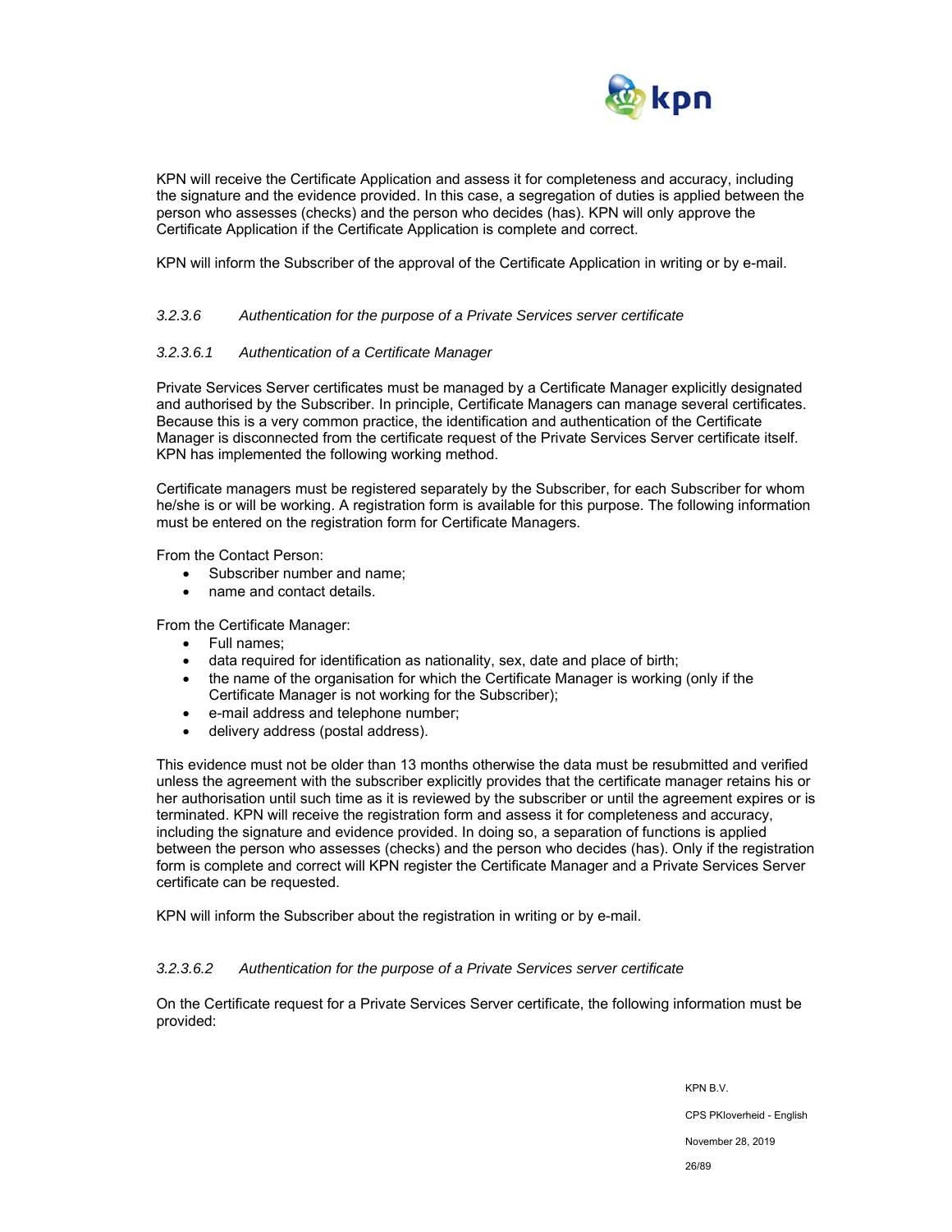

KPN will receive the Certificate Application and assess it for completeness and accuracy, including the signature and the evidence provided. In this case, a segregation of duties is applied between the person who assesses (checks) and the person who decides (has). KPN will only approve the Certificate Application if the Certificate Application is complete and correct.

KPN will inform the Subscriber of the approval of the Certificate Application in writing or by e-mail.

#### *3.2.3.6 Authentication for the purpose of a Private Services server certificate*

#### *3.2.3.6.1 Authentication of a Certificate Manager*

Private Services Server certificates must be managed by a Certificate Manager explicitly designated and authorised by the Subscriber. In principle, Certificate Managers can manage several certificates. Because this is a very common practice, the identification and authentication of the Certificate Manager is disconnected from the certificate request of the Private Services Server certificate itself. KPN has implemented the following working method.

Certificate managers must be registered separately by the Subscriber, for each Subscriber for whom he/she is or will be working. A registration form is available for this purpose. The following information must be entered on the registration form for Certificate Managers.

From the Contact Person:

- Subscriber number and name;
- name and contact details.

From the Certificate Manager:

- Full names;
- data required for identification as nationality, sex, date and place of birth;
- the name of the organisation for which the Certificate Manager is working (only if the Certificate Manager is not working for the Subscriber);
- e-mail address and telephone number;
- delivery address (postal address).

This evidence must not be older than 13 months otherwise the data must be resubmitted and verified unless the agreement with the subscriber explicitly provides that the certificate manager retains his or her authorisation until such time as it is reviewed by the subscriber or until the agreement expires or is terminated. KPN will receive the registration form and assess it for completeness and accuracy, including the signature and evidence provided. In doing so, a separation of functions is applied between the person who assesses (checks) and the person who decides (has). Only if the registration form is complete and correct will KPN register the Certificate Manager and a Private Services Server certificate can be requested.

KPN will inform the Subscriber about the registration in writing or by e-mail.

#### *3.2.3.6.2 Authentication for the purpose of a Private Services server certificate*

On the Certificate request for a Private Services Server certificate, the following information must be provided: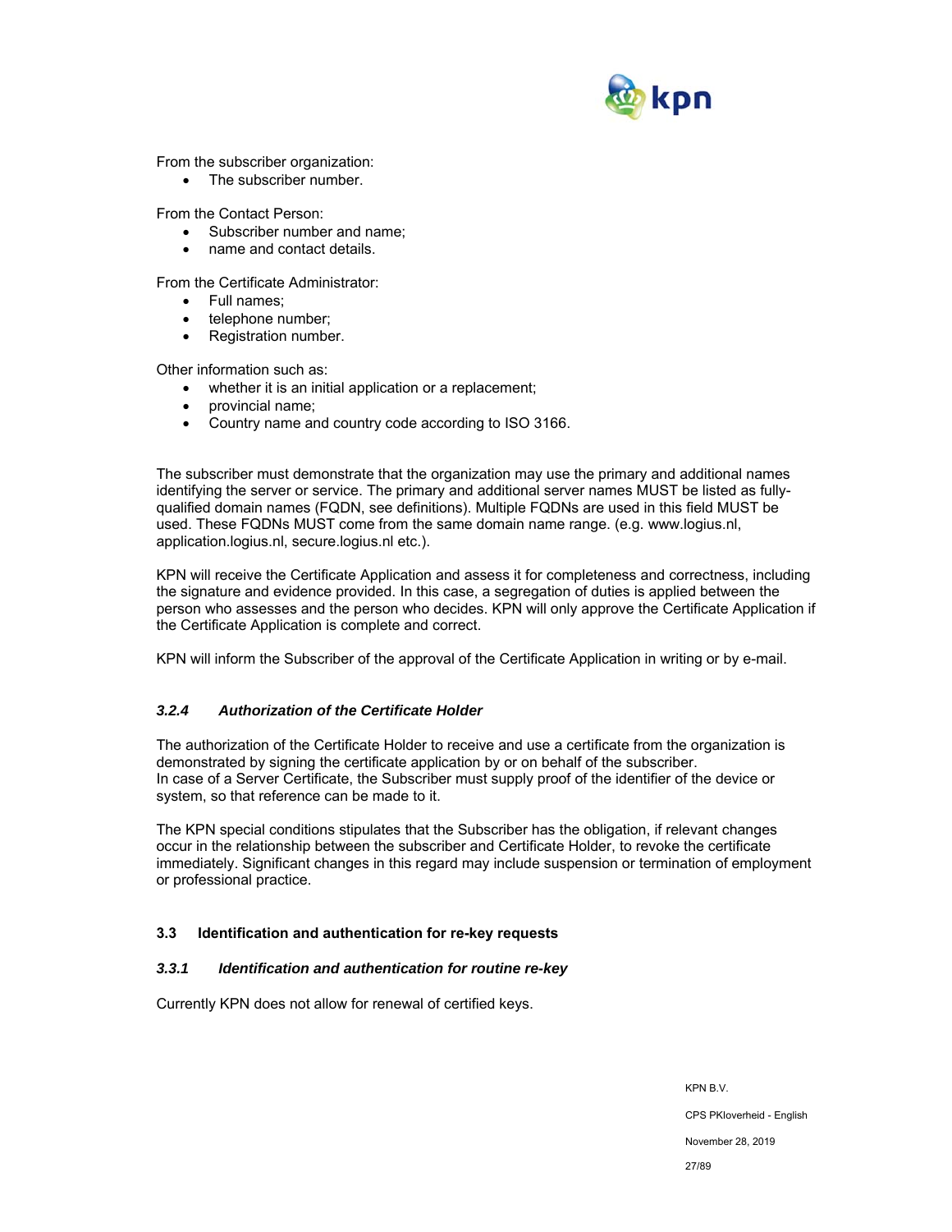

From the subscriber organization:

• The subscriber number.

From the Contact Person:

- Subscriber number and name;
- name and contact details.

From the Certificate Administrator:

- Full names:
- telephone number;
- Registration number.

Other information such as:

- whether it is an initial application or a replacement;
- provincial name;
- Country name and country code according to ISO 3166.

The subscriber must demonstrate that the organization may use the primary and additional names identifying the server or service. The primary and additional server names MUST be listed as fullyqualified domain names (FQDN, see definitions). Multiple FQDNs are used in this field MUST be used. These FQDNs MUST come from the same domain name range. (e.g. www.logius.nl, application.logius.nl, secure.logius.nl etc.).

KPN will receive the Certificate Application and assess it for completeness and correctness, including the signature and evidence provided. In this case, a segregation of duties is applied between the person who assesses and the person who decides. KPN will only approve the Certificate Application if the Certificate Application is complete and correct.

KPN will inform the Subscriber of the approval of the Certificate Application in writing or by e-mail.

## *3.2.4 Authorization of the Certificate Holder*

The authorization of the Certificate Holder to receive and use a certificate from the organization is demonstrated by signing the certificate application by or on behalf of the subscriber. In case of a Server Certificate, the Subscriber must supply proof of the identifier of the device or system, so that reference can be made to it.

The KPN special conditions stipulates that the Subscriber has the obligation, if relevant changes occur in the relationship between the subscriber and Certificate Holder, to revoke the certificate immediately. Significant changes in this regard may include suspension or termination of employment or professional practice.

## **3.3 Identification and authentication for re-key requests**

#### *3.3.1 Identification and authentication for routine re-key*

Currently KPN does not allow for renewal of certified keys.

KPN B.V. CPS PKIoverheid - English November 28, 2019 27/89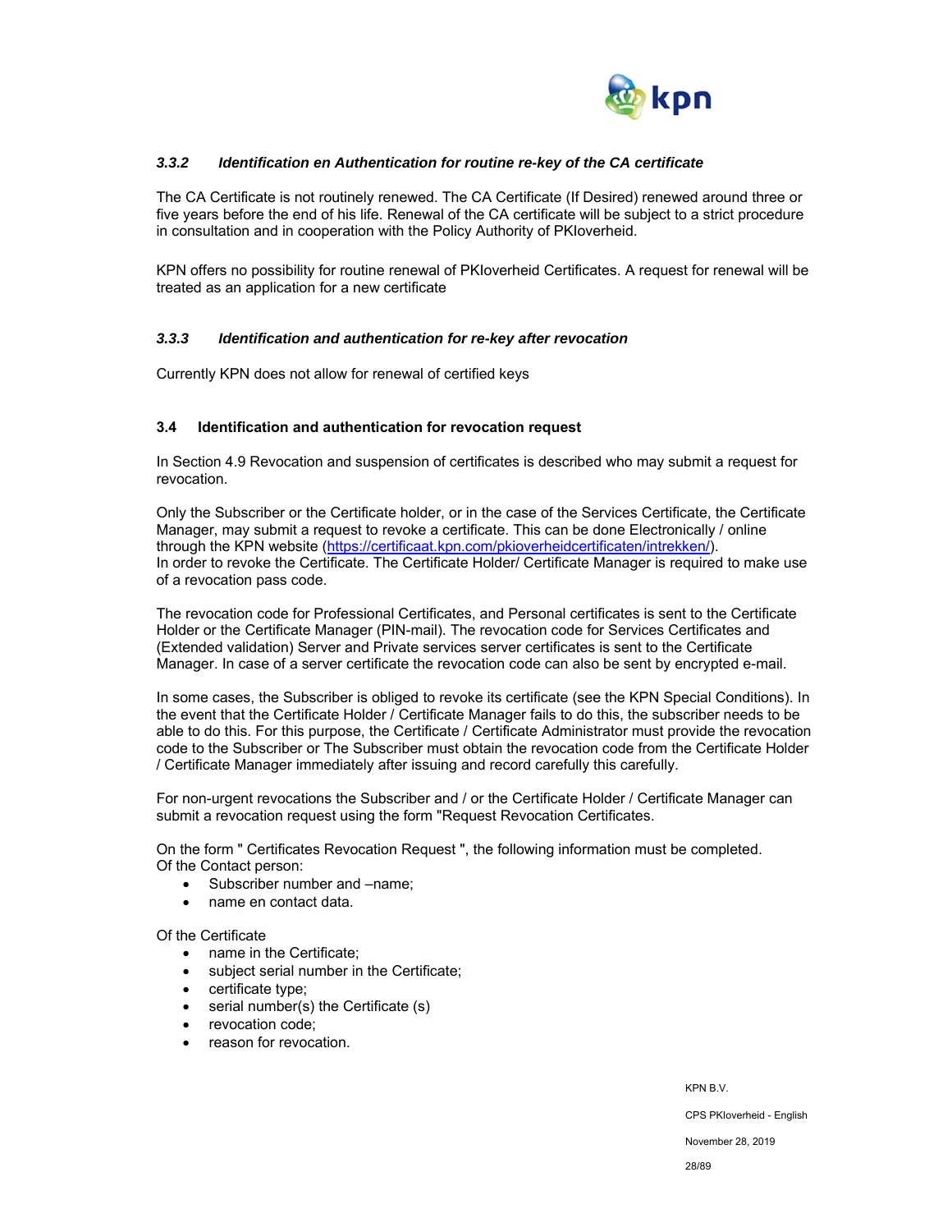

## *3.3.2 Identification en Authentication for routine re-key of the CA certificate*

The CA Certificate is not routinely renewed. The CA Certificate (If Desired) renewed around three or five years before the end of his life. Renewal of the CA certificate will be subject to a strict procedure in consultation and in cooperation with the Policy Authority of PKIoverheid.

KPN offers no possibility for routine renewal of PKIoverheid Certificates. A request for renewal will be treated as an application for a new certificate

#### *3.3.3 Identification and authentication for re-key after revocation*

Currently KPN does not allow for renewal of certified keys

#### **3.4 Identification and authentication for revocation request**

In Section 4.9 Revocation and suspension of certificates is described who may submit a request for revocation.

Only the Subscriber or the Certificate holder, or in the case of the Services Certificate, the Certificate Manager, may submit a request to revoke a certificate. This can be done Electronically / online through the KPN website (https://certificaat.kpn.com/pkioverheidcertificaten/intrekken/). In order to revoke the Certificate. The Certificate Holder/ Certificate Manager is required to make use of a revocation pass code.

The revocation code for Professional Certificates, and Personal certificates is sent to the Certificate Holder or the Certificate Manager (PIN-mail). The revocation code for Services Certificates and (Extended validation) Server and Private services server certificates is sent to the Certificate Manager. In case of a server certificate the revocation code can also be sent by encrypted e-mail.

In some cases, the Subscriber is obliged to revoke its certificate (see the KPN Special Conditions). In the event that the Certificate Holder / Certificate Manager fails to do this, the subscriber needs to be able to do this. For this purpose, the Certificate / Certificate Administrator must provide the revocation code to the Subscriber or The Subscriber must obtain the revocation code from the Certificate Holder / Certificate Manager immediately after issuing and record carefully this carefully.

For non-urgent revocations the Subscriber and / or the Certificate Holder / Certificate Manager can submit a revocation request using the form "Request Revocation Certificates.

On the form " Certificates Revocation Request ", the following information must be completed. Of the Contact person:

- Subscriber number and –name;
- name en contact data.

Of the Certificate

- name in the Certificate:
- subject serial number in the Certificate;
- certificate type;
- serial number(s) the Certificate (s)
- revocation code:
- reason for revocation.

CPS PKIoverheid - English

November 28, 2019

KPN B.V.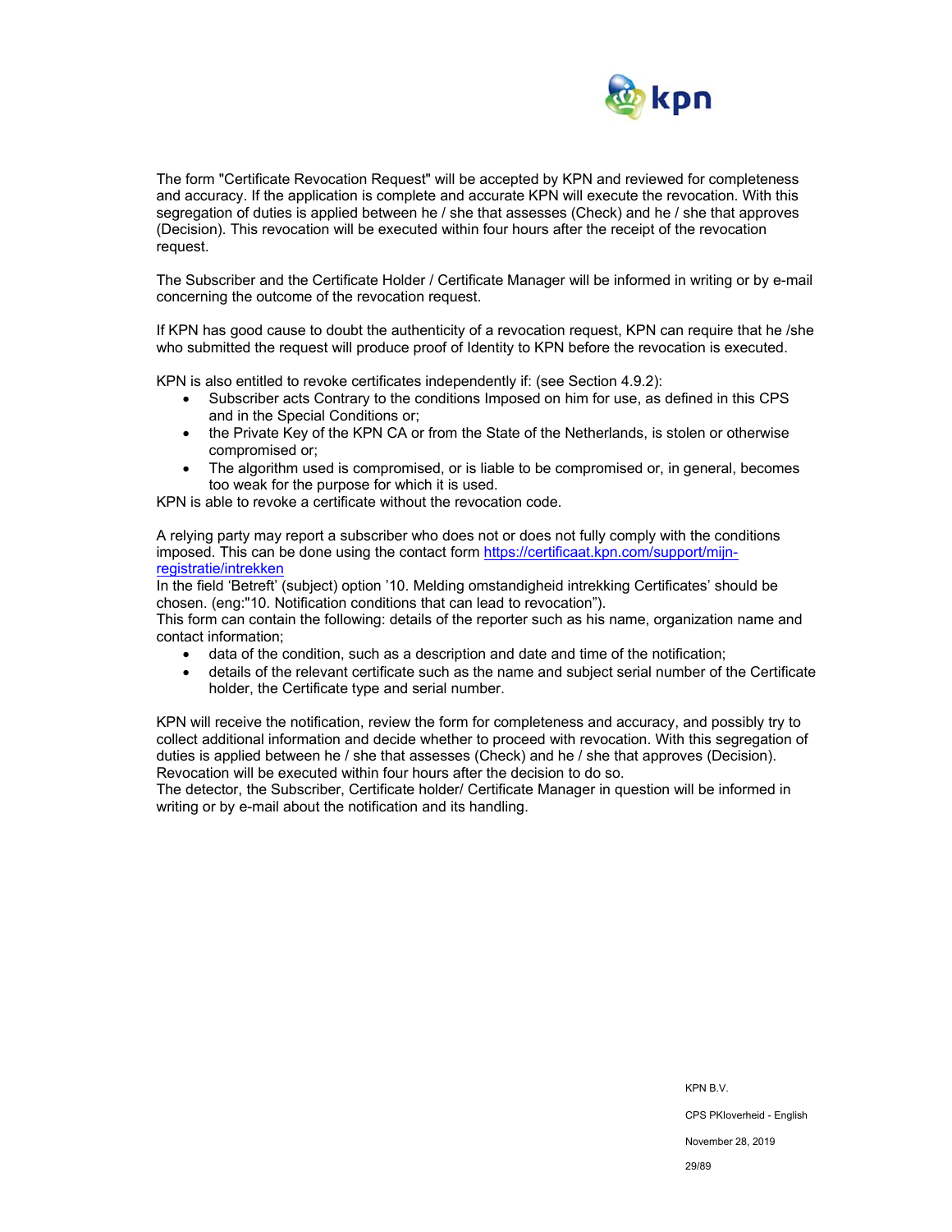

The form "Certificate Revocation Request" will be accepted by KPN and reviewed for completeness and accuracy. If the application is complete and accurate KPN will execute the revocation. With this segregation of duties is applied between he / she that assesses (Check) and he / she that approves (Decision). This revocation will be executed within four hours after the receipt of the revocation request.

The Subscriber and the Certificate Holder / Certificate Manager will be informed in writing or by e-mail concerning the outcome of the revocation request.

If KPN has good cause to doubt the authenticity of a revocation request, KPN can require that he /she who submitted the request will produce proof of Identity to KPN before the revocation is executed.

KPN is also entitled to revoke certificates independently if: (see Section 4.9.2):

- Subscriber acts Contrary to the conditions Imposed on him for use, as defined in this CPS and in the Special Conditions or;
- the Private Key of the KPN CA or from the State of the Netherlands, is stolen or otherwise compromised or;
- The algorithm used is compromised, or is liable to be compromised or, in general, becomes too weak for the purpose for which it is used.

KPN is able to revoke a certificate without the revocation code.

A relying party may report a subscriber who does not or does not fully comply with the conditions imposed. This can be done using the contact form https://certificaat.kpn.com/support/mijnregistratie/intrekken

In the field 'Betreft' (subject) option '10. Melding omstandigheid intrekking Certificates' should be chosen. (eng:"10. Notification conditions that can lead to revocation").

This form can contain the following: details of the reporter such as his name, organization name and contact information;

- data of the condition, such as a description and date and time of the notification;
- details of the relevant certificate such as the name and subject serial number of the Certificate holder, the Certificate type and serial number.

KPN will receive the notification, review the form for completeness and accuracy, and possibly try to collect additional information and decide whether to proceed with revocation. With this segregation of duties is applied between he / she that assesses (Check) and he / she that approves (Decision). Revocation will be executed within four hours after the decision to do so.

The detector, the Subscriber, Certificate holder/ Certificate Manager in question will be informed in writing or by e-mail about the notification and its handling.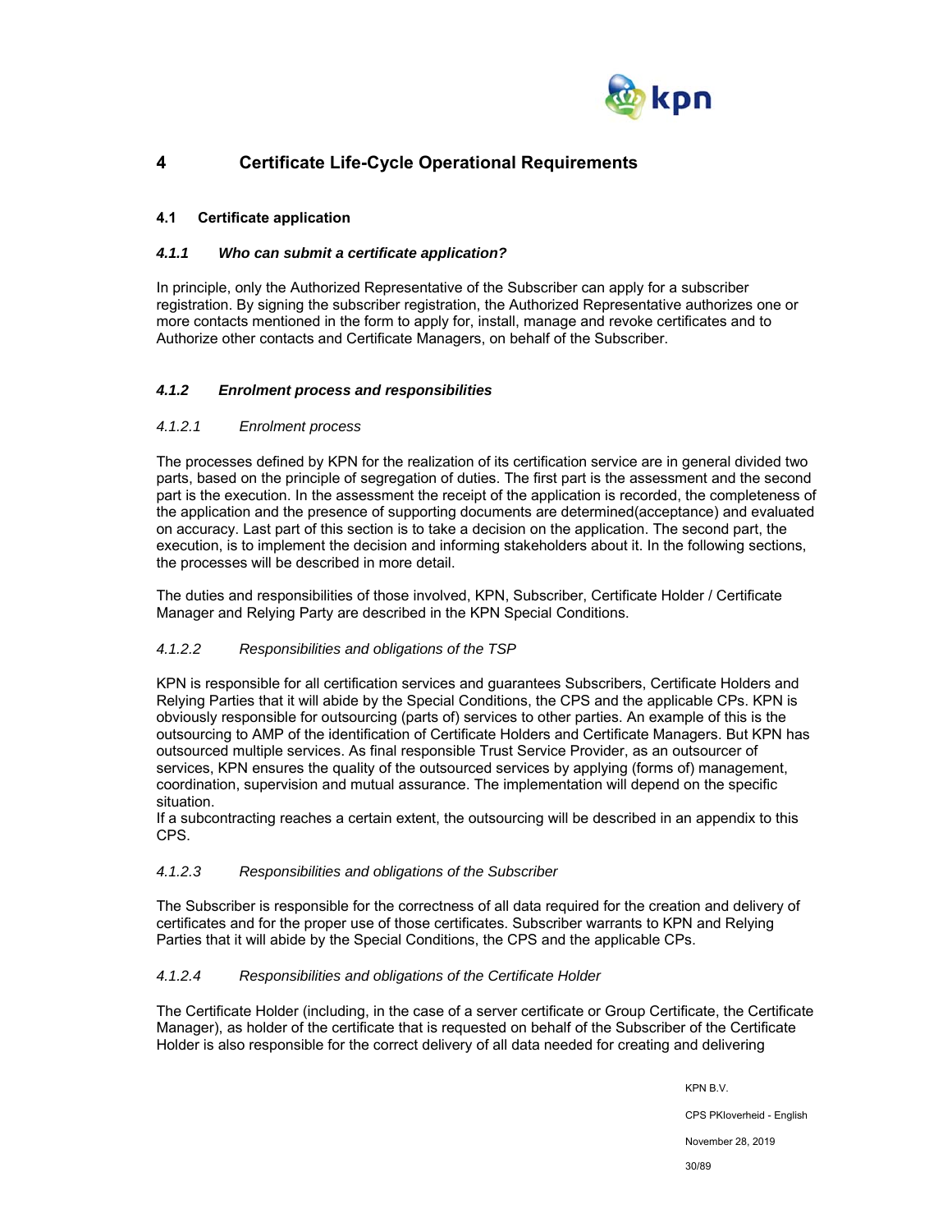

## **4 Certificate Life-Cycle Operational Requirements**

## **4.1 Certificate application**

## *4.1.1 Who can submit a certificate application?*

In principle, only the Authorized Representative of the Subscriber can apply for a subscriber registration. By signing the subscriber registration, the Authorized Representative authorizes one or more contacts mentioned in the form to apply for, install, manage and revoke certificates and to Authorize other contacts and Certificate Managers, on behalf of the Subscriber.

## *4.1.2 Enrolment process and responsibilities*

#### *4.1.2.1 Enrolment process*

The processes defined by KPN for the realization of its certification service are in general divided two parts, based on the principle of segregation of duties. The first part is the assessment and the second part is the execution. In the assessment the receipt of the application is recorded, the completeness of the application and the presence of supporting documents are determined(acceptance) and evaluated on accuracy. Last part of this section is to take a decision on the application. The second part, the execution, is to implement the decision and informing stakeholders about it. In the following sections, the processes will be described in more detail.

The duties and responsibilities of those involved, KPN, Subscriber, Certificate Holder / Certificate Manager and Relying Party are described in the KPN Special Conditions.

#### *4.1.2.2 Responsibilities and obligations of the TSP*

KPN is responsible for all certification services and guarantees Subscribers, Certificate Holders and Relying Parties that it will abide by the Special Conditions, the CPS and the applicable CPs. KPN is obviously responsible for outsourcing (parts of) services to other parties. An example of this is the outsourcing to AMP of the identification of Certificate Holders and Certificate Managers. But KPN has outsourced multiple services. As final responsible Trust Service Provider, as an outsourcer of services, KPN ensures the quality of the outsourced services by applying (forms of) management, coordination, supervision and mutual assurance. The implementation will depend on the specific situation.

If a subcontracting reaches a certain extent, the outsourcing will be described in an appendix to this CPS.

#### *4.1.2.3 Responsibilities and obligations of the Subscriber*

The Subscriber is responsible for the correctness of all data required for the creation and delivery of certificates and for the proper use of those certificates. Subscriber warrants to KPN and Relying Parties that it will abide by the Special Conditions, the CPS and the applicable CPs.

#### *4.1.2.4 Responsibilities and obligations of the Certificate Holder*

The Certificate Holder (including, in the case of a server certificate or Group Certificate, the Certificate Manager), as holder of the certificate that is requested on behalf of the Subscriber of the Certificate Holder is also responsible for the correct delivery of all data needed for creating and delivering

KPN B.V.

CPS PKIoverheid - English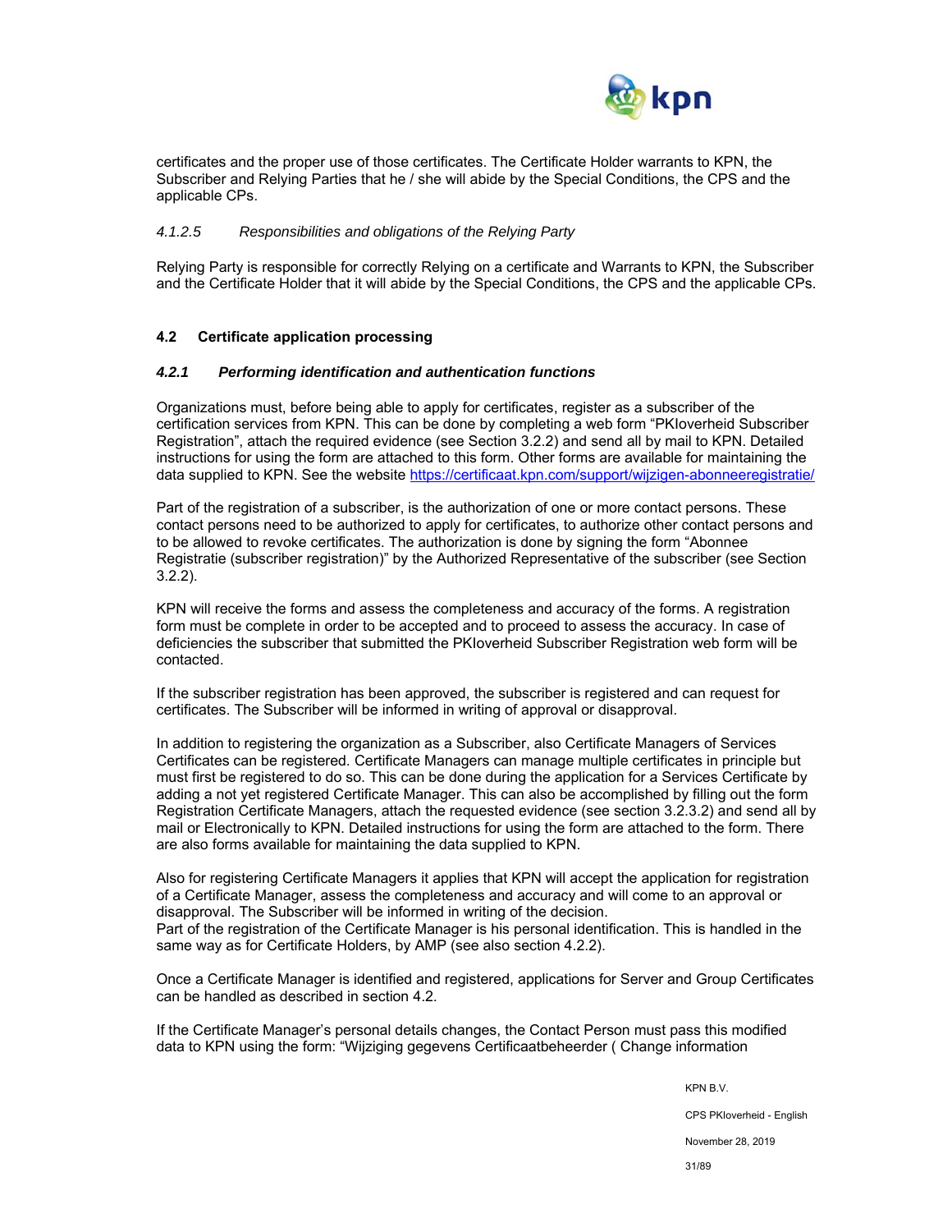

certificates and the proper use of those certificates. The Certificate Holder warrants to KPN, the Subscriber and Relying Parties that he / she will abide by the Special Conditions, the CPS and the applicable CPs.

#### *4.1.2.5 Responsibilities and obligations of the Relying Party*

Relying Party is responsible for correctly Relying on a certificate and Warrants to KPN, the Subscriber and the Certificate Holder that it will abide by the Special Conditions, the CPS and the applicable CPs.

#### **4.2 Certificate application processing**

#### *4.2.1 Performing identification and authentication functions*

Organizations must, before being able to apply for certificates, register as a subscriber of the certification services from KPN. This can be done by completing a web form "PKIoverheid Subscriber Registration", attach the required evidence (see Section 3.2.2) and send all by mail to KPN. Detailed instructions for using the form are attached to this form. Other forms are available for maintaining the data supplied to KPN. See the website https://certificaat.kpn.com/support/wijzigen-abonneeregistratie/

Part of the registration of a subscriber, is the authorization of one or more contact persons. These contact persons need to be authorized to apply for certificates, to authorize other contact persons and to be allowed to revoke certificates. The authorization is done by signing the form "Abonnee Registratie (subscriber registration)" by the Authorized Representative of the subscriber (see Section 3.2.2).

KPN will receive the forms and assess the completeness and accuracy of the forms. A registration form must be complete in order to be accepted and to proceed to assess the accuracy. In case of deficiencies the subscriber that submitted the PKIoverheid Subscriber Registration web form will be contacted.

If the subscriber registration has been approved, the subscriber is registered and can request for certificates. The Subscriber will be informed in writing of approval or disapproval.

In addition to registering the organization as a Subscriber, also Certificate Managers of Services Certificates can be registered. Certificate Managers can manage multiple certificates in principle but must first be registered to do so. This can be done during the application for a Services Certificate by adding a not yet registered Certificate Manager. This can also be accomplished by filling out the form Registration Certificate Managers, attach the requested evidence (see section 3.2.3.2) and send all by mail or Electronically to KPN. Detailed instructions for using the form are attached to the form. There are also forms available for maintaining the data supplied to KPN.

Also for registering Certificate Managers it applies that KPN will accept the application for registration of a Certificate Manager, assess the completeness and accuracy and will come to an approval or disapproval. The Subscriber will be informed in writing of the decision. Part of the registration of the Certificate Manager is his personal identification. This is handled in the same way as for Certificate Holders, by AMP (see also section 4.2.2).

Once a Certificate Manager is identified and registered, applications for Server and Group Certificates can be handled as described in section 4.2.

If the Certificate Manager's personal details changes, the Contact Person must pass this modified data to KPN using the form: "Wijziging gegevens Certificaatbeheerder ( Change information

KPN B.V.

CPS PKIoverheid - English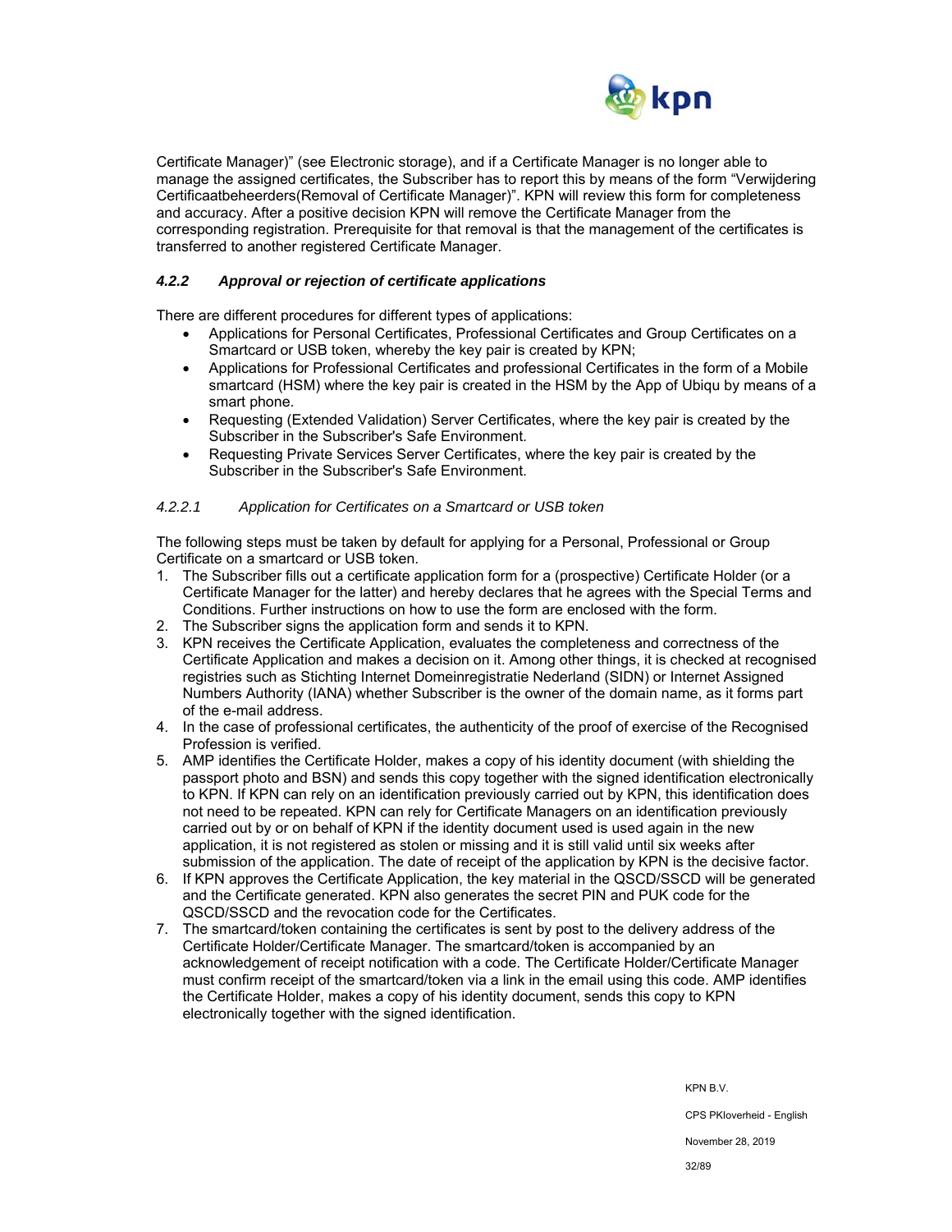

Certificate Manager)" (see Electronic storage), and if a Certificate Manager is no longer able to manage the assigned certificates, the Subscriber has to report this by means of the form "Verwijdering Certificaatbeheerders(Removal of Certificate Manager)". KPN will review this form for completeness and accuracy. After a positive decision KPN will remove the Certificate Manager from the corresponding registration. Prerequisite for that removal is that the management of the certificates is transferred to another registered Certificate Manager.

## *4.2.2 Approval or rejection of certificate applications*

There are different procedures for different types of applications:

- Applications for Personal Certificates, Professional Certificates and Group Certificates on a Smartcard or USB token, whereby the key pair is created by KPN;
- Applications for Professional Certificates and professional Certificates in the form of a Mobile smartcard (HSM) where the key pair is created in the HSM by the App of Ubiqu by means of a smart phone.
- Requesting (Extended Validation) Server Certificates, where the key pair is created by the Subscriber in the Subscriber's Safe Environment.
- Requesting Private Services Server Certificates, where the key pair is created by the Subscriber in the Subscriber's Safe Environment.

#### *4.2.2.1 Application for Certificates on a Smartcard or USB token*

The following steps must be taken by default for applying for a Personal, Professional or Group Certificate on a smartcard or USB token.

- 1. The Subscriber fills out a certificate application form for a (prospective) Certificate Holder (or a Certificate Manager for the latter) and hereby declares that he agrees with the Special Terms and Conditions. Further instructions on how to use the form are enclosed with the form.
- 2. The Subscriber signs the application form and sends it to KPN.
- 3. KPN receives the Certificate Application, evaluates the completeness and correctness of the Certificate Application and makes a decision on it. Among other things, it is checked at recognised registries such as Stichting Internet Domeinregistratie Nederland (SIDN) or Internet Assigned Numbers Authority (IANA) whether Subscriber is the owner of the domain name, as it forms part of the e-mail address.
- 4. In the case of professional certificates, the authenticity of the proof of exercise of the Recognised Profession is verified.
- 5. AMP identifies the Certificate Holder, makes a copy of his identity document (with shielding the passport photo and BSN) and sends this copy together with the signed identification electronically to KPN. If KPN can rely on an identification previously carried out by KPN, this identification does not need to be repeated. KPN can rely for Certificate Managers on an identification previously carried out by or on behalf of KPN if the identity document used is used again in the new application, it is not registered as stolen or missing and it is still valid until six weeks after submission of the application. The date of receipt of the application by KPN is the decisive factor.
- 6. If KPN approves the Certificate Application, the key material in the QSCD/SSCD will be generated and the Certificate generated. KPN also generates the secret PIN and PUK code for the QSCD/SSCD and the revocation code for the Certificates.
- 7. The smartcard/token containing the certificates is sent by post to the delivery address of the Certificate Holder/Certificate Manager. The smartcard/token is accompanied by an acknowledgement of receipt notification with a code. The Certificate Holder/Certificate Manager must confirm receipt of the smartcard/token via a link in the email using this code. AMP identifies the Certificate Holder, makes a copy of his identity document, sends this copy to KPN electronically together with the signed identification.

KPN B.V.

CPS PKIoverheid - English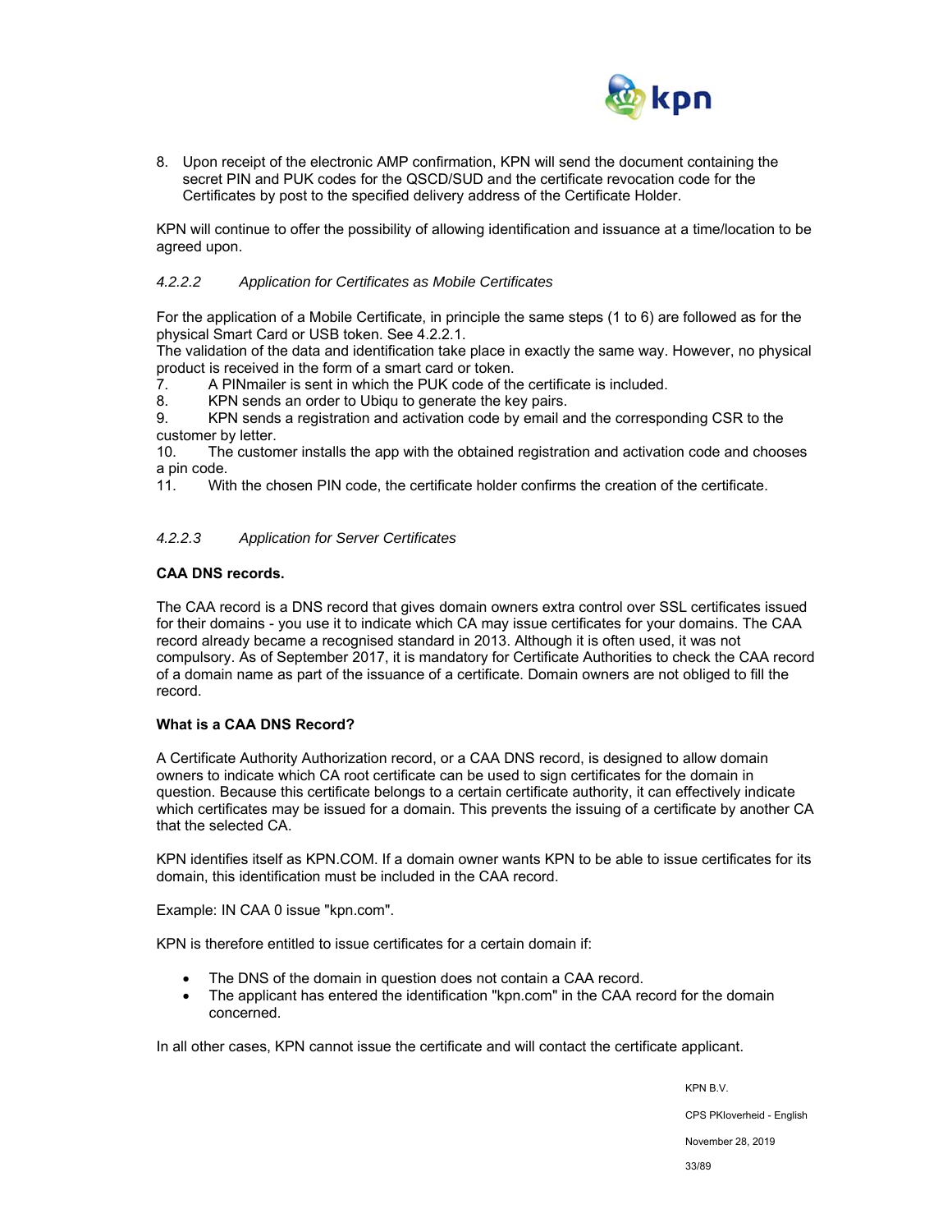

8. Upon receipt of the electronic AMP confirmation, KPN will send the document containing the secret PIN and PUK codes for the QSCD/SUD and the certificate revocation code for the Certificates by post to the specified delivery address of the Certificate Holder.

KPN will continue to offer the possibility of allowing identification and issuance at a time/location to be agreed upon.

#### *4.2.2.2 Application for Certificates as Mobile Certificates*

For the application of a Mobile Certificate, in principle the same steps (1 to 6) are followed as for the physical Smart Card or USB token. See 4.2.2.1.

The validation of the data and identification take place in exactly the same way. However, no physical product is received in the form of a smart card or token.

7. A PINmailer is sent in which the PUK code of the certificate is included.

8. KPN sends an order to Ubiqu to generate the key pairs.

9. KPN sends a registration and activation code by email and the corresponding CSR to the customer by letter.

10. The customer installs the app with the obtained registration and activation code and chooses a pin code.

11. With the chosen PIN code, the certificate holder confirms the creation of the certificate.

#### *4.2.2.3 Application for Server Certificates*

#### **CAA DNS records.**

The CAA record is a DNS record that gives domain owners extra control over SSL certificates issued for their domains - you use it to indicate which CA may issue certificates for your domains. The CAA record already became a recognised standard in 2013. Although it is often used, it was not compulsory. As of September 2017, it is mandatory for Certificate Authorities to check the CAA record of a domain name as part of the issuance of a certificate. Domain owners are not obliged to fill the record.

#### **What is a CAA DNS Record?**

A Certificate Authority Authorization record, or a CAA DNS record, is designed to allow domain owners to indicate which CA root certificate can be used to sign certificates for the domain in question. Because this certificate belongs to a certain certificate authority, it can effectively indicate which certificates may be issued for a domain. This prevents the issuing of a certificate by another CA that the selected CA.

KPN identifies itself as KPN.COM. If a domain owner wants KPN to be able to issue certificates for its domain, this identification must be included in the CAA record.

Example: IN CAA 0 issue "kpn.com".

KPN is therefore entitled to issue certificates for a certain domain if:

- The DNS of the domain in question does not contain a CAA record.
- The applicant has entered the identification "kpn.com" in the CAA record for the domain concerned.

In all other cases, KPN cannot issue the certificate and will contact the certificate applicant.

KPN B.V. CPS PKIoverheid - English November 28, 2019 33/89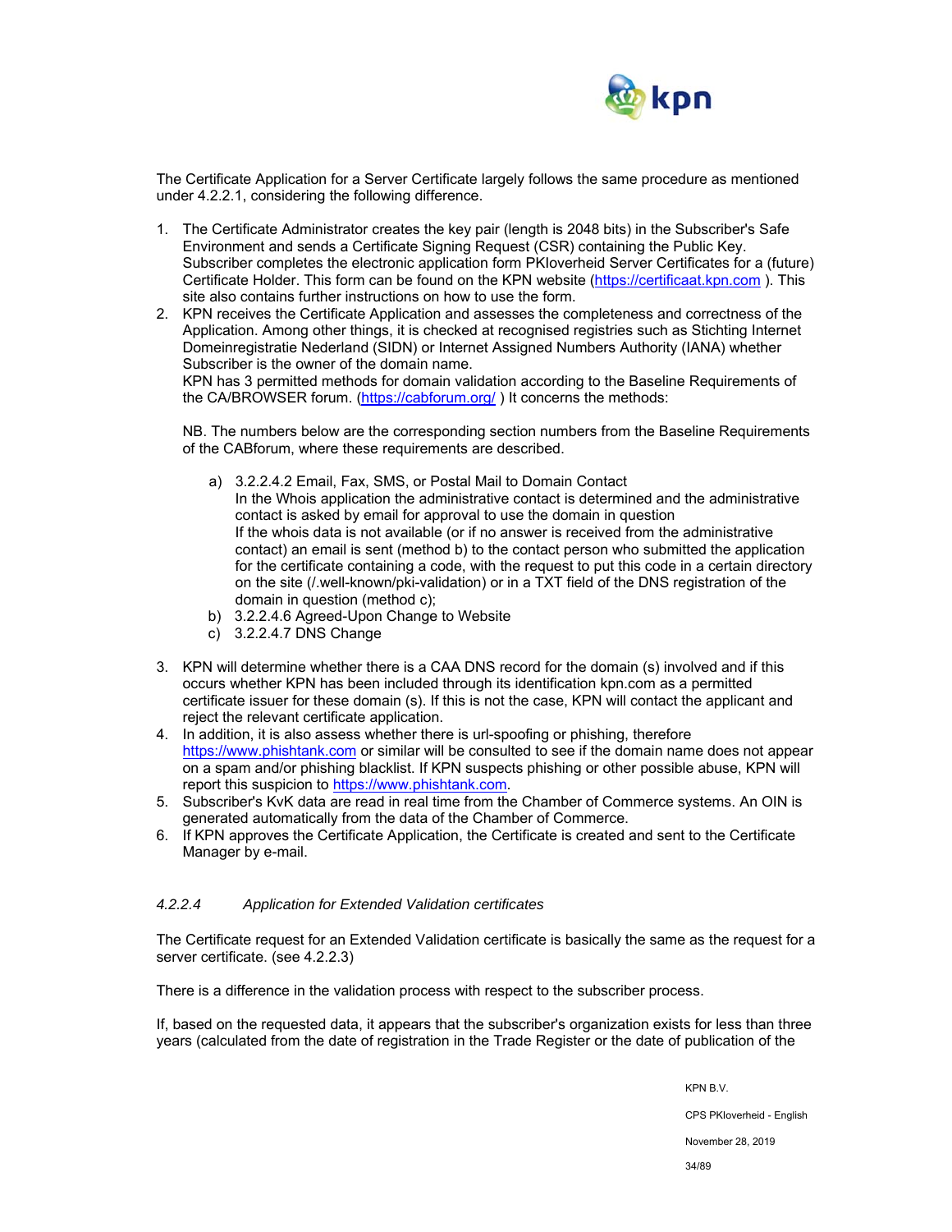

The Certificate Application for a Server Certificate largely follows the same procedure as mentioned under 4.2.2.1, considering the following difference.

- 1. The Certificate Administrator creates the key pair (length is 2048 bits) in the Subscriber's Safe Environment and sends a Certificate Signing Request (CSR) containing the Public Key. Subscriber completes the electronic application form PKIoverheid Server Certificates for a (future) Certificate Holder. This form can be found on the KPN website (https://certificaat.kpn.com ). This site also contains further instructions on how to use the form.
- 2. KPN receives the Certificate Application and assesses the completeness and correctness of the Application. Among other things, it is checked at recognised registries such as Stichting Internet Domeinregistratie Nederland (SIDN) or Internet Assigned Numbers Authority (IANA) whether Subscriber is the owner of the domain name.

KPN has 3 permitted methods for domain validation according to the Baseline Requirements of the CA/BROWSER forum. (https://cabforum.org/ ) It concerns the methods:

NB. The numbers below are the corresponding section numbers from the Baseline Requirements of the CABforum, where these requirements are described.

- a) 3.2.2.4.2 Email, Fax, SMS, or Postal Mail to Domain Contact In the Whois application the administrative contact is determined and the administrative contact is asked by email for approval to use the domain in question If the whois data is not available (or if no answer is received from the administrative contact) an email is sent (method b) to the contact person who submitted the application for the certificate containing a code, with the request to put this code in a certain directory on the site (/.well-known/pki-validation) or in a TXT field of the DNS registration of the domain in question (method c);
- b) 3.2.2.4.6 Agreed-Upon Change to Website
- c) 3.2.2.4.7 DNS Change
- 3. KPN will determine whether there is a CAA DNS record for the domain (s) involved and if this occurs whether KPN has been included through its identification kpn.com as a permitted certificate issuer for these domain (s). If this is not the case, KPN will contact the applicant and reject the relevant certificate application.
- 4. In addition, it is also assess whether there is url-spoofing or phishing, therefore https://www.phishtank.com or similar will be consulted to see if the domain name does not appear on a spam and/or phishing blacklist. If KPN suspects phishing or other possible abuse, KPN will report this suspicion to https://www.phishtank.com.
- 5. Subscriber's KvK data are read in real time from the Chamber of Commerce systems. An OIN is generated automatically from the data of the Chamber of Commerce.
- 6. If KPN approves the Certificate Application, the Certificate is created and sent to the Certificate Manager by e-mail.

#### *4.2.2.4 Application for Extended Validation certificates*

The Certificate request for an Extended Validation certificate is basically the same as the request for a server certificate. (see 4.2.2.3)

There is a difference in the validation process with respect to the subscriber process.

If, based on the requested data, it appears that the subscriber's organization exists for less than three years (calculated from the date of registration in the Trade Register or the date of publication of the

KPN B.V.

CPS PKIoverheid - English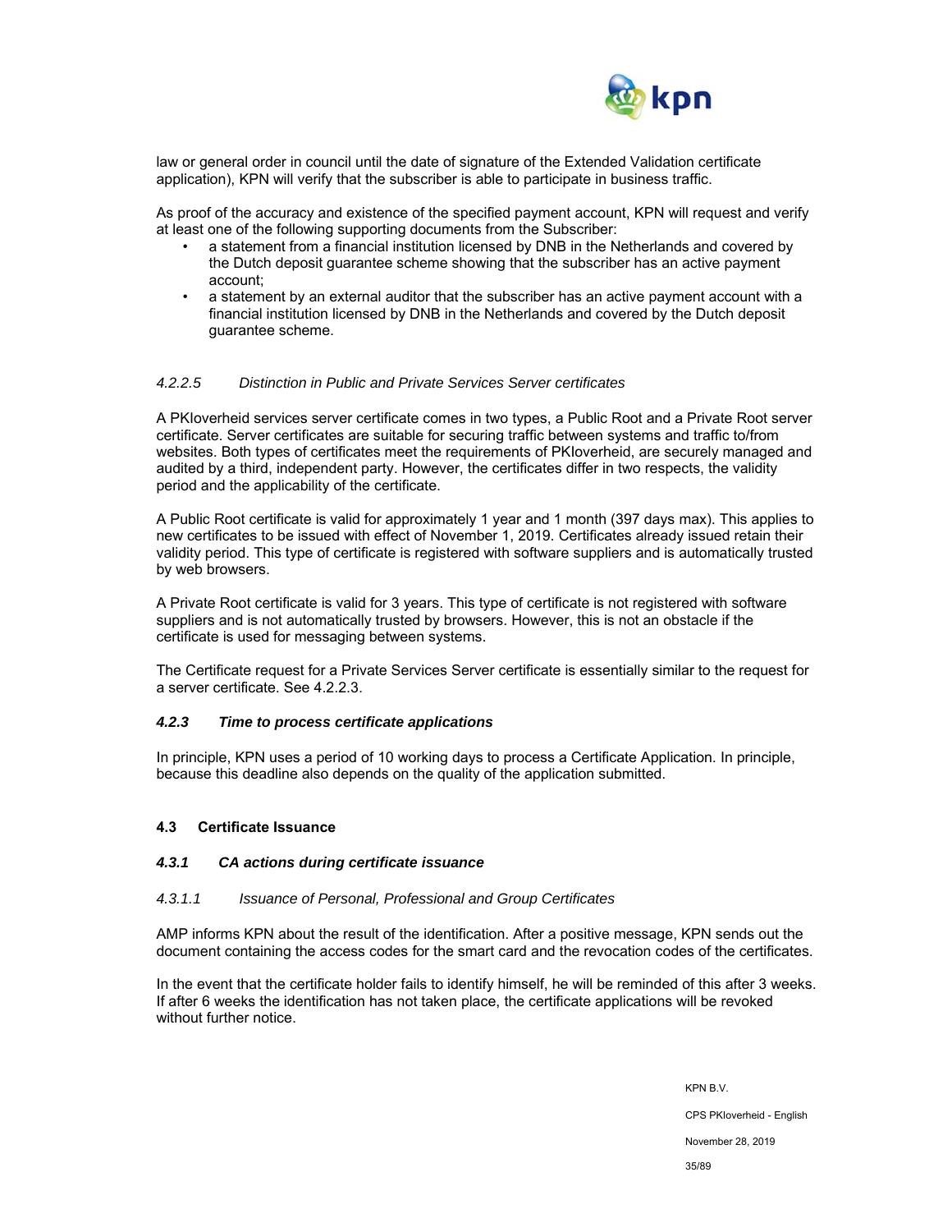

law or general order in council until the date of signature of the Extended Validation certificate application), KPN will verify that the subscriber is able to participate in business traffic.

As proof of the accuracy and existence of the specified payment account, KPN will request and verify at least one of the following supporting documents from the Subscriber:

- a statement from a financial institution licensed by DNB in the Netherlands and covered by the Dutch deposit guarantee scheme showing that the subscriber has an active payment account;
- a statement by an external auditor that the subscriber has an active payment account with a financial institution licensed by DNB in the Netherlands and covered by the Dutch deposit guarantee scheme.

#### *4.2.2.5 Distinction in Public and Private Services Server certificates*

A PKIoverheid services server certificate comes in two types, a Public Root and a Private Root server certificate. Server certificates are suitable for securing traffic between systems and traffic to/from websites. Both types of certificates meet the requirements of PKIoverheid, are securely managed and audited by a third, independent party. However, the certificates differ in two respects, the validity period and the applicability of the certificate.

A Public Root certificate is valid for approximately 1 year and 1 month (397 days max). This applies to new certificates to be issued with effect of November 1, 2019. Certificates already issued retain their validity period. This type of certificate is registered with software suppliers and is automatically trusted by web browsers.

A Private Root certificate is valid for 3 years. This type of certificate is not registered with software suppliers and is not automatically trusted by browsers. However, this is not an obstacle if the certificate is used for messaging between systems.

The Certificate request for a Private Services Server certificate is essentially similar to the request for a server certificate. See 4.2.2.3.

#### *4.2.3 Time to process certificate applications*

In principle, KPN uses a period of 10 working days to process a Certificate Application. In principle, because this deadline also depends on the quality of the application submitted.

#### **4.3 Certificate Issuance**

#### *4.3.1 CA actions during certificate issuance*

#### *4.3.1.1 Issuance of Personal, Professional and Group Certificates*

AMP informs KPN about the result of the identification. After a positive message, KPN sends out the document containing the access codes for the smart card and the revocation codes of the certificates.

In the event that the certificate holder fails to identify himself, he will be reminded of this after 3 weeks. If after 6 weeks the identification has not taken place, the certificate applications will be revoked without further notice.

> KPN B.V. CPS PKIoverheid - English November 28, 2019 35/89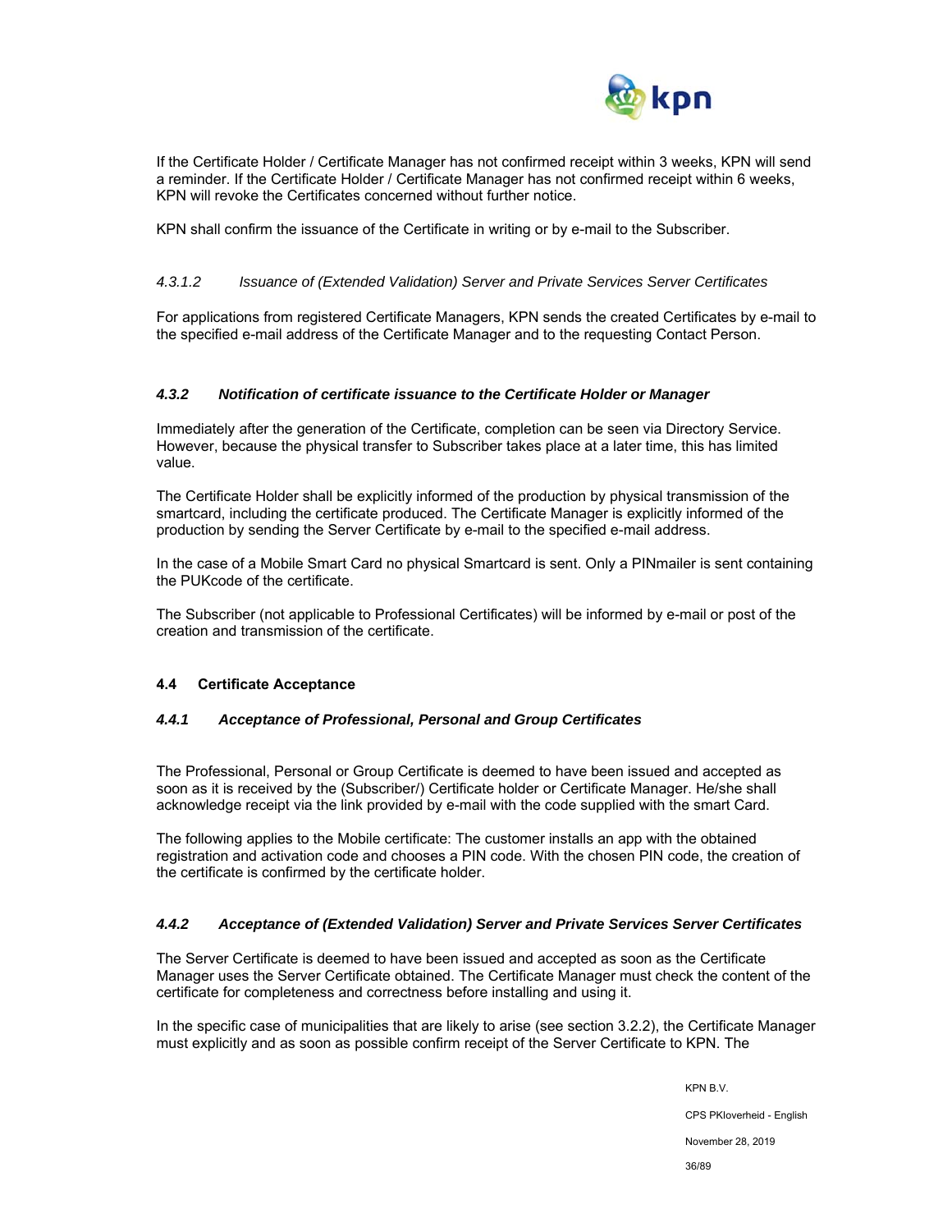

If the Certificate Holder / Certificate Manager has not confirmed receipt within 3 weeks, KPN will send a reminder. If the Certificate Holder / Certificate Manager has not confirmed receipt within 6 weeks, KPN will revoke the Certificates concerned without further notice.

KPN shall confirm the issuance of the Certificate in writing or by e-mail to the Subscriber.

## *4.3.1.2 Issuance of (Extended Validation) Server and Private Services Server Certificates*

For applications from registered Certificate Managers, KPN sends the created Certificates by e-mail to the specified e-mail address of the Certificate Manager and to the requesting Contact Person.

#### *4.3.2 Notification of certificate issuance to the Certificate Holder or Manager*

Immediately after the generation of the Certificate, completion can be seen via Directory Service. However, because the physical transfer to Subscriber takes place at a later time, this has limited value.

The Certificate Holder shall be explicitly informed of the production by physical transmission of the smartcard, including the certificate produced. The Certificate Manager is explicitly informed of the production by sending the Server Certificate by e-mail to the specified e-mail address.

In the case of a Mobile Smart Card no physical Smartcard is sent. Only a PINmailer is sent containing the PUKcode of the certificate.

The Subscriber (not applicable to Professional Certificates) will be informed by e-mail or post of the creation and transmission of the certificate.

#### **4.4 Certificate Acceptance**

#### *4.4.1 Acceptance of Professional, Personal and Group Certificates*

The Professional, Personal or Group Certificate is deemed to have been issued and accepted as soon as it is received by the (Subscriber/) Certificate holder or Certificate Manager. He/she shall acknowledge receipt via the link provided by e-mail with the code supplied with the smart Card.

The following applies to the Mobile certificate: The customer installs an app with the obtained registration and activation code and chooses a PIN code. With the chosen PIN code, the creation of the certificate is confirmed by the certificate holder.

#### *4.4.2 Acceptance of (Extended Validation) Server and Private Services Server Certificates*

The Server Certificate is deemed to have been issued and accepted as soon as the Certificate Manager uses the Server Certificate obtained. The Certificate Manager must check the content of the certificate for completeness and correctness before installing and using it.

In the specific case of municipalities that are likely to arise (see section 3.2.2), the Certificate Manager must explicitly and as soon as possible confirm receipt of the Server Certificate to KPN. The

KPN B.V.

CPS PKIoverheid - English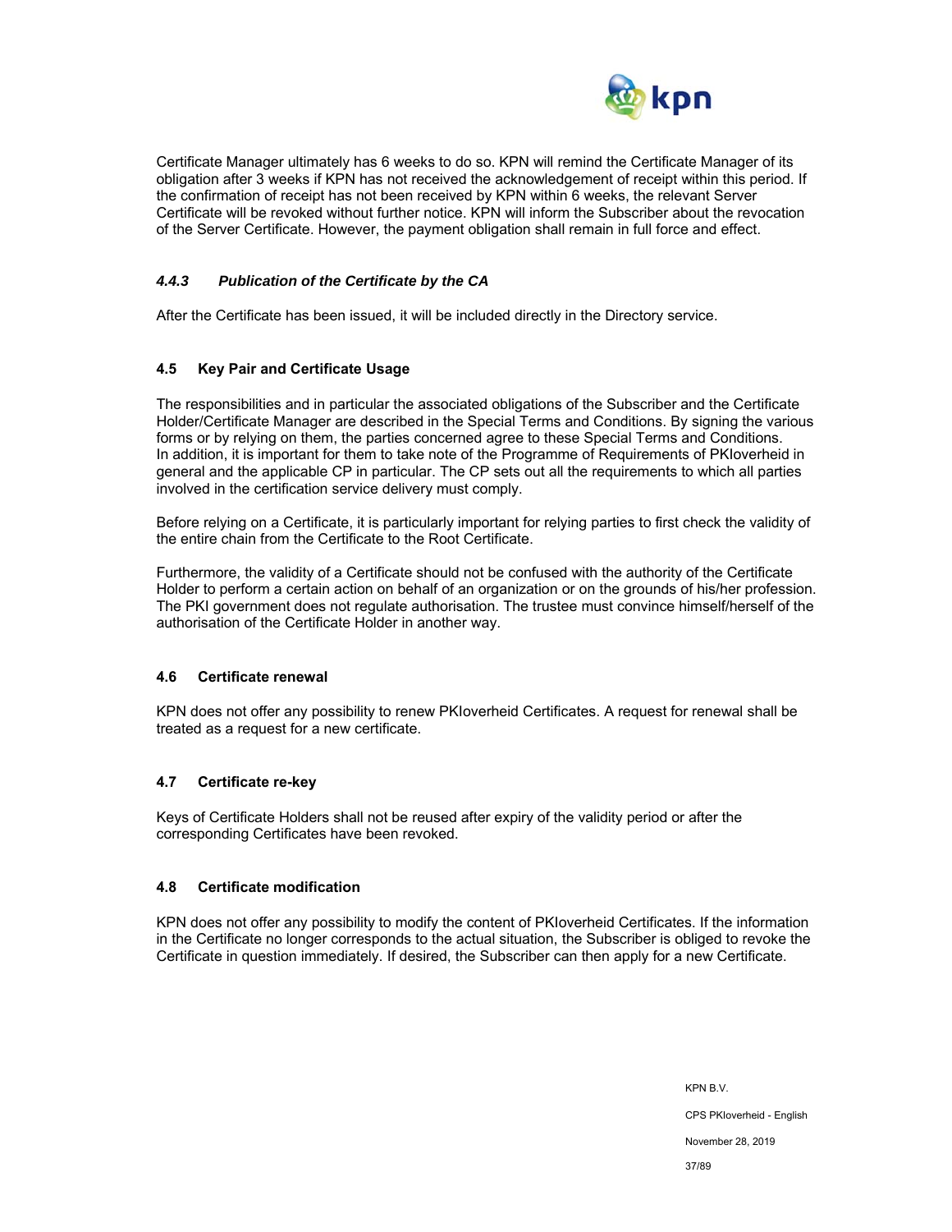

Certificate Manager ultimately has 6 weeks to do so. KPN will remind the Certificate Manager of its obligation after 3 weeks if KPN has not received the acknowledgement of receipt within this period. If the confirmation of receipt has not been received by KPN within 6 weeks, the relevant Server Certificate will be revoked without further notice. KPN will inform the Subscriber about the revocation of the Server Certificate. However, the payment obligation shall remain in full force and effect.

### *4.4.3 Publication of the Certificate by the CA*

After the Certificate has been issued, it will be included directly in the Directory service.

#### **4.5 Key Pair and Certificate Usage**

The responsibilities and in particular the associated obligations of the Subscriber and the Certificate Holder/Certificate Manager are described in the Special Terms and Conditions. By signing the various forms or by relying on them, the parties concerned agree to these Special Terms and Conditions. In addition, it is important for them to take note of the Programme of Requirements of PKIoverheid in general and the applicable CP in particular. The CP sets out all the requirements to which all parties involved in the certification service delivery must comply.

Before relying on a Certificate, it is particularly important for relying parties to first check the validity of the entire chain from the Certificate to the Root Certificate.

Furthermore, the validity of a Certificate should not be confused with the authority of the Certificate Holder to perform a certain action on behalf of an organization or on the grounds of his/her profession. The PKI government does not regulate authorisation. The trustee must convince himself/herself of the authorisation of the Certificate Holder in another way.

#### **4.6 Certificate renewal**

KPN does not offer any possibility to renew PKIoverheid Certificates. A request for renewal shall be treated as a request for a new certificate.

#### **4.7 Certificate re-key**

Keys of Certificate Holders shall not be reused after expiry of the validity period or after the corresponding Certificates have been revoked.

#### **4.8 Certificate modification**

KPN does not offer any possibility to modify the content of PKIoverheid Certificates. If the information in the Certificate no longer corresponds to the actual situation, the Subscriber is obliged to revoke the Certificate in question immediately. If desired, the Subscriber can then apply for a new Certificate.

> KPN B.V. CPS PKIoverheid - English November 28, 2019 37/89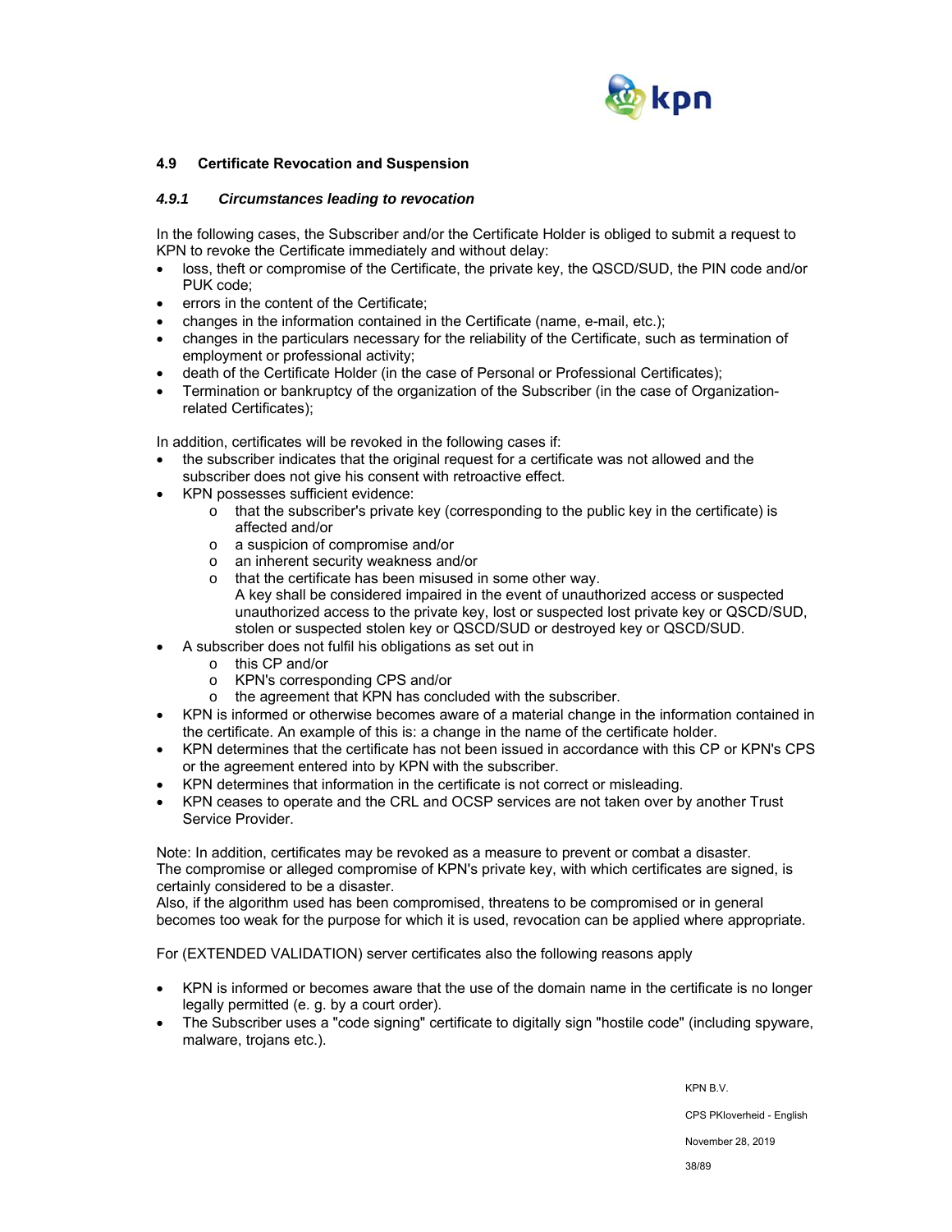

### **4.9 Certificate Revocation and Suspension**

### *4.9.1 Circumstances leading to revocation*

In the following cases, the Subscriber and/or the Certificate Holder is obliged to submit a request to KPN to revoke the Certificate immediately and without delay:

- loss, theft or compromise of the Certificate, the private key, the QSCD/SUD, the PIN code and/or PUK code;
- errors in the content of the Certificate;
- changes in the information contained in the Certificate (name, e-mail, etc.);
- changes in the particulars necessary for the reliability of the Certificate, such as termination of employment or professional activity;
- death of the Certificate Holder (in the case of Personal or Professional Certificates);
- Termination or bankruptcy of the organization of the Subscriber (in the case of Organizationrelated Certificates);

In addition, certificates will be revoked in the following cases if:

- the subscriber indicates that the original request for a certificate was not allowed and the subscriber does not give his consent with retroactive effect.
- KPN possesses sufficient evidence:
	- o that the subscriber's private key (corresponding to the public key in the certificate) is affected and/or
	- o a suspicion of compromise and/or
	- o an inherent security weakness and/or
	- o that the certificate has been misused in some other way. A key shall be considered impaired in the event of unauthorized access or suspected unauthorized access to the private key, lost or suspected lost private key or QSCD/SUD, stolen or suspected stolen key or QSCD/SUD or destroyed key or QSCD/SUD.
- A subscriber does not fulfil his obligations as set out in
	- o this CP and/or
	- o KPN's corresponding CPS and/or
	- o the agreement that KPN has concluded with the subscriber.
- KPN is informed or otherwise becomes aware of a material change in the information contained in the certificate. An example of this is: a change in the name of the certificate holder.
- KPN determines that the certificate has not been issued in accordance with this CP or KPN's CPS or the agreement entered into by KPN with the subscriber.
- KPN determines that information in the certificate is not correct or misleading.
- KPN ceases to operate and the CRL and OCSP services are not taken over by another Trust Service Provider.

Note: In addition, certificates may be revoked as a measure to prevent or combat a disaster. The compromise or alleged compromise of KPN's private key, with which certificates are signed, is certainly considered to be a disaster.

Also, if the algorithm used has been compromised, threatens to be compromised or in general becomes too weak for the purpose for which it is used, revocation can be applied where appropriate.

For (EXTENDED VALIDATION) server certificates also the following reasons apply

- KPN is informed or becomes aware that the use of the domain name in the certificate is no longer legally permitted (e. g. by a court order).
- The Subscriber uses a "code signing" certificate to digitally sign "hostile code" (including spyware, malware, trojans etc.).

KPN B.V.

CPS PKIoverheid - English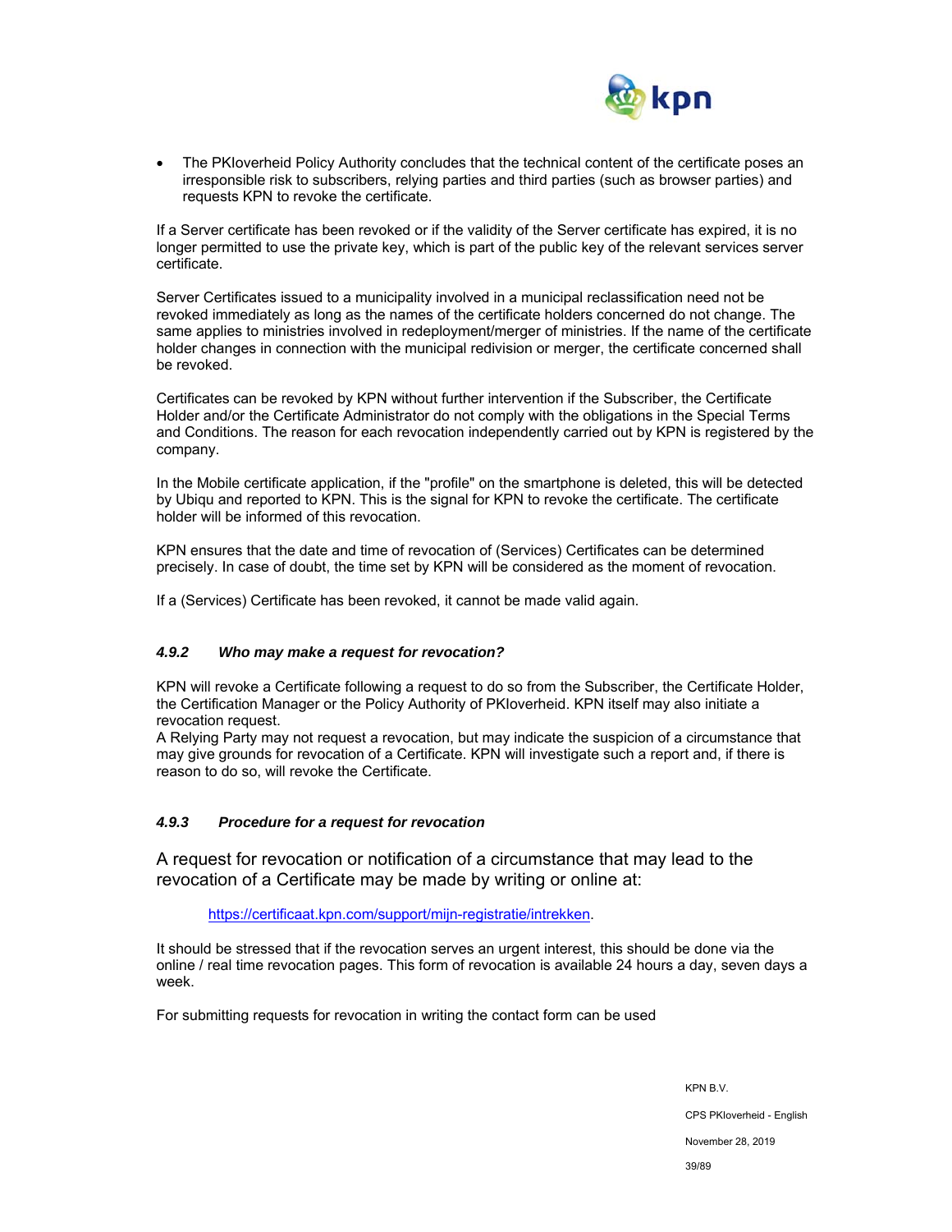

 The PKIoverheid Policy Authority concludes that the technical content of the certificate poses an irresponsible risk to subscribers, relying parties and third parties (such as browser parties) and requests KPN to revoke the certificate.

If a Server certificate has been revoked or if the validity of the Server certificate has expired, it is no longer permitted to use the private key, which is part of the public key of the relevant services server certificate.

Server Certificates issued to a municipality involved in a municipal reclassification need not be revoked immediately as long as the names of the certificate holders concerned do not change. The same applies to ministries involved in redeployment/merger of ministries. If the name of the certificate holder changes in connection with the municipal redivision or merger, the certificate concerned shall be revoked.

Certificates can be revoked by KPN without further intervention if the Subscriber, the Certificate Holder and/or the Certificate Administrator do not comply with the obligations in the Special Terms and Conditions. The reason for each revocation independently carried out by KPN is registered by the company.

In the Mobile certificate application, if the "profile" on the smartphone is deleted, this will be detected by Ubiqu and reported to KPN. This is the signal for KPN to revoke the certificate. The certificate holder will be informed of this revocation.

KPN ensures that the date and time of revocation of (Services) Certificates can be determined precisely. In case of doubt, the time set by KPN will be considered as the moment of revocation.

If a (Services) Certificate has been revoked, it cannot be made valid again.

### *4.9.2 Who may make a request for revocation?*

KPN will revoke a Certificate following a request to do so from the Subscriber, the Certificate Holder, the Certification Manager or the Policy Authority of PKIoverheid. KPN itself may also initiate a revocation request.

A Relying Party may not request a revocation, but may indicate the suspicion of a circumstance that may give grounds for revocation of a Certificate. KPN will investigate such a report and, if there is reason to do so, will revoke the Certificate.

### *4.9.3 Procedure for a request for revocation*

A request for revocation or notification of a circumstance that may lead to the revocation of a Certificate may be made by writing or online at:

https://certificaat.kpn.com/support/mijn-registratie/intrekken.

It should be stressed that if the revocation serves an urgent interest, this should be done via the online / real time revocation pages. This form of revocation is available 24 hours a day, seven days a week.

For submitting requests for revocation in writing the contact form can be used

KPN B.V. CPS PKIoverheid - English November 28, 2019 39/89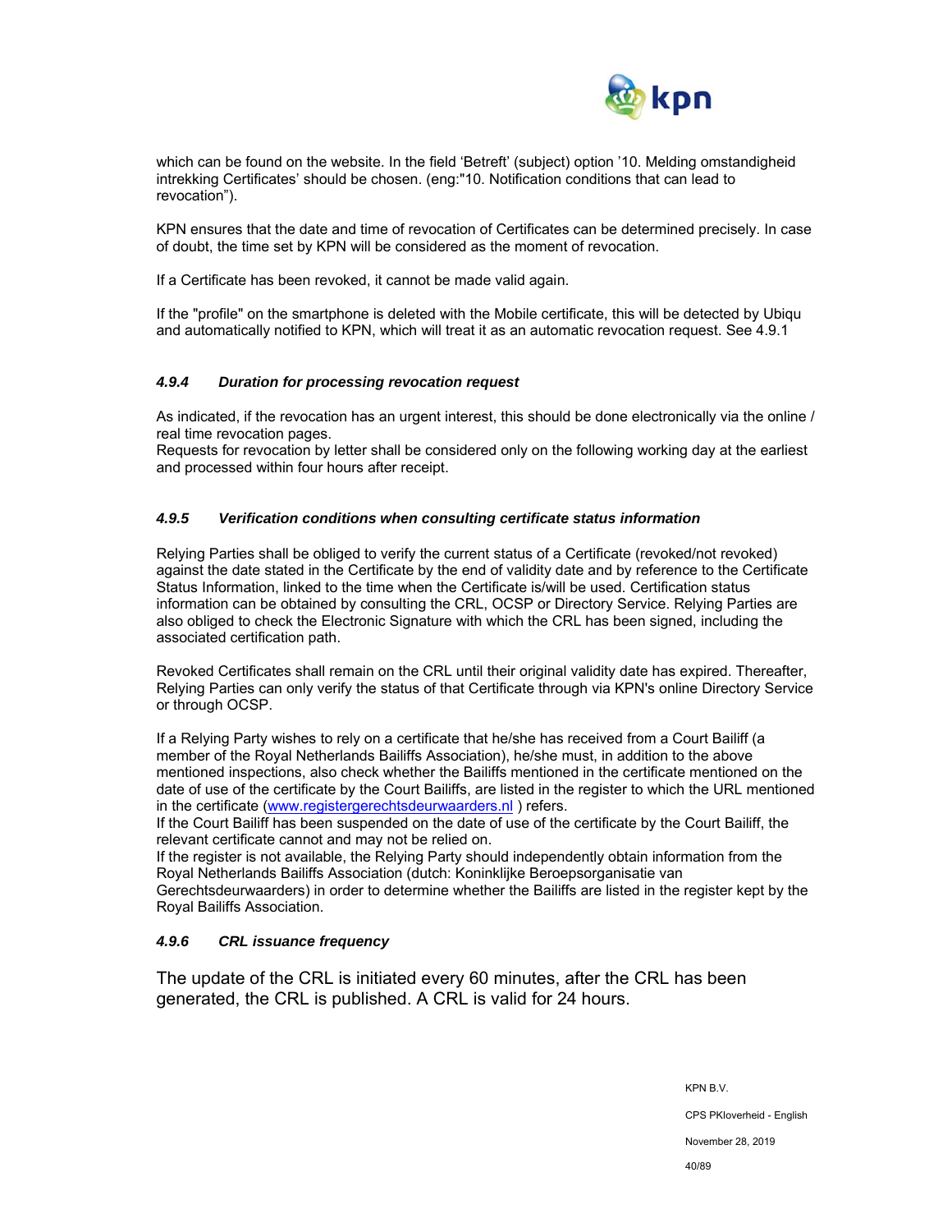

which can be found on the website. In the field 'Betreft' (subject) option '10. Melding omstandigheid intrekking Certificates' should be chosen. (eng:"10. Notification conditions that can lead to revocation").

KPN ensures that the date and time of revocation of Certificates can be determined precisely. In case of doubt, the time set by KPN will be considered as the moment of revocation.

If a Certificate has been revoked, it cannot be made valid again.

If the "profile" on the smartphone is deleted with the Mobile certificate, this will be detected by Ubiqu and automatically notified to KPN, which will treat it as an automatic revocation request. See 4.9.1

### *4.9.4 Duration for processing revocation request*

As indicated, if the revocation has an urgent interest, this should be done electronically via the online / real time revocation pages.

Requests for revocation by letter shall be considered only on the following working day at the earliest and processed within four hours after receipt.

### *4.9.5 Verification conditions when consulting certificate status information*

Relying Parties shall be obliged to verify the current status of a Certificate (revoked/not revoked) against the date stated in the Certificate by the end of validity date and by reference to the Certificate Status Information, linked to the time when the Certificate is/will be used. Certification status information can be obtained by consulting the CRL, OCSP or Directory Service. Relying Parties are also obliged to check the Electronic Signature with which the CRL has been signed, including the associated certification path.

Revoked Certificates shall remain on the CRL until their original validity date has expired. Thereafter, Relying Parties can only verify the status of that Certificate through via KPN's online Directory Service or through OCSP.

If a Relying Party wishes to rely on a certificate that he/she has received from a Court Bailiff (a member of the Royal Netherlands Bailiffs Association), he/she must, in addition to the above mentioned inspections, also check whether the Bailiffs mentioned in the certificate mentioned on the date of use of the certificate by the Court Bailiffs, are listed in the register to which the URL mentioned in the certificate (www.registergerechtsdeurwaarders.nl ) refers.

If the Court Bailiff has been suspended on the date of use of the certificate by the Court Bailiff, the relevant certificate cannot and may not be relied on.

If the register is not available, the Relying Party should independently obtain information from the Royal Netherlands Bailiffs Association (dutch: Koninklijke Beroepsorganisatie van Gerechtsdeurwaarders) in order to determine whether the Bailiffs are listed in the register kept by the Royal Bailiffs Association.

### *4.9.6 CRL issuance frequency*

The update of the CRL is initiated every 60 minutes, after the CRL has been generated, the CRL is published. A CRL is valid for 24 hours.

KPN B.V.

CPS PKIoverheid - English

November 28, 2019

40/89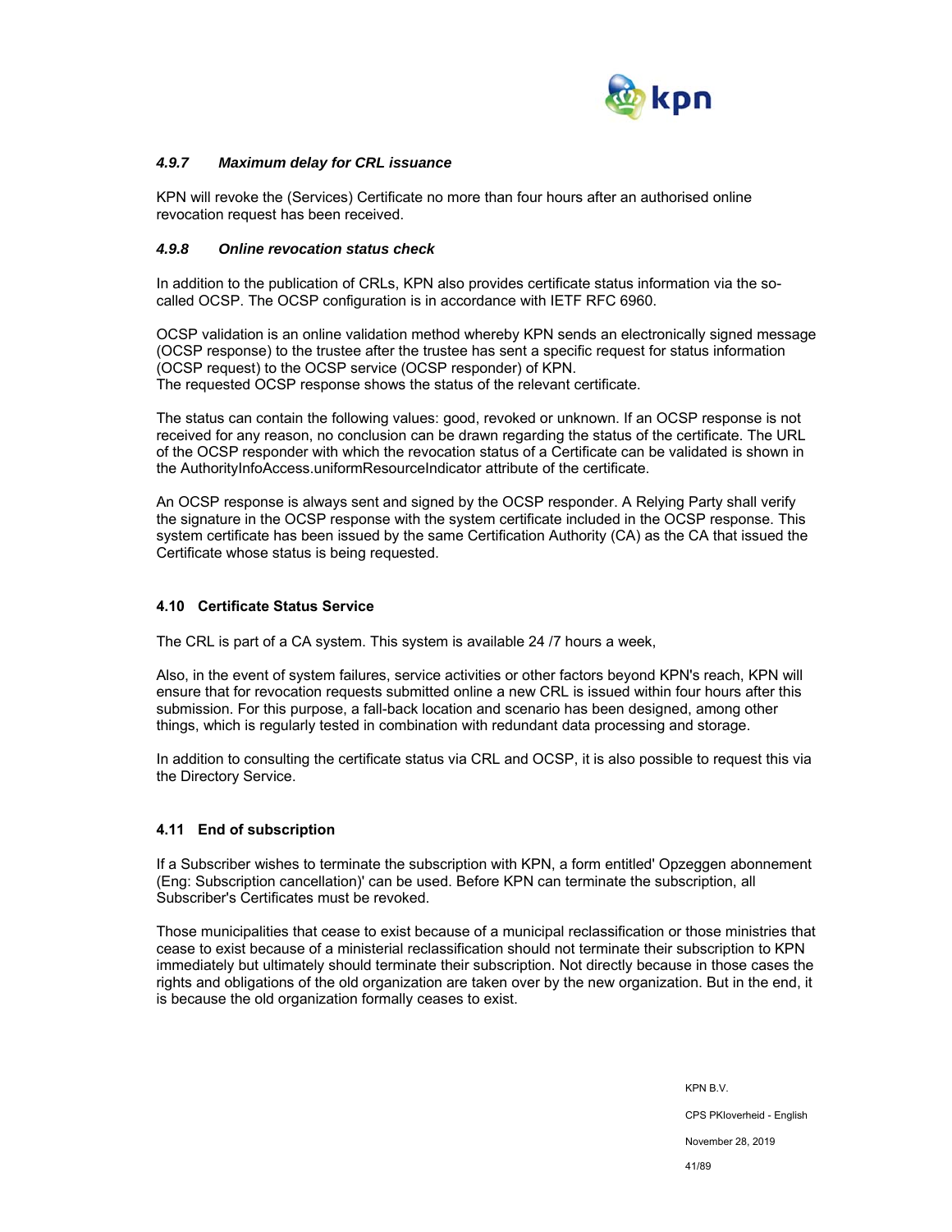

### *4.9.7 Maximum delay for CRL issuance*

KPN will revoke the (Services) Certificate no more than four hours after an authorised online revocation request has been received.

### *4.9.8 Online revocation status check*

In addition to the publication of CRLs, KPN also provides certificate status information via the socalled OCSP. The OCSP configuration is in accordance with IETF RFC 6960.

OCSP validation is an online validation method whereby KPN sends an electronically signed message (OCSP response) to the trustee after the trustee has sent a specific request for status information (OCSP request) to the OCSP service (OCSP responder) of KPN. The requested OCSP response shows the status of the relevant certificate.

The status can contain the following values: good, revoked or unknown. If an OCSP response is not received for any reason, no conclusion can be drawn regarding the status of the certificate. The URL of the OCSP responder with which the revocation status of a Certificate can be validated is shown in the AuthorityInfoAccess.uniformResourceIndicator attribute of the certificate.

An OCSP response is always sent and signed by the OCSP responder. A Relying Party shall verify the signature in the OCSP response with the system certificate included in the OCSP response. This system certificate has been issued by the same Certification Authority (CA) as the CA that issued the Certificate whose status is being requested.

#### **4.10 Certificate Status Service**

The CRL is part of a CA system. This system is available 24 /7 hours a week,

Also, in the event of system failures, service activities or other factors beyond KPN's reach, KPN will ensure that for revocation requests submitted online a new CRL is issued within four hours after this submission. For this purpose, a fall-back location and scenario has been designed, among other things, which is regularly tested in combination with redundant data processing and storage.

In addition to consulting the certificate status via CRL and OCSP, it is also possible to request this via the Directory Service.

#### **4.11 End of subscription**

If a Subscriber wishes to terminate the subscription with KPN, a form entitled' Opzeggen abonnement (Eng: Subscription cancellation)' can be used. Before KPN can terminate the subscription, all Subscriber's Certificates must be revoked.

Those municipalities that cease to exist because of a municipal reclassification or those ministries that cease to exist because of a ministerial reclassification should not terminate their subscription to KPN immediately but ultimately should terminate their subscription. Not directly because in those cases the rights and obligations of the old organization are taken over by the new organization. But in the end, it is because the old organization formally ceases to exist.

> KPN B.V. CPS PKIoverheid - English November 28, 2019 41/89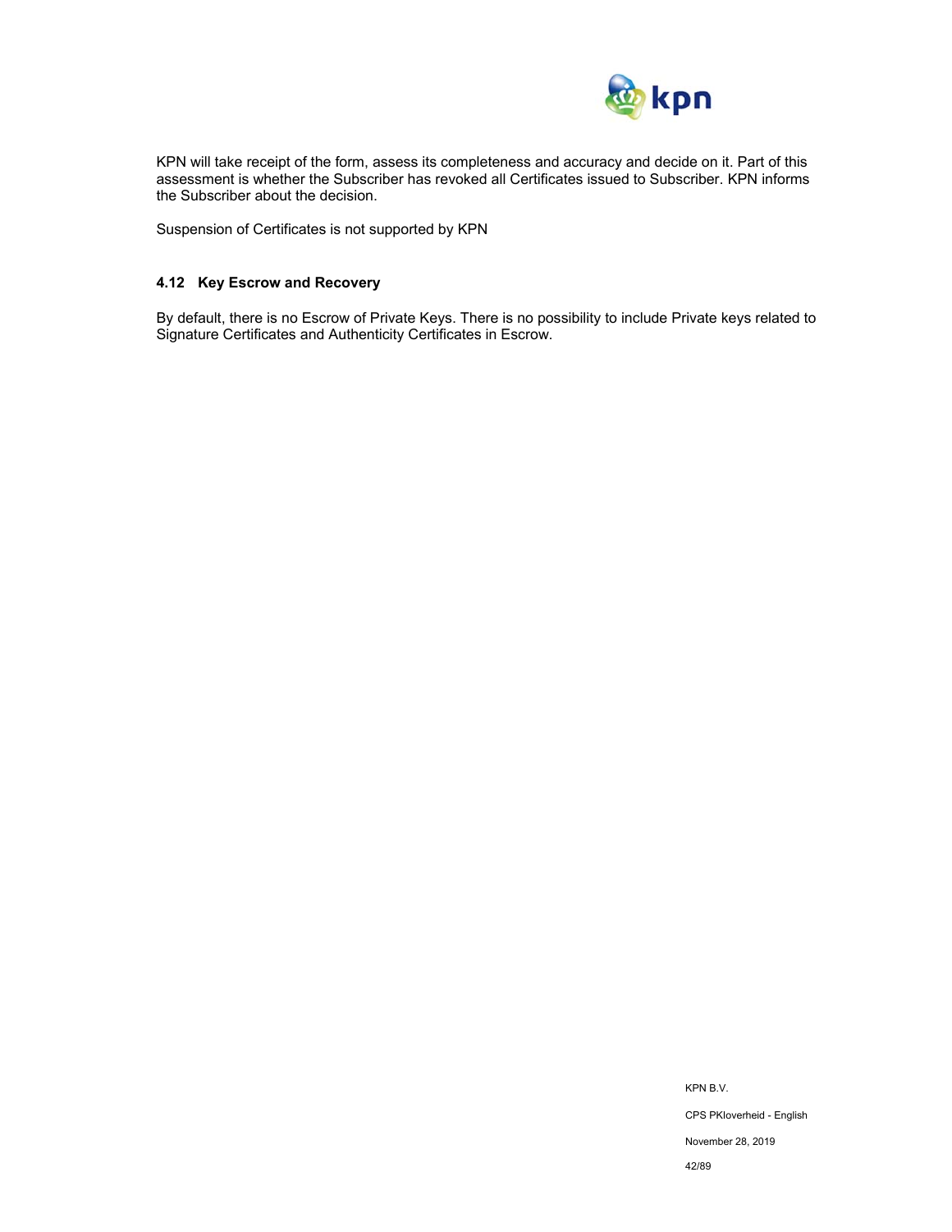

KPN will take receipt of the form, assess its completeness and accuracy and decide on it. Part of this assessment is whether the Subscriber has revoked all Certificates issued to Subscriber. KPN informs the Subscriber about the decision.

Suspension of Certificates is not supported by KPN

### **4.12 Key Escrow and Recovery**

By default, there is no Escrow of Private Keys. There is no possibility to include Private keys related to Signature Certificates and Authenticity Certificates in Escrow.

> KPN B.V. CPS PKIoverheid - English November 28, 2019 42/89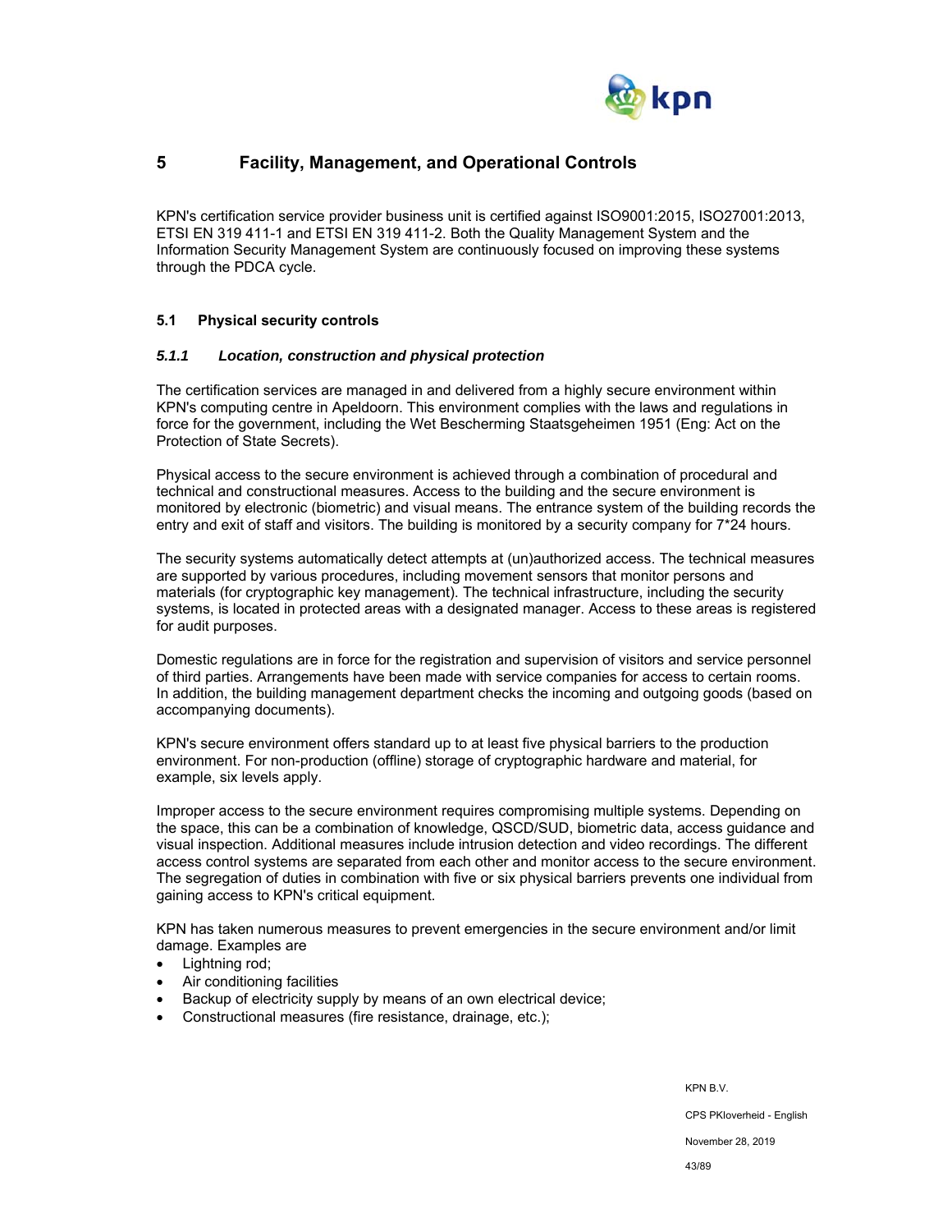

# **5 Facility, Management, and Operational Controls**

KPN's certification service provider business unit is certified against ISO9001:2015, ISO27001:2013, ETSI EN 319 411-1 and ETSI EN 319 411-2. Both the Quality Management System and the Information Security Management System are continuously focused on improving these systems through the PDCA cycle.

### **5.1 Physical security controls**

#### *5.1.1 Location, construction and physical protection*

The certification services are managed in and delivered from a highly secure environment within KPN's computing centre in Apeldoorn. This environment complies with the laws and regulations in force for the government, including the Wet Bescherming Staatsgeheimen 1951 (Eng: Act on the Protection of State Secrets).

Physical access to the secure environment is achieved through a combination of procedural and technical and constructional measures. Access to the building and the secure environment is monitored by electronic (biometric) and visual means. The entrance system of the building records the entry and exit of staff and visitors. The building is monitored by a security company for 7\*24 hours.

The security systems automatically detect attempts at (un)authorized access. The technical measures are supported by various procedures, including movement sensors that monitor persons and materials (for cryptographic key management). The technical infrastructure, including the security systems, is located in protected areas with a designated manager. Access to these areas is registered for audit purposes.

Domestic regulations are in force for the registration and supervision of visitors and service personnel of third parties. Arrangements have been made with service companies for access to certain rooms. In addition, the building management department checks the incoming and outgoing goods (based on accompanying documents).

KPN's secure environment offers standard up to at least five physical barriers to the production environment. For non-production (offline) storage of cryptographic hardware and material, for example, six levels apply.

Improper access to the secure environment requires compromising multiple systems. Depending on the space, this can be a combination of knowledge, QSCD/SUD, biometric data, access guidance and visual inspection. Additional measures include intrusion detection and video recordings. The different access control systems are separated from each other and monitor access to the secure environment. The segregation of duties in combination with five or six physical barriers prevents one individual from gaining access to KPN's critical equipment.

KPN has taken numerous measures to prevent emergencies in the secure environment and/or limit damage. Examples are

- Lightning rod;
- Air conditioning facilities
- Backup of electricity supply by means of an own electrical device;
- Constructional measures (fire resistance, drainage, etc.);

KPN B.V.

CPS PKIoverheid - English

November 28, 2019

43/89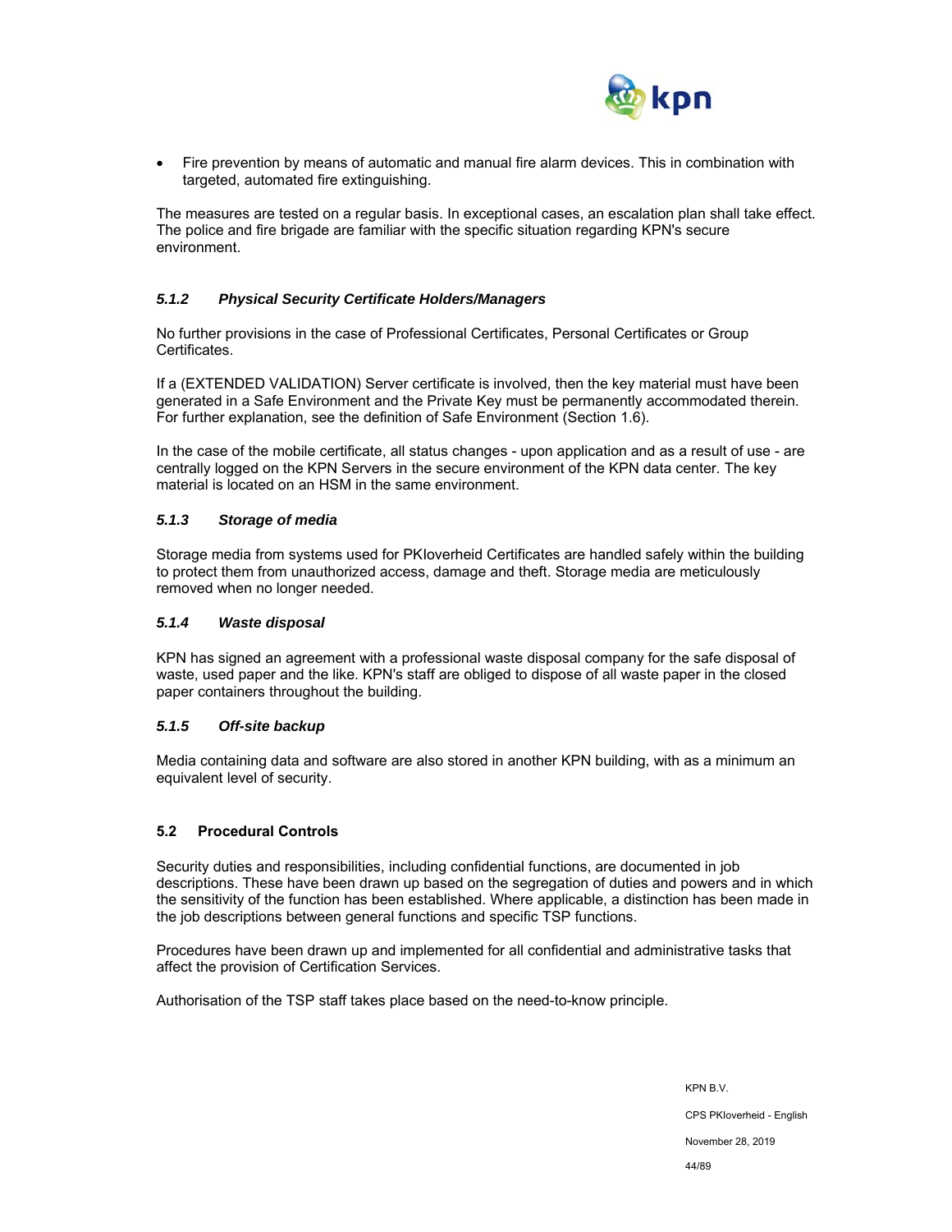

 Fire prevention by means of automatic and manual fire alarm devices. This in combination with targeted, automated fire extinguishing.

The measures are tested on a regular basis. In exceptional cases, an escalation plan shall take effect. The police and fire brigade are familiar with the specific situation regarding KPN's secure environment.

### *5.1.2 Physical Security Certificate Holders/Managers*

No further provisions in the case of Professional Certificates, Personal Certificates or Group Certificates.

If a (EXTENDED VALIDATION) Server certificate is involved, then the key material must have been generated in a Safe Environment and the Private Key must be permanently accommodated therein. For further explanation, see the definition of Safe Environment (Section 1.6).

In the case of the mobile certificate, all status changes - upon application and as a result of use - are centrally logged on the KPN Servers in the secure environment of the KPN data center. The key material is located on an HSM in the same environment.

### *5.1.3 Storage of media*

Storage media from systems used for PKIoverheid Certificates are handled safely within the building to protect them from unauthorized access, damage and theft. Storage media are meticulously removed when no longer needed.

### *5.1.4 Waste disposal*

KPN has signed an agreement with a professional waste disposal company for the safe disposal of waste, used paper and the like. KPN's staff are obliged to dispose of all waste paper in the closed paper containers throughout the building.

### *5.1.5 Off-site backup*

Media containing data and software are also stored in another KPN building, with as a minimum an equivalent level of security.

### **5.2 Procedural Controls**

Security duties and responsibilities, including confidential functions, are documented in job descriptions. These have been drawn up based on the segregation of duties and powers and in which the sensitivity of the function has been established. Where applicable, a distinction has been made in the job descriptions between general functions and specific TSP functions.

Procedures have been drawn up and implemented for all confidential and administrative tasks that affect the provision of Certification Services.

Authorisation of the TSP staff takes place based on the need-to-know principle.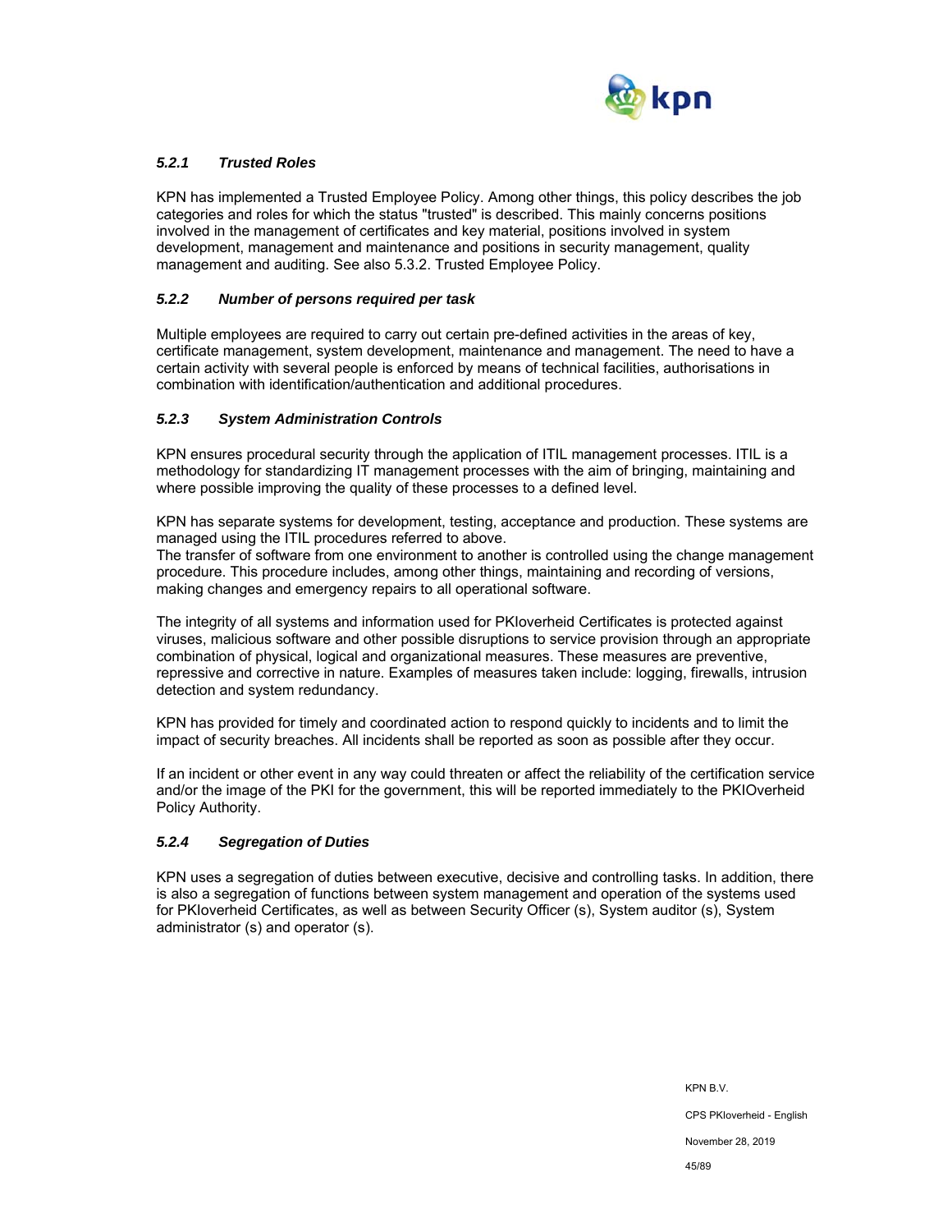

### *5.2.1 Trusted Roles*

KPN has implemented a Trusted Employee Policy. Among other things, this policy describes the job categories and roles for which the status "trusted" is described. This mainly concerns positions involved in the management of certificates and key material, positions involved in system development, management and maintenance and positions in security management, quality management and auditing. See also 5.3.2. Trusted Employee Policy.

### *5.2.2 Number of persons required per task*

Multiple employees are required to carry out certain pre-defined activities in the areas of key, certificate management, system development, maintenance and management. The need to have a certain activity with several people is enforced by means of technical facilities, authorisations in combination with identification/authentication and additional procedures.

### *5.2.3 System Administration Controls*

KPN ensures procedural security through the application of ITIL management processes. ITIL is a methodology for standardizing IT management processes with the aim of bringing, maintaining and where possible improving the quality of these processes to a defined level.

KPN has separate systems for development, testing, acceptance and production. These systems are managed using the ITIL procedures referred to above.

The transfer of software from one environment to another is controlled using the change management procedure. This procedure includes, among other things, maintaining and recording of versions, making changes and emergency repairs to all operational software.

The integrity of all systems and information used for PKIoverheid Certificates is protected against viruses, malicious software and other possible disruptions to service provision through an appropriate combination of physical, logical and organizational measures. These measures are preventive, repressive and corrective in nature. Examples of measures taken include: logging, firewalls, intrusion detection and system redundancy.

KPN has provided for timely and coordinated action to respond quickly to incidents and to limit the impact of security breaches. All incidents shall be reported as soon as possible after they occur.

If an incident or other event in any way could threaten or affect the reliability of the certification service and/or the image of the PKI for the government, this will be reported immediately to the PKIOverheid Policy Authority.

#### *5.2.4 Segregation of Duties*

KPN uses a segregation of duties between executive, decisive and controlling tasks. In addition, there is also a segregation of functions between system management and operation of the systems used for PKIoverheid Certificates, as well as between Security Officer (s), System auditor (s), System administrator (s) and operator (s).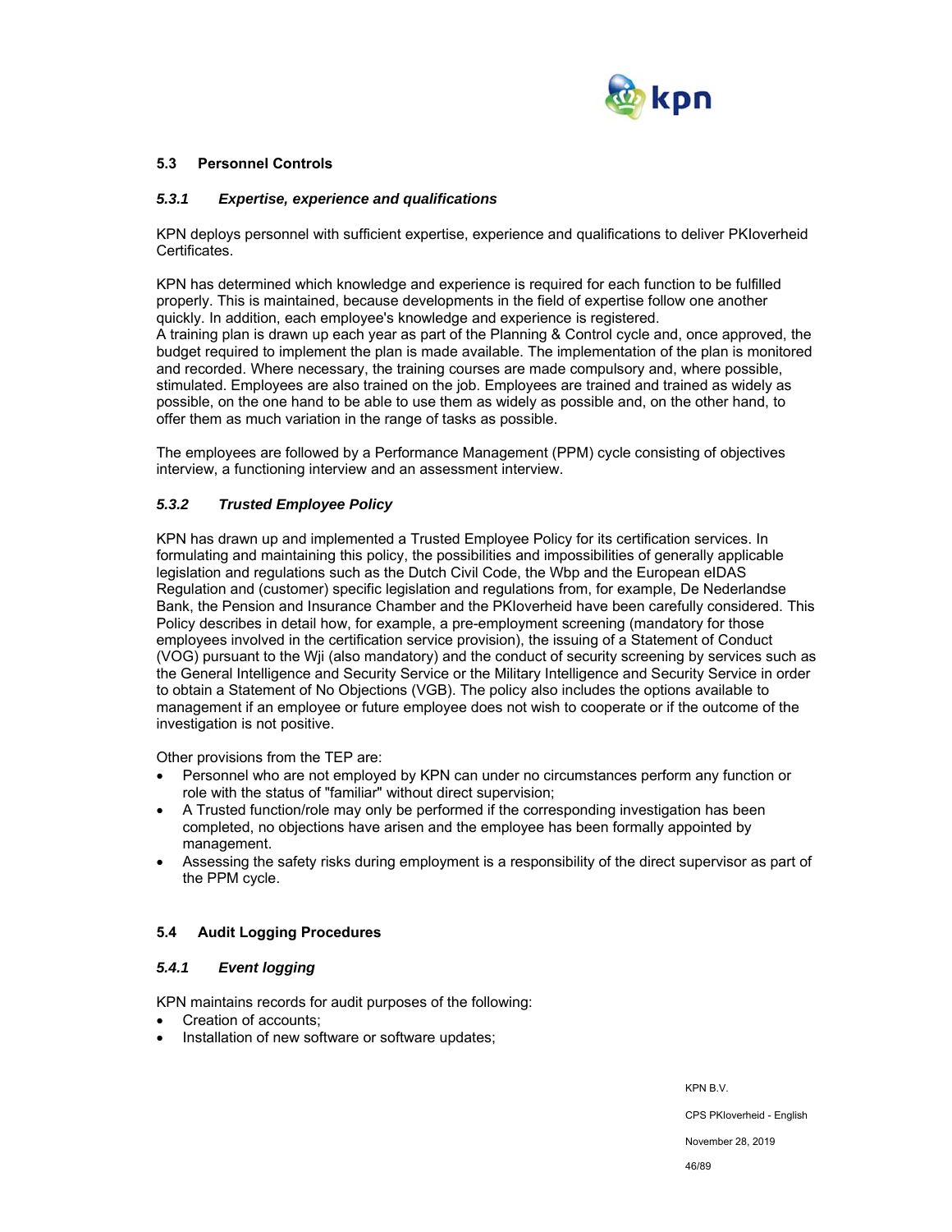

### **5.3 Personnel Controls**

### *5.3.1 Expertise, experience and qualifications*

KPN deploys personnel with sufficient expertise, experience and qualifications to deliver PKIoverheid Certificates.

KPN has determined which knowledge and experience is required for each function to be fulfilled properly. This is maintained, because developments in the field of expertise follow one another quickly. In addition, each employee's knowledge and experience is registered. A training plan is drawn up each year as part of the Planning & Control cycle and, once approved, the budget required to implement the plan is made available. The implementation of the plan is monitored and recorded. Where necessary, the training courses are made compulsory and, where possible, stimulated. Employees are also trained on the job. Employees are trained and trained as widely as possible, on the one hand to be able to use them as widely as possible and, on the other hand, to offer them as much variation in the range of tasks as possible.

The employees are followed by a Performance Management (PPM) cycle consisting of objectives interview, a functioning interview and an assessment interview.

### *5.3.2 Trusted Employee Policy*

KPN has drawn up and implemented a Trusted Employee Policy for its certification services. In formulating and maintaining this policy, the possibilities and impossibilities of generally applicable legislation and regulations such as the Dutch Civil Code, the Wbp and the European eIDAS Regulation and (customer) specific legislation and regulations from, for example, De Nederlandse Bank, the Pension and Insurance Chamber and the PKIoverheid have been carefully considered. This Policy describes in detail how, for example, a pre-employment screening (mandatory for those employees involved in the certification service provision), the issuing of a Statement of Conduct (VOG) pursuant to the Wji (also mandatory) and the conduct of security screening by services such as the General Intelligence and Security Service or the Military Intelligence and Security Service in order to obtain a Statement of No Objections (VGB). The policy also includes the options available to management if an employee or future employee does not wish to cooperate or if the outcome of the investigation is not positive.

Other provisions from the TEP are:

- Personnel who are not employed by KPN can under no circumstances perform any function or role with the status of "familiar" without direct supervision;
- A Trusted function/role may only be performed if the corresponding investigation has been completed, no objections have arisen and the employee has been formally appointed by management.
- Assessing the safety risks during employment is a responsibility of the direct supervisor as part of the PPM cycle.

### **5.4 Audit Logging Procedures**

### *5.4.1 Event logging*

KPN maintains records for audit purposes of the following:

- Creation of accounts;
- Installation of new software or software updates;

KPN B.V.

CPS PKIoverheid - English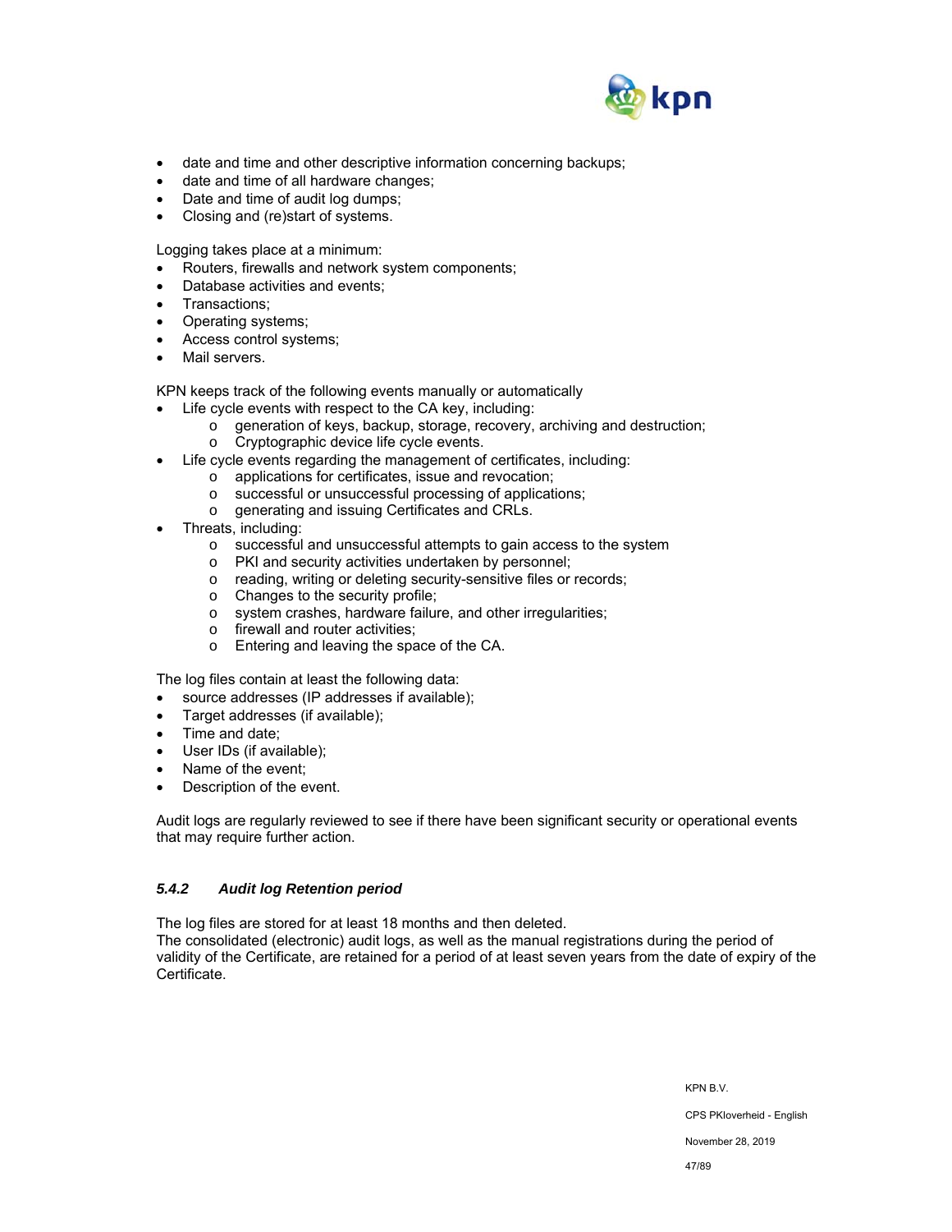

- date and time and other descriptive information concerning backups;
- date and time of all hardware changes;
- Date and time of audit log dumps;
- Closing and (re)start of systems.

Logging takes place at a minimum:

- Routers, firewalls and network system components;
- Database activities and events;
- Transactions;
- Operating systems;
- Access control systems;
- Mail servers.

KPN keeps track of the following events manually or automatically

- Life cycle events with respect to the CA key, including:
	- o generation of keys, backup, storage, recovery, archiving and destruction;
	- o Cryptographic device life cycle events.
- Life cycle events regarding the management of certificates, including:
	- o applications for certificates, issue and revocation;
		- o successful or unsuccessful processing of applications;
	- o generating and issuing Certificates and CRLs.
- Threats, including:
	- o successful and unsuccessful attempts to gain access to the system
	- o PKI and security activities undertaken by personnel;
	- o reading, writing or deleting security-sensitive files or records;
	- o Changes to the security profile;
	- o system crashes, hardware failure, and other irregularities;
	- o firewall and router activities;
	- o Entering and leaving the space of the CA.

The log files contain at least the following data:

- source addresses (IP addresses if available);
- Target addresses (if available);
- Time and date;
- User IDs (if available);
- Name of the event;
- Description of the event.

Audit logs are regularly reviewed to see if there have been significant security or operational events that may require further action.

### *5.4.2 Audit log Retention period*

The log files are stored for at least 18 months and then deleted.

The consolidated (electronic) audit logs, as well as the manual registrations during the period of validity of the Certificate, are retained for a period of at least seven years from the date of expiry of the Certificate.

KPN B.V.

CPS PKIoverheid - English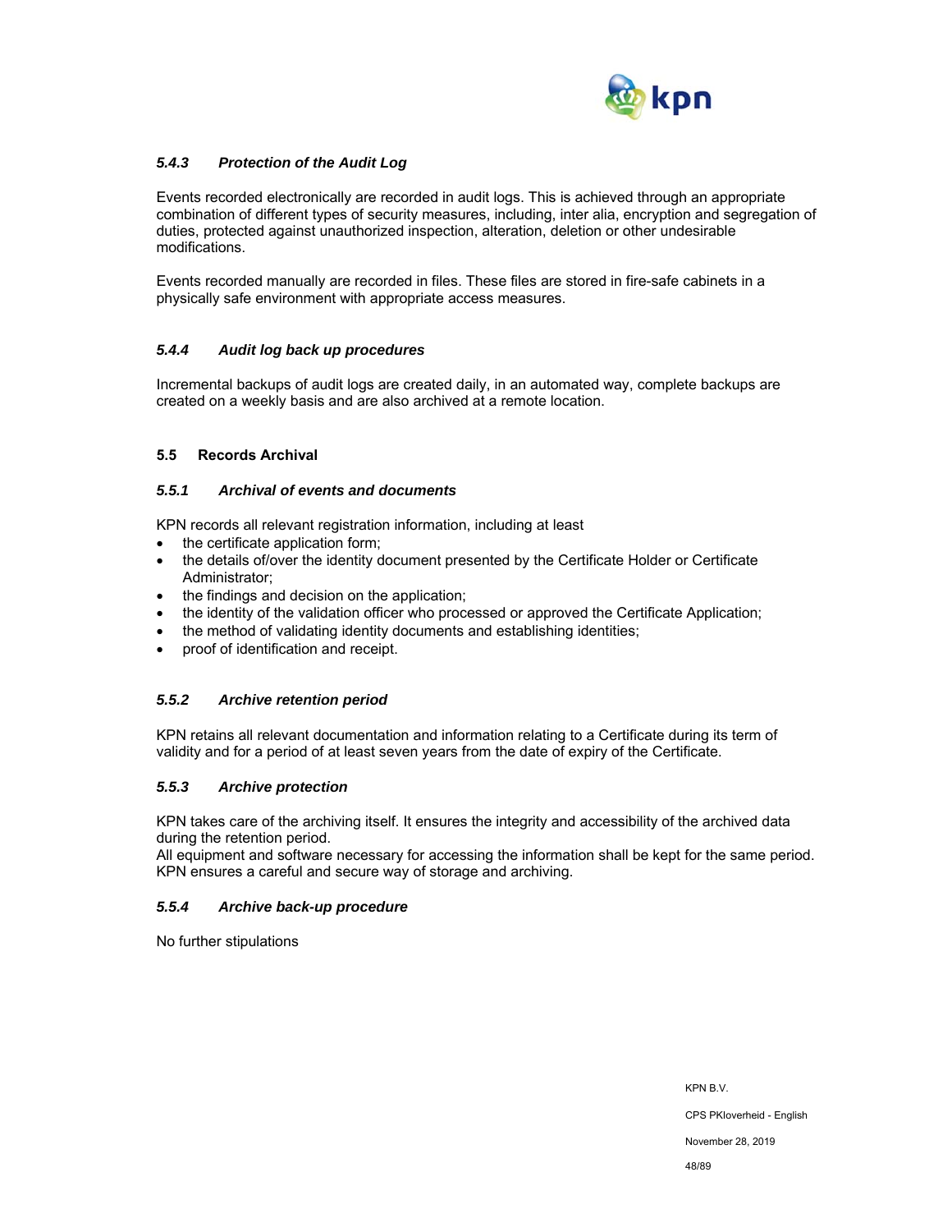

### *5.4.3 Protection of the Audit Log*

Events recorded electronically are recorded in audit logs. This is achieved through an appropriate combination of different types of security measures, including, inter alia, encryption and segregation of duties, protected against unauthorized inspection, alteration, deletion or other undesirable modifications.

Events recorded manually are recorded in files. These files are stored in fire-safe cabinets in a physically safe environment with appropriate access measures.

### *5.4.4 Audit log back up procedures*

Incremental backups of audit logs are created daily, in an automated way, complete backups are created on a weekly basis and are also archived at a remote location.

### **5.5 Records Archival**

### *5.5.1 Archival of events and documents*

KPN records all relevant registration information, including at least

- the certificate application form:
- the details of/over the identity document presented by the Certificate Holder or Certificate Administrator;
- the findings and decision on the application;
- the identity of the validation officer who processed or approved the Certificate Application;
- the method of validating identity documents and establishing identities;
- proof of identification and receipt.

#### *5.5.2 Archive retention period*

KPN retains all relevant documentation and information relating to a Certificate during its term of validity and for a period of at least seven years from the date of expiry of the Certificate.

### *5.5.3 Archive protection*

KPN takes care of the archiving itself. It ensures the integrity and accessibility of the archived data during the retention period.

All equipment and software necessary for accessing the information shall be kept for the same period. KPN ensures a careful and secure way of storage and archiving.

### *5.5.4 Archive back-up procedure*

No further stipulations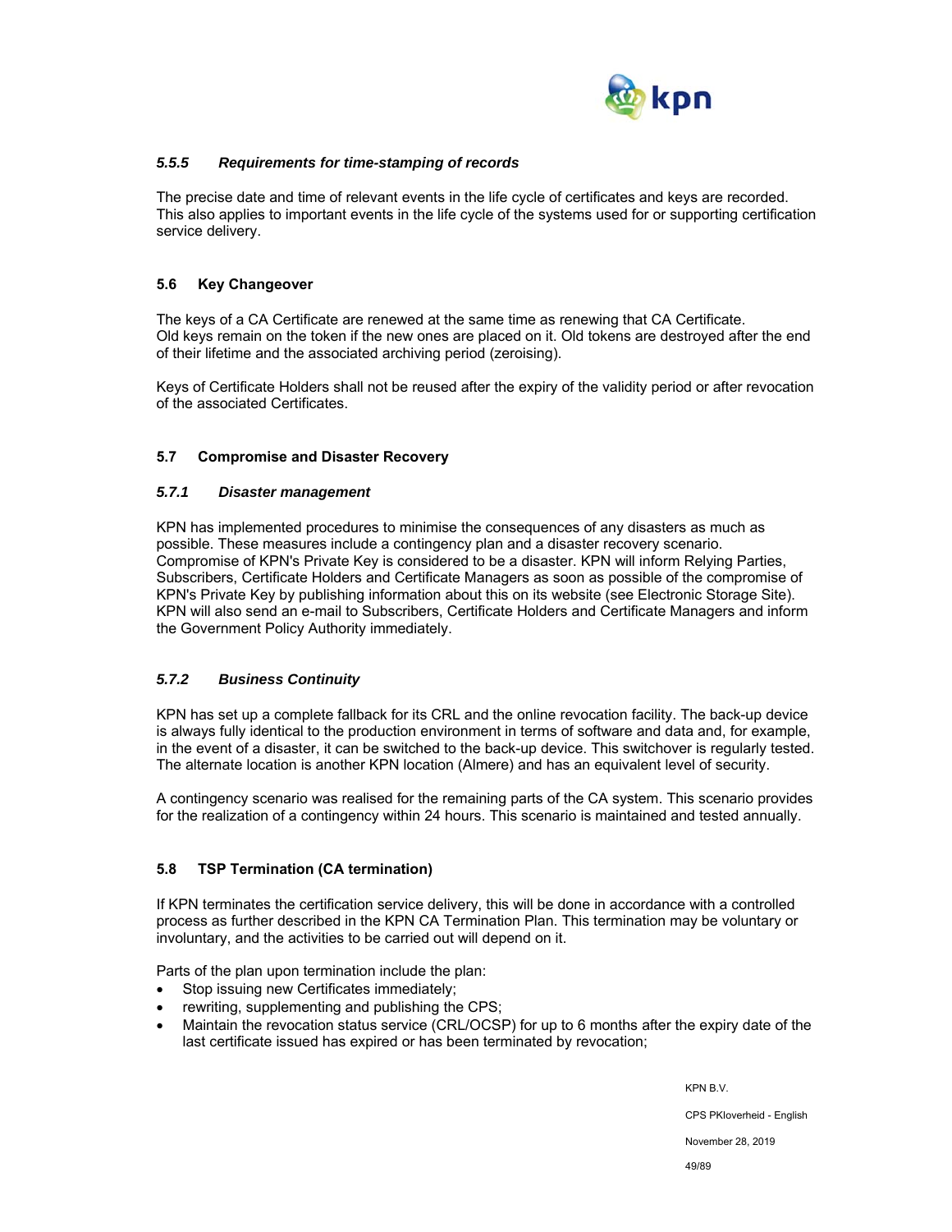

### *5.5.5 Requirements for time-stamping of records*

The precise date and time of relevant events in the life cycle of certificates and keys are recorded. This also applies to important events in the life cycle of the systems used for or supporting certification service delivery.

### **5.6 Key Changeover**

The keys of a CA Certificate are renewed at the same time as renewing that CA Certificate. Old keys remain on the token if the new ones are placed on it. Old tokens are destroyed after the end of their lifetime and the associated archiving period (zeroising).

Keys of Certificate Holders shall not be reused after the expiry of the validity period or after revocation of the associated Certificates.

### **5.7 Compromise and Disaster Recovery**

### *5.7.1 Disaster management*

KPN has implemented procedures to minimise the consequences of any disasters as much as possible. These measures include a contingency plan and a disaster recovery scenario. Compromise of KPN's Private Key is considered to be a disaster. KPN will inform Relying Parties, Subscribers, Certificate Holders and Certificate Managers as soon as possible of the compromise of KPN's Private Key by publishing information about this on its website (see Electronic Storage Site). KPN will also send an e-mail to Subscribers, Certificate Holders and Certificate Managers and inform the Government Policy Authority immediately.

### *5.7.2 Business Continuity*

KPN has set up a complete fallback for its CRL and the online revocation facility. The back-up device is always fully identical to the production environment in terms of software and data and, for example, in the event of a disaster, it can be switched to the back-up device. This switchover is regularly tested. The alternate location is another KPN location (Almere) and has an equivalent level of security.

A contingency scenario was realised for the remaining parts of the CA system. This scenario provides for the realization of a contingency within 24 hours. This scenario is maintained and tested annually.

### **5.8 TSP Termination (CA termination)**

If KPN terminates the certification service delivery, this will be done in accordance with a controlled process as further described in the KPN CA Termination Plan. This termination may be voluntary or involuntary, and the activities to be carried out will depend on it.

Parts of the plan upon termination include the plan:

- Stop issuing new Certificates immediately;
- rewriting, supplementing and publishing the CPS;
- Maintain the revocation status service (CRL/OCSP) for up to 6 months after the expiry date of the last certificate issued has expired or has been terminated by revocation;

KPN B.V.

CPS PKIoverheid - English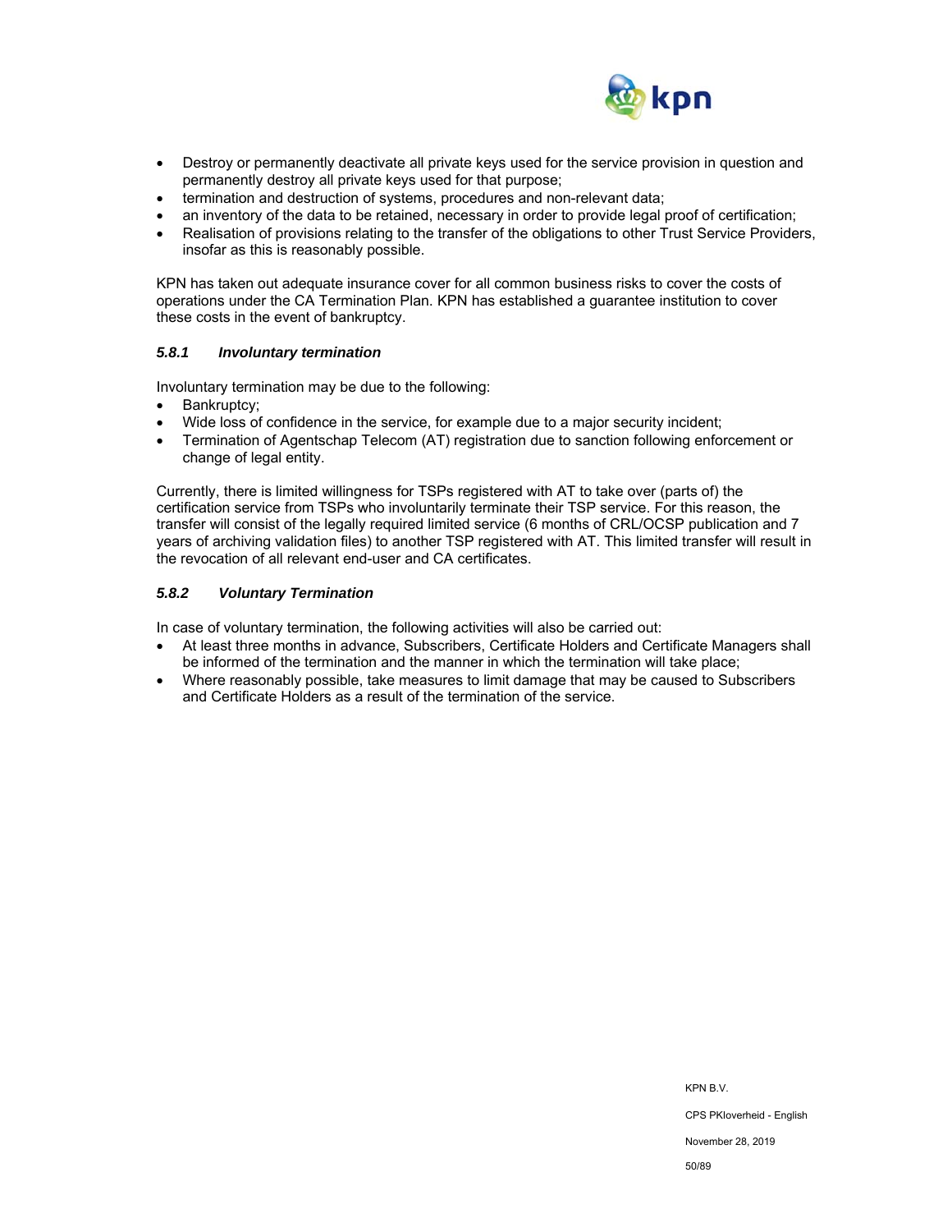

- Destroy or permanently deactivate all private keys used for the service provision in question and permanently destroy all private keys used for that purpose;
- termination and destruction of systems, procedures and non-relevant data;
- an inventory of the data to be retained, necessary in order to provide legal proof of certification;
- Realisation of provisions relating to the transfer of the obligations to other Trust Service Providers, insofar as this is reasonably possible.

KPN has taken out adequate insurance cover for all common business risks to cover the costs of operations under the CA Termination Plan. KPN has established a guarantee institution to cover these costs in the event of bankruptcy.

### *5.8.1 Involuntary termination*

Involuntary termination may be due to the following:<br>• Bankruptcy:

- Bankruptcy;
- Wide loss of confidence in the service, for example due to a major security incident;
- Termination of Agentschap Telecom (AT) registration due to sanction following enforcement or change of legal entity.

Currently, there is limited willingness for TSPs registered with AT to take over (parts of) the certification service from TSPs who involuntarily terminate their TSP service. For this reason, the transfer will consist of the legally required limited service (6 months of CRL/OCSP publication and 7 years of archiving validation files) to another TSP registered with AT. This limited transfer will result in the revocation of all relevant end-user and CA certificates.

### *5.8.2 Voluntary Termination*

In case of voluntary termination, the following activities will also be carried out:

- At least three months in advance, Subscribers, Certificate Holders and Certificate Managers shall be informed of the termination and the manner in which the termination will take place;
- Where reasonably possible, take measures to limit damage that may be caused to Subscribers and Certificate Holders as a result of the termination of the service.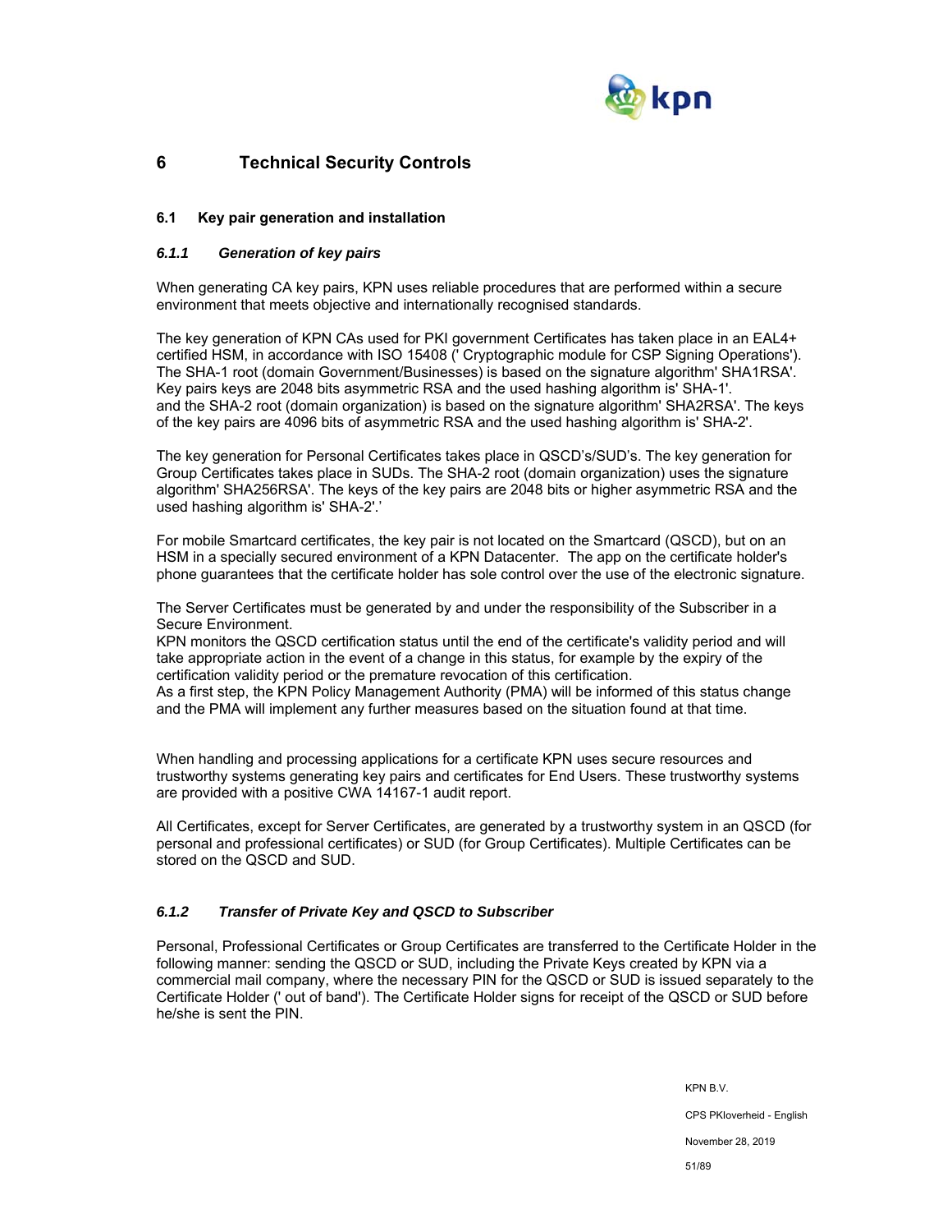

# **6 Technical Security Controls**

### **6.1 Key pair generation and installation**

### *6.1.1 Generation of key pairs*

When generating CA key pairs, KPN uses reliable procedures that are performed within a secure environment that meets objective and internationally recognised standards.

The key generation of KPN CAs used for PKI government Certificates has taken place in an EAL4+ certified HSM, in accordance with ISO 15408 (' Cryptographic module for CSP Signing Operations'). The SHA-1 root (domain Government/Businesses) is based on the signature algorithm' SHA1RSA'. Key pairs keys are 2048 bits asymmetric RSA and the used hashing algorithm is' SHA-1'. and the SHA-2 root (domain organization) is based on the signature algorithm' SHA2RSA'. The keys of the key pairs are 4096 bits of asymmetric RSA and the used hashing algorithm is' SHA-2'.

The key generation for Personal Certificates takes place in QSCD's/SUD's. The key generation for Group Certificates takes place in SUDs. The SHA-2 root (domain organization) uses the signature algorithm' SHA256RSA'. The keys of the key pairs are 2048 bits or higher asymmetric RSA and the used hashing algorithm is' SHA-2'.'

For mobile Smartcard certificates, the key pair is not located on the Smartcard (QSCD), but on an HSM in a specially secured environment of a KPN Datacenter. The app on the certificate holder's phone guarantees that the certificate holder has sole control over the use of the electronic signature.

The Server Certificates must be generated by and under the responsibility of the Subscriber in a Secure Environment.

KPN monitors the QSCD certification status until the end of the certificate's validity period and will take appropriate action in the event of a change in this status, for example by the expiry of the certification validity period or the premature revocation of this certification.

As a first step, the KPN Policy Management Authority (PMA) will be informed of this status change and the PMA will implement any further measures based on the situation found at that time.

When handling and processing applications for a certificate KPN uses secure resources and trustworthy systems generating key pairs and certificates for End Users. These trustworthy systems are provided with a positive CWA 14167-1 audit report.

All Certificates, except for Server Certificates, are generated by a trustworthy system in an QSCD (for personal and professional certificates) or SUD (for Group Certificates). Multiple Certificates can be stored on the QSCD and SUD.

### *6.1.2 Transfer of Private Key and QSCD to Subscriber*

Personal, Professional Certificates or Group Certificates are transferred to the Certificate Holder in the following manner: sending the QSCD or SUD, including the Private Keys created by KPN via a commercial mail company, where the necessary PIN for the QSCD or SUD is issued separately to the Certificate Holder (' out of band'). The Certificate Holder signs for receipt of the QSCD or SUD before he/she is sent the PIN.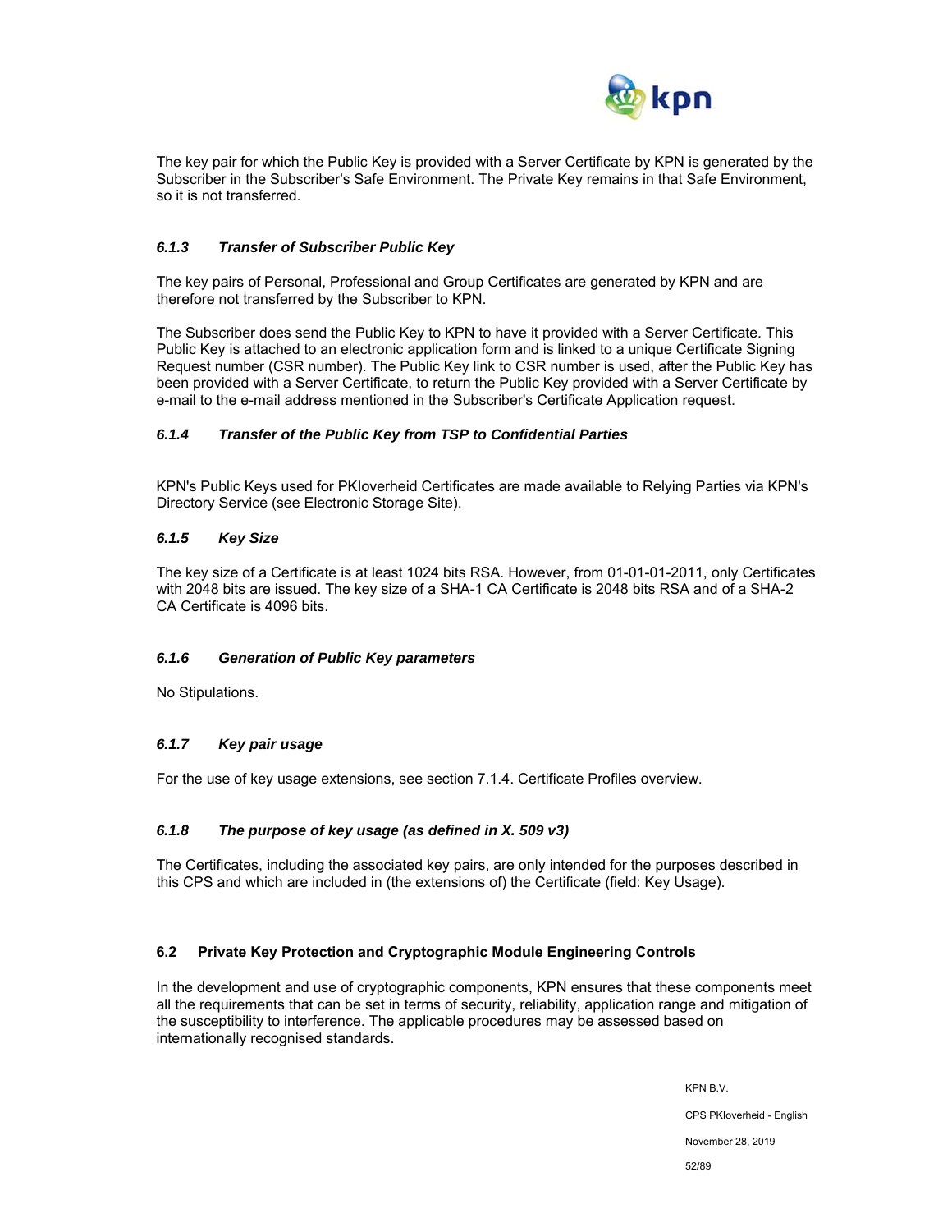

The key pair for which the Public Key is provided with a Server Certificate by KPN is generated by the Subscriber in the Subscriber's Safe Environment. The Private Key remains in that Safe Environment, so it is not transferred.

### *6.1.3 Transfer of Subscriber Public Key*

The key pairs of Personal, Professional and Group Certificates are generated by KPN and are therefore not transferred by the Subscriber to KPN.

The Subscriber does send the Public Key to KPN to have it provided with a Server Certificate. This Public Key is attached to an electronic application form and is linked to a unique Certificate Signing Request number (CSR number). The Public Key link to CSR number is used, after the Public Key has been provided with a Server Certificate, to return the Public Key provided with a Server Certificate by e-mail to the e-mail address mentioned in the Subscriber's Certificate Application request.

### *6.1.4 Transfer of the Public Key from TSP to Confidential Parties*

KPN's Public Keys used for PKIoverheid Certificates are made available to Relying Parties via KPN's Directory Service (see Electronic Storage Site).

### *6.1.5 Key Size*

The key size of a Certificate is at least 1024 bits RSA. However, from 01-01-01-2011, only Certificates with 2048 bits are issued. The key size of a SHA-1 CA Certificate is 2048 bits RSA and of a SHA-2 CA Certificate is 4096 bits.

#### *6.1.6 Generation of Public Key parameters*

No Stipulations.

### *6.1.7 Key pair usage*

For the use of key usage extensions, see section 7.1.4. Certificate Profiles overview.

### *6.1.8 The purpose of key usage (as defined in X. 509 v3)*

The Certificates, including the associated key pairs, are only intended for the purposes described in this CPS and which are included in (the extensions of) the Certificate (field: Key Usage).

#### **6.2 Private Key Protection and Cryptographic Module Engineering Controls**

In the development and use of cryptographic components, KPN ensures that these components meet all the requirements that can be set in terms of security, reliability, application range and mitigation of the susceptibility to interference. The applicable procedures may be assessed based on internationally recognised standards.

> KPN B.V. CPS PKIoverheid - English November 28, 2019 52/89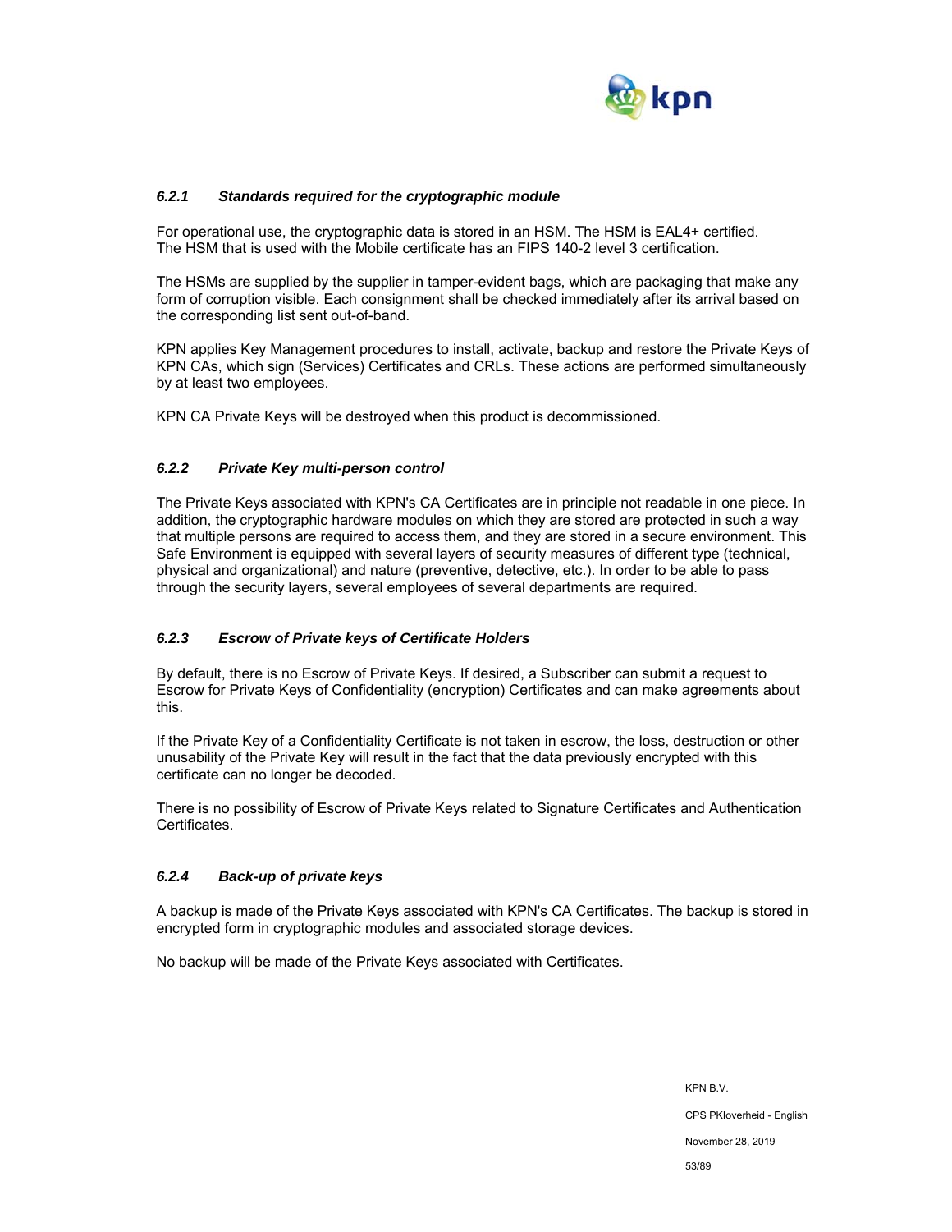

### *6.2.1 Standards required for the cryptographic module*

For operational use, the cryptographic data is stored in an HSM. The HSM is EAL4+ certified. The HSM that is used with the Mobile certificate has an FIPS 140-2 level 3 certification.

The HSMs are supplied by the supplier in tamper-evident bags, which are packaging that make any form of corruption visible. Each consignment shall be checked immediately after its arrival based on the corresponding list sent out-of-band.

KPN applies Key Management procedures to install, activate, backup and restore the Private Keys of KPN CAs, which sign (Services) Certificates and CRLs. These actions are performed simultaneously by at least two employees.

KPN CA Private Keys will be destroyed when this product is decommissioned.

#### *6.2.2 Private Key multi-person control*

The Private Keys associated with KPN's CA Certificates are in principle not readable in one piece. In addition, the cryptographic hardware modules on which they are stored are protected in such a way that multiple persons are required to access them, and they are stored in a secure environment. This Safe Environment is equipped with several layers of security measures of different type (technical, physical and organizational) and nature (preventive, detective, etc.). In order to be able to pass through the security layers, several employees of several departments are required.

#### *6.2.3 Escrow of Private keys of Certificate Holders*

By default, there is no Escrow of Private Keys. If desired, a Subscriber can submit a request to Escrow for Private Keys of Confidentiality (encryption) Certificates and can make agreements about this.

If the Private Key of a Confidentiality Certificate is not taken in escrow, the loss, destruction or other unusability of the Private Key will result in the fact that the data previously encrypted with this certificate can no longer be decoded.

There is no possibility of Escrow of Private Keys related to Signature Certificates and Authentication Certificates.

### *6.2.4 Back-up of private keys*

A backup is made of the Private Keys associated with KPN's CA Certificates. The backup is stored in encrypted form in cryptographic modules and associated storage devices.

No backup will be made of the Private Keys associated with Certificates.

KPN B.V. CPS PKIoverheid - English November 28, 2019 53/89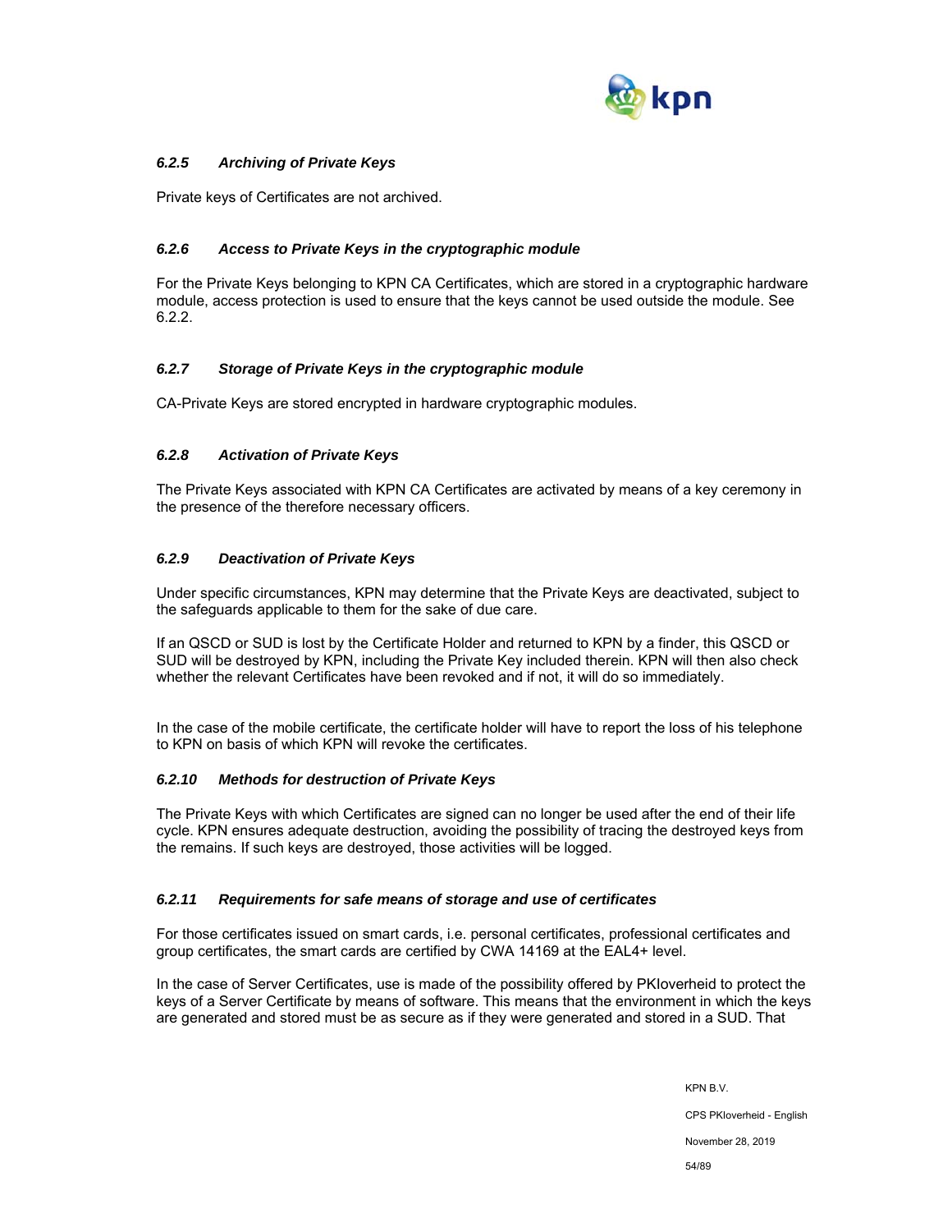

### *6.2.5 Archiving of Private Keys*

Private keys of Certificates are not archived.

### *6.2.6 Access to Private Keys in the cryptographic module*

For the Private Keys belonging to KPN CA Certificates, which are stored in a cryptographic hardware module, access protection is used to ensure that the keys cannot be used outside the module. See 6.2.2.

### *6.2.7 Storage of Private Keys in the cryptographic module*

CA-Private Keys are stored encrypted in hardware cryptographic modules.

### *6.2.8 Activation of Private Keys*

The Private Keys associated with KPN CA Certificates are activated by means of a key ceremony in the presence of the therefore necessary officers.

### *6.2.9 Deactivation of Private Keys*

Under specific circumstances, KPN may determine that the Private Keys are deactivated, subject to the safeguards applicable to them for the sake of due care.

If an QSCD or SUD is lost by the Certificate Holder and returned to KPN by a finder, this QSCD or SUD will be destroyed by KPN, including the Private Key included therein. KPN will then also check whether the relevant Certificates have been revoked and if not, it will do so immediately.

In the case of the mobile certificate, the certificate holder will have to report the loss of his telephone to KPN on basis of which KPN will revoke the certificates.

### *6.2.10 Methods for destruction of Private Keys*

The Private Keys with which Certificates are signed can no longer be used after the end of their life cycle. KPN ensures adequate destruction, avoiding the possibility of tracing the destroyed keys from the remains. If such keys are destroyed, those activities will be logged.

#### *6.2.11 Requirements for safe means of storage and use of certificates*

For those certificates issued on smart cards, i.e. personal certificates, professional certificates and group certificates, the smart cards are certified by CWA 14169 at the EAL4+ level.

In the case of Server Certificates, use is made of the possibility offered by PKIoverheid to protect the keys of a Server Certificate by means of software. This means that the environment in which the keys are generated and stored must be as secure as if they were generated and stored in a SUD. That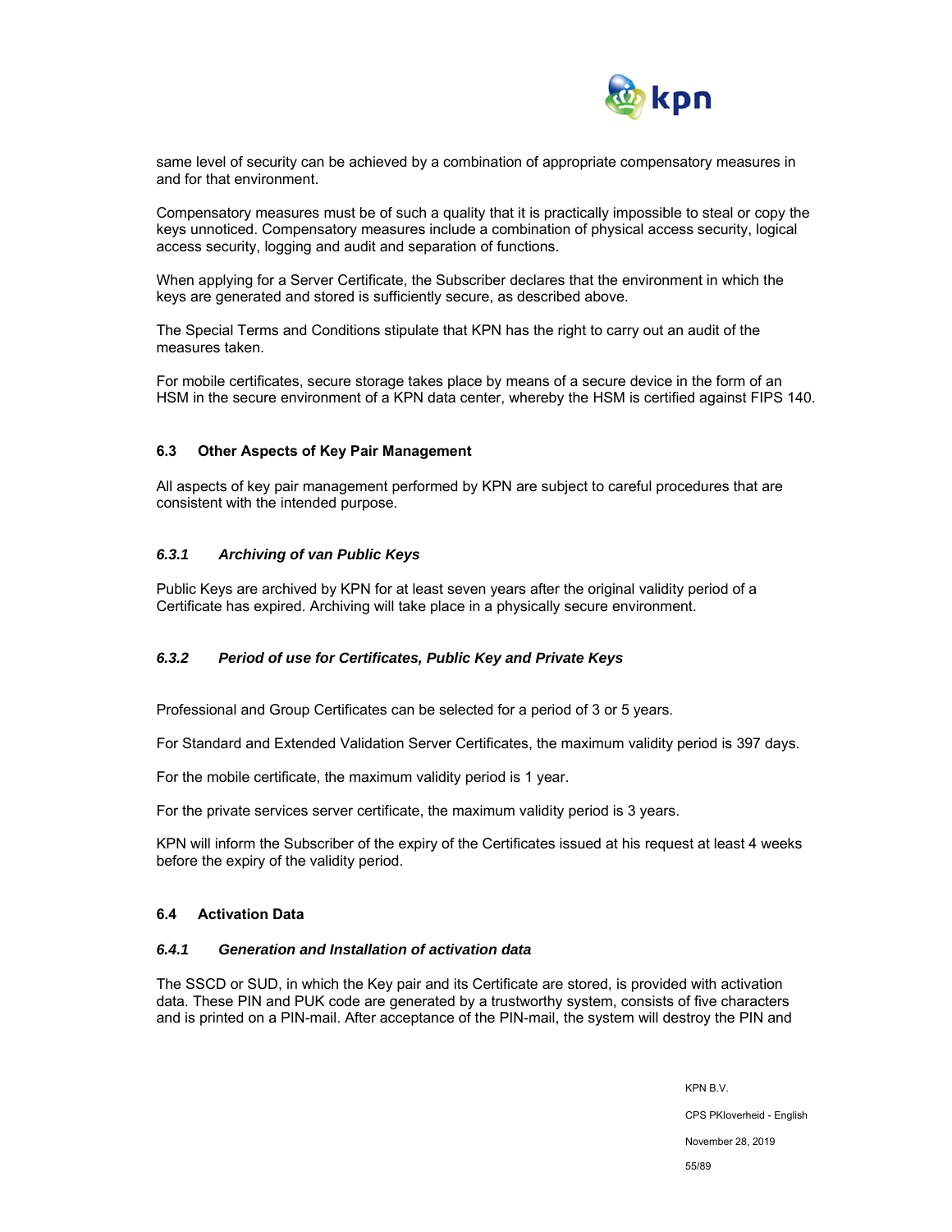

same level of security can be achieved by a combination of appropriate compensatory measures in and for that environment.

Compensatory measures must be of such a quality that it is practically impossible to steal or copy the keys unnoticed. Compensatory measures include a combination of physical access security, logical access security, logging and audit and separation of functions.

When applying for a Server Certificate, the Subscriber declares that the environment in which the keys are generated and stored is sufficiently secure, as described above.

The Special Terms and Conditions stipulate that KPN has the right to carry out an audit of the measures taken.

For mobile certificates, secure storage takes place by means of a secure device in the form of an HSM in the secure environment of a KPN data center, whereby the HSM is certified against FIPS 140.

#### **6.3 Other Aspects of Key Pair Management**

All aspects of key pair management performed by KPN are subject to careful procedures that are consistent with the intended purpose.

### *6.3.1 Archiving of van Public Keys*

Public Keys are archived by KPN for at least seven years after the original validity period of a Certificate has expired. Archiving will take place in a physically secure environment.

### *6.3.2 Period of use for Certificates, Public Key and Private Keys*

Professional and Group Certificates can be selected for a period of 3 or 5 years.

For Standard and Extended Validation Server Certificates, the maximum validity period is 397 days.

For the mobile certificate, the maximum validity period is 1 year.

For the private services server certificate, the maximum validity period is 3 years.

KPN will inform the Subscriber of the expiry of the Certificates issued at his request at least 4 weeks before the expiry of the validity period.

#### **6.4 Activation Data**

### *6.4.1 Generation and Installation of activation data*

The SSCD or SUD, in which the Key pair and its Certificate are stored, is provided with activation data. These PIN and PUK code are generated by a trustworthy system, consists of five characters and is printed on a PIN-mail. After acceptance of the PIN-mail, the system will destroy the PIN and

November 28, 2019

55/89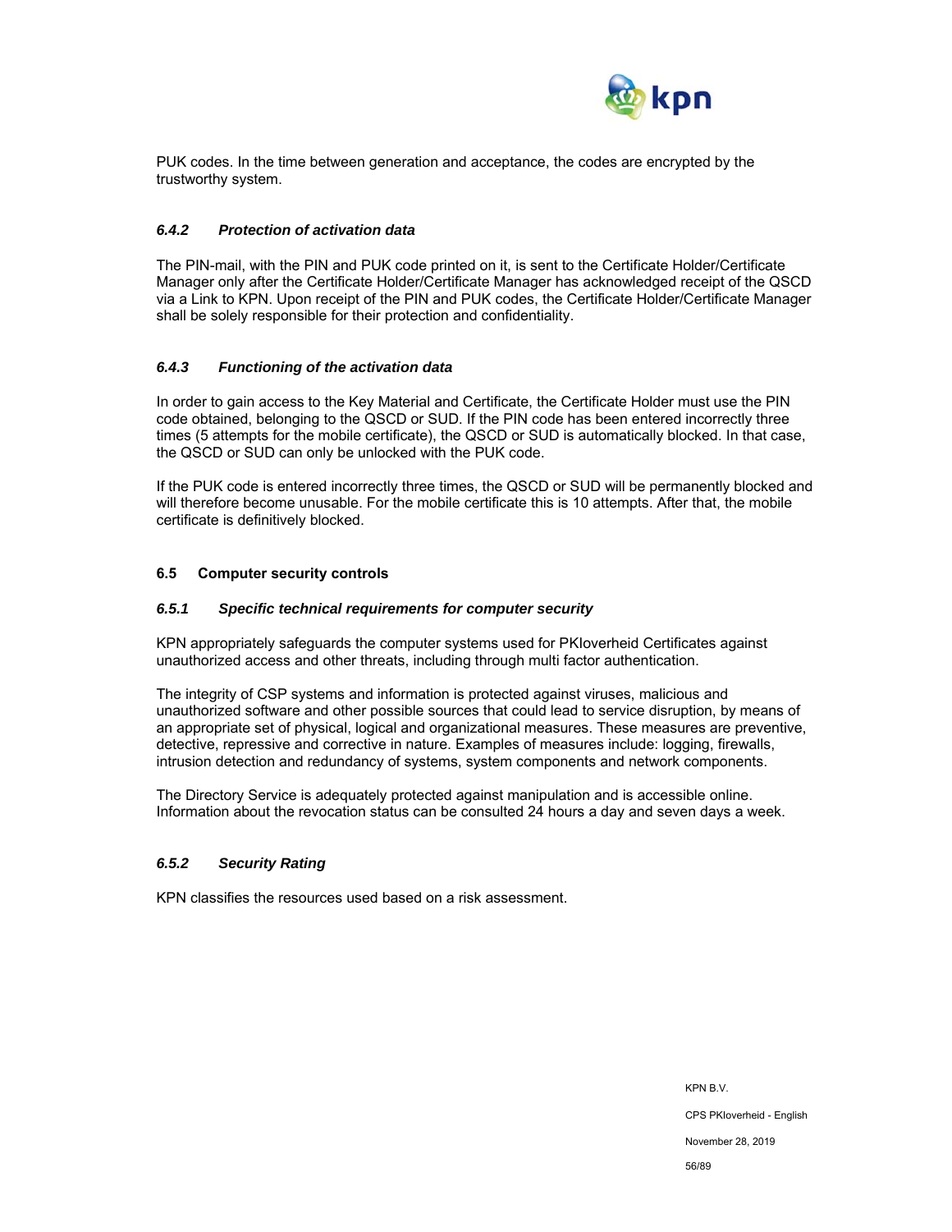

PUK codes. In the time between generation and acceptance, the codes are encrypted by the trustworthy system.

### *6.4.2 Protection of activation data*

The PIN-mail, with the PIN and PUK code printed on it, is sent to the Certificate Holder/Certificate Manager only after the Certificate Holder/Certificate Manager has acknowledged receipt of the QSCD via a Link to KPN. Upon receipt of the PIN and PUK codes, the Certificate Holder/Certificate Manager shall be solely responsible for their protection and confidentiality.

### *6.4.3 Functioning of the activation data*

In order to gain access to the Key Material and Certificate, the Certificate Holder must use the PIN code obtained, belonging to the QSCD or SUD. If the PIN code has been entered incorrectly three times (5 attempts for the mobile certificate), the QSCD or SUD is automatically blocked. In that case, the QSCD or SUD can only be unlocked with the PUK code.

If the PUK code is entered incorrectly three times, the QSCD or SUD will be permanently blocked and will therefore become unusable. For the mobile certificate this is 10 attempts. After that, the mobile certificate is definitively blocked.

### **6.5 Computer security controls**

#### *6.5.1 Specific technical requirements for computer security*

KPN appropriately safeguards the computer systems used for PKIoverheid Certificates against unauthorized access and other threats, including through multi factor authentication.

The integrity of CSP systems and information is protected against viruses, malicious and unauthorized software and other possible sources that could lead to service disruption, by means of an appropriate set of physical, logical and organizational measures. These measures are preventive, detective, repressive and corrective in nature. Examples of measures include: logging, firewalls, intrusion detection and redundancy of systems, system components and network components.

The Directory Service is adequately protected against manipulation and is accessible online. Information about the revocation status can be consulted 24 hours a day and seven days a week.

### *6.5.2 Security Rating*

KPN classifies the resources used based on a risk assessment.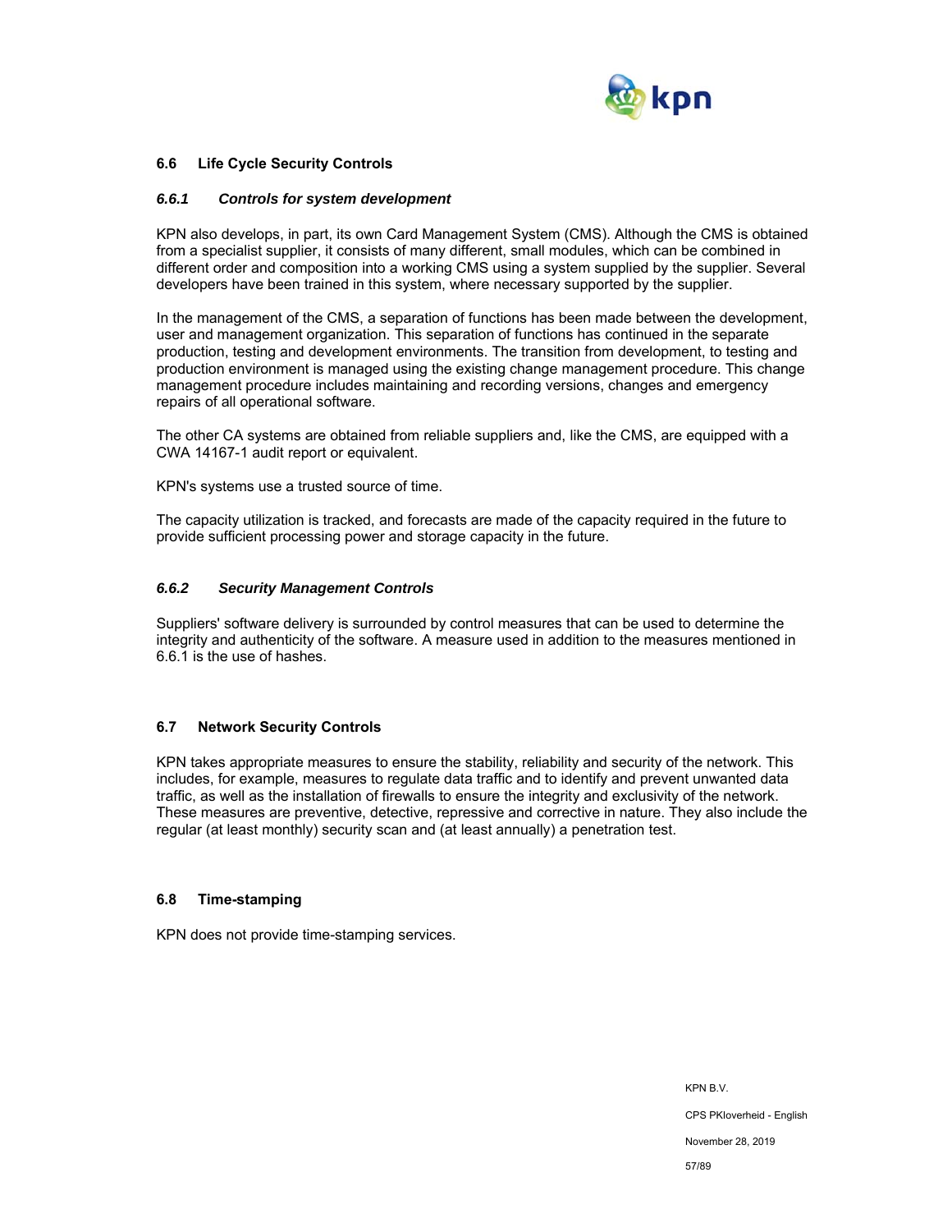

### **6.6 Life Cycle Security Controls**

#### *6.6.1 Controls for system development*

KPN also develops, in part, its own Card Management System (CMS). Although the CMS is obtained from a specialist supplier, it consists of many different, small modules, which can be combined in different order and composition into a working CMS using a system supplied by the supplier. Several developers have been trained in this system, where necessary supported by the supplier.

In the management of the CMS, a separation of functions has been made between the development, user and management organization. This separation of functions has continued in the separate production, testing and development environments. The transition from development, to testing and production environment is managed using the existing change management procedure. This change management procedure includes maintaining and recording versions, changes and emergency repairs of all operational software.

The other CA systems are obtained from reliable suppliers and, like the CMS, are equipped with a CWA 14167-1 audit report or equivalent.

KPN's systems use a trusted source of time.

The capacity utilization is tracked, and forecasts are made of the capacity required in the future to provide sufficient processing power and storage capacity in the future.

#### *6.6.2 Security Management Controls*

Suppliers' software delivery is surrounded by control measures that can be used to determine the integrity and authenticity of the software. A measure used in addition to the measures mentioned in 6.6.1 is the use of hashes.

### **6.7 Network Security Controls**

KPN takes appropriate measures to ensure the stability, reliability and security of the network. This includes, for example, measures to regulate data traffic and to identify and prevent unwanted data traffic, as well as the installation of firewalls to ensure the integrity and exclusivity of the network. These measures are preventive, detective, repressive and corrective in nature. They also include the regular (at least monthly) security scan and (at least annually) a penetration test.

#### **6.8 Time-stamping**

KPN does not provide time-stamping services.

KPN B.V. CPS PKIoverheid - English November 28, 2019 57/89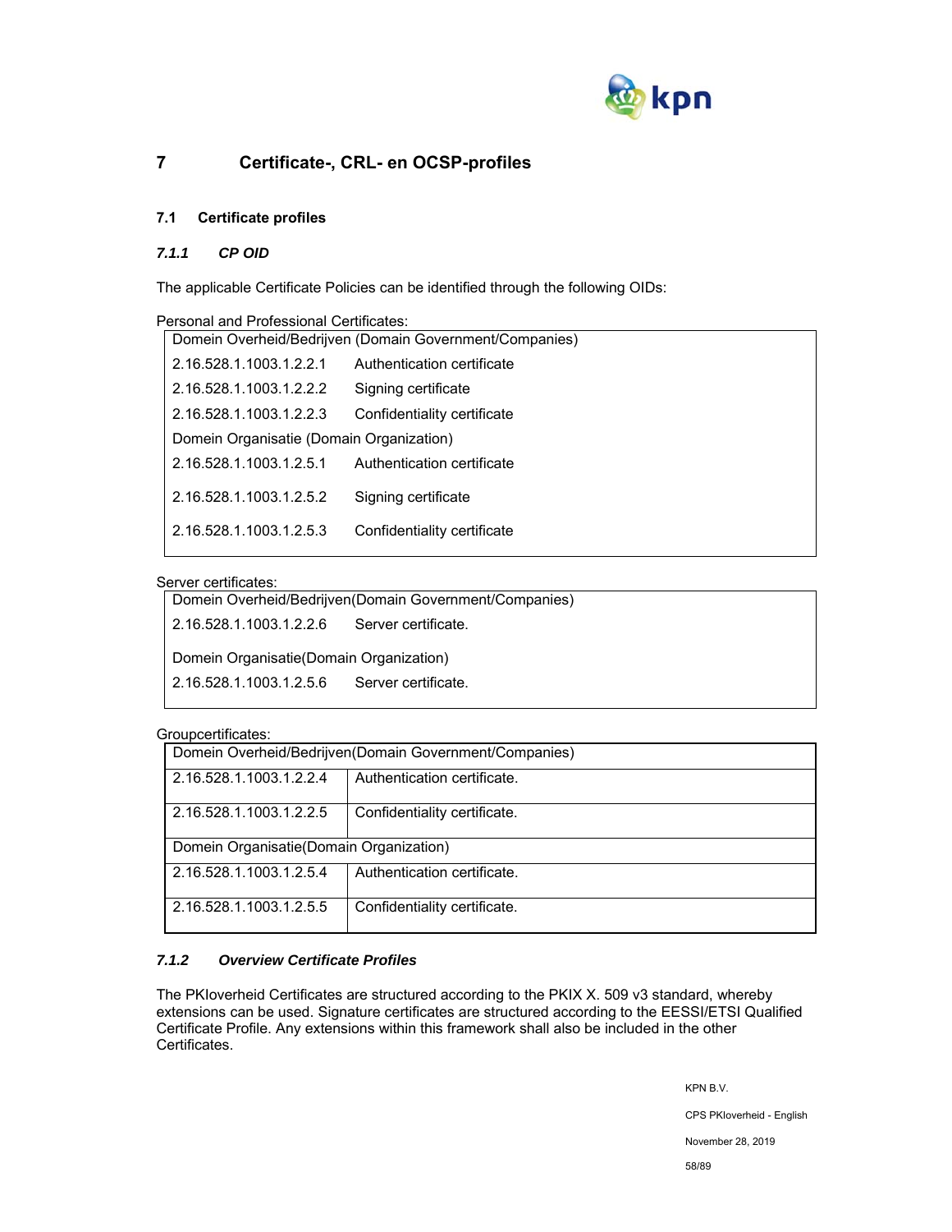

# **7 Certificate-, CRL- en OCSP-profiles**

# **7.1 Certificate profiles**

### *7.1.1 CP OID*

The applicable Certificate Policies can be identified through the following OIDs:

|                                          | Personal and Professional Certificates:                 |                             |  |
|------------------------------------------|---------------------------------------------------------|-----------------------------|--|
|                                          | Domein Overheid/Bedrijven (Domain Government/Companies) |                             |  |
|                                          | 2.16.528.1.1003.1.2.2.1                                 | Authentication certificate  |  |
|                                          | 2.16.528.1.1003.1.2.2.2                                 | Signing certificate         |  |
|                                          | 2.16.528.1.1003.1.2.2.3                                 | Confidentiality certificate |  |
| Domein Organisatie (Domain Organization) |                                                         |                             |  |
|                                          | 2.16.528.1.1003.1.2.5.1                                 | Authentication certificate  |  |
|                                          | 2.16.528.1.1003.1.2.5.2                                 | Signing certificate         |  |
|                                          | 2.16.528.1.1003.1.2.5.3                                 | Confidentiality certificate |  |

### Server certificates:

| Domein Overheid/Bedrijven (Domain Government/Companies) |  |  |
|---------------------------------------------------------|--|--|
| 2.16.528.1.1003.1.2.2.6<br>Server certificate.          |  |  |
| Domein Organisatie (Domain Organization)                |  |  |
| 2.16.528.1.1003.1.2.5.6<br>Server certificate.          |  |  |
|                                                         |  |  |

#### Groupcertificates:

| -----------------                                       |                              |  |  |  |
|---------------------------------------------------------|------------------------------|--|--|--|
| Domein Overheid/Bedrijven(Domain Government/Companies)  |                              |  |  |  |
| Authentication certificate.<br>2.16.528.1.1003.1.2.2.4  |                              |  |  |  |
| Confidentiality certificate.<br>2.16.528.1.1003.1.2.2.5 |                              |  |  |  |
| Domein Organisatie (Domain Organization)                |                              |  |  |  |
| Authentication certificate.<br>2.16.528.1.1003.1.2.5.4  |                              |  |  |  |
| 2.16.528.1.1003.1.2.5.5                                 | Confidentiality certificate. |  |  |  |

### *7.1.2 Overview Certificate Profiles*

The PKIoverheid Certificates are structured according to the PKIX X. 509 v3 standard, whereby extensions can be used. Signature certificates are structured according to the EESSI/ETSI Qualified Certificate Profile. Any extensions within this framework shall also be included in the other Certificates.

KPN B.V.

CPS PKIoverheid - English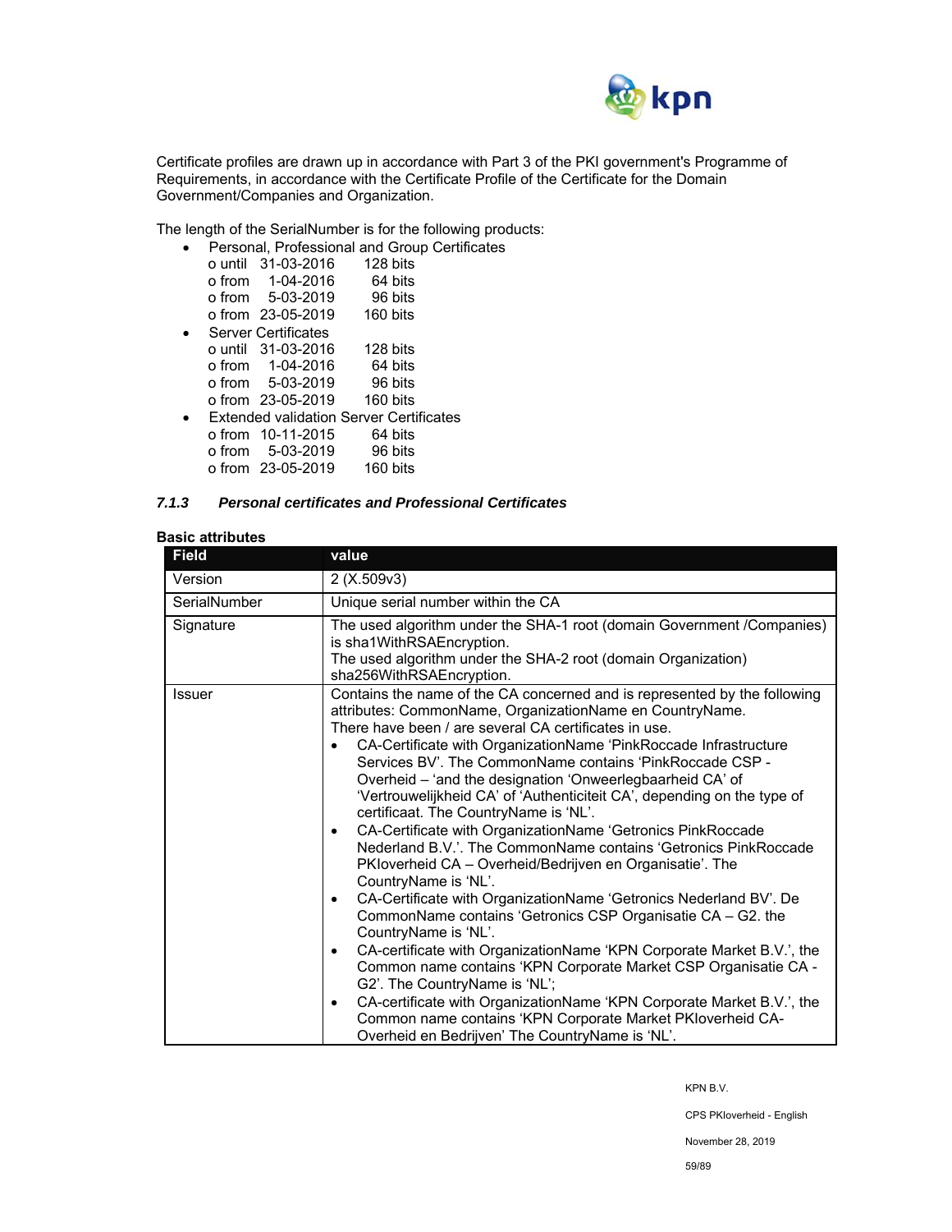

Certificate profiles are drawn up in accordance with Part 3 of the PKI government's Programme of Requirements, in accordance with the Certificate Profile of the Certificate for the Domain Government/Companies and Organization.

The length of the SerialNumber is for the following products:

|  | Personal, Professional and Group Certificates  |          |         |  |
|--|------------------------------------------------|----------|---------|--|
|  | o until 31-03-2016                             | 128 bits |         |  |
|  | $o from 1-04-2016$                             |          | 64 bits |  |
|  | o from 5-03-2019                               |          | 96 bits |  |
|  | o from 23-05-2019                              | 160 bits |         |  |
|  | <b>Server Certificates</b>                     |          |         |  |
|  | o until 31-03-2016                             | 128 bits |         |  |
|  | o from 1-04-2016                               |          | 64 bits |  |
|  | o from 5-03-2019                               |          | 96 bits |  |
|  | o from 23-05-2019                              | 160 bits |         |  |
|  | <b>Extended validation Server Certificates</b> |          |         |  |
|  | o from 10-11-2015                              |          | 64 bits |  |
|  | o from 5-03-2019                               |          | 96 bits |  |
|  | o from 23-05-2019                              | 160 bits |         |  |

### *7.1.3 Personal certificates and Professional Certificates*

### **Basic attributes**

| <b>Field</b>                                                                                                                                                                                                  | value                                                                                                                                                                                                                                                                                                                                                                                                                                                                                                                                                                                                                                                                                                                                                                                                                                                                                                                                                                                                                                                                                                                                                                                                                                                                                        |  |
|---------------------------------------------------------------------------------------------------------------------------------------------------------------------------------------------------------------|----------------------------------------------------------------------------------------------------------------------------------------------------------------------------------------------------------------------------------------------------------------------------------------------------------------------------------------------------------------------------------------------------------------------------------------------------------------------------------------------------------------------------------------------------------------------------------------------------------------------------------------------------------------------------------------------------------------------------------------------------------------------------------------------------------------------------------------------------------------------------------------------------------------------------------------------------------------------------------------------------------------------------------------------------------------------------------------------------------------------------------------------------------------------------------------------------------------------------------------------------------------------------------------------|--|
| Version                                                                                                                                                                                                       | 2(X.509v3)                                                                                                                                                                                                                                                                                                                                                                                                                                                                                                                                                                                                                                                                                                                                                                                                                                                                                                                                                                                                                                                                                                                                                                                                                                                                                   |  |
| SerialNumber                                                                                                                                                                                                  | Unique serial number within the CA                                                                                                                                                                                                                                                                                                                                                                                                                                                                                                                                                                                                                                                                                                                                                                                                                                                                                                                                                                                                                                                                                                                                                                                                                                                           |  |
| The used algorithm under the SHA-1 root (domain Government /Companies)<br>Signature<br>is sha1WithRSAEncryption.<br>The used algorithm under the SHA-2 root (domain Organization)<br>sha256WithRSAEncryption. |                                                                                                                                                                                                                                                                                                                                                                                                                                                                                                                                                                                                                                                                                                                                                                                                                                                                                                                                                                                                                                                                                                                                                                                                                                                                                              |  |
| <b>Issuer</b>                                                                                                                                                                                                 | Contains the name of the CA concerned and is represented by the following<br>attributes: CommonName, OrganizationName en CountryName.<br>There have been / are several CA certificates in use.<br>CA-Certificate with OrganizationName 'PinkRoccade Infrastructure<br>Services BV'. The CommonName contains 'PinkRoccade CSP -<br>Overheid - 'and the designation 'Onweerlegbaarheid CA' of<br>'Vertrouwelijkheid CA' of 'Authenticiteit CA', depending on the type of<br>certificaat. The CountryName is 'NL'.<br>CA-Certificate with OrganizationName 'Getronics PinkRoccade<br>٠<br>Nederland B.V.'. The CommonName contains 'Getronics PinkRoccade<br>PKloverheid CA - Overheid/Bedrijven en Organisatie'. The<br>CountryName is 'NL'.<br>CA-Certificate with OrganizationName 'Getronics Nederland BV'. De<br>٠<br>CommonName contains 'Getronics CSP Organisatie CA - G2. the<br>CountryName is 'NL'.<br>CA-certificate with OrganizationName 'KPN Corporate Market B.V.', the<br>٠<br>Common name contains 'KPN Corporate Market CSP Organisatie CA -<br>G2'. The CountryName is 'NL';<br>CA-certificate with OrganizationName 'KPN Corporate Market B.V.', the<br>٠<br>Common name contains 'KPN Corporate Market PKIoverheid CA-<br>Overheid en Bedrijven' The CountryName is 'NL'. |  |

KPN B.V.

CPS PKIoverheid - English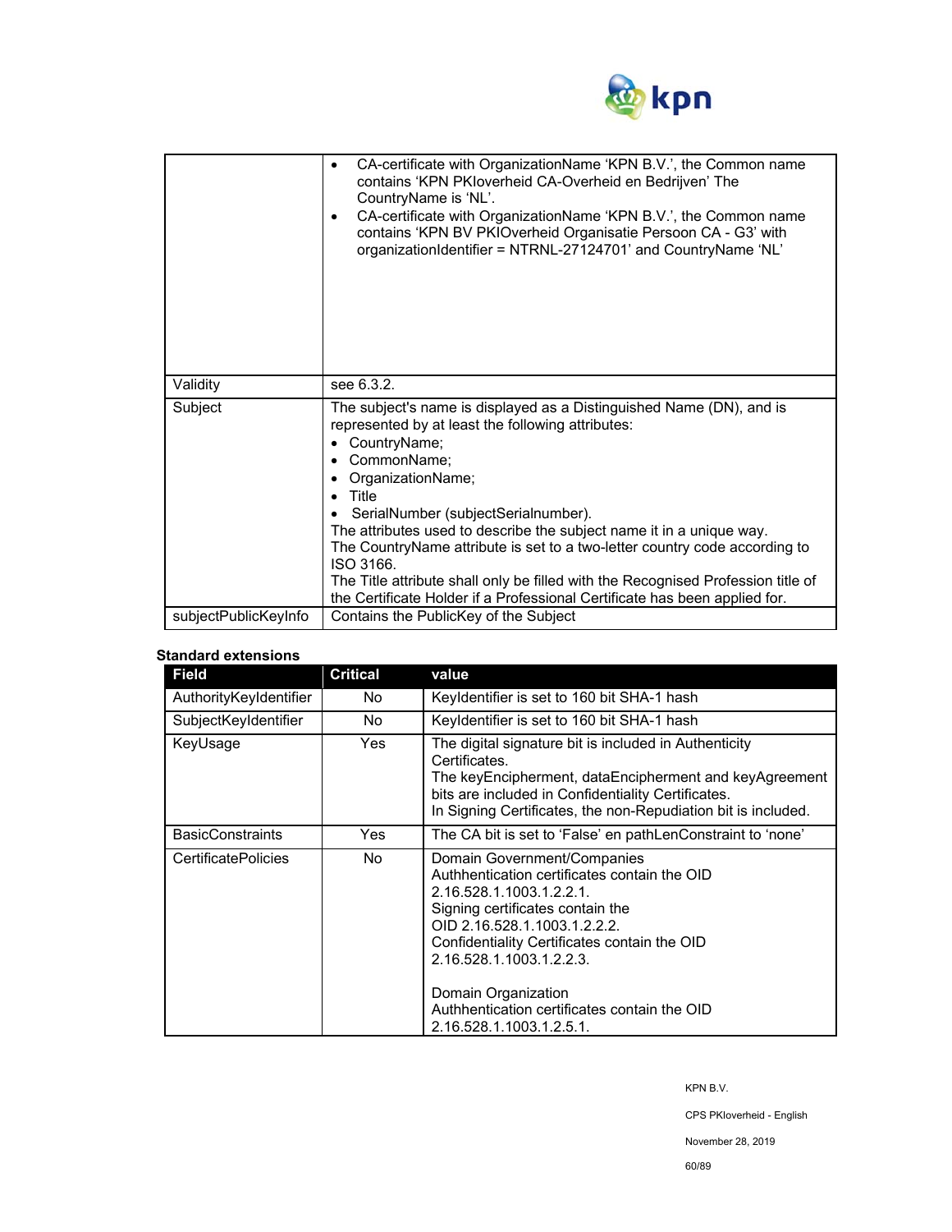

|                      | CA-certificate with OrganizationName 'KPN B.V.', the Common name<br>٠<br>contains 'KPN PKIoverheid CA-Overheid en Bedrijven' The<br>CountryName is 'NL'.<br>CA-certificate with OrganizationName 'KPN B.V.', the Common name<br>٠<br>contains 'KPN BV PKIOverheid Organisatie Persoon CA - G3' with<br>organizationIdentifier = NTRNL-27124701' and CountryName 'NL'                                                                                                                                                                                                    |  |
|----------------------|-------------------------------------------------------------------------------------------------------------------------------------------------------------------------------------------------------------------------------------------------------------------------------------------------------------------------------------------------------------------------------------------------------------------------------------------------------------------------------------------------------------------------------------------------------------------------|--|
| Validity             | see 6.3.2.                                                                                                                                                                                                                                                                                                                                                                                                                                                                                                                                                              |  |
| Subject              | The subject's name is displayed as a Distinguished Name (DN), and is<br>represented by at least the following attributes:<br>CountryName;<br>٠<br>CommonName;<br>OrganizationName;<br>Title<br>SerialNumber (subjectSerialnumber).<br>The attributes used to describe the subject name it in a unique way.<br>The CountryName attribute is set to a two-letter country code according to<br>ISO 3166.<br>The Title attribute shall only be filled with the Recognised Profession title of<br>the Certificate Holder if a Professional Certificate has been applied for. |  |
| subjectPublicKeyInfo | Contains the PublicKey of the Subject                                                                                                                                                                                                                                                                                                                                                                                                                                                                                                                                   |  |

### **Standard extensions**

| <b>Field</b>               | <b>Critical</b> | value                                                                                                                                                                                                                                                                                                                                                      |
|----------------------------|-----------------|------------------------------------------------------------------------------------------------------------------------------------------------------------------------------------------------------------------------------------------------------------------------------------------------------------------------------------------------------------|
| AuthorityKeyIdentifier     | No.             | Keyldentifier is set to 160 bit SHA-1 hash                                                                                                                                                                                                                                                                                                                 |
| SubjectKeyIdentifier       | No.             | Keyldentifier is set to 160 bit SHA-1 hash                                                                                                                                                                                                                                                                                                                 |
| KeyUsage                   | <b>Yes</b>      | The digital signature bit is included in Authenticity<br>Certificates.<br>The keyEncipherment, dataEncipherment and keyAgreement<br>bits are included in Confidentiality Certificates.<br>In Signing Certificates, the non-Repudiation bit is included.                                                                                                    |
| <b>BasicConstraints</b>    | Yes             | The CA bit is set to 'False' en pathLenConstraint to 'none'                                                                                                                                                                                                                                                                                                |
| <b>CertificatePolicies</b> | No.             | Domain Government/Companies<br>Authhentication certificates contain the OID<br>2.16.528.1.1003.1.2.2.1.<br>Signing certificates contain the<br>OID 2.16.528.1.1003.1.2.2.2.<br>Confidentiality Certificates contain the OID<br>2.16.528.1.1003.1.2.2.3.<br>Domain Organization<br>Authhentication certificates contain the OID<br>2.16.528.1.1003.1.2.5.1. |

KPN B.V.

CPS PKIoverheid - English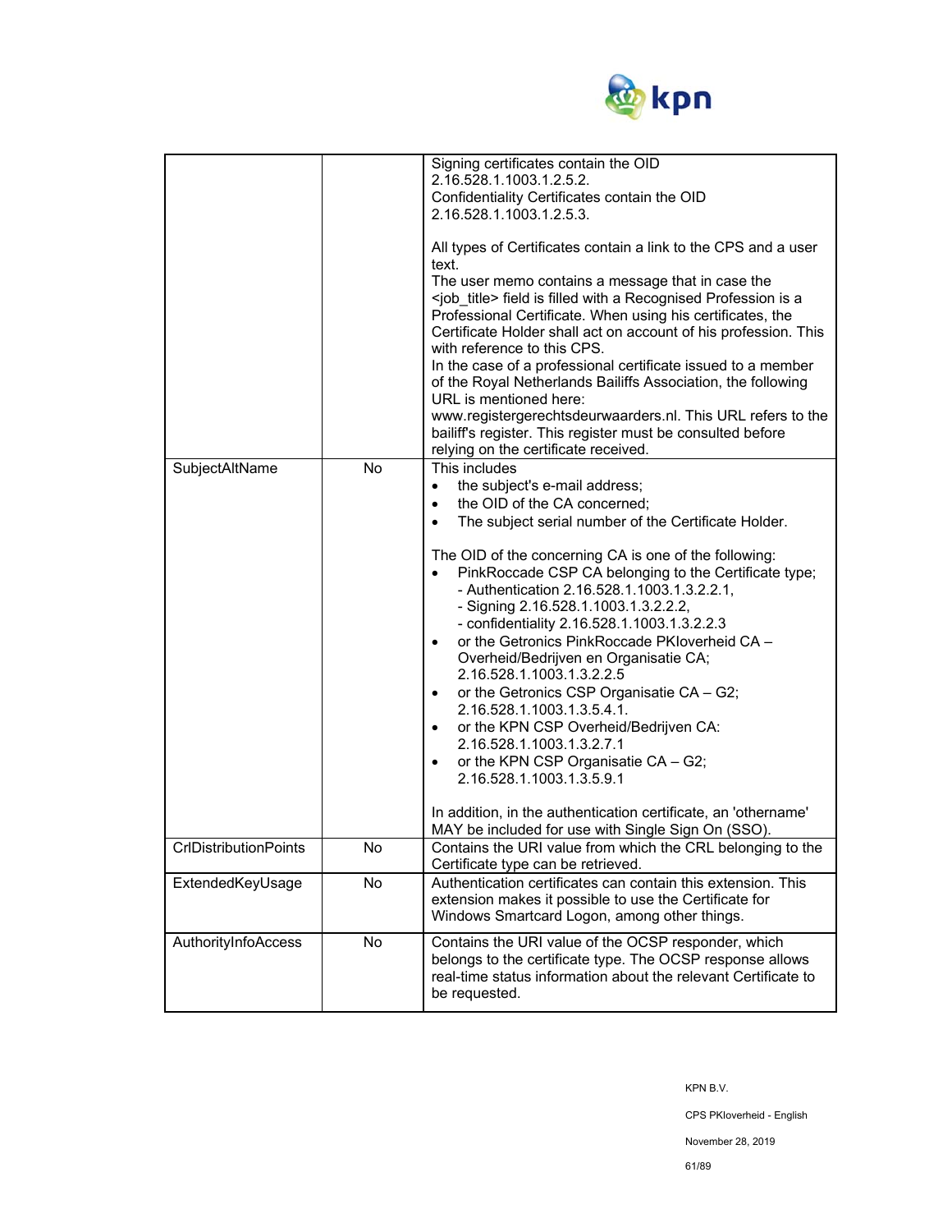

| SubjectAltName               | <b>No</b> | Signing certificates contain the OID<br>2.16.528.1.1003.1.2.5.2.<br>Confidentiality Certificates contain the OID<br>2.16.528.1.1003.1.2.5.3.<br>All types of Certificates contain a link to the CPS and a user<br>text.<br>The user memo contains a message that in case the<br><job_title> field is filled with a Recognised Profession is a<br/>Professional Certificate. When using his certificates, the<br/>Certificate Holder shall act on account of his profession. This<br/>with reference to this CPS.<br/>In the case of a professional certificate issued to a member<br/>of the Royal Netherlands Bailiffs Association, the following<br/>URL is mentioned here:<br/>www.registergerechtsdeurwaarders.nl. This URL refers to the<br/>bailiff's register. This register must be consulted before<br/>relying on the certificate received.<br/>This includes<br/>the subject's e-mail address;<br/><math>\bullet</math><br/>the OID of the CA concerned;<br/><math display="inline">\bullet</math><br/>The subject serial number of the Certificate Holder.<br/><math display="inline">\bullet</math><br/>The OID of the concerning CA is one of the following:<br/>PinkRoccade CSP CA belonging to the Certificate type;<br/>- Authentication 2.16.528.1.1003.1.3.2.2.1,<br/>- Signing 2.16.528.1.1003.1.3.2.2.2,<br/>- confidentiality 2.16.528.1.1003.1.3.2.2.3<br/>or the Getronics PinkRoccade PKIoverheid CA -<br/><math display="inline">\bullet</math><br/>Overheid/Bedrijven en Organisatie CA;<br/>2.16.528.1.1003.1.3.2.2.5<br/>or the Getronics CSP Organisatie CA - G2;<br/><math display="inline">\bullet</math><br/>2.16.528.1.1003.1.3.5.4.1.<br/>or the KPN CSP Overheid/Bedrijven CA:<br/><math display="inline">\bullet</math><br/>2.16.528.1.1003.1.3.2.7.1<br/>or the KPN CSP Organisatie CA - G2;<br/><math display="inline">\bullet</math><br/>2.16.528.1.1003.1.3.5.9.1<br/>In addition, in the authentication certificate, an 'othername'<br/>MAY be included for use with Single Sign On (SSO).</job_title> |
|------------------------------|-----------|--------------------------------------------------------------------------------------------------------------------------------------------------------------------------------------------------------------------------------------------------------------------------------------------------------------------------------------------------------------------------------------------------------------------------------------------------------------------------------------------------------------------------------------------------------------------------------------------------------------------------------------------------------------------------------------------------------------------------------------------------------------------------------------------------------------------------------------------------------------------------------------------------------------------------------------------------------------------------------------------------------------------------------------------------------------------------------------------------------------------------------------------------------------------------------------------------------------------------------------------------------------------------------------------------------------------------------------------------------------------------------------------------------------------------------------------------------------------------------------------------------------------------------------------------------------------------------------------------------------------------------------------------------------------------------------------------------------------------------------------------------------------------------------------------------------------------------------------------------------------------------------------------------------------------------------------------------------------------------------------------------------------------------------------------|
| <b>CrIDistributionPoints</b> | No        | Contains the URI value from which the CRL belonging to the<br>Certificate type can be retrieved.                                                                                                                                                                                                                                                                                                                                                                                                                                                                                                                                                                                                                                                                                                                                                                                                                                                                                                                                                                                                                                                                                                                                                                                                                                                                                                                                                                                                                                                                                                                                                                                                                                                                                                                                                                                                                                                                                                                                                 |
| ExtendedKeyUsage             | No        | Authentication certificates can contain this extension. This<br>extension makes it possible to use the Certificate for<br>Windows Smartcard Logon, among other things.                                                                                                                                                                                                                                                                                                                                                                                                                                                                                                                                                                                                                                                                                                                                                                                                                                                                                                                                                                                                                                                                                                                                                                                                                                                                                                                                                                                                                                                                                                                                                                                                                                                                                                                                                                                                                                                                           |
| AuthorityInfoAccess          | No        | Contains the URI value of the OCSP responder, which<br>belongs to the certificate type. The OCSP response allows<br>real-time status information about the relevant Certificate to<br>be requested.                                                                                                                                                                                                                                                                                                                                                                                                                                                                                                                                                                                                                                                                                                                                                                                                                                                                                                                                                                                                                                                                                                                                                                                                                                                                                                                                                                                                                                                                                                                                                                                                                                                                                                                                                                                                                                              |

KPN B.V.

CPS PKIoverheid - English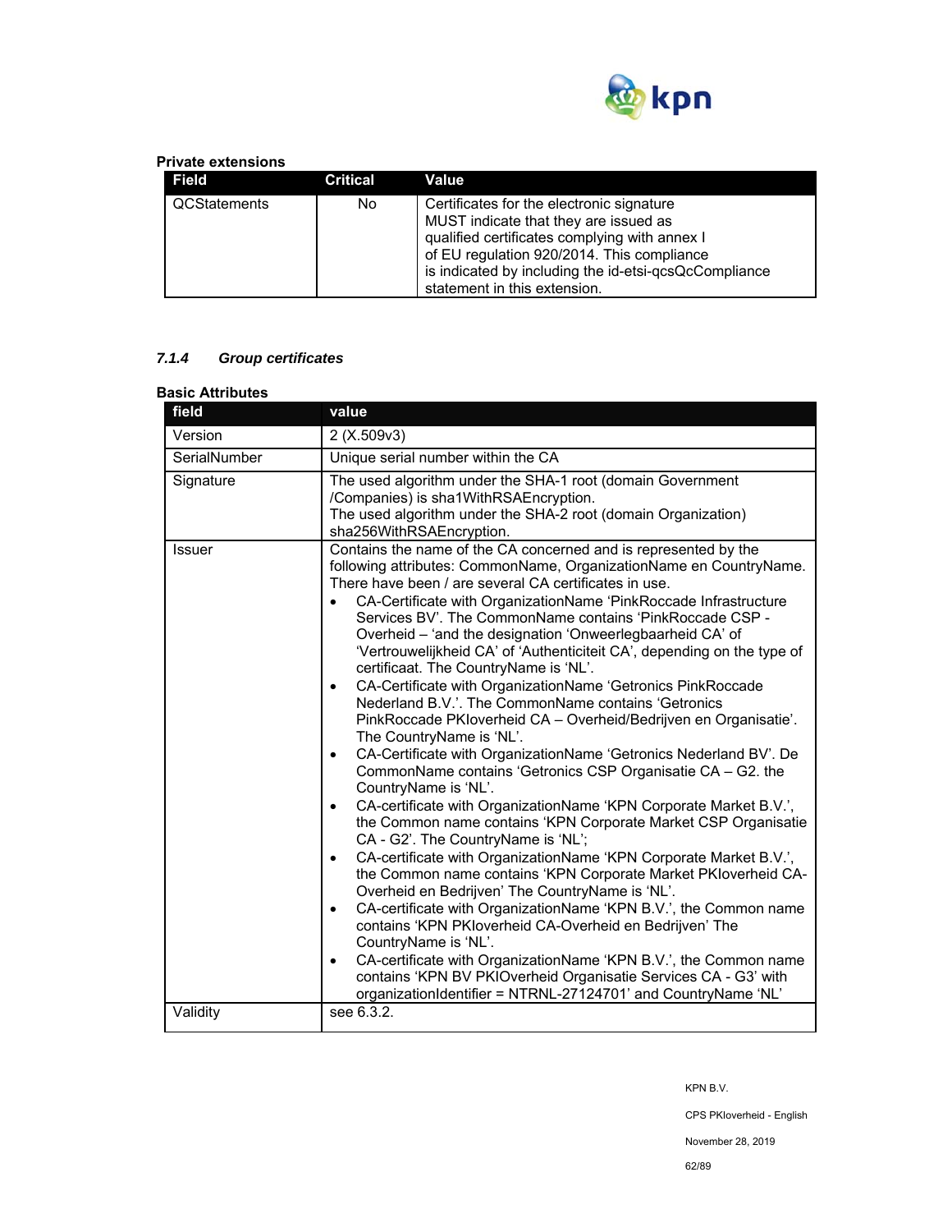

### **Private extensions**

| Field        | Critical | Value                                                                                                                                                                                                                                                                      |
|--------------|----------|----------------------------------------------------------------------------------------------------------------------------------------------------------------------------------------------------------------------------------------------------------------------------|
| QCStatements | No.      | Certificates for the electronic signature<br>MUST indicate that they are issued as<br>qualified certificates complying with annex I<br>of EU regulation 920/2014. This compliance<br>is indicated by including the id-etsi-qcsQcCompliance<br>statement in this extension. |

# *7.1.4 Group certificates*

| field        | value                                                                                                                                                                                                                                                                                                                                                                                                                                                                                                                                                                                                                                                                                                                                                                                                                                                                                                                                                                                                                                                                                                                                                                                                                                                                                                                                                                                                                                                                                                                                                                                                                                                                                                                              |  |  |
|--------------|------------------------------------------------------------------------------------------------------------------------------------------------------------------------------------------------------------------------------------------------------------------------------------------------------------------------------------------------------------------------------------------------------------------------------------------------------------------------------------------------------------------------------------------------------------------------------------------------------------------------------------------------------------------------------------------------------------------------------------------------------------------------------------------------------------------------------------------------------------------------------------------------------------------------------------------------------------------------------------------------------------------------------------------------------------------------------------------------------------------------------------------------------------------------------------------------------------------------------------------------------------------------------------------------------------------------------------------------------------------------------------------------------------------------------------------------------------------------------------------------------------------------------------------------------------------------------------------------------------------------------------------------------------------------------------------------------------------------------------|--|--|
| Version      | 2 (X.509v3)                                                                                                                                                                                                                                                                                                                                                                                                                                                                                                                                                                                                                                                                                                                                                                                                                                                                                                                                                                                                                                                                                                                                                                                                                                                                                                                                                                                                                                                                                                                                                                                                                                                                                                                        |  |  |
| SerialNumber | Unique serial number within the CA                                                                                                                                                                                                                                                                                                                                                                                                                                                                                                                                                                                                                                                                                                                                                                                                                                                                                                                                                                                                                                                                                                                                                                                                                                                                                                                                                                                                                                                                                                                                                                                                                                                                                                 |  |  |
| Signature    | The used algorithm under the SHA-1 root (domain Government<br>/Companies) is sha1WithRSAEncryption.<br>The used algorithm under the SHA-2 root (domain Organization)<br>sha256WithRSAEncryption.                                                                                                                                                                                                                                                                                                                                                                                                                                                                                                                                                                                                                                                                                                                                                                                                                                                                                                                                                                                                                                                                                                                                                                                                                                                                                                                                                                                                                                                                                                                                   |  |  |
| Issuer       | Contains the name of the CA concerned and is represented by the<br>following attributes: CommonName, OrganizationName en CountryName.<br>There have been / are several CA certificates in use.<br>CA-Certificate with OrganizationName 'PinkRoccade Infrastructure<br>$\bullet$<br>Services BV'. The CommonName contains 'PinkRoccade CSP -<br>Overheid - 'and the designation 'Onweerlegbaarheid CA' of<br>'Vertrouwelijkheid CA' of 'Authenticiteit CA', depending on the type of<br>certificaat. The CountryName is 'NL'.<br>CA-Certificate with OrganizationName 'Getronics PinkRoccade<br>$\bullet$<br>Nederland B.V.'. The CommonName contains 'Getronics<br>PinkRoccade PKIoverheid CA - Overheid/Bedrijven en Organisatie'.<br>The CountryName is 'NL'.<br>CA-Certificate with OrganizationName 'Getronics Nederland BV'. De<br>$\bullet$<br>CommonName contains 'Getronics CSP Organisatie CA - G2. the<br>CountryName is 'NL'.<br>CA-certificate with OrganizationName 'KPN Corporate Market B.V.',<br>$\bullet$<br>the Common name contains 'KPN Corporate Market CSP Organisatie<br>CA - G2'. The CountryName is 'NL';<br>CA-certificate with OrganizationName 'KPN Corporate Market B.V.',<br>$\bullet$<br>the Common name contains 'KPN Corporate Market PKIoverheid CA-<br>Overheid en Bedrijven' The CountryName is 'NL'.<br>CA-certificate with OrganizationName 'KPN B.V.', the Common name<br>$\bullet$<br>contains 'KPN PKloverheid CA-Overheid en Bedrijven' The<br>CountryName is 'NL'.<br>CA-certificate with OrganizationName 'KPN B.V.', the Common name<br>$\bullet$<br>contains 'KPN BV PKIOverheid Organisatie Services CA - G3' with<br>organizationIdentifier = NTRNL-27124701' and CountryName 'NL' |  |  |

KPN B.V.

CPS PKIoverheid - English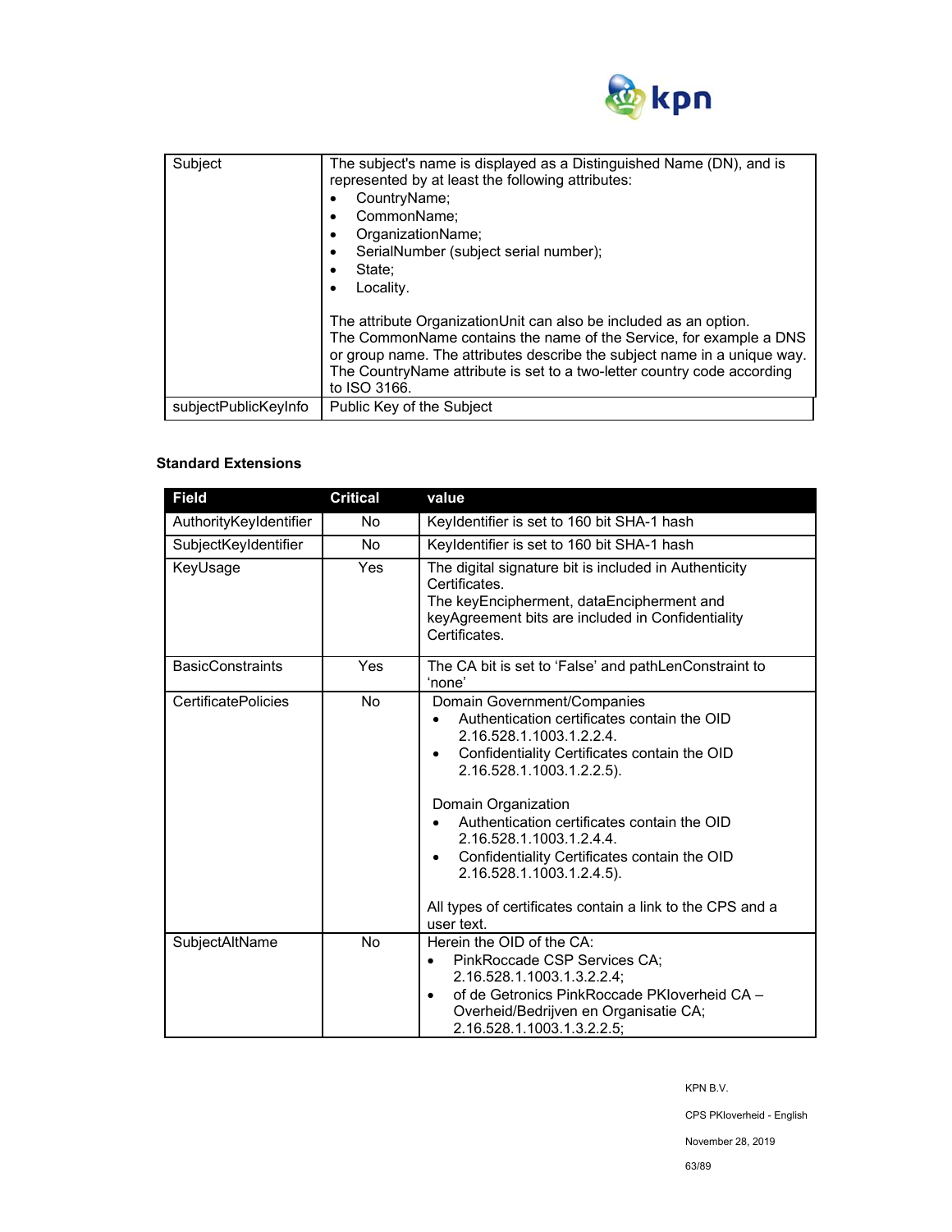

| Subject              | The subject's name is displayed as a Distinguished Name (DN), and is<br>represented by at least the following attributes:<br>CountryName;<br>CommonName:<br>٠<br>OrganizationName;<br>٠<br>SerialNumber (subject serial number);<br>٠<br>State:<br>Locality.                                                   |
|----------------------|----------------------------------------------------------------------------------------------------------------------------------------------------------------------------------------------------------------------------------------------------------------------------------------------------------------|
|                      | The attribute OrganizationUnit can also be included as an option.<br>The CommonName contains the name of the Service, for example a DNS<br>or group name. The attributes describe the subject name in a unique way.<br>The CountryName attribute is set to a two-letter country code according<br>to ISO 3166. |
| subjectPublicKeyInfo | Public Key of the Subject                                                                                                                                                                                                                                                                                      |

# **Standard Extensions**

| <b>Field</b>               | <b>Critical</b> | value                                                                                                                                                                                                                                                                                                                                                                                                                                         |
|----------------------------|-----------------|-----------------------------------------------------------------------------------------------------------------------------------------------------------------------------------------------------------------------------------------------------------------------------------------------------------------------------------------------------------------------------------------------------------------------------------------------|
| AuthorityKeyIdentifier     | <b>No</b>       | Keyldentifier is set to 160 bit SHA-1 hash                                                                                                                                                                                                                                                                                                                                                                                                    |
| SubjectKeyIdentifier       | <b>No</b>       | Keyldentifier is set to 160 bit SHA-1 hash                                                                                                                                                                                                                                                                                                                                                                                                    |
| KeyUsage                   | Yes             | The digital signature bit is included in Authenticity<br>Certificates.<br>The keyEncipherment, dataEncipherment and<br>keyAgreement bits are included in Confidentiality<br>Certificates                                                                                                                                                                                                                                                      |
| <b>BasicConstraints</b>    | Yes             | The CA bit is set to 'False' and pathLenConstraint to<br>'none'                                                                                                                                                                                                                                                                                                                                                                               |
| <b>CertificatePolicies</b> | <b>No</b>       | Domain Government/Companies<br>Authentication certificates contain the OID<br>2.16.528.1.1003.1.2.2.4.<br>Confidentiality Certificates contain the OID<br>2.16.528.1.1003.1.2.2.5).<br>Domain Organization<br>Authentication certificates contain the OID<br>2.16.528.1.1003.1.2.4.4.<br>Confidentiality Certificates contain the OID<br>2.16.528.1.1003.1.2.4.5).<br>All types of certificates contain a link to the CPS and a<br>user text. |
| SubjectAltName             | <b>No</b>       | Herein the OID of the CA:<br>PinkRoccade CSP Services CA;<br>$\bullet$<br>2.16.528.1.1003.1.3.2.2.4;<br>of de Getronics PinkRoccade PKIoverheid CA -<br>$\bullet$<br>Overheid/Bedrijven en Organisatie CA;<br>2.16.528.1.1003.1.3.2.2.5;                                                                                                                                                                                                      |

KPN B.V.

CPS PKIoverheid - English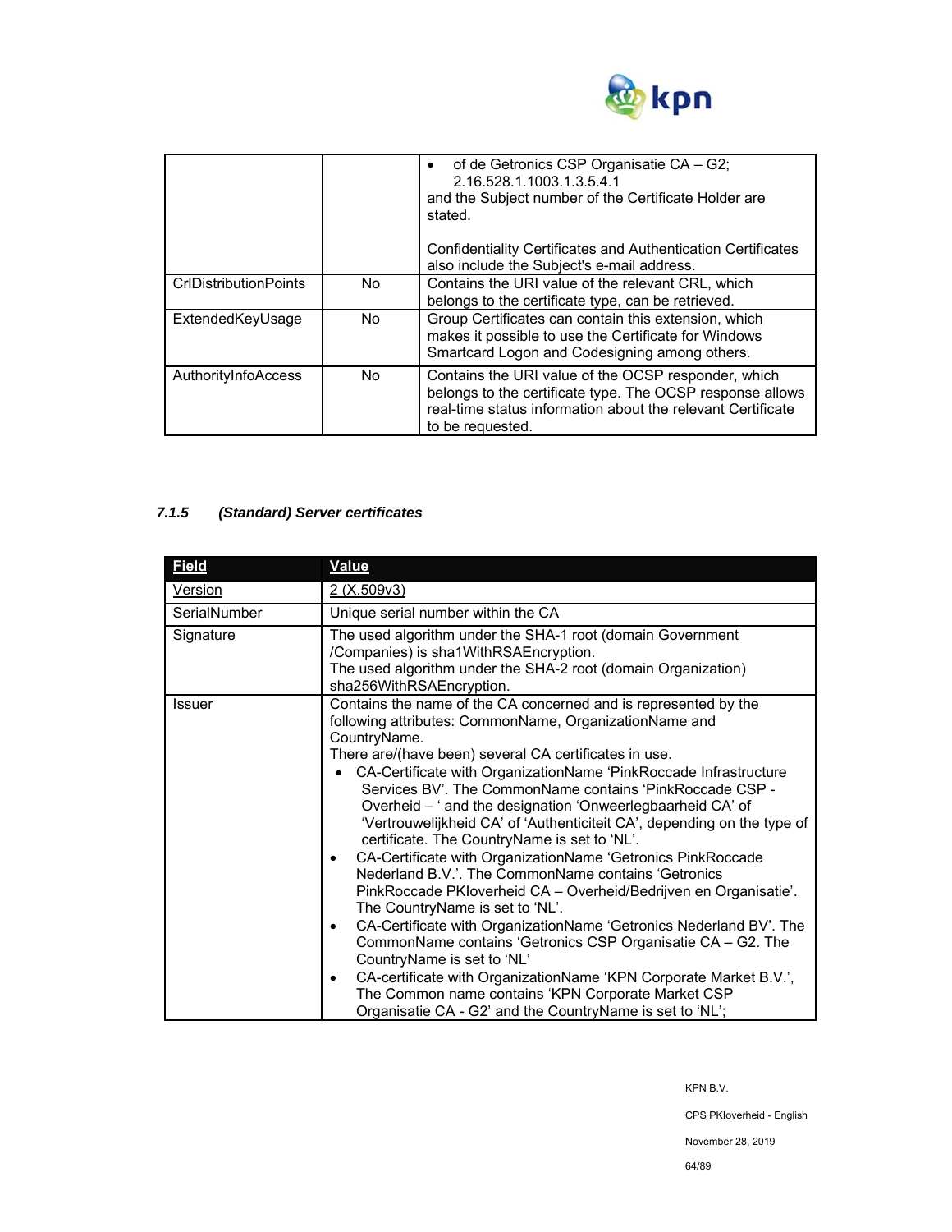

|                              |     | of de Getronics CSP Organisatie CA – G2;<br>2.16.528.1.1003.1.3.5.4.1<br>and the Subject number of the Certificate Holder are<br>stated<br>Confidentiality Certificates and Authentication Certificates<br>also include the Subject's e-mail address. |
|------------------------------|-----|-------------------------------------------------------------------------------------------------------------------------------------------------------------------------------------------------------------------------------------------------------|
| <b>CrIDistributionPoints</b> | No. | Contains the URI value of the relevant CRL, which                                                                                                                                                                                                     |
|                              |     | belongs to the certificate type, can be retrieved.                                                                                                                                                                                                    |
| ExtendedKeyUsage             | No. | Group Certificates can contain this extension, which<br>makes it possible to use the Certificate for Windows<br>Smartcard Logon and Codesigning among others.                                                                                         |
| AuthorityInfoAccess          | No. | Contains the URI value of the OCSP responder, which<br>belongs to the certificate type. The OCSP response allows<br>real-time status information about the relevant Certificate<br>to be requested.                                                   |

# *7.1.5 (Standard) Server certificates*

| <b>Field</b>  | <b>Value</b>                                                                                                                                                                                                                                                                                                                                                                                                                                                                                                                                                                                                                                                                                                                                                                                                                                                                                                                                                                                                                                                                                                                                                                  |  |  |
|---------------|-------------------------------------------------------------------------------------------------------------------------------------------------------------------------------------------------------------------------------------------------------------------------------------------------------------------------------------------------------------------------------------------------------------------------------------------------------------------------------------------------------------------------------------------------------------------------------------------------------------------------------------------------------------------------------------------------------------------------------------------------------------------------------------------------------------------------------------------------------------------------------------------------------------------------------------------------------------------------------------------------------------------------------------------------------------------------------------------------------------------------------------------------------------------------------|--|--|
| Version       | 2 (X.509v3)                                                                                                                                                                                                                                                                                                                                                                                                                                                                                                                                                                                                                                                                                                                                                                                                                                                                                                                                                                                                                                                                                                                                                                   |  |  |
| SerialNumber  | Unique serial number within the CA                                                                                                                                                                                                                                                                                                                                                                                                                                                                                                                                                                                                                                                                                                                                                                                                                                                                                                                                                                                                                                                                                                                                            |  |  |
| Signature     | The used algorithm under the SHA-1 root (domain Government<br>/Companies) is sha1WithRSAEncryption.<br>The used algorithm under the SHA-2 root (domain Organization)                                                                                                                                                                                                                                                                                                                                                                                                                                                                                                                                                                                                                                                                                                                                                                                                                                                                                                                                                                                                          |  |  |
| <b>Issuer</b> | sha256WithRSAEncryption.<br>Contains the name of the CA concerned and is represented by the<br>following attributes: CommonName, OrganizationName and<br>CountryName.<br>There are/(have been) several CA certificates in use.<br>CA-Certificate with OrganizationName 'PinkRoccade Infrastructure<br>Services BV'. The CommonName contains 'PinkRoccade CSP -<br>Overheid - ' and the designation 'Onweerlegbaarheid CA' of<br>'Vertrouwelijkheid CA' of 'Authenticiteit CA', depending on the type of<br>certificate. The CountryName is set to 'NL'.<br>CA-Certificate with OrganizationName 'Getronics PinkRoccade<br>$\bullet$<br>Nederland B.V.'. The CommonName contains 'Getronics<br>PinkRoccade PKIoverheid CA - Overheid/Bedrijven en Organisatie'.<br>The CountryName is set to 'NL'.<br>CA-Certificate with OrganizationName 'Getronics Nederland BV'. The<br>٠<br>CommonName contains 'Getronics CSP Organisatie CA - G2. The<br>CountryName is set to 'NL'<br>CA-certificate with OrganizationName 'KPN Corporate Market B.V.',<br>$\bullet$<br>The Common name contains 'KPN Corporate Market CSP<br>Organisatie CA - G2' and the CountryName is set to 'NL'; |  |  |

KPN B.V.

CPS PKIoverheid - English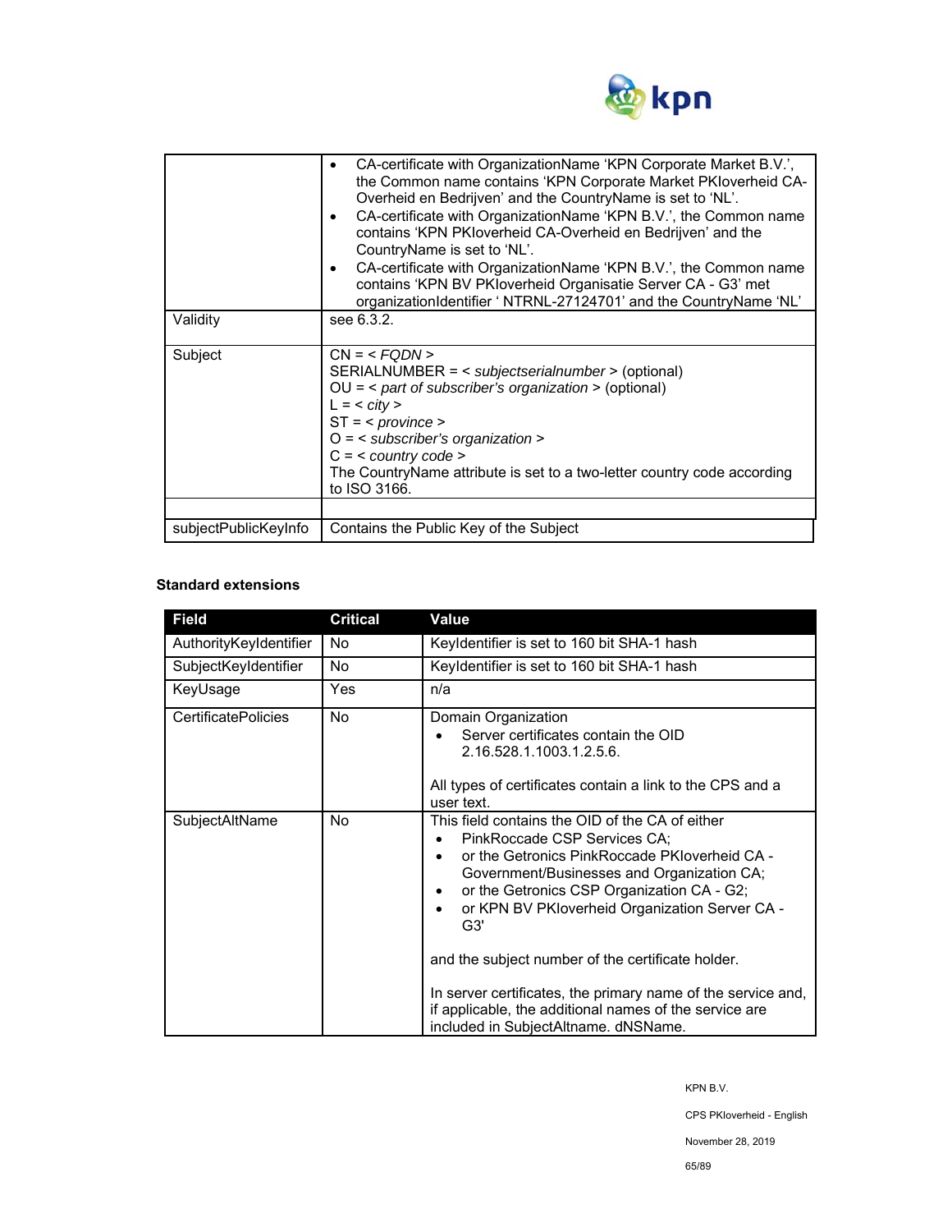

| Validity             | CA-certificate with OrganizationName 'KPN Corporate Market B.V.',<br>٠<br>the Common name contains 'KPN Corporate Market PKIoverheid CA-<br>Overheid en Bedrijven' and the CountryName is set to 'NL'.<br>CA-certificate with OrganizationName 'KPN B.V.', the Common name<br>٠<br>contains 'KPN PKloverheid CA-Overheid en Bedrijven' and the<br>CountryName is set to 'NL'.<br>CA-certificate with OrganizationName 'KPN B.V.', the Common name<br>$\bullet$<br>contains 'KPN BV PKloverheid Organisatie Server CA - G3' met<br>organizationIdentifier ' NTRNL-27124701' and the CountryName 'NL'<br>see 6.3.2. |  |
|----------------------|-------------------------------------------------------------------------------------------------------------------------------------------------------------------------------------------------------------------------------------------------------------------------------------------------------------------------------------------------------------------------------------------------------------------------------------------------------------------------------------------------------------------------------------------------------------------------------------------------------------------|--|
| Subject              | $CN = $<br>SERIALNUMBER = < subjectserialnumber > (optional)<br>$OU =$ < part of subscriber's organization > (optional)<br>$L = <$ city ><br>$ST = <$ province ><br>$O = \langle$ subscriber's organization ><br>$C = <$ country code ><br>The CountryName attribute is set to a two-letter country code according<br>to ISO 3166.                                                                                                                                                                                                                                                                                |  |
|                      |                                                                                                                                                                                                                                                                                                                                                                                                                                                                                                                                                                                                                   |  |
| subjectPublicKeyInfo | Contains the Public Key of the Subject                                                                                                                                                                                                                                                                                                                                                                                                                                                                                                                                                                            |  |

### **Standard extensions**

| <b>Field</b>               | <b>Critical</b> | Value                                                                                                                                                                                                                                                                                                                                                                                                                                                                                                        |
|----------------------------|-----------------|--------------------------------------------------------------------------------------------------------------------------------------------------------------------------------------------------------------------------------------------------------------------------------------------------------------------------------------------------------------------------------------------------------------------------------------------------------------------------------------------------------------|
| AuthorityKeyIdentifier     | No              | Keyldentifier is set to 160 bit SHA-1 hash                                                                                                                                                                                                                                                                                                                                                                                                                                                                   |
| SubjectKeyIdentifier       | No              | Keyldentifier is set to 160 bit SHA-1 hash                                                                                                                                                                                                                                                                                                                                                                                                                                                                   |
| KeyUsage                   | Yes             | n/a                                                                                                                                                                                                                                                                                                                                                                                                                                                                                                          |
| <b>CertificatePolicies</b> | No.             | Domain Organization<br>Server certificates contain the OID<br>2.16.528.1.1003.1.2.5.6.<br>All types of certificates contain a link to the CPS and a<br>user text.                                                                                                                                                                                                                                                                                                                                            |
| SubjectAltName             | <b>No</b>       | This field contains the OID of the CA of either<br>PinkRoccade CSP Services CA:<br>or the Getronics PinkRoccade PKIoverheid CA -<br>Government/Businesses and Organization CA;<br>or the Getronics CSP Organization CA - G2;<br>or KPN BV PKloverheid Organization Server CA -<br>G3'<br>and the subject number of the certificate holder.<br>In server certificates, the primary name of the service and,<br>if applicable, the additional names of the service are<br>included in SubjectAltname. dNSName. |

KPN B.V.

CPS PKIoverheid - English

November 28, 2019

65/89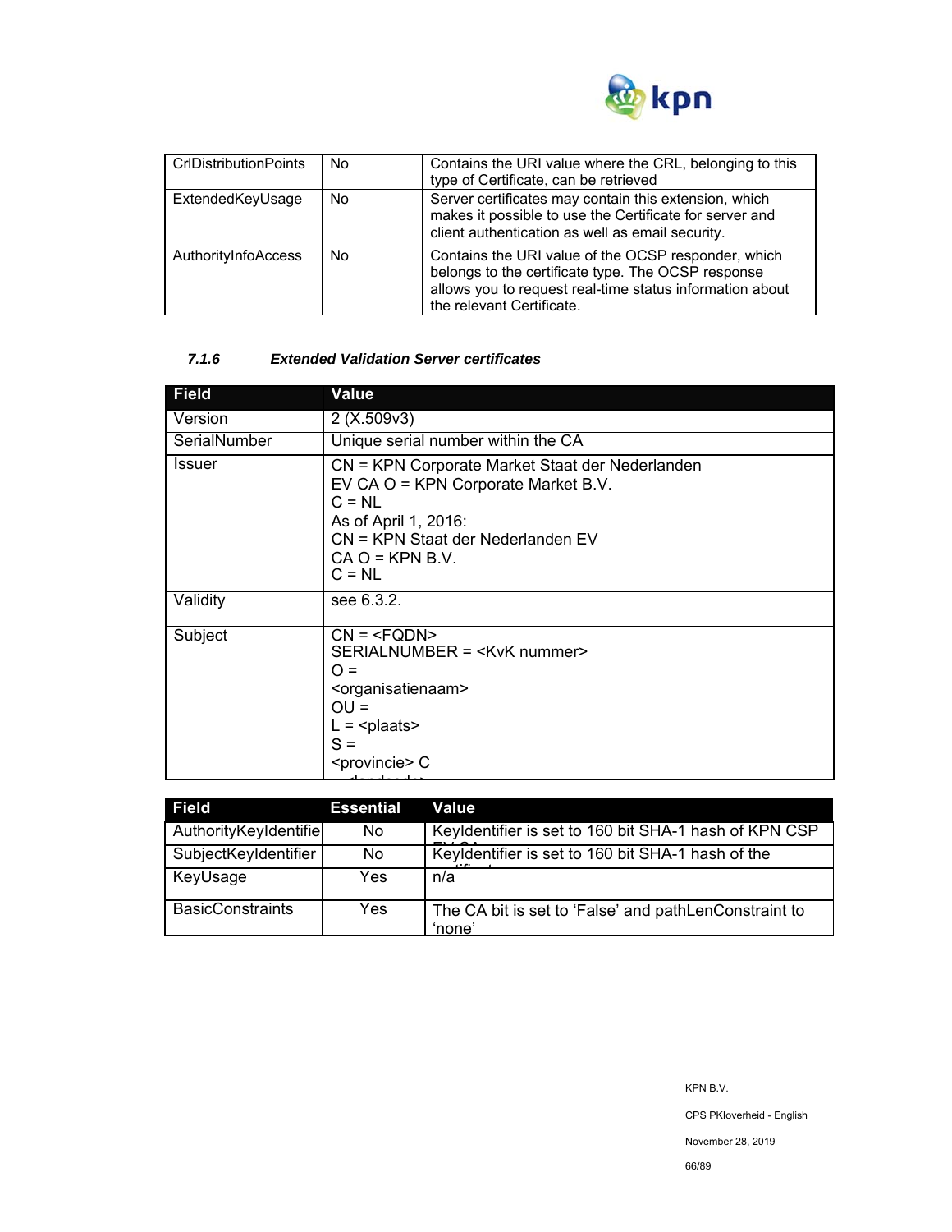

| <b>CrIDistributionPoints</b> | No  | Contains the URI value where the CRL, belonging to this<br>type of Certificate, can be retrieved                                                                                                   |
|------------------------------|-----|----------------------------------------------------------------------------------------------------------------------------------------------------------------------------------------------------|
| ExtendedKeyUsage             | No  | Server certificates may contain this extension, which<br>makes it possible to use the Certificate for server and<br>client authentication as well as email security.                               |
| AuthorityInfoAccess          | No. | Contains the URI value of the OCSP responder, which<br>belongs to the certificate type. The OCSP response<br>allows you to request real-time status information about<br>the relevant Certificate. |

### *7.1.6 Extended Validation Server certificates*

| <b>Field</b> | Value                                                                                                                                                                                            |
|--------------|--------------------------------------------------------------------------------------------------------------------------------------------------------------------------------------------------|
| Version      | 2(X.509v3)                                                                                                                                                                                       |
| SerialNumber | Unique serial number within the CA                                                                                                                                                               |
| Issuer       | CN = KPN Corporate Market Staat der Nederlanden<br>EV CA O = KPN Corporate Market B.V.<br>$C = NL$<br>As of April 1, 2016:<br>CN = KPN Staat der Nederlanden EV<br>$CA O = KPN B.V.$<br>$C = NL$ |
| Validity     | see 6.3.2.                                                                                                                                                                                       |
| Subject      | $CN = SERIALNUMBER = ∩ =OU =L = plaatsS = C$                                                                                                                                                     |

| Field                   | Essential | Value                                                           |
|-------------------------|-----------|-----------------------------------------------------------------|
| AuthorityKeyIdentifie   | No.       | Keyldentifier is set to 160 bit SHA-1 hash of KPN CSP           |
| SubjectKeyIdentifier    | No.       | Keyldentifier is set to 160 bit SHA-1 hash of the               |
| KeyUsage                | Yes       | n/a                                                             |
| <b>BasicConstraints</b> | Yes.      | The CA bit is set to 'False' and pathLenConstraint to<br>'none' |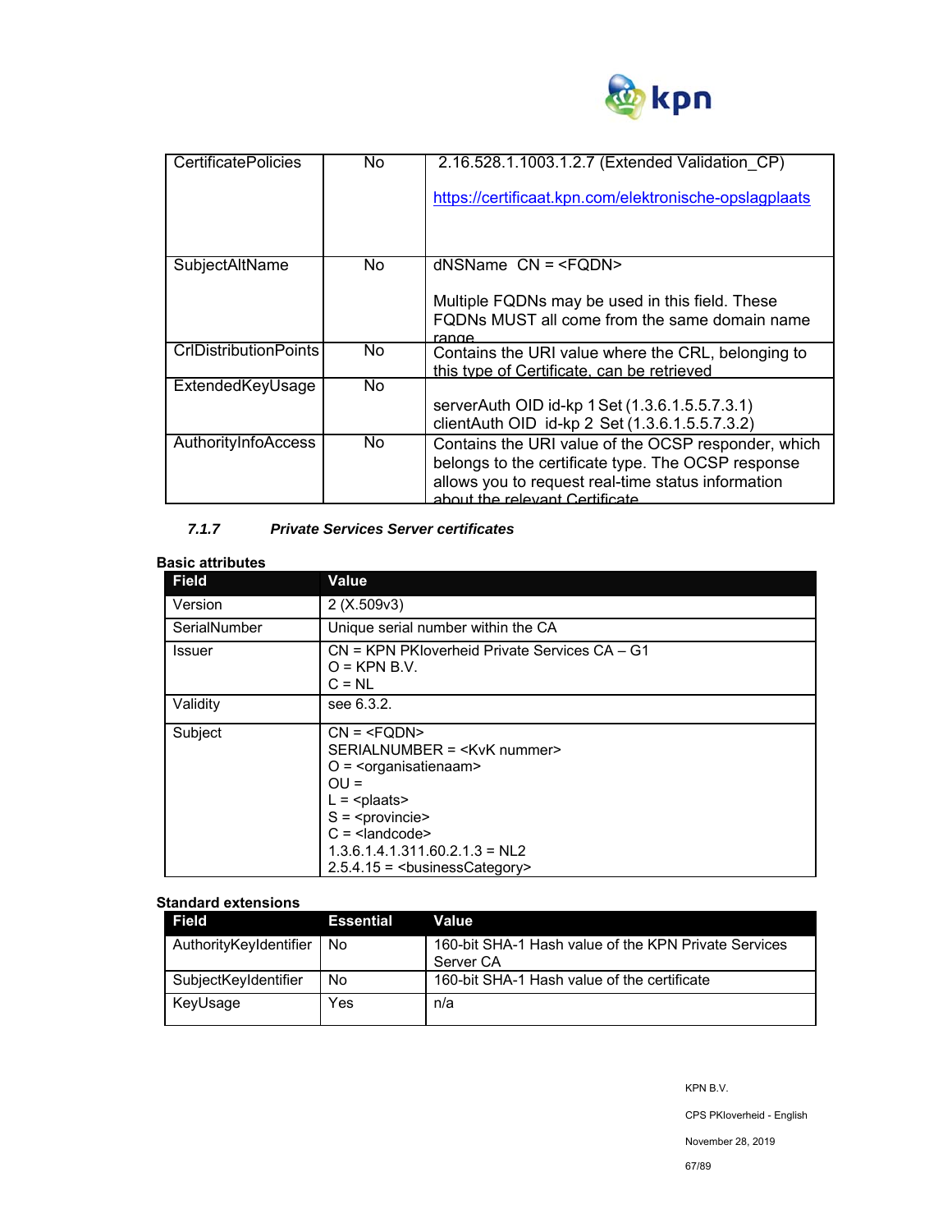

| <b>CertificatePolicies</b>   | No. | 2.16.528.1.1003.1.2.7 (Extended Validation CP)<br>https://certificaat.kpn.com/elektronische-opslagplaats                                                                                          |
|------------------------------|-----|---------------------------------------------------------------------------------------------------------------------------------------------------------------------------------------------------|
| SubjectAltName               | No. | $d$ NSName $CN = Multiple FQDNs may be used in this field. TheseFQDNs MUST all come from the same domain nameranne$                                                                               |
| <b>CrIDistributionPoints</b> | No. | Contains the URI value where the CRL, belonging to<br>this type of Certificate, can be retrieved                                                                                                  |
| ExtendedKeyUsage             | No. | serverAuth OID id-kp 1 Set (1.3.6.1.5.5.7.3.1)<br>clientAuth OID id-kp 2 Set (1.3.6.1.5.5.7.3.2)                                                                                                  |
| AuthorityInfoAccess          | No. | Contains the URI value of the OCSP responder, which<br>belongs to the certificate type. The OCSP response<br>allows you to request real-time status information<br>about the relevant Certificate |

### *7.1.7 Private Services Server certificates*

### **Basic attributes**

| <b>Field</b>  | Value                                                                                                                       |  |  |
|---------------|-----------------------------------------------------------------------------------------------------------------------------|--|--|
| Version       | 2(X.509v3)                                                                                                                  |  |  |
| SerialNumber  | Unique serial number within the CA                                                                                          |  |  |
| <b>Issuer</b> | CN = KPN PKloverheid Private Services CA - G1<br>$O =$ KPN B.V.<br>$C = NL$                                                 |  |  |
| Validity      | see 6.3.2.                                                                                                                  |  |  |
| Subject       | $CN = SERIALNUMBER = O = \langleorganisatienaam>OU =L = S = C = 1.3.6.1.4.1.311.60.2.1.3 = NL22.5.4.15 = businessCategory>$ |  |  |

### **Standard extensions**

| Field                  | <b>Essential</b> | Value                                                             |
|------------------------|------------------|-------------------------------------------------------------------|
| AuthorityKeyIdentifier | . No             | 160-bit SHA-1 Hash value of the KPN Private Services<br>Server CA |
| SubjectKeyIdentifier   | No               | 160-bit SHA-1 Hash value of the certificate                       |
| KeyUsage               | Yes              | n/a                                                               |

CPS PKIoverheid - English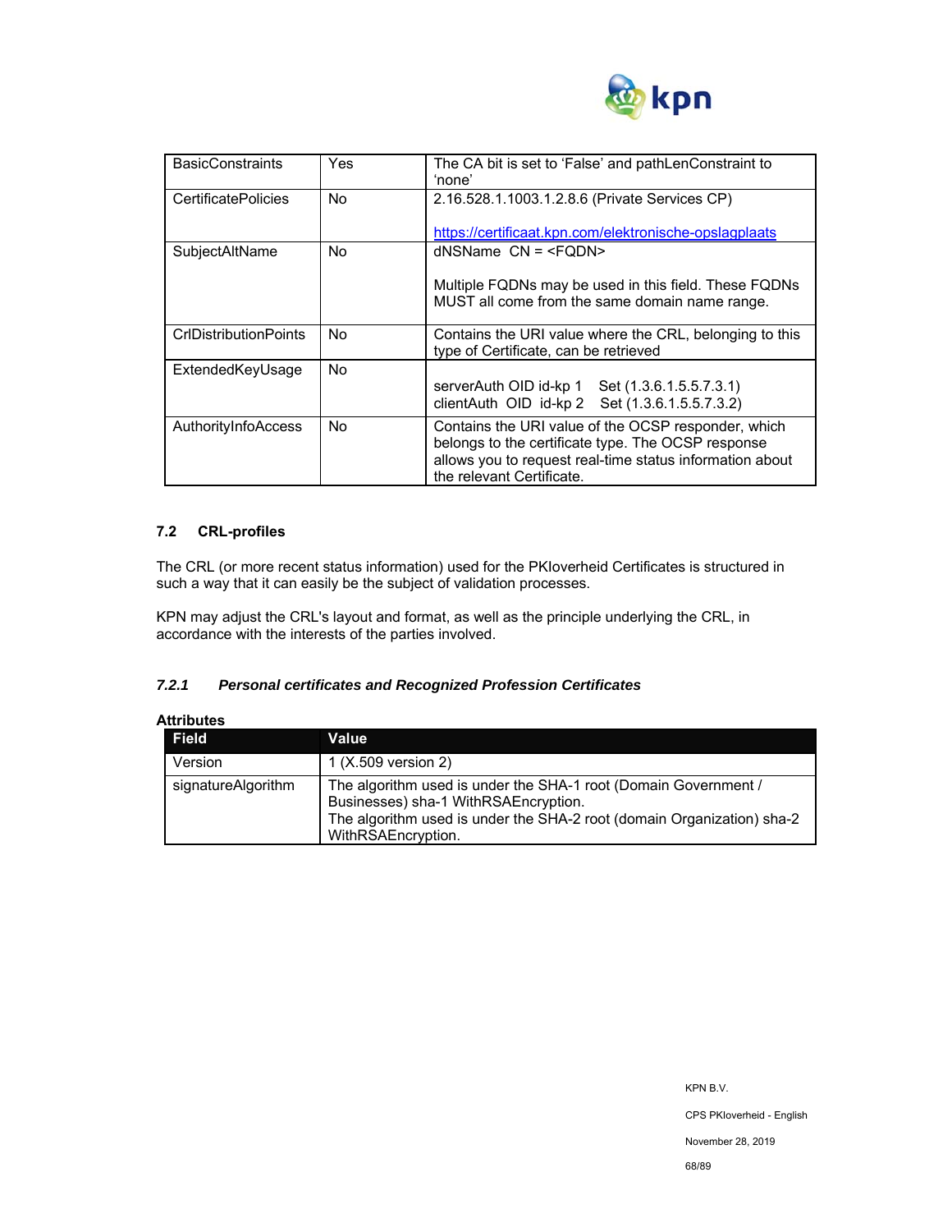

| <b>BasicConstraints</b>      | Yes | The CA bit is set to 'False' and pathLenConstraint to                                                                                                                                              |
|------------------------------|-----|----------------------------------------------------------------------------------------------------------------------------------------------------------------------------------------------------|
|                              |     | 'none'                                                                                                                                                                                             |
| <b>CertificatePolicies</b>   | No. | 2.16.528.1.1003.1.2.8.6 (Private Services CP)                                                                                                                                                      |
|                              |     | https://certificaat.kpn.com/elektronische-opslagplaats                                                                                                                                             |
| SubjectAltName               | No. | $d$ NSName $CN = $                                                                                                                                                                                 |
|                              |     | Multiple FQDNs may be used in this field. These FQDNs<br>MUST all come from the same domain name range.                                                                                            |
| <b>CrIDistributionPoints</b> | No  | Contains the URI value where the CRL, belonging to this<br>type of Certificate, can be retrieved                                                                                                   |
| ExtendedKeyUsage             | No. | serverAuth OID id-kp 1 Set (1.3.6.1.5.5.7.3.1)<br>clientAuth OID id-kp 2 Set (1.3.6.1.5.5.7.3.2)                                                                                                   |
| AuthorityInfoAccess          | No. | Contains the URI value of the OCSP responder, which<br>belongs to the certificate type. The OCSP response<br>allows you to request real-time status information about<br>the relevant Certificate. |

### **7.2 CRL-profiles**

The CRL (or more recent status information) used for the PKIoverheid Certificates is structured in such a way that it can easily be the subject of validation processes.

KPN may adjust the CRL's layout and format, as well as the principle underlying the CRL, in accordance with the interests of the parties involved.

### *7.2.1 Personal certificates and Recognized Profession Certificates*

| Attributes         |                                                                                                                                                                                                         |
|--------------------|---------------------------------------------------------------------------------------------------------------------------------------------------------------------------------------------------------|
| <b>Field</b>       | Value                                                                                                                                                                                                   |
| Version            | 1 (X.509 version 2)                                                                                                                                                                                     |
| signatureAlgorithm | The algorithm used is under the SHA-1 root (Domain Government /<br>Businesses) sha-1 WithRSAEncryption.<br>The algorithm used is under the SHA-2 root (domain Organization) sha-2<br>WithRSAEncryption. |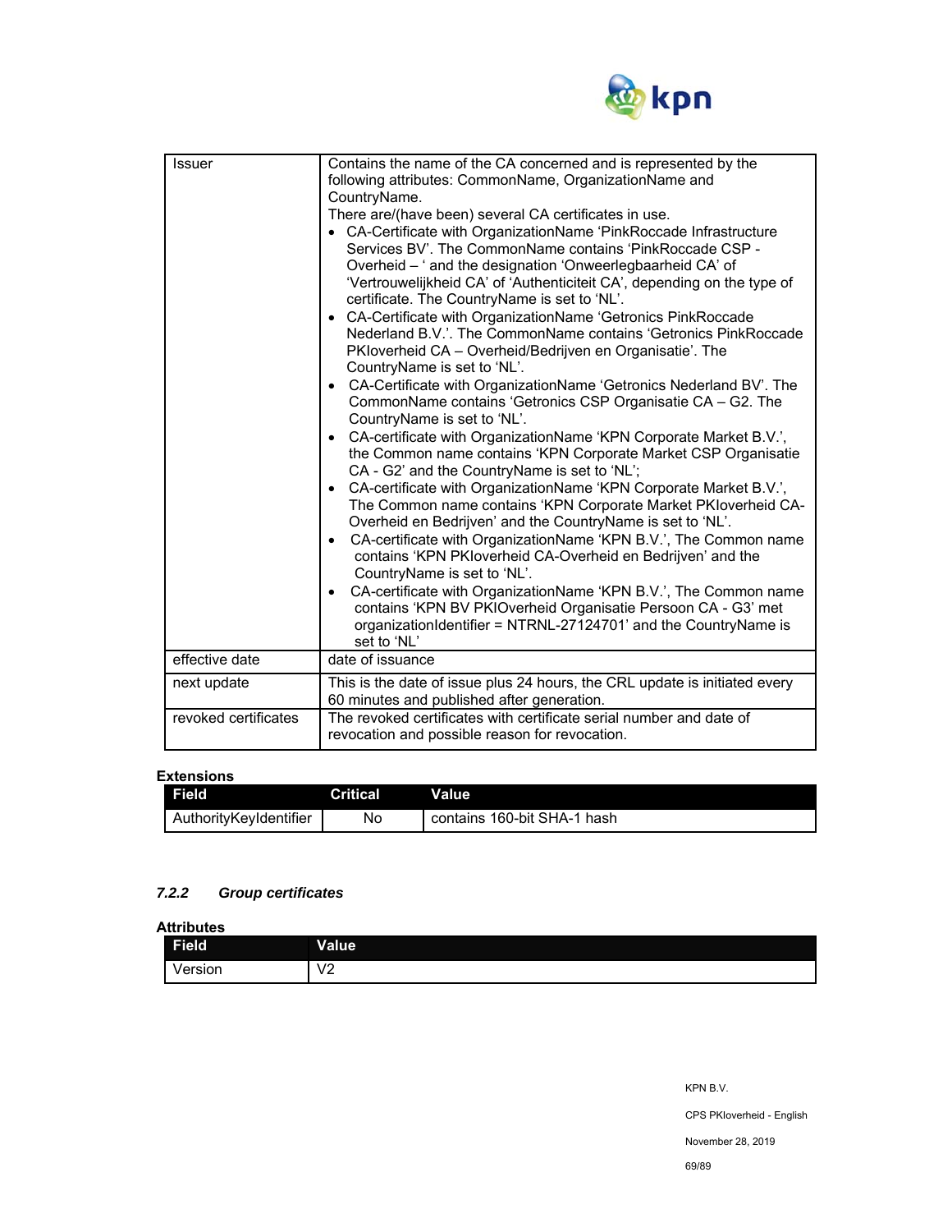

| Issuer               | Contains the name of the CA concerned and is represented by the<br>following attributes: CommonName, OrganizationName and<br>CountryName.<br>There are/(have been) several CA certificates in use.<br>• CA-Certificate with OrganizationName 'PinkRoccade Infrastructure<br>Services BV'. The CommonName contains 'PinkRoccade CSP -<br>Overheid - ' and the designation 'Onweerlegbaarheid CA' of<br>'Vertrouwelijkheid CA' of 'Authenticiteit CA', depending on the type of<br>certificate. The CountryName is set to 'NL'.<br>CA-Certificate with OrganizationName 'Getronics PinkRoccade<br>Nederland B.V.'. The CommonName contains 'Getronics PinkRoccade<br>PKloverheid CA - Overheid/Bedrijven en Organisatie'. The<br>CountryName is set to 'NL'.<br>CA-Certificate with OrganizationName 'Getronics Nederland BV'. The<br>$\bullet$<br>CommonName contains 'Getronics CSP Organisatie CA - G2. The<br>CountryName is set to 'NL'.<br>CA-certificate with OrganizationName 'KPN Corporate Market B.V.',<br>$\bullet$<br>the Common name contains 'KPN Corporate Market CSP Organisatie<br>CA - G2' and the CountryName is set to 'NL';<br>CA-certificate with OrganizationName 'KPN Corporate Market B.V.',<br>$\bullet$<br>The Common name contains 'KPN Corporate Market PKloverheid CA-<br>Overheid en Bedrijven' and the CountryName is set to 'NL'.<br>CA-certificate with OrganizationName 'KPN B.V.', The Common name<br>٠<br>contains 'KPN PKIoverheid CA-Overheid en Bedrijven' and the<br>CountryName is set to 'NL'.<br>CA-certificate with OrganizationName 'KPN B.V.', The Common name<br>$\bullet$<br>contains 'KPN BV PKIOverheid Organisatie Persoon CA - G3' met<br>organizationIdentifier = NTRNL-27124701' and the CountryName is |
|----------------------|---------------------------------------------------------------------------------------------------------------------------------------------------------------------------------------------------------------------------------------------------------------------------------------------------------------------------------------------------------------------------------------------------------------------------------------------------------------------------------------------------------------------------------------------------------------------------------------------------------------------------------------------------------------------------------------------------------------------------------------------------------------------------------------------------------------------------------------------------------------------------------------------------------------------------------------------------------------------------------------------------------------------------------------------------------------------------------------------------------------------------------------------------------------------------------------------------------------------------------------------------------------------------------------------------------------------------------------------------------------------------------------------------------------------------------------------------------------------------------------------------------------------------------------------------------------------------------------------------------------------------------------------------------------------------------------------------------------------------------------------------------------|
|                      | set to 'NL'                                                                                                                                                                                                                                                                                                                                                                                                                                                                                                                                                                                                                                                                                                                                                                                                                                                                                                                                                                                                                                                                                                                                                                                                                                                                                                                                                                                                                                                                                                                                                                                                                                                                                                                                                   |
| effective date       | date of issuance                                                                                                                                                                                                                                                                                                                                                                                                                                                                                                                                                                                                                                                                                                                                                                                                                                                                                                                                                                                                                                                                                                                                                                                                                                                                                                                                                                                                                                                                                                                                                                                                                                                                                                                                              |
| next update          | This is the date of issue plus 24 hours, the CRL update is initiated every<br>60 minutes and published after generation.                                                                                                                                                                                                                                                                                                                                                                                                                                                                                                                                                                                                                                                                                                                                                                                                                                                                                                                                                                                                                                                                                                                                                                                                                                                                                                                                                                                                                                                                                                                                                                                                                                      |
| revoked certificates | The revoked certificates with certificate serial number and date of<br>revocation and possible reason for revocation.                                                                                                                                                                                                                                                                                                                                                                                                                                                                                                                                                                                                                                                                                                                                                                                                                                                                                                                                                                                                                                                                                                                                                                                                                                                                                                                                                                                                                                                                                                                                                                                                                                         |

### **Extensions**

| Field                  | <b>Critical</b> | Value                       |
|------------------------|-----------------|-----------------------------|
| AuthorityKevIdentifier | No              | contains 160-bit SHA-1 hash |

### *7.2.2 Group certificates*

**Attributes** 

| <br>Field          | <b>Value</b>                |
|--------------------|-----------------------------|
| $\cdot$<br>/ersion | $\sqrt{2}$<br><u>_</u><br>— |

CPS PKIoverheid - English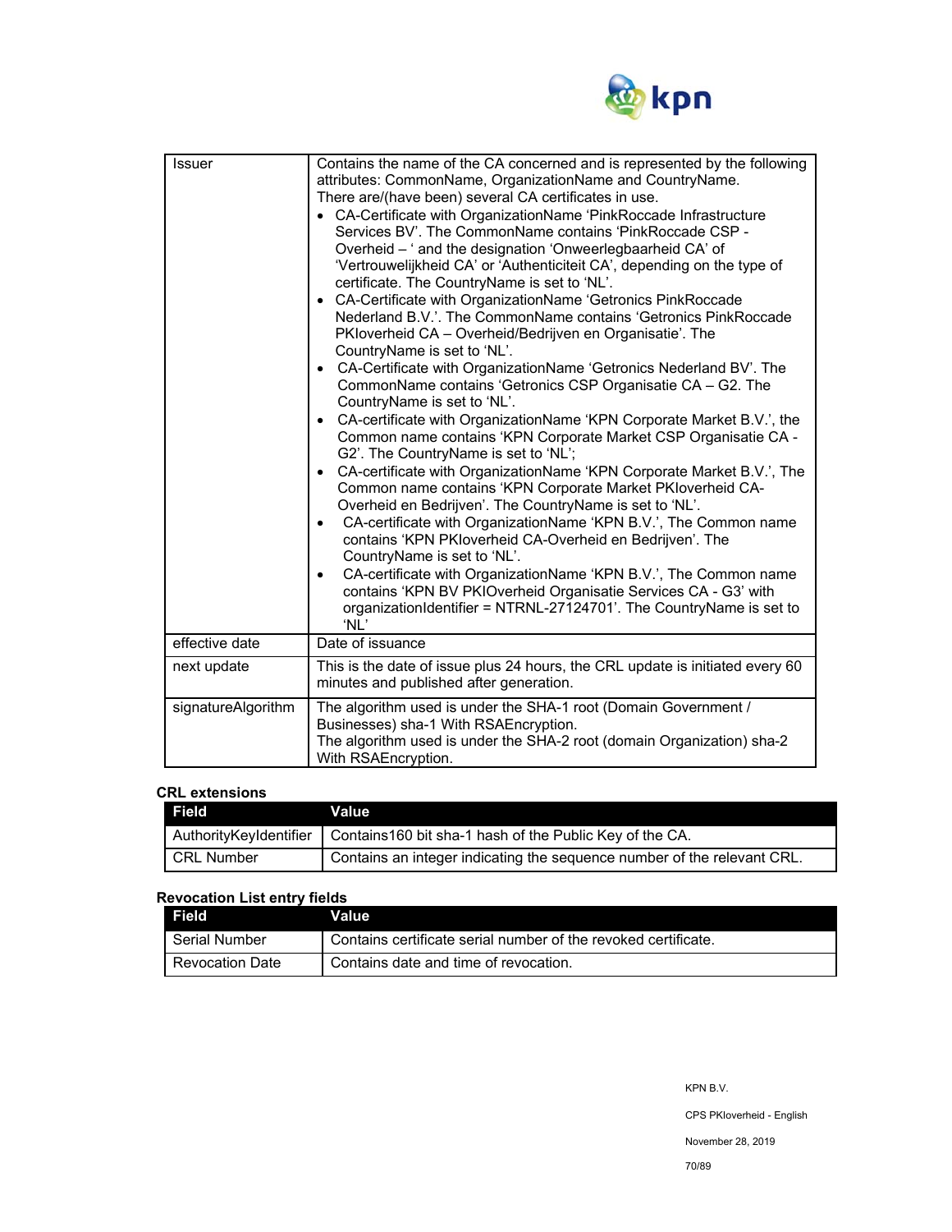

| <b>Issuer</b>      | Contains the name of the CA concerned and is represented by the following<br>attributes: CommonName, OrganizationName and CountryName.<br>There are/(have been) several CA certificates in use.<br>• CA-Certificate with OrganizationName 'PinkRoccade Infrastructure<br>Services BV'. The CommonName contains 'PinkRoccade CSP -<br>Overheid - ' and the designation 'Onweerlegbaarheid CA' of<br>'Vertrouwelijkheid CA' or 'Authenticiteit CA', depending on the type of<br>certificate. The CountryName is set to 'NL'.<br>• CA-Certificate with OrganizationName 'Getronics PinkRoccade<br>Nederland B.V.'. The CommonName contains 'Getronics PinkRoccade<br>PKloverheid CA - Overheid/Bedrijven en Organisatie'. The<br>CountryName is set to 'NL'.<br>• CA-Certificate with OrganizationName 'Getronics Nederland BV'. The<br>CommonName contains 'Getronics CSP Organisatie CA - G2. The<br>CountryName is set to 'NL'.<br>• CA-certificate with OrganizationName 'KPN Corporate Market B.V.', the<br>Common name contains 'KPN Corporate Market CSP Organisatie CA -<br>G2'. The CountryName is set to 'NL';<br>CA-certificate with OrganizationName 'KPN Corporate Market B.V.', The<br>Common name contains 'KPN Corporate Market PKIoverheid CA-<br>Overheid en Bedrijven'. The CountryName is set to 'NL'.<br>CA-certificate with OrganizationName 'KPN B.V.', The Common name<br>$\bullet$<br>contains 'KPN PKloverheid CA-Overheid en Bedrijven'. The<br>CountryName is set to 'NL'.<br>CA-certificate with OrganizationName 'KPN B.V.', The Common name<br>$\bullet$<br>contains 'KPN BV PKIOverheid Organisatie Services CA - G3' with<br>organizationIdentifier = NTRNL-27124701'. The CountryName is set to<br>'NL' |
|--------------------|----------------------------------------------------------------------------------------------------------------------------------------------------------------------------------------------------------------------------------------------------------------------------------------------------------------------------------------------------------------------------------------------------------------------------------------------------------------------------------------------------------------------------------------------------------------------------------------------------------------------------------------------------------------------------------------------------------------------------------------------------------------------------------------------------------------------------------------------------------------------------------------------------------------------------------------------------------------------------------------------------------------------------------------------------------------------------------------------------------------------------------------------------------------------------------------------------------------------------------------------------------------------------------------------------------------------------------------------------------------------------------------------------------------------------------------------------------------------------------------------------------------------------------------------------------------------------------------------------------------------------------------------------------------------------------------------------------------------------------------|
| effective date     | Date of issuance                                                                                                                                                                                                                                                                                                                                                                                                                                                                                                                                                                                                                                                                                                                                                                                                                                                                                                                                                                                                                                                                                                                                                                                                                                                                                                                                                                                                                                                                                                                                                                                                                                                                                                                       |
| next update        | This is the date of issue plus 24 hours, the CRL update is initiated every 60<br>minutes and published after generation.                                                                                                                                                                                                                                                                                                                                                                                                                                                                                                                                                                                                                                                                                                                                                                                                                                                                                                                                                                                                                                                                                                                                                                                                                                                                                                                                                                                                                                                                                                                                                                                                               |
| signatureAlgorithm | The algorithm used is under the SHA-1 root (Domain Government /<br>Businesses) sha-1 With RSAEncryption.<br>The algorithm used is under the SHA-2 root (domain Organization) sha-2<br>With RSAEncryption.                                                                                                                                                                                                                                                                                                                                                                                                                                                                                                                                                                                                                                                                                                                                                                                                                                                                                                                                                                                                                                                                                                                                                                                                                                                                                                                                                                                                                                                                                                                              |

### **CRL extensions**

| . Field <b>I</b> | Value                                                                              |
|------------------|------------------------------------------------------------------------------------|
|                  | Authority Keyldentifier   Contains 160 bit sha-1 hash of the Public Key of the CA. |
| l CRL Number     | Contains an integer indicating the sequence number of the relevant CRL.            |

# **Revocation List entry fields**

| Field           | Value                                                          |
|-----------------|----------------------------------------------------------------|
| ∣ Serial Number | Contains certificate serial number of the revoked certificate. |
| Revocation Date | Contains date and time of revocation.                          |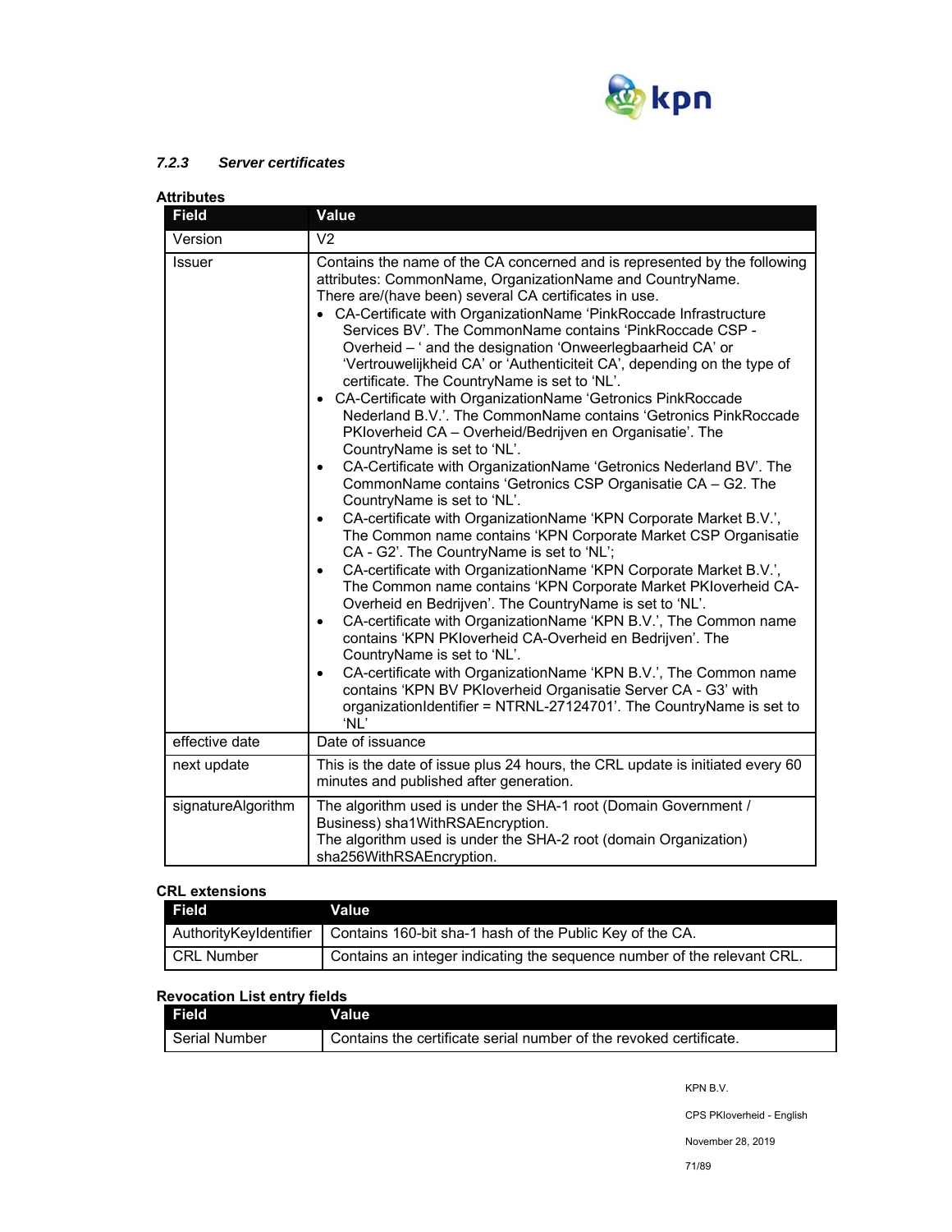

### *7.2.3 Server certificates*

| Attributes         |                                                                                                                                                                                                                                                                                                                                                                                                                                                                                                                                                                                                                                                                                                                                                                                                                                                                                                                                                                                                                                                                                                                                                                                                                                                                                                                                                                                                                                                                                                                                                                                                                                                                                                                                                                         |  |
|--------------------|-------------------------------------------------------------------------------------------------------------------------------------------------------------------------------------------------------------------------------------------------------------------------------------------------------------------------------------------------------------------------------------------------------------------------------------------------------------------------------------------------------------------------------------------------------------------------------------------------------------------------------------------------------------------------------------------------------------------------------------------------------------------------------------------------------------------------------------------------------------------------------------------------------------------------------------------------------------------------------------------------------------------------------------------------------------------------------------------------------------------------------------------------------------------------------------------------------------------------------------------------------------------------------------------------------------------------------------------------------------------------------------------------------------------------------------------------------------------------------------------------------------------------------------------------------------------------------------------------------------------------------------------------------------------------------------------------------------------------------------------------------------------------|--|
| <b>Field</b>       | <b>Value</b>                                                                                                                                                                                                                                                                                                                                                                                                                                                                                                                                                                                                                                                                                                                                                                                                                                                                                                                                                                                                                                                                                                                                                                                                                                                                                                                                                                                                                                                                                                                                                                                                                                                                                                                                                            |  |
| Version            | V <sub>2</sub>                                                                                                                                                                                                                                                                                                                                                                                                                                                                                                                                                                                                                                                                                                                                                                                                                                                                                                                                                                                                                                                                                                                                                                                                                                                                                                                                                                                                                                                                                                                                                                                                                                                                                                                                                          |  |
| Issuer             | Contains the name of the CA concerned and is represented by the following<br>attributes: CommonName, OrganizationName and CountryName.<br>There are/(have been) several CA certificates in use.<br>• CA-Certificate with OrganizationName 'PinkRoccade Infrastructure<br>Services BV'. The CommonName contains 'PinkRoccade CSP -<br>Overheid - ' and the designation 'Onweerlegbaarheid CA' or<br>'Vertrouwelijkheid CA' or 'Authenticiteit CA', depending on the type of<br>certificate. The CountryName is set to 'NL'.<br>• CA-Certificate with OrganizationName 'Getronics PinkRoccade<br>Nederland B.V.'. The CommonName contains 'Getronics PinkRoccade<br>PKloverheid CA - Overheid/Bedrijven en Organisatie'. The<br>CountryName is set to 'NL'.<br>CA-Certificate with OrganizationName 'Getronics Nederland BV'. The<br>$\bullet$<br>CommonName contains 'Getronics CSP Organisatie CA - G2. The<br>CountryName is set to 'NL'.<br>CA-certificate with OrganizationName 'KPN Corporate Market B.V.',<br>$\bullet$<br>The Common name contains 'KPN Corporate Market CSP Organisatie<br>CA - G2'. The CountryName is set to 'NL';<br>CA-certificate with OrganizationName 'KPN Corporate Market B.V.',<br>$\bullet$<br>The Common name contains 'KPN Corporate Market PKIoverheid CA-<br>Overheid en Bedrijven'. The CountryName is set to 'NL'.<br>CA-certificate with OrganizationName 'KPN B.V.', The Common name<br>$\bullet$<br>contains 'KPN PKloverheid CA-Overheid en Bedrijven'. The<br>CountryName is set to 'NL'.<br>CA-certificate with OrganizationName 'KPN B.V.', The Common name<br>$\bullet$<br>contains 'KPN BV PKloverheid Organisatie Server CA - G3' with<br>organizationIdentifier = NTRNL-27124701'. The CountryName is set to<br>'NL' |  |
| effective date     | Date of issuance                                                                                                                                                                                                                                                                                                                                                                                                                                                                                                                                                                                                                                                                                                                                                                                                                                                                                                                                                                                                                                                                                                                                                                                                                                                                                                                                                                                                                                                                                                                                                                                                                                                                                                                                                        |  |
| next update        | This is the date of issue plus 24 hours, the CRL update is initiated every 60<br>minutes and published after generation.                                                                                                                                                                                                                                                                                                                                                                                                                                                                                                                                                                                                                                                                                                                                                                                                                                                                                                                                                                                                                                                                                                                                                                                                                                                                                                                                                                                                                                                                                                                                                                                                                                                |  |
| signatureAlgorithm | The algorithm used is under the SHA-1 root (Domain Government /<br>Business) sha1WithRSAEncryption.<br>The algorithm used is under the SHA-2 root (domain Organization)<br>sha256WithRSAEncryption.                                                                                                                                                                                                                                                                                                                                                                                                                                                                                                                                                                                                                                                                                                                                                                                                                                                                                                                                                                                                                                                                                                                                                                                                                                                                                                                                                                                                                                                                                                                                                                     |  |

### **CRL extensions**

| <b>Field</b>           | Value                                                                   |
|------------------------|-------------------------------------------------------------------------|
| AuthorityKeyIdentifier | Contains 160-bit sha-1 hash of the Public Key of the CA.                |
| CRL Number             | Contains an integer indicating the sequence number of the relevant CRL. |

### **Revocation List entry fields**

| <b>Field</b>         | Value                                                              |
|----------------------|--------------------------------------------------------------------|
| <b>Serial Number</b> | Contains the certificate serial number of the revoked certificate. |

KPN B.V.

CPS PKIoverheid - English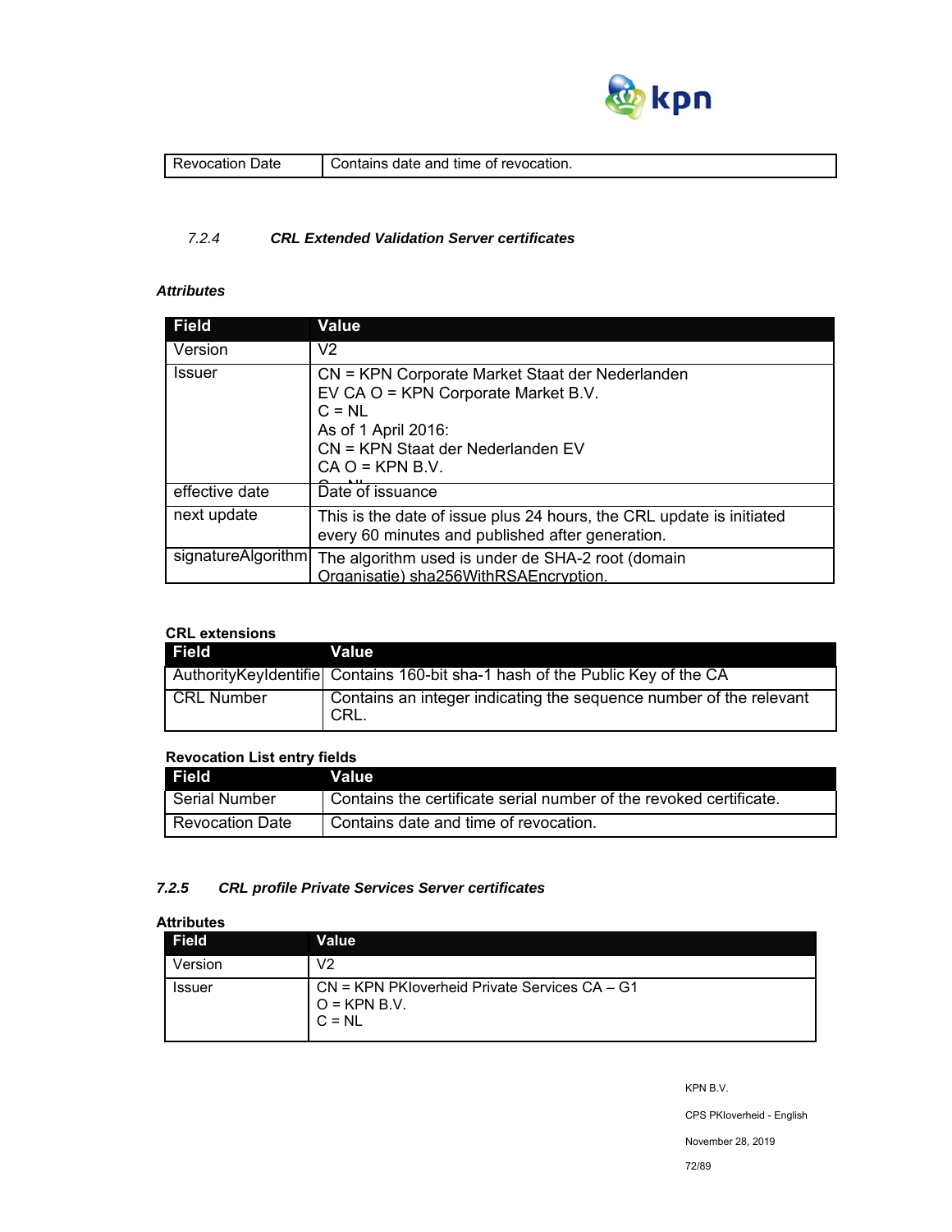

| Jate<br>evocauc<br>п | revocation.<br>∴ontain⊂<br>time<br>-anc<br>nt<br>пате<br>air |
|----------------------|--------------------------------------------------------------|
|                      |                                                              |

### *7.2.4 CRL Extended Validation Server certificates*

# *Attributes*

| <b>Field</b>       | <b>Value</b>                                                                                                                                                                        |
|--------------------|-------------------------------------------------------------------------------------------------------------------------------------------------------------------------------------|
| Version            | V <sub>2</sub>                                                                                                                                                                      |
| <b>Issuer</b>      | CN = KPN Corporate Market Staat der Nederlanden<br>EV CA O = KPN Corporate Market B.V.<br>$C = NL$<br>As of 1 April 2016:<br>CN = KPN Staat der Nederlanden EV<br>$CA O = KPN B.V.$ |
| effective date     | Date of issuance                                                                                                                                                                    |
| next update        | This is the date of issue plus 24 hours, the CRL update is initiated<br>every 60 minutes and published after generation.                                                            |
| signatureAlgorithm | The algorithm used is under de SHA-2 root (domain<br>Organisatie) sha256WithRSAEncryption.                                                                                          |

# **CRL extensions**

| Field             | Value                                                                          |
|-------------------|--------------------------------------------------------------------------------|
|                   | Authority Keyldentifie Contains 160-bit sha-1 hash of the Public Key of the CA |
| <b>CRL Number</b> | Contains an integer indicating the sequence number of the relevant<br>I CRL.   |

### **Revocation List entry fields**

| <b>Field</b>    | Value                                                                |
|-----------------|----------------------------------------------------------------------|
| l Serial Number | I Contains the certificate serial number of the revoked certificate. |
| Revocation Date | Contains date and time of revocation.                                |

### *7.2.5 CRL profile Private Services Server certificates*

### **Attributes**

| <b>Field</b>  | Value                                                                            |
|---------------|----------------------------------------------------------------------------------|
| Version       | V2                                                                               |
| <b>Issuer</b> | $CN = KPN$ PK loverheid Private Services $CA - G1$<br>$Q = KPN B.V.$<br>$C = NL$ |

KPN B.V.

CPS PKIoverheid - English

November 28, 2019

72/89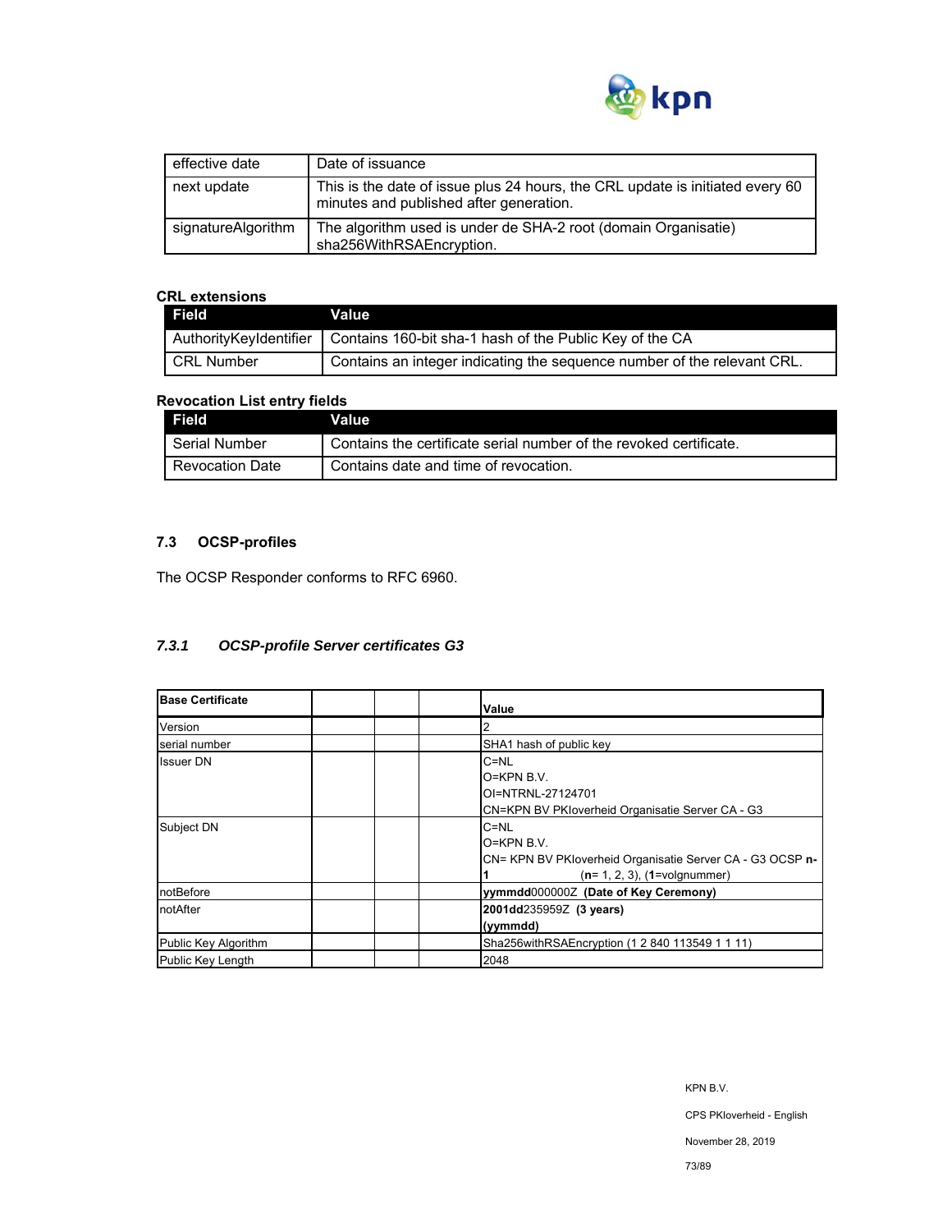

| effective date     | Date of issuance                                                                                                         |
|--------------------|--------------------------------------------------------------------------------------------------------------------------|
| next update        | This is the date of issue plus 24 hours, the CRL update is initiated every 60<br>minutes and published after generation. |
| signatureAlgorithm | The algorithm used is under de SHA-2 root (domain Organisatie)<br>sha256WithRSAEncryption.                               |

## **CRL extensions**

| <b>Field</b>      | Value                                                                            |
|-------------------|----------------------------------------------------------------------------------|
|                   | AuthorityKeyIdentifier   Contains 160-bit sha-1 hash of the Public Key of the CA |
| <b>CRL Number</b> | Contains an integer indicating the sequence number of the relevant CRL.          |

## **Revocation List entry fields**

| Field                  | Value                                                              |
|------------------------|--------------------------------------------------------------------|
| Serial Number          | Contains the certificate serial number of the revoked certificate. |
| <b>Revocation Date</b> | Contains date and time of revocation.                              |

# **7.3 OCSP-profiles**

The OCSP Responder conforms to RFC 6960.

## *7.3.1 OCSP-profile Server certificates G3*

| <b>Base Certificate</b> | Value                                                                                                                      |
|-------------------------|----------------------------------------------------------------------------------------------------------------------------|
| Version                 |                                                                                                                            |
| serial number           | SHA1 hash of public key                                                                                                    |
| <b>Issuer DN</b>        | $C = NL$<br>$O=KPN B.V.$<br>OI=NTRNL-27124701<br>CN=KPN BV PKIoverheid Organisatie Server CA - G3                          |
| Subject DN              | $C = NL$<br>$O=KPN B.V.$<br>CN= KPN BV PKloverheid Organisatie Server CA - G3 OCSP n-<br>$(n=1, 2, 3)$ , $(1=$ volgnummer) |
| notBefore               | yymmdd0000002 (Date of Key Ceremony)                                                                                       |
| notAfter                | 2001dd235959Z (3 years)<br>(yymmdd)                                                                                        |
| Public Key Algorithm    | Sha256withRSAEncryption (1 2 840 113549 1 1 11)                                                                            |
| Public Key Length       | 2048                                                                                                                       |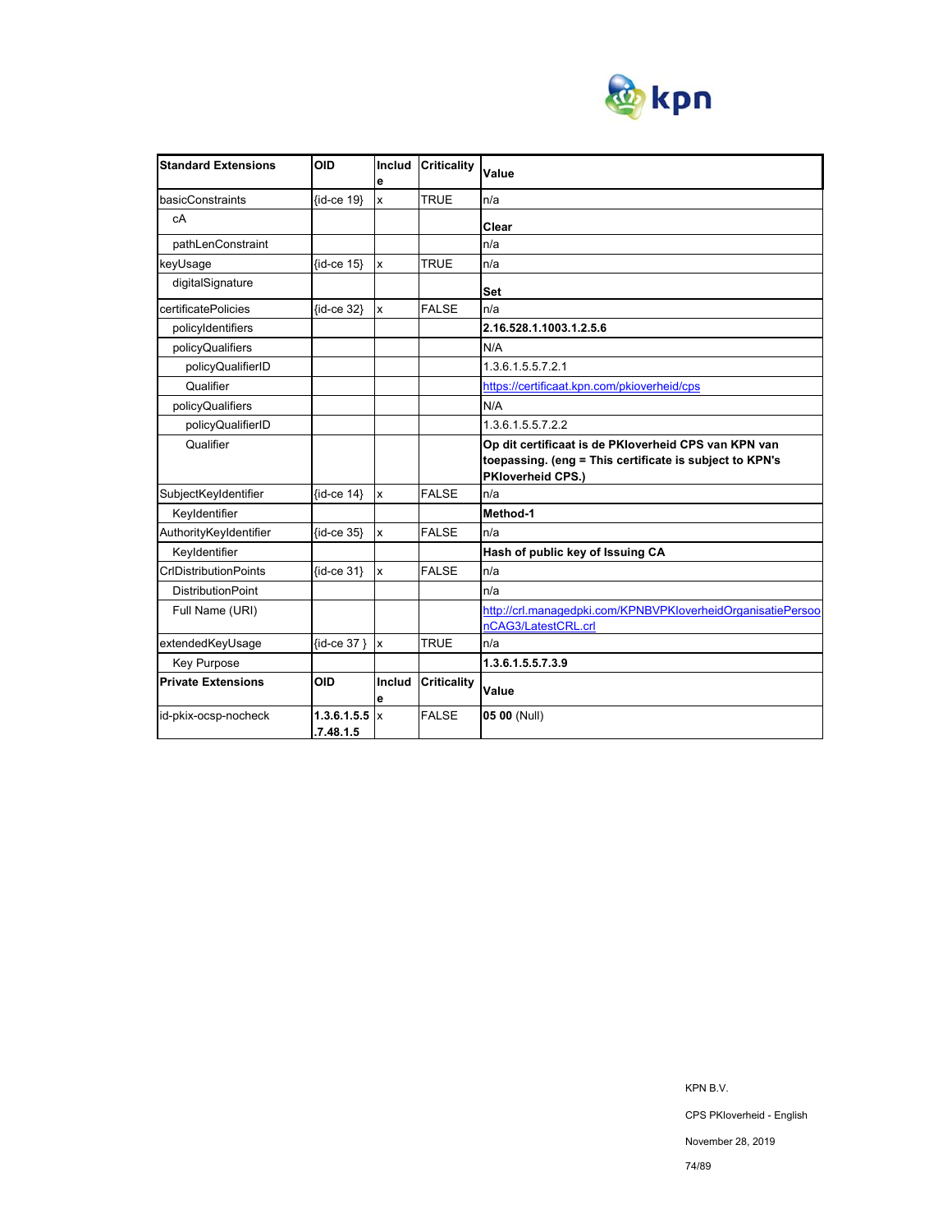

| <b>Standard Extensions</b>   | <b>OID</b>               | Includ<br>e             | <b>Criticality</b> | Value                                                                                                                                |
|------------------------------|--------------------------|-------------------------|--------------------|--------------------------------------------------------------------------------------------------------------------------------------|
| basicConstraints             | {id-ce 19}               | $\overline{\mathsf{x}}$ | <b>TRUE</b>        | n/a                                                                                                                                  |
| cA                           |                          |                         |                    | Clear                                                                                                                                |
| pathLenConstraint            |                          |                         |                    | n/a                                                                                                                                  |
| keyUsage                     | $\{id-ce 15\}$           | $\mathbf{x}$            | <b>TRUE</b>        | n/a                                                                                                                                  |
| digitalSignature             |                          |                         |                    | Set                                                                                                                                  |
| certificatePolicies          | {id-ce 32}               | $\mathbf{x}$            | <b>FALSE</b>       | n/a                                                                                                                                  |
| policyIdentifiers            |                          |                         |                    | 2.16.528.1.1003.1.2.5.6                                                                                                              |
| policyQualifiers             |                          |                         |                    | N/A                                                                                                                                  |
| policyQualifierID            |                          |                         |                    | 1.3.6.1.5.5.7.2.1                                                                                                                    |
| Qualifier                    |                          |                         |                    | https://certificaat.kpn.com/pkioverheid/cps                                                                                          |
| policyQualifiers             |                          |                         |                    | N/A                                                                                                                                  |
| policyQualifierID            |                          |                         |                    | 1.3.6.1.5.5.7.2.2                                                                                                                    |
| Qualifier                    |                          |                         |                    | Op dit certificaat is de PKIoverheid CPS van KPN van<br>toepassing. (eng = This certificate is subject to KPN's<br>PKloverheid CPS.) |
| SubjectKeyIdentifier         | $\{id-ce 14\}$           | Ιx                      | <b>FALSE</b>       | n/a                                                                                                                                  |
| Keyldentifier                |                          |                         |                    | Method-1                                                                                                                             |
| AuthorityKeyIdentifier       | $\{id-ce 35\}$           | $\mathbf{x}$            | <b>FALSE</b>       | n/a                                                                                                                                  |
| Keyldentifier                |                          |                         |                    | Hash of public key of Issuing CA                                                                                                     |
| <b>CrIDistributionPoints</b> | $\{id-ce 31\}$           | $\mathbf{x}$            | <b>FALSE</b>       | n/a                                                                                                                                  |
| <b>DistributionPoint</b>     |                          |                         |                    | n/a                                                                                                                                  |
| Full Name (URI)              |                          |                         |                    | http://crl.managedpki.com/KPNBVPKloverheidOrganisatiePersoo                                                                          |
|                              |                          |                         |                    | nCAG3/LatestCRL.crl                                                                                                                  |
| extendedKeyUsage             | {id-ce 37 } x            |                         | <b>TRUE</b>        | n/a                                                                                                                                  |
| Key Purpose                  |                          |                         |                    | 1.3.6.1.5.5.7.3.9                                                                                                                    |
| <b>Private Extensions</b>    | <b>OID</b>               | Includ<br>е             | <b>Criticality</b> | Value                                                                                                                                |
| id-pkix-ocsp-nocheck         | 1.3.6.1.5.5<br>.7.48.1.5 | $\mathsf{I}$            | <b>FALSE</b>       | 05 00 (Null)                                                                                                                         |

KPN B.V.

CPS PKIoverheid - English

November 28, 2019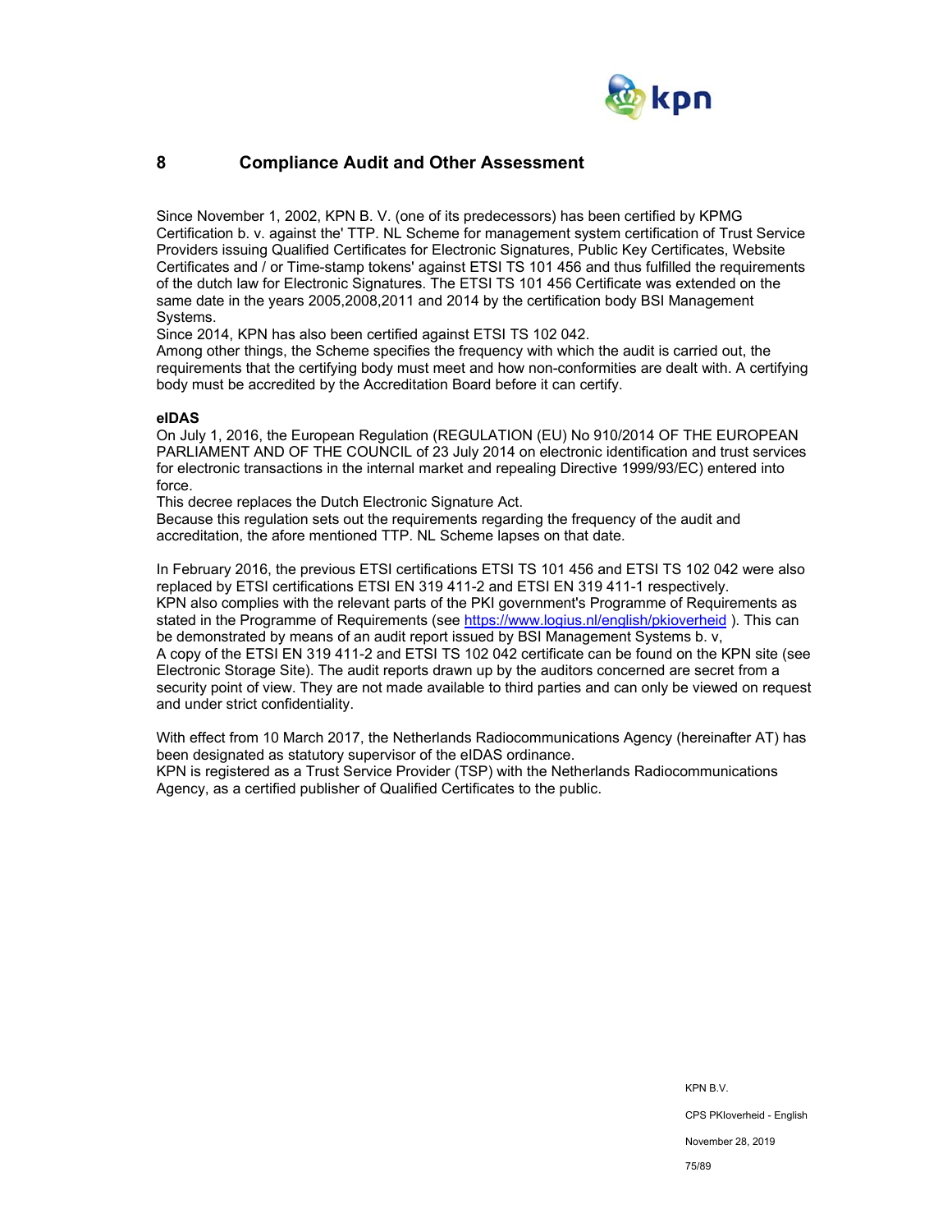

## **8 Compliance Audit and Other Assessment**

Since November 1, 2002, KPN B. V. (one of its predecessors) has been certified by KPMG Certification b. v. against the' TTP. NL Scheme for management system certification of Trust Service Providers issuing Qualified Certificates for Electronic Signatures, Public Key Certificates, Website Certificates and / or Time-stamp tokens' against ETSI TS 101 456 and thus fulfilled the requirements of the dutch law for Electronic Signatures. The ETSI TS 101 456 Certificate was extended on the same date in the years 2005,2008,2011 and 2014 by the certification body BSI Management Systems.

Since 2014, KPN has also been certified against ETSI TS 102 042.

Among other things, the Scheme specifies the frequency with which the audit is carried out, the requirements that the certifying body must meet and how non-conformities are dealt with. A certifying body must be accredited by the Accreditation Board before it can certify.

### **eIDAS**

On July 1, 2016, the European Regulation (REGULATION (EU) No 910/2014 OF THE EUROPEAN PARLIAMENT AND OF THE COUNCIL of 23 July 2014 on electronic identification and trust services for electronic transactions in the internal market and repealing Directive 1999/93/EC) entered into force.

This decree replaces the Dutch Electronic Signature Act.

Because this regulation sets out the requirements regarding the frequency of the audit and accreditation, the afore mentioned TTP. NL Scheme lapses on that date.

In February 2016, the previous ETSI certifications ETSI TS 101 456 and ETSI TS 102 042 were also replaced by ETSI certifications ETSI EN 319 411-2 and ETSI EN 319 411-1 respectively. KPN also complies with the relevant parts of the PKI government's Programme of Requirements as stated in the Programme of Requirements (see https://www.logius.nl/english/pkioverheid ). This can be demonstrated by means of an audit report issued by BSI Management Systems b. v, A copy of the ETSI EN 319 411-2 and ETSI TS 102 042 certificate can be found on the KPN site (see Electronic Storage Site). The audit reports drawn up by the auditors concerned are secret from a security point of view. They are not made available to third parties and can only be viewed on request and under strict confidentiality.

With effect from 10 March 2017, the Netherlands Radiocommunications Agency (hereinafter AT) has been designated as statutory supervisor of the eIDAS ordinance. KPN is registered as a Trust Service Provider (TSP) with the Netherlands Radiocommunications Agency, as a certified publisher of Qualified Certificates to the public.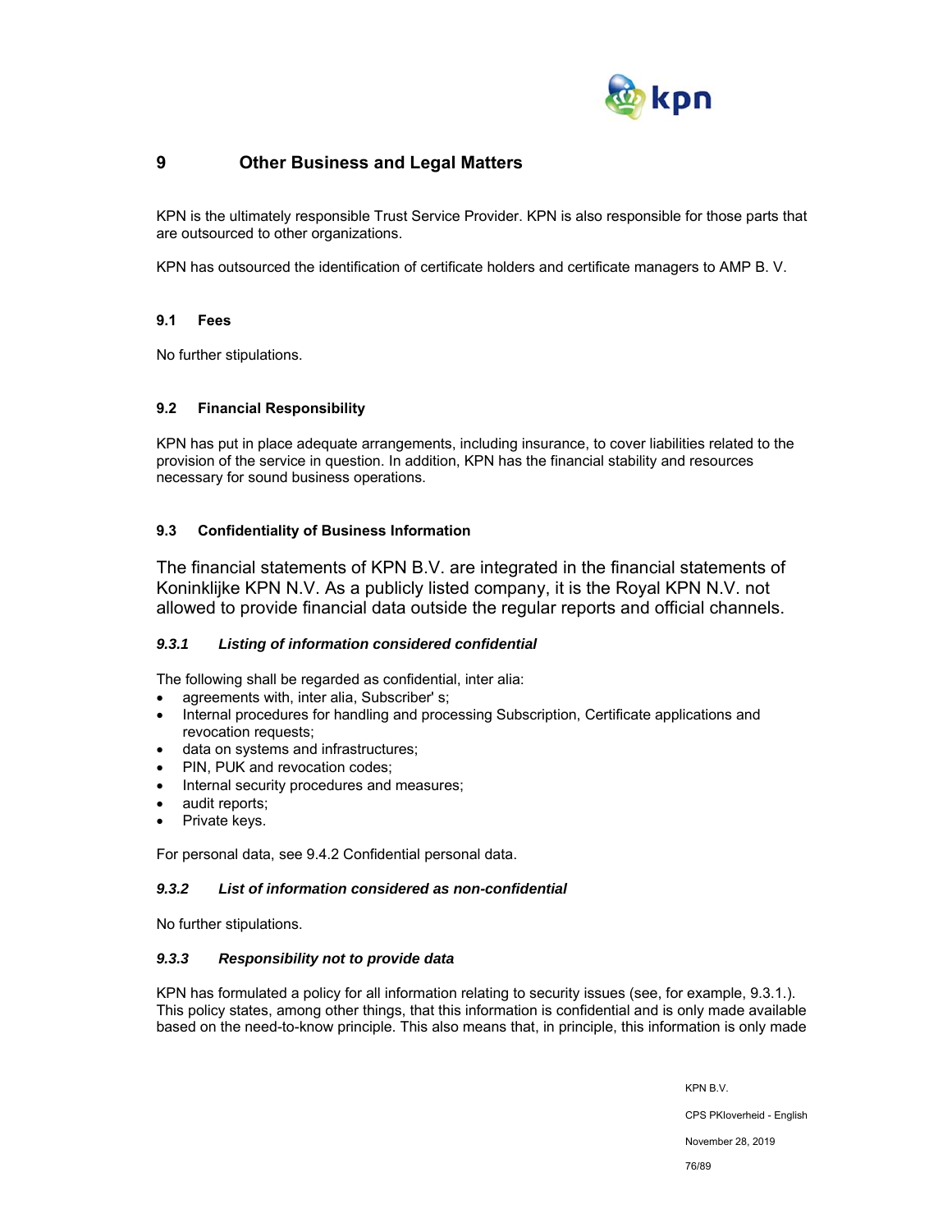

## **9 Other Business and Legal Matters**

KPN is the ultimately responsible Trust Service Provider. KPN is also responsible for those parts that are outsourced to other organizations.

KPN has outsourced the identification of certificate holders and certificate managers to AMP B. V.

## **9.1 Fees**

No further stipulations.

## **9.2 Financial Responsibility**

KPN has put in place adequate arrangements, including insurance, to cover liabilities related to the provision of the service in question. In addition, KPN has the financial stability and resources necessary for sound business operations.

## **9.3 Confidentiality of Business Information**

The financial statements of KPN B.V. are integrated in the financial statements of Koninklijke KPN N.V. As a publicly listed company, it is the Royal KPN N.V. not allowed to provide financial data outside the regular reports and official channels.

## *9.3.1 Listing of information considered confidential*

The following shall be regarded as confidential, inter alia:

- agreements with, inter alia, Subscriber' s;
- Internal procedures for handling and processing Subscription, Certificate applications and revocation requests;
- data on systems and infrastructures;
- PIN, PUK and revocation codes;
- Internal security procedures and measures;
- audit reports;
- Private keys.

For personal data, see 9.4.2 Confidential personal data.

### *9.3.2 List of information considered as non-confidential*

No further stipulations.

## *9.3.3 Responsibility not to provide data*

KPN has formulated a policy for all information relating to security issues (see, for example, 9.3.1.). This policy states, among other things, that this information is confidential and is only made available based on the need-to-know principle. This also means that, in principle, this information is only made

KPN B.V.

CPS PKIoverheid - English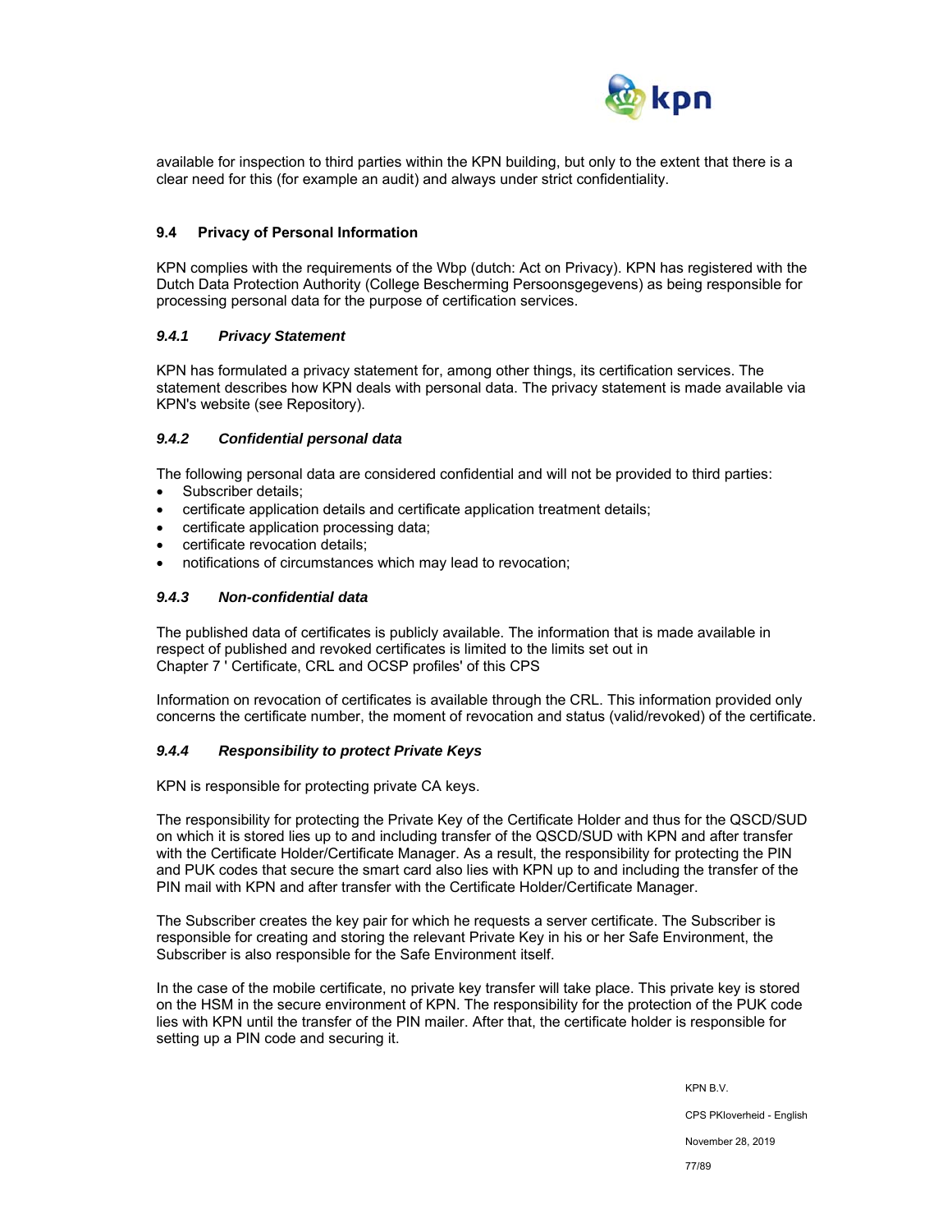

available for inspection to third parties within the KPN building, but only to the extent that there is a clear need for this (for example an audit) and always under strict confidentiality.

#### **9.4 Privacy of Personal Information**

KPN complies with the requirements of the Wbp (dutch: Act on Privacy). KPN has registered with the Dutch Data Protection Authority (College Bescherming Persoonsgegevens) as being responsible for processing personal data for the purpose of certification services.

#### *9.4.1 Privacy Statement*

KPN has formulated a privacy statement for, among other things, its certification services. The statement describes how KPN deals with personal data. The privacy statement is made available via KPN's website (see Repository).

### *9.4.2 Confidential personal data*

The following personal data are considered confidential and will not be provided to third parties:

- Subscriber details;
- certificate application details and certificate application treatment details;
- certificate application processing data;
- certificate revocation details;
- notifications of circumstances which may lead to revocation;

### *9.4.3 Non-confidential data*

The published data of certificates is publicly available. The information that is made available in respect of published and revoked certificates is limited to the limits set out in Chapter 7 ' Certificate, CRL and OCSP profiles' of this CPS

Information on revocation of certificates is available through the CRL. This information provided only concerns the certificate number, the moment of revocation and status (valid/revoked) of the certificate.

#### *9.4.4 Responsibility to protect Private Keys*

KPN is responsible for protecting private CA keys.

The responsibility for protecting the Private Key of the Certificate Holder and thus for the QSCD/SUD on which it is stored lies up to and including transfer of the QSCD/SUD with KPN and after transfer with the Certificate Holder/Certificate Manager. As a result, the responsibility for protecting the PIN and PUK codes that secure the smart card also lies with KPN up to and including the transfer of the PIN mail with KPN and after transfer with the Certificate Holder/Certificate Manager.

The Subscriber creates the key pair for which he requests a server certificate. The Subscriber is responsible for creating and storing the relevant Private Key in his or her Safe Environment, the Subscriber is also responsible for the Safe Environment itself.

In the case of the mobile certificate, no private key transfer will take place. This private key is stored on the HSM in the secure environment of KPN. The responsibility for the protection of the PUK code lies with KPN until the transfer of the PIN mailer. After that, the certificate holder is responsible for setting up a PIN code and securing it.

> KPN B.V. CPS PKIoverheid - English November 28, 2019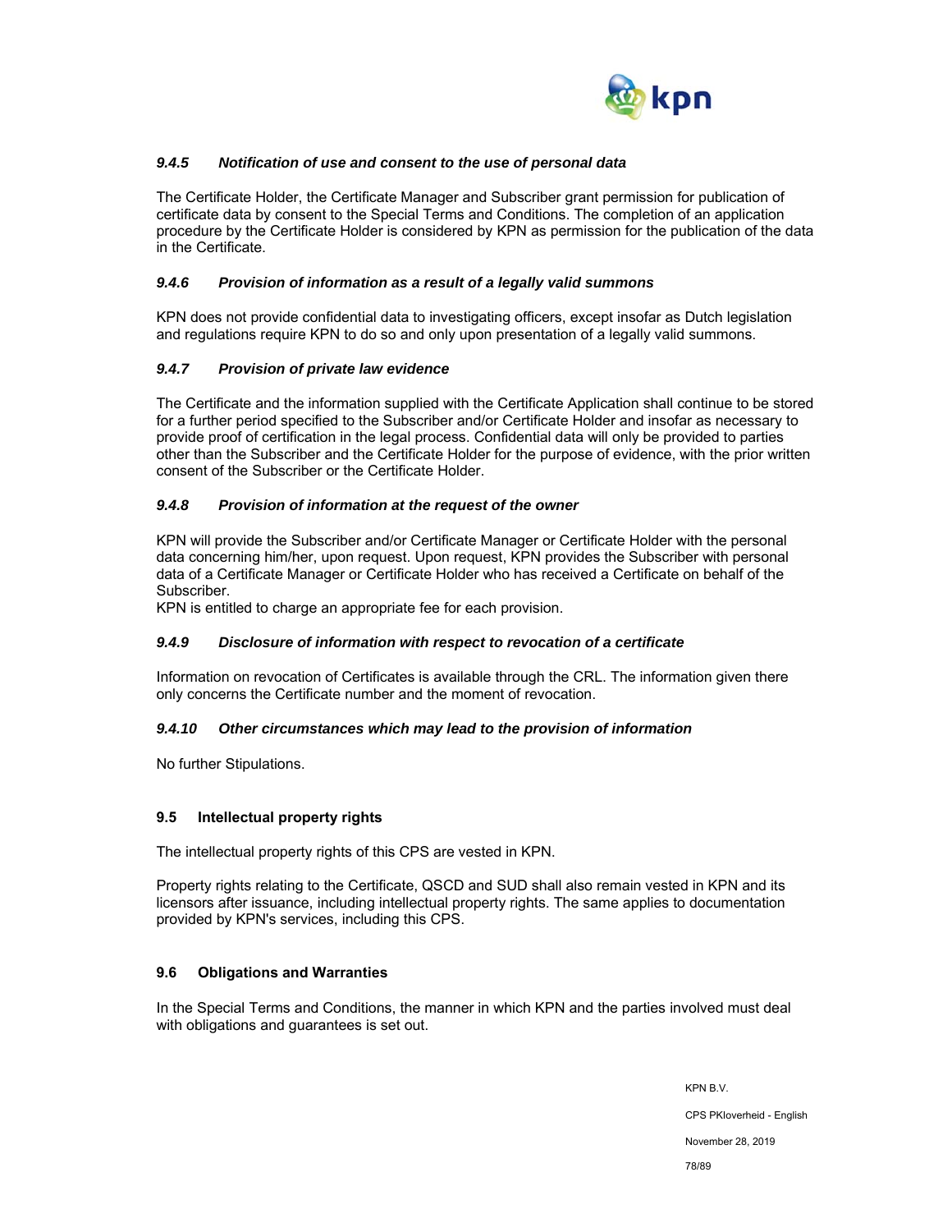

## *9.4.5 Notification of use and consent to the use of personal data*

The Certificate Holder, the Certificate Manager and Subscriber grant permission for publication of certificate data by consent to the Special Terms and Conditions. The completion of an application procedure by the Certificate Holder is considered by KPN as permission for the publication of the data in the Certificate.

### *9.4.6 Provision of information as a result of a legally valid summons*

KPN does not provide confidential data to investigating officers, except insofar as Dutch legislation and regulations require KPN to do so and only upon presentation of a legally valid summons.

## *9.4.7 Provision of private law evidence*

The Certificate and the information supplied with the Certificate Application shall continue to be stored for a further period specified to the Subscriber and/or Certificate Holder and insofar as necessary to provide proof of certification in the legal process. Confidential data will only be provided to parties other than the Subscriber and the Certificate Holder for the purpose of evidence, with the prior written consent of the Subscriber or the Certificate Holder.

### *9.4.8 Provision of information at the request of the owner*

KPN will provide the Subscriber and/or Certificate Manager or Certificate Holder with the personal data concerning him/her, upon request. Upon request, KPN provides the Subscriber with personal data of a Certificate Manager or Certificate Holder who has received a Certificate on behalf of the Subscriber.

KPN is entitled to charge an appropriate fee for each provision.

## *9.4.9 Disclosure of information with respect to revocation of a certificate*

Information on revocation of Certificates is available through the CRL. The information given there only concerns the Certificate number and the moment of revocation.

#### *9.4.10 Other circumstances which may lead to the provision of information*

No further Stipulations.

## **9.5 Intellectual property rights**

The intellectual property rights of this CPS are vested in KPN.

Property rights relating to the Certificate, QSCD and SUD shall also remain vested in KPN and its licensors after issuance, including intellectual property rights. The same applies to documentation provided by KPN's services, including this CPS.

## **9.6 Obligations and Warranties**

In the Special Terms and Conditions, the manner in which KPN and the parties involved must deal with obligations and guarantees is set out.

> KPN B.V. CPS PKIoverheid - English November 28, 2019 78/89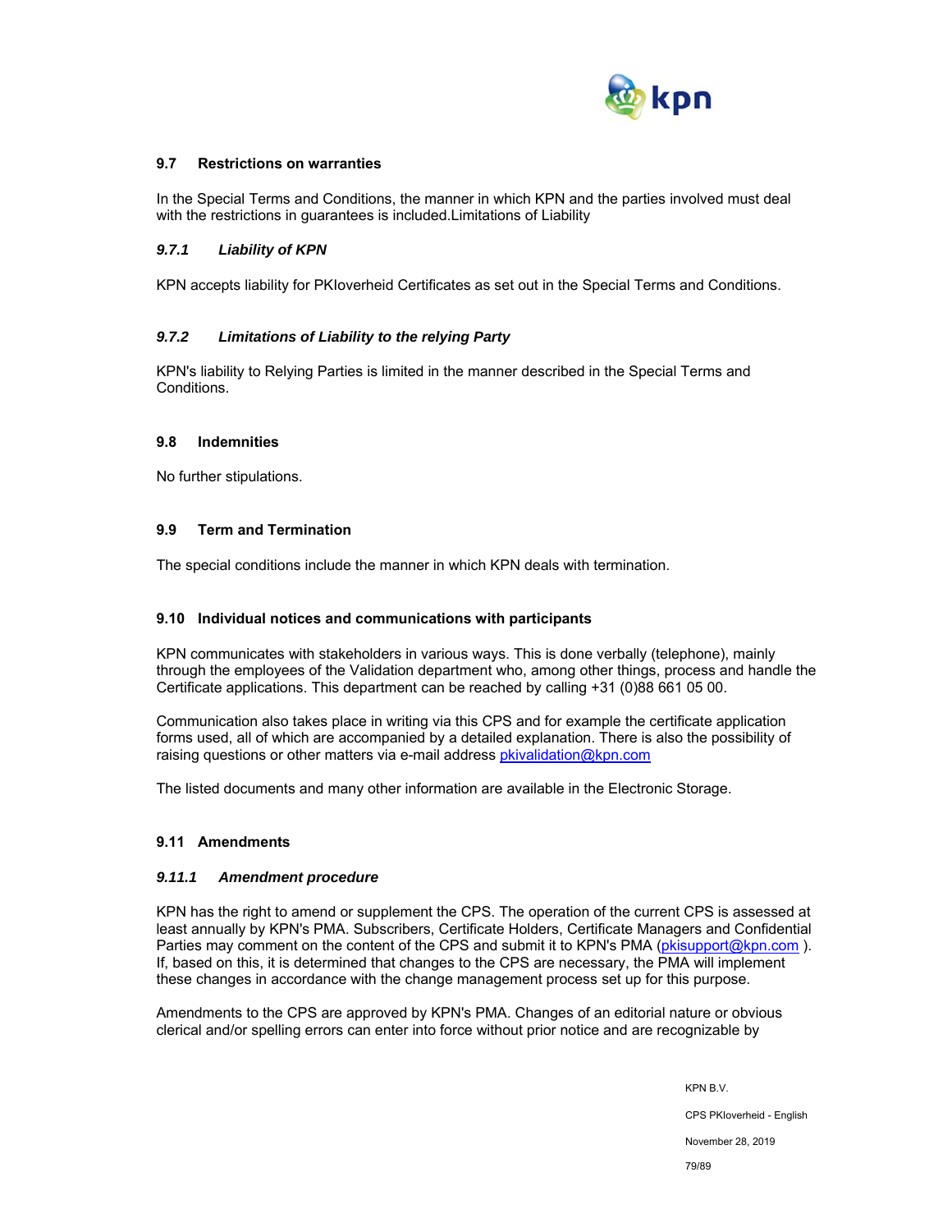

## **9.7 Restrictions on warranties**

In the Special Terms and Conditions, the manner in which KPN and the parties involved must deal with the restrictions in guarantees is included.Limitations of Liability

### *9.7.1 Liability of KPN*

KPN accepts liability for PKIoverheid Certificates as set out in the Special Terms and Conditions.

### *9.7.2 Limitations of Liability to the relying Party*

KPN's liability to Relying Parties is limited in the manner described in the Special Terms and Conditions.

#### **9.8 Indemnities**

No further stipulations.

## **9.9 Term and Termination**

The special conditions include the manner in which KPN deals with termination.

#### **9.10 Individual notices and communications with participants**

KPN communicates with stakeholders in various ways. This is done verbally (telephone), mainly through the employees of the Validation department who, among other things, process and handle the Certificate applications. This department can be reached by calling +31 (0)88 661 05 00.

Communication also takes place in writing via this CPS and for example the certificate application forms used, all of which are accompanied by a detailed explanation. There is also the possibility of raising questions or other matters via e-mail address pkivalidation@kpn.com

The listed documents and many other information are available in the Electronic Storage.

#### **9.11 Amendments**

#### *9.11.1 Amendment procedure*

KPN has the right to amend or supplement the CPS. The operation of the current CPS is assessed at least annually by KPN's PMA. Subscribers, Certificate Holders, Certificate Managers and Confidential Parties may comment on the content of the CPS and submit it to KPN's PMA (pkisupport@kpn.com). If, based on this, it is determined that changes to the CPS are necessary, the PMA will implement these changes in accordance with the change management process set up for this purpose.

Amendments to the CPS are approved by KPN's PMA. Changes of an editorial nature or obvious clerical and/or spelling errors can enter into force without prior notice and are recognizable by

> KPN B.V. CPS PKIoverheid - English November 28, 2019 79/89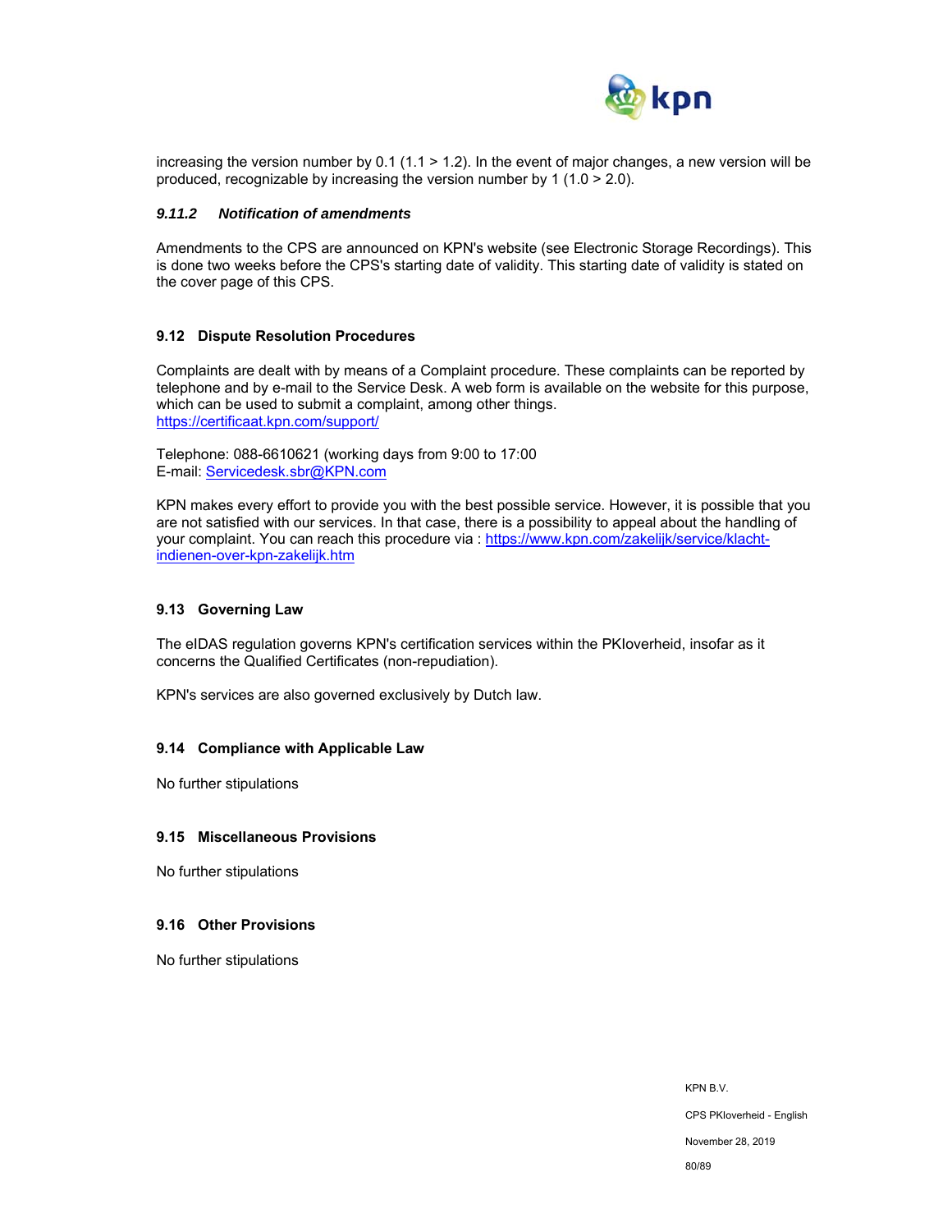

increasing the version number by 0.1 (1.1 > 1.2). In the event of major changes, a new version will be produced, recognizable by increasing the version number by 1 (1.0 > 2.0).

#### *9.11.2 Notification of amendments*

Amendments to the CPS are announced on KPN's website (see Electronic Storage Recordings). This is done two weeks before the CPS's starting date of validity. This starting date of validity is stated on the cover page of this CPS.

#### **9.12 Dispute Resolution Procedures**

Complaints are dealt with by means of a Complaint procedure. These complaints can be reported by telephone and by e-mail to the Service Desk. A web form is available on the website for this purpose, which can be used to submit a complaint, among other things. https://certificaat.kpn.com/support/

Telephone: 088-6610621 (working days from 9:00 to 17:00 E-mail: Servicedesk.sbr@KPN.com

KPN makes every effort to provide you with the best possible service. However, it is possible that you are not satisfied with our services. In that case, there is a possibility to appeal about the handling of your complaint. You can reach this procedure via : https://www.kpn.com/zakelijk/service/klachtindienen-over-kpn-zakelijk.htm

#### **9.13 Governing Law**

The eIDAS regulation governs KPN's certification services within the PKIoverheid, insofar as it concerns the Qualified Certificates (non-repudiation).

KPN's services are also governed exclusively by Dutch law.

#### **9.14 Compliance with Applicable Law**

No further stipulations

#### **9.15 Miscellaneous Provisions**

No further stipulations

#### **9.16 Other Provisions**

No further stipulations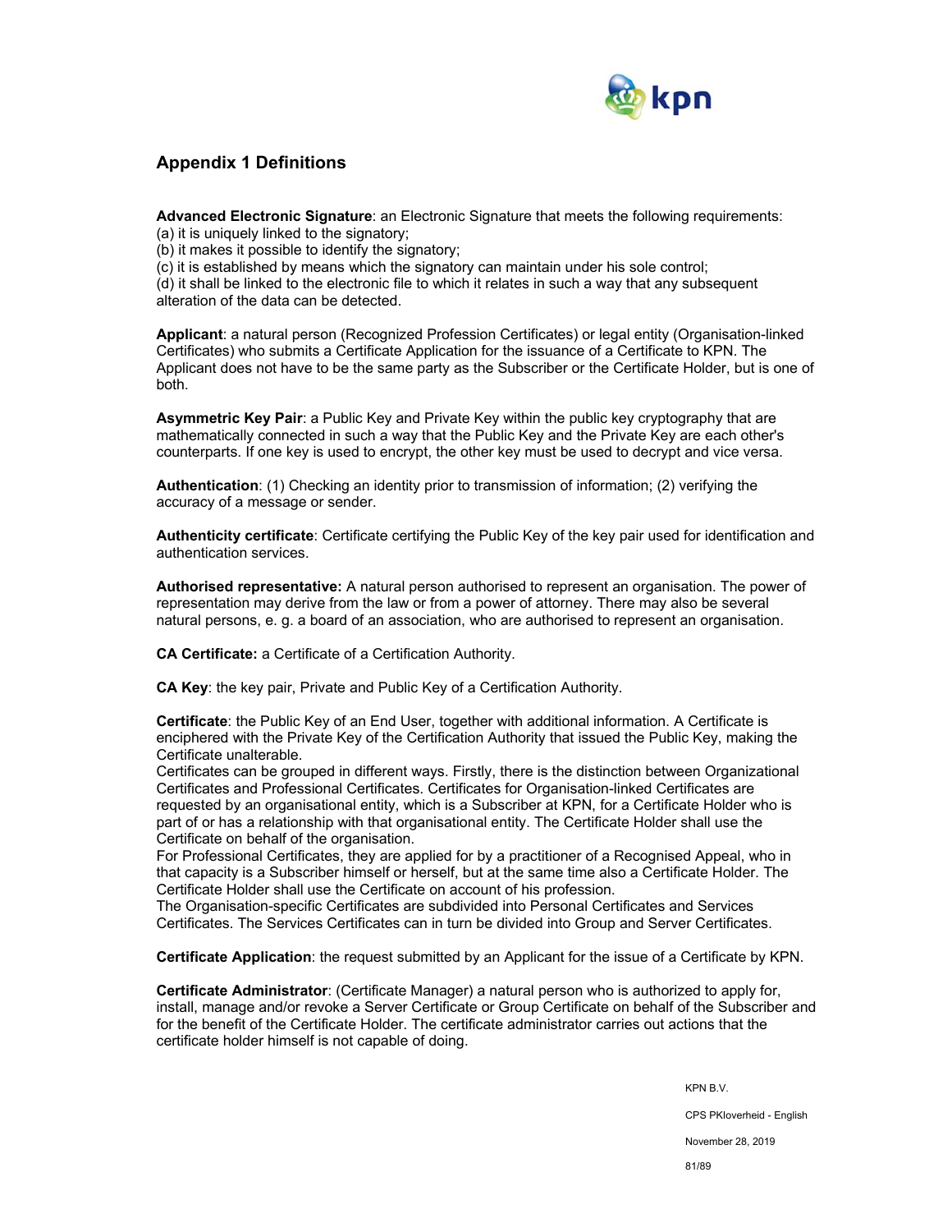

## **Appendix 1 Definitions**

**Advanced Electronic Signature**: an Electronic Signature that meets the following requirements:

(a) it is uniquely linked to the signatory;

(b) it makes it possible to identify the signatory;

(c) it is established by means which the signatory can maintain under his sole control;

(d) it shall be linked to the electronic file to which it relates in such a way that any subsequent alteration of the data can be detected.

**Applicant**: a natural person (Recognized Profession Certificates) or legal entity (Organisation-linked Certificates) who submits a Certificate Application for the issuance of a Certificate to KPN. The Applicant does not have to be the same party as the Subscriber or the Certificate Holder, but is one of both.

**Asymmetric Key Pair**: a Public Key and Private Key within the public key cryptography that are mathematically connected in such a way that the Public Key and the Private Key are each other's counterparts. If one key is used to encrypt, the other key must be used to decrypt and vice versa.

**Authentication**: (1) Checking an identity prior to transmission of information; (2) verifying the accuracy of a message or sender.

**Authenticity certificate**: Certificate certifying the Public Key of the key pair used for identification and authentication services.

**Authorised representative:** A natural person authorised to represent an organisation. The power of representation may derive from the law or from a power of attorney. There may also be several natural persons, e. g. a board of an association, who are authorised to represent an organisation.

**CA Certificate:** a Certificate of a Certification Authority.

**CA Key**: the key pair, Private and Public Key of a Certification Authority.

**Certificate**: the Public Key of an End User, together with additional information. A Certificate is enciphered with the Private Key of the Certification Authority that issued the Public Key, making the Certificate unalterable.

Certificates can be grouped in different ways. Firstly, there is the distinction between Organizational Certificates and Professional Certificates. Certificates for Organisation-linked Certificates are requested by an organisational entity, which is a Subscriber at KPN, for a Certificate Holder who is part of or has a relationship with that organisational entity. The Certificate Holder shall use the Certificate on behalf of the organisation.

For Professional Certificates, they are applied for by a practitioner of a Recognised Appeal, who in that capacity is a Subscriber himself or herself, but at the same time also a Certificate Holder. The Certificate Holder shall use the Certificate on account of his profession.

The Organisation-specific Certificates are subdivided into Personal Certificates and Services Certificates. The Services Certificates can in turn be divided into Group and Server Certificates.

**Certificate Application**: the request submitted by an Applicant for the issue of a Certificate by KPN.

**Certificate Administrator**: (Certificate Manager) a natural person who is authorized to apply for, install, manage and/or revoke a Server Certificate or Group Certificate on behalf of the Subscriber and for the benefit of the Certificate Holder. The certificate administrator carries out actions that the certificate holder himself is not capable of doing.

> KPN B.V. CPS PKIoverheid - English November 28, 2019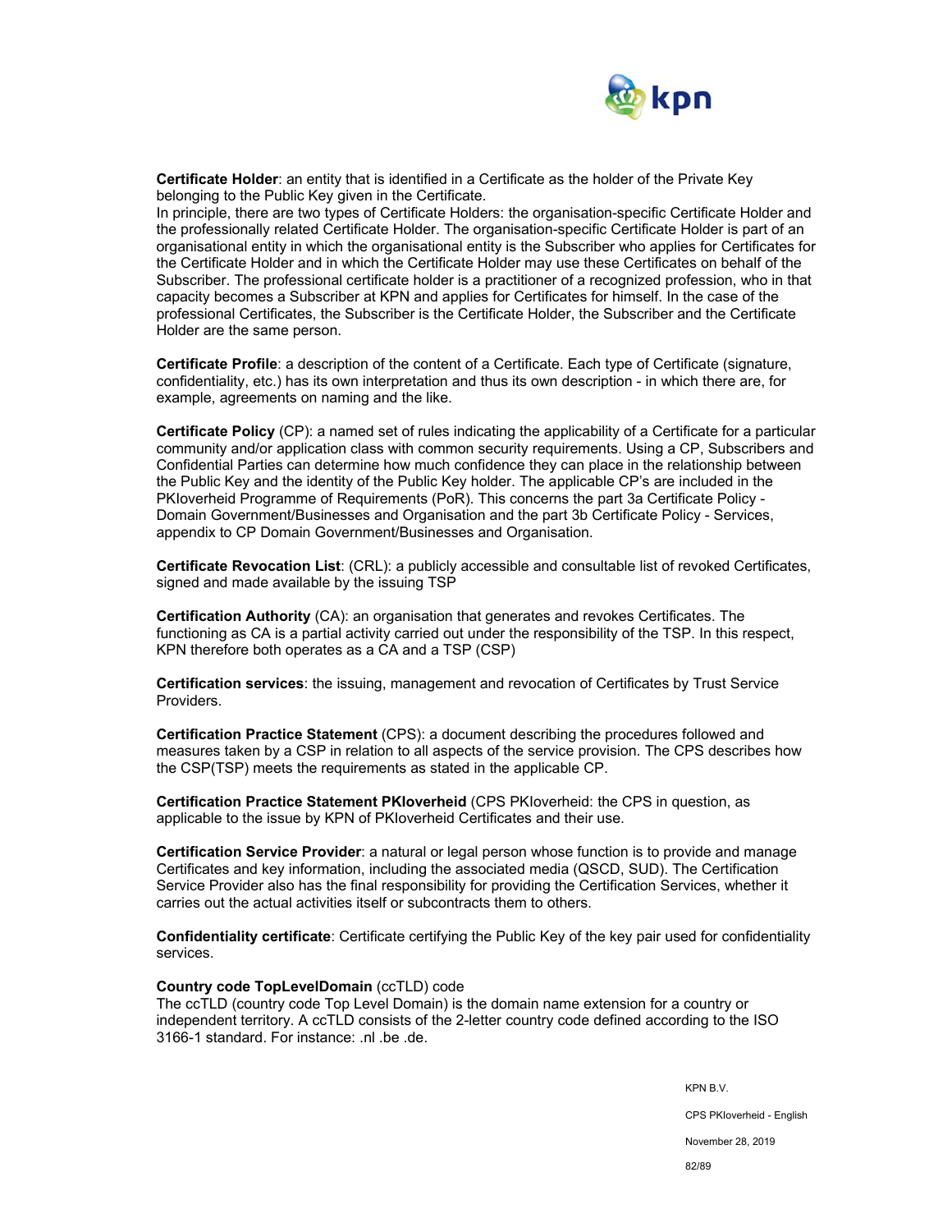

**Certificate Holder**: an entity that is identified in a Certificate as the holder of the Private Key belonging to the Public Key given in the Certificate.

In principle, there are two types of Certificate Holders: the organisation-specific Certificate Holder and the professionally related Certificate Holder. The organisation-specific Certificate Holder is part of an organisational entity in which the organisational entity is the Subscriber who applies for Certificates for the Certificate Holder and in which the Certificate Holder may use these Certificates on behalf of the Subscriber. The professional certificate holder is a practitioner of a recognized profession, who in that capacity becomes a Subscriber at KPN and applies for Certificates for himself. In the case of the professional Certificates, the Subscriber is the Certificate Holder, the Subscriber and the Certificate Holder are the same person.

**Certificate Profile**: a description of the content of a Certificate. Each type of Certificate (signature, confidentiality, etc.) has its own interpretation and thus its own description - in which there are, for example, agreements on naming and the like.

**Certificate Policy** (CP): a named set of rules indicating the applicability of a Certificate for a particular community and/or application class with common security requirements. Using a CP, Subscribers and Confidential Parties can determine how much confidence they can place in the relationship between the Public Key and the identity of the Public Key holder. The applicable CP's are included in the PKIoverheid Programme of Requirements (PoR). This concerns the part 3a Certificate Policy - Domain Government/Businesses and Organisation and the part 3b Certificate Policy - Services, appendix to CP Domain Government/Businesses and Organisation.

**Certificate Revocation List**: (CRL): a publicly accessible and consultable list of revoked Certificates, signed and made available by the issuing TSP

**Certification Authority** (CA): an organisation that generates and revokes Certificates. The functioning as CA is a partial activity carried out under the responsibility of the TSP. In this respect, KPN therefore both operates as a CA and a TSP (CSP)

**Certification services**: the issuing, management and revocation of Certificates by Trust Service Providers.

**Certification Practice Statement** (CPS): a document describing the procedures followed and measures taken by a CSP in relation to all aspects of the service provision. The CPS describes how the CSP(TSP) meets the requirements as stated in the applicable CP.

**Certification Practice Statement PKIoverheid** (CPS PKIoverheid: the CPS in question, as applicable to the issue by KPN of PKIoverheid Certificates and their use.

**Certification Service Provider**: a natural or legal person whose function is to provide and manage Certificates and key information, including the associated media (QSCD, SUD). The Certification Service Provider also has the final responsibility for providing the Certification Services, whether it carries out the actual activities itself or subcontracts them to others.

**Confidentiality certificate**: Certificate certifying the Public Key of the key pair used for confidentiality services.

#### **Country code TopLevelDomain** (ccTLD) code

The ccTLD (country code Top Level Domain) is the domain name extension for a country or independent territory. A ccTLD consists of the 2-letter country code defined according to the ISO 3166-1 standard. For instance: .nl .be .de.

KPN B.V.

CPS PKIoverheid - English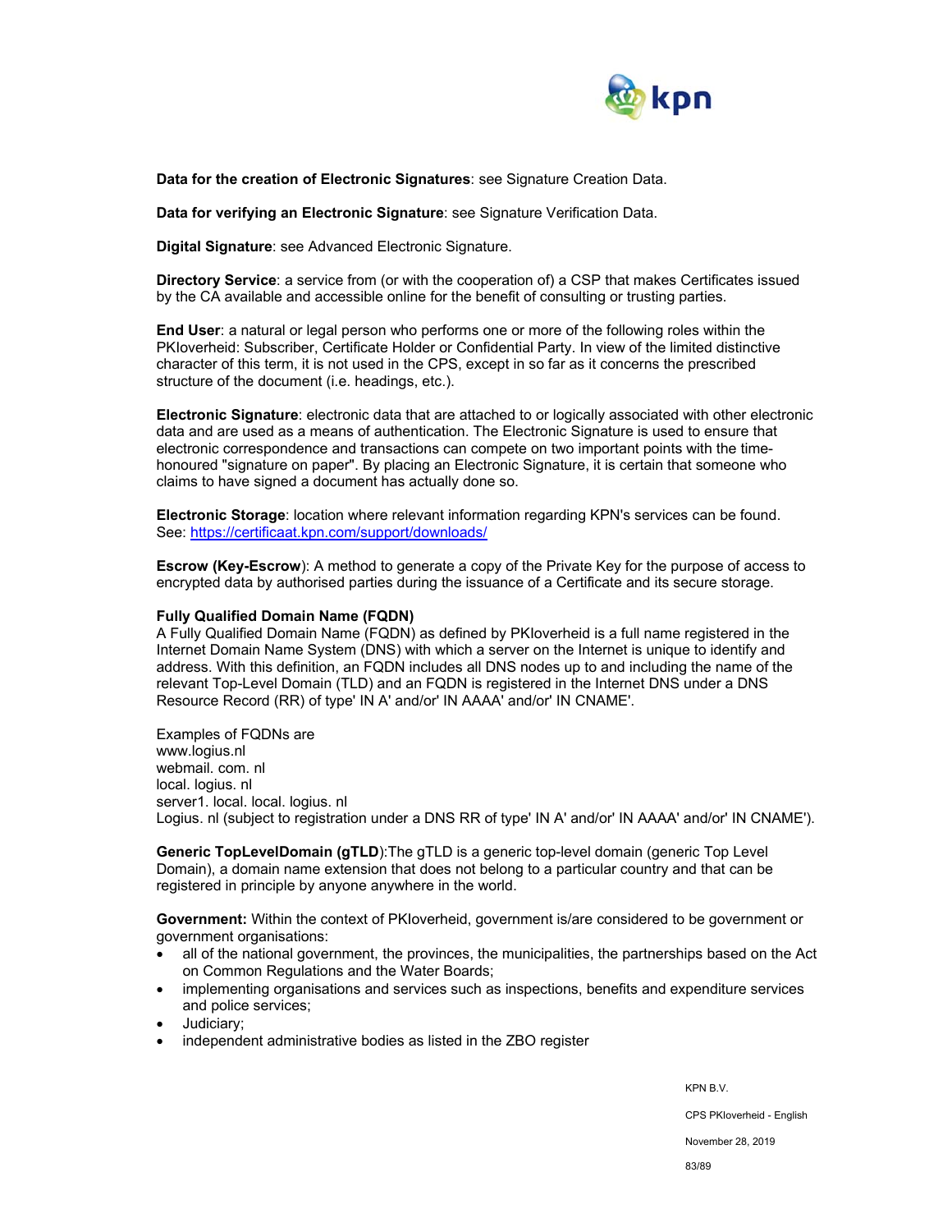

**Data for the creation of Electronic Signatures**: see Signature Creation Data.

**Data for verifying an Electronic Signature**: see Signature Verification Data.

**Digital Signature**: see Advanced Electronic Signature.

**Directory Service**: a service from (or with the cooperation of) a CSP that makes Certificates issued by the CA available and accessible online for the benefit of consulting or trusting parties.

**End User**: a natural or legal person who performs one or more of the following roles within the PKIoverheid: Subscriber, Certificate Holder or Confidential Party. In view of the limited distinctive character of this term, it is not used in the CPS, except in so far as it concerns the prescribed structure of the document (i.e. headings, etc.).

**Electronic Signature**: electronic data that are attached to or logically associated with other electronic data and are used as a means of authentication. The Electronic Signature is used to ensure that electronic correspondence and transactions can compete on two important points with the timehonoured "signature on paper". By placing an Electronic Signature, it is certain that someone who claims to have signed a document has actually done so.

**Electronic Storage**: location where relevant information regarding KPN's services can be found. See: https://certificaat.kpn.com/support/downloads/

**Escrow (Key-Escrow**): A method to generate a copy of the Private Key for the purpose of access to encrypted data by authorised parties during the issuance of a Certificate and its secure storage.

#### **Fully Qualified Domain Name (FQDN)**

A Fully Qualified Domain Name (FQDN) as defined by PKIoverheid is a full name registered in the Internet Domain Name System (DNS) with which a server on the Internet is unique to identify and address. With this definition, an FQDN includes all DNS nodes up to and including the name of the relevant Top-Level Domain (TLD) and an FQDN is registered in the Internet DNS under a DNS Resource Record (RR) of type' IN A' and/or' IN AAAA' and/or' IN CNAME'.

Examples of FQDNs are www.logius.nl webmail. com. nl local. logius. nl server1. local. local. logius. nl Logius. nl (subject to registration under a DNS RR of type' IN A' and/or' IN AAAA' and/or' IN CNAME').

**Generic TopLevelDomain (gTLD**):The gTLD is a generic top-level domain (generic Top Level Domain), a domain name extension that does not belong to a particular country and that can be registered in principle by anyone anywhere in the world.

**Government:** Within the context of PKIoverheid, government is/are considered to be government or government organisations:

- all of the national government, the provinces, the municipalities, the partnerships based on the Act on Common Regulations and the Water Boards;
- implementing organisations and services such as inspections, benefits and expenditure services and police services;
- Judiciary;
- independent administrative bodies as listed in the ZBO register

KPN B.V. CPS PKIoverheid - English November 28, 2019 83/89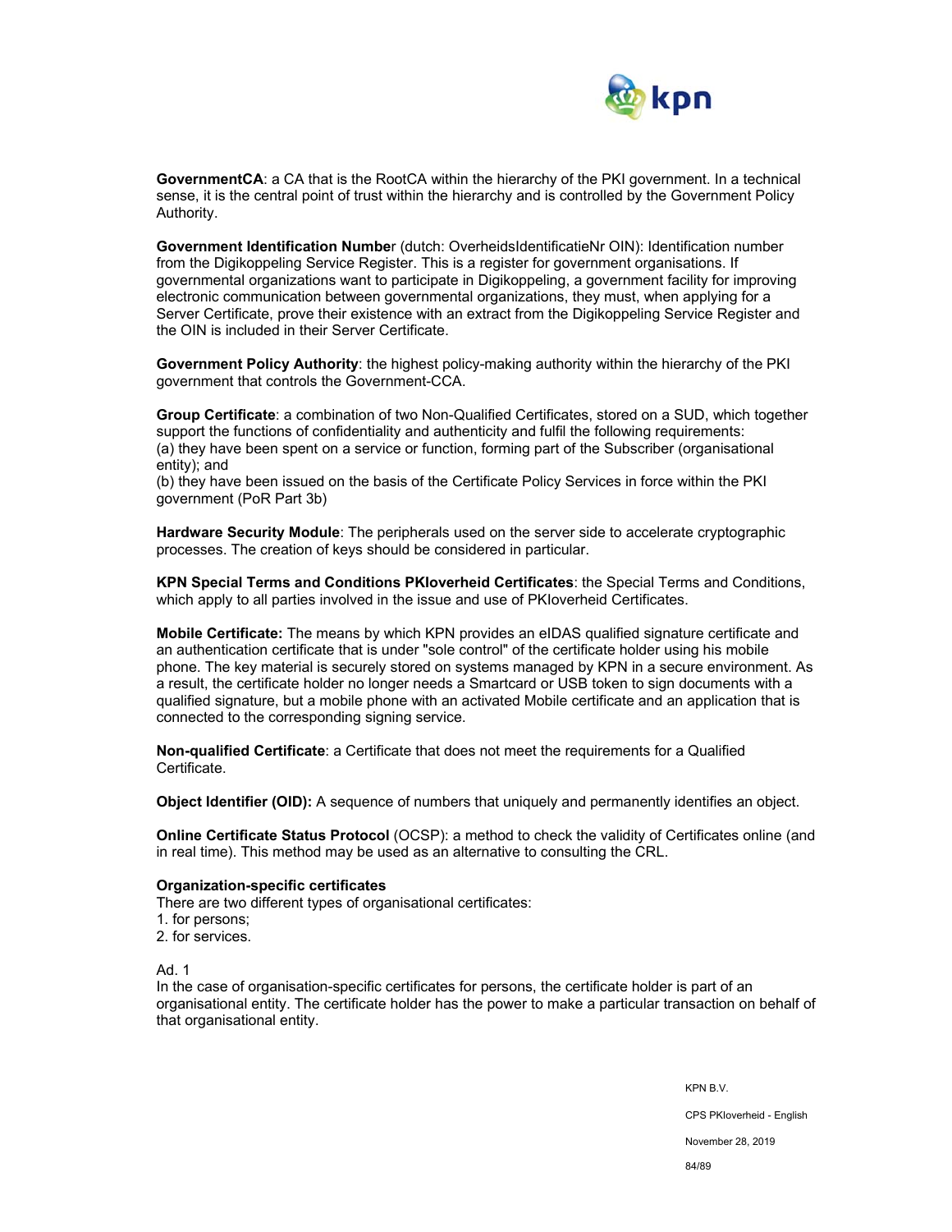

**GovernmentCA**: a CA that is the RootCA within the hierarchy of the PKI government. In a technical sense, it is the central point of trust within the hierarchy and is controlled by the Government Policy Authority.

**Government Identification Numbe**r (dutch: OverheidsIdentificatieNr OIN): Identification number from the Digikoppeling Service Register. This is a register for government organisations. If governmental organizations want to participate in Digikoppeling, a government facility for improving electronic communication between governmental organizations, they must, when applying for a Server Certificate, prove their existence with an extract from the Digikoppeling Service Register and the OIN is included in their Server Certificate.

**Government Policy Authority**: the highest policy-making authority within the hierarchy of the PKI government that controls the Government-CCA.

**Group Certificate**: a combination of two Non-Qualified Certificates, stored on a SUD, which together support the functions of confidentiality and authenticity and fulfil the following requirements: (a) they have been spent on a service or function, forming part of the Subscriber (organisational entity); and

(b) they have been issued on the basis of the Certificate Policy Services in force within the PKI government (PoR Part 3b)

**Hardware Security Module**: The peripherals used on the server side to accelerate cryptographic processes. The creation of keys should be considered in particular.

**KPN Special Terms and Conditions PKIoverheid Certificates**: the Special Terms and Conditions, which apply to all parties involved in the issue and use of PKIoverheid Certificates.

**Mobile Certificate:** The means by which KPN provides an eIDAS qualified signature certificate and an authentication certificate that is under "sole control" of the certificate holder using his mobile phone. The key material is securely stored on systems managed by KPN in a secure environment. As a result, the certificate holder no longer needs a Smartcard or USB token to sign documents with a qualified signature, but a mobile phone with an activated Mobile certificate and an application that is connected to the corresponding signing service.

**Non-qualified Certificate**: a Certificate that does not meet the requirements for a Qualified Certificate.

**Object Identifier (OID):** A sequence of numbers that uniquely and permanently identifies an object.

**Online Certificate Status Protocol** (OCSP): a method to check the validity of Certificates online (and in real time). This method may be used as an alternative to consulting the CRL.

#### **Organization-specific certificates**

There are two different types of organisational certificates:

- 1. for persons;
- 2. for services.

Ad. 1

In the case of organisation-specific certificates for persons, the certificate holder is part of an organisational entity. The certificate holder has the power to make a particular transaction on behalf of that organisational entity.

> KPN B.V. CPS PKIoverheid - English November 28, 2019 84/89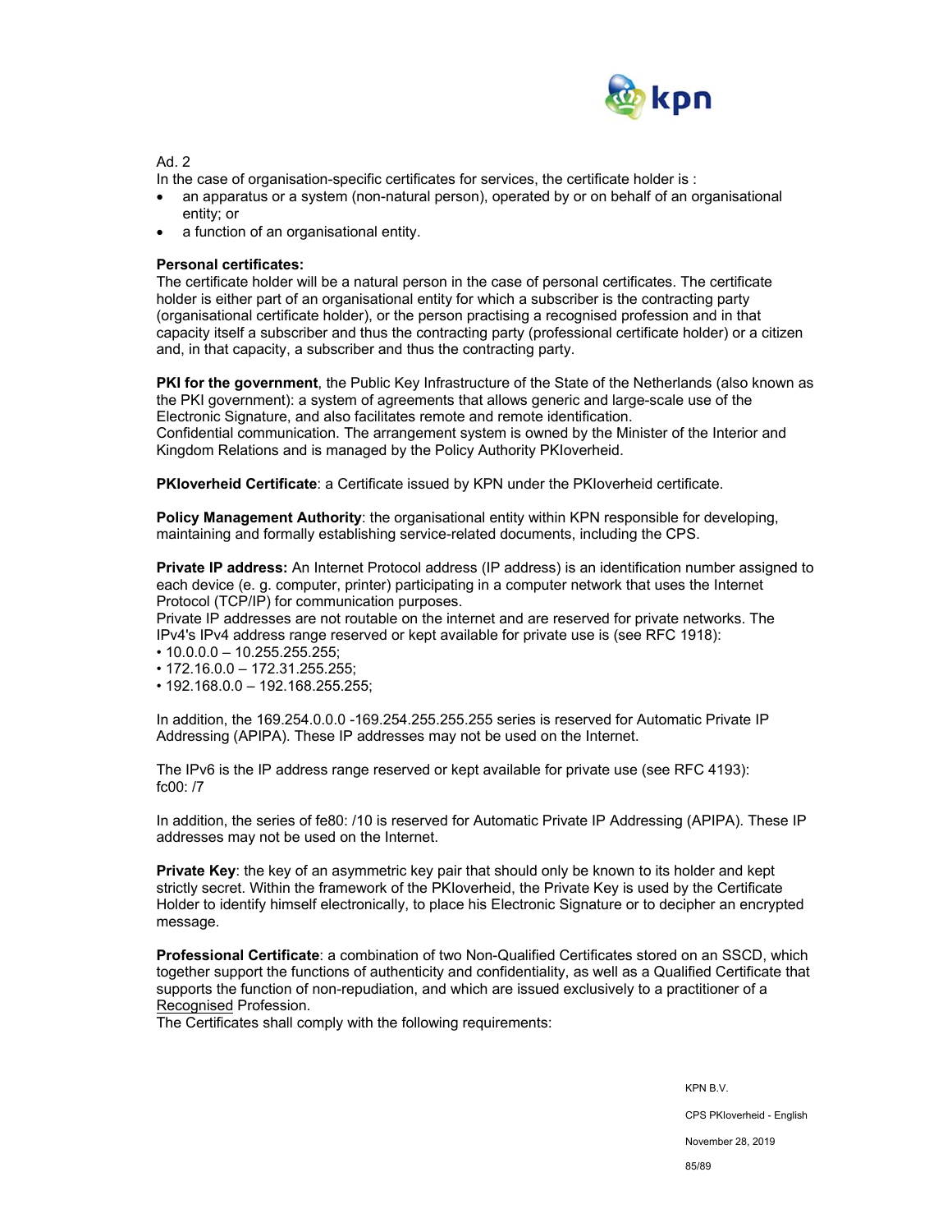

Ad 2

In the case of organisation-specific certificates for services, the certificate holder is :

- an apparatus or a system (non-natural person), operated by or on behalf of an organisational entity; or
- a function of an organisational entity.

## **Personal certificates:**

The certificate holder will be a natural person in the case of personal certificates. The certificate holder is either part of an organisational entity for which a subscriber is the contracting party (organisational certificate holder), or the person practising a recognised profession and in that capacity itself a subscriber and thus the contracting party (professional certificate holder) or a citizen and, in that capacity, a subscriber and thus the contracting party.

**PKI for the government**, the Public Key Infrastructure of the State of the Netherlands (also known as the PKI government): a system of agreements that allows generic and large-scale use of the Electronic Signature, and also facilitates remote and remote identification. Confidential communication. The arrangement system is owned by the Minister of the Interior and Kingdom Relations and is managed by the Policy Authority PKIoverheid.

**PKIoverheid Certificate**: a Certificate issued by KPN under the PKIoverheid certificate.

**Policy Management Authority**: the organisational entity within KPN responsible for developing. maintaining and formally establishing service-related documents, including the CPS.

**Private IP address:** An Internet Protocol address (IP address) is an identification number assigned to each device (e. g. computer, printer) participating in a computer network that uses the Internet Protocol (TCP/IP) for communication purposes.

Private IP addresses are not routable on the internet and are reserved for private networks. The IPv4's IPv4 address range reserved or kept available for private use is (see RFC 1918):

- 10.0.0.0 10.255.255.255;
- 172.16.0.0 172.31.255.255;
- 192.168.0.0 192.168.255.255;

In addition, the 169.254.0.0.0 -169.254.255.255.255 series is reserved for Automatic Private IP Addressing (APIPA). These IP addresses may not be used on the Internet.

The IPv6 is the IP address range reserved or kept available for private use (see RFC 4193): fc00: /7

In addition, the series of fe80: /10 is reserved for Automatic Private IP Addressing (APIPA). These IP addresses may not be used on the Internet.

**Private Key**: the key of an asymmetric key pair that should only be known to its holder and kept strictly secret. Within the framework of the PKIoverheid, the Private Key is used by the Certificate Holder to identify himself electronically, to place his Electronic Signature or to decipher an encrypted message.

**Professional Certificate**: a combination of two Non-Qualified Certificates stored on an SSCD, which together support the functions of authenticity and confidentiality, as well as a Qualified Certificate that supports the function of non-repudiation, and which are issued exclusively to a practitioner of a Recognised Profession.

The Certificates shall comply with the following requirements:

KPN B.V.

CPS PKIoverheid - English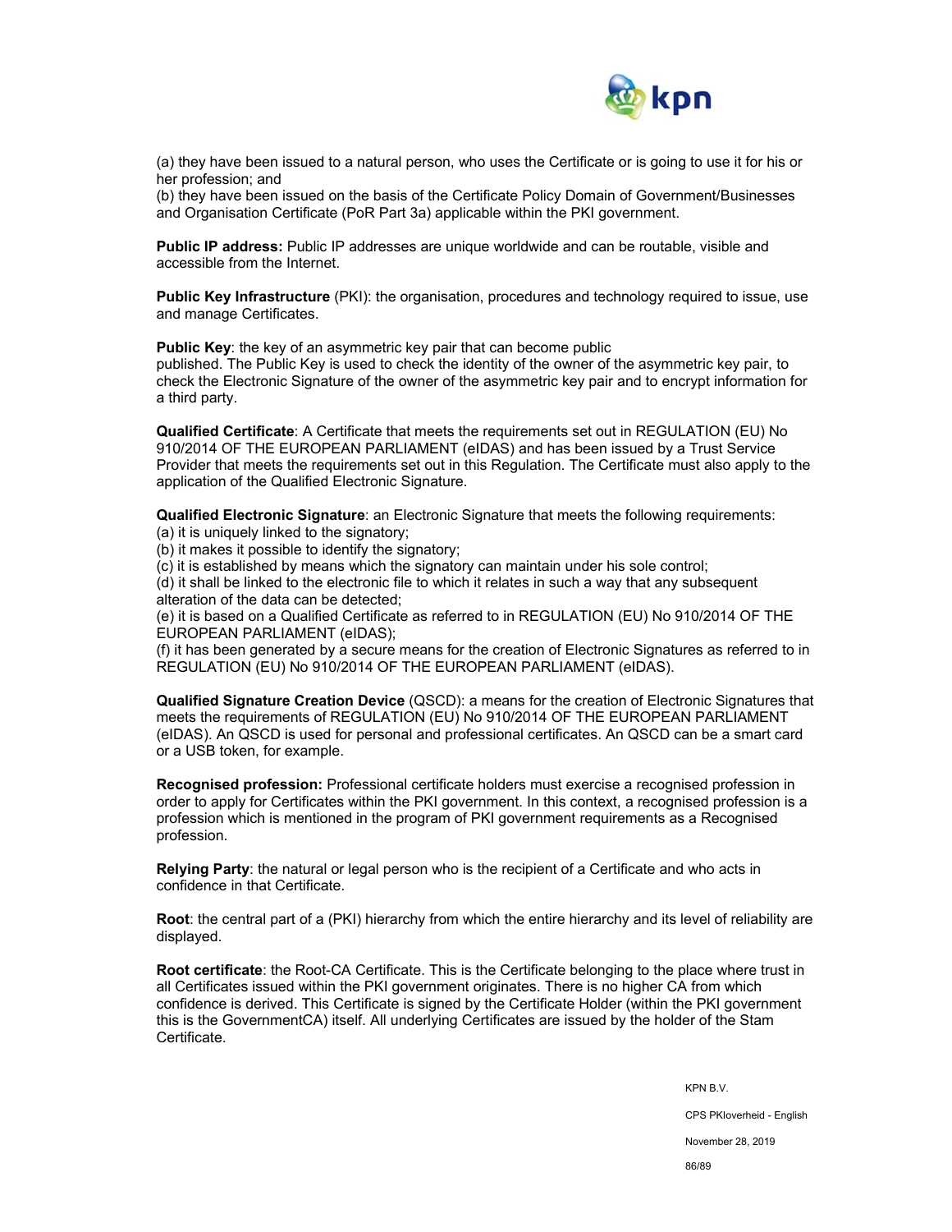

(a) they have been issued to a natural person, who uses the Certificate or is going to use it for his or her profession; and

(b) they have been issued on the basis of the Certificate Policy Domain of Government/Businesses and Organisation Certificate (PoR Part 3a) applicable within the PKI government.

**Public IP address:** Public IP addresses are unique worldwide and can be routable, visible and accessible from the Internet.

**Public Key Infrastructure** (PKI): the organisation, procedures and technology required to issue, use and manage Certificates.

**Public Key**: the key of an asymmetric key pair that can become public

published. The Public Key is used to check the identity of the owner of the asymmetric key pair, to check the Electronic Signature of the owner of the asymmetric key pair and to encrypt information for a third party.

**Qualified Certificate**: A Certificate that meets the requirements set out in REGULATION (EU) No 910/2014 OF THE EUROPEAN PARLIAMENT (eIDAS) and has been issued by a Trust Service Provider that meets the requirements set out in this Regulation. The Certificate must also apply to the application of the Qualified Electronic Signature.

**Qualified Electronic Signature**: an Electronic Signature that meets the following requirements:

(a) it is uniquely linked to the signatory;

(b) it makes it possible to identify the signatory;

(c) it is established by means which the signatory can maintain under his sole control;

(d) it shall be linked to the electronic file to which it relates in such a way that any subsequent alteration of the data can be detected;

(e) it is based on a Qualified Certificate as referred to in REGULATION (EU) No 910/2014 OF THE EUROPEAN PARLIAMENT (eIDAS);

(f) it has been generated by a secure means for the creation of Electronic Signatures as referred to in REGULATION (EU) No 910/2014 OF THE EUROPEAN PARLIAMENT (eIDAS).

**Qualified Signature Creation Device** (QSCD): a means for the creation of Electronic Signatures that meets the requirements of REGULATION (EU) No 910/2014 OF THE EUROPEAN PARLIAMENT (eIDAS). An QSCD is used for personal and professional certificates. An QSCD can be a smart card or a USB token, for example.

**Recognised profession:** Professional certificate holders must exercise a recognised profession in order to apply for Certificates within the PKI government. In this context, a recognised profession is a profession which is mentioned in the program of PKI government requirements as a Recognised profession.

**Relying Party**: the natural or legal person who is the recipient of a Certificate and who acts in confidence in that Certificate.

**Root**: the central part of a (PKI) hierarchy from which the entire hierarchy and its level of reliability are displayed.

**Root certificate**: the Root-CA Certificate. This is the Certificate belonging to the place where trust in all Certificates issued within the PKI government originates. There is no higher CA from which confidence is derived. This Certificate is signed by the Certificate Holder (within the PKI government this is the GovernmentCA) itself. All underlying Certificates are issued by the holder of the Stam Certificate.

KPN B.V.

CPS PKIoverheid - English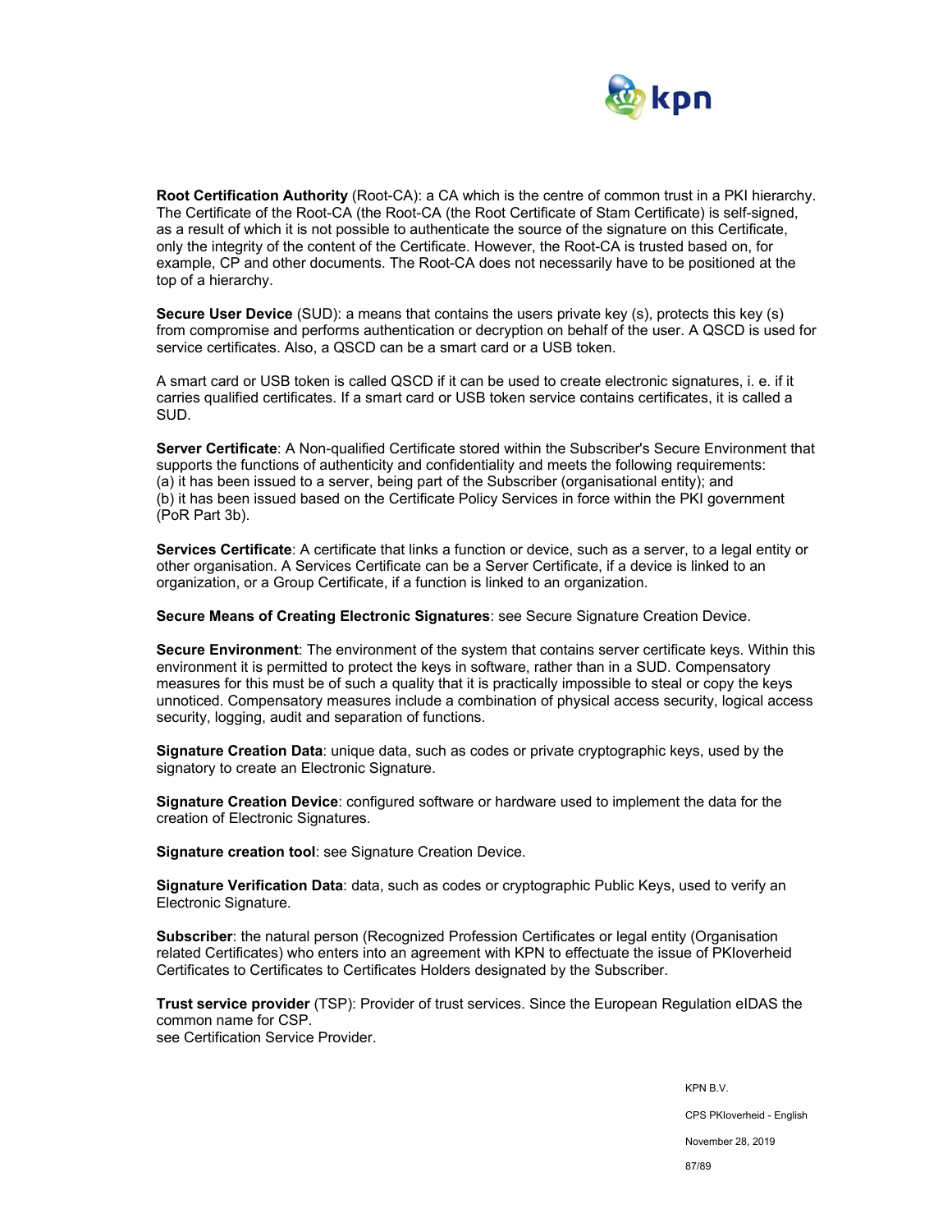

**Root Certification Authority** (Root-CA): a CA which is the centre of common trust in a PKI hierarchy. The Certificate of the Root-CA (the Root-CA (the Root Certificate of Stam Certificate) is self-signed, as a result of which it is not possible to authenticate the source of the signature on this Certificate, only the integrity of the content of the Certificate. However, the Root-CA is trusted based on, for example, CP and other documents. The Root-CA does not necessarily have to be positioned at the top of a hierarchy.

**Secure User Device** (SUD): a means that contains the users private key (s), protects this key (s) from compromise and performs authentication or decryption on behalf of the user. A QSCD is used for service certificates. Also, a QSCD can be a smart card or a USB token.

A smart card or USB token is called QSCD if it can be used to create electronic signatures, i. e. if it carries qualified certificates. If a smart card or USB token service contains certificates, it is called a SUD.

**Server Certificate**: A Non-qualified Certificate stored within the Subscriber's Secure Environment that supports the functions of authenticity and confidentiality and meets the following requirements: (a) it has been issued to a server, being part of the Subscriber (organisational entity); and (b) it has been issued based on the Certificate Policy Services in force within the PKI government (PoR Part 3b).

**Services Certificate**: A certificate that links a function or device, such as a server, to a legal entity or other organisation. A Services Certificate can be a Server Certificate, if a device is linked to an organization, or a Group Certificate, if a function is linked to an organization.

**Secure Means of Creating Electronic Signatures**: see Secure Signature Creation Device.

**Secure Environment**: The environment of the system that contains server certificate keys. Within this environment it is permitted to protect the keys in software, rather than in a SUD. Compensatory measures for this must be of such a quality that it is practically impossible to steal or copy the keys unnoticed. Compensatory measures include a combination of physical access security, logical access security, logging, audit and separation of functions.

**Signature Creation Data**: unique data, such as codes or private cryptographic keys, used by the signatory to create an Electronic Signature.

**Signature Creation Device**: configured software or hardware used to implement the data for the creation of Electronic Signatures.

**Signature creation tool**: see Signature Creation Device.

**Signature Verification Data**: data, such as codes or cryptographic Public Keys, used to verify an Electronic Signature.

**Subscriber**: the natural person (Recognized Profession Certificates or legal entity (Organisation related Certificates) who enters into an agreement with KPN to effectuate the issue of PKIoverheid Certificates to Certificates to Certificates Holders designated by the Subscriber.

**Trust service provider** (TSP): Provider of trust services. Since the European Regulation eIDAS the common name for CSP. see Certification Service Provider.

> KPN B.V. CPS PKIoverheid - English November 28, 2019 87/89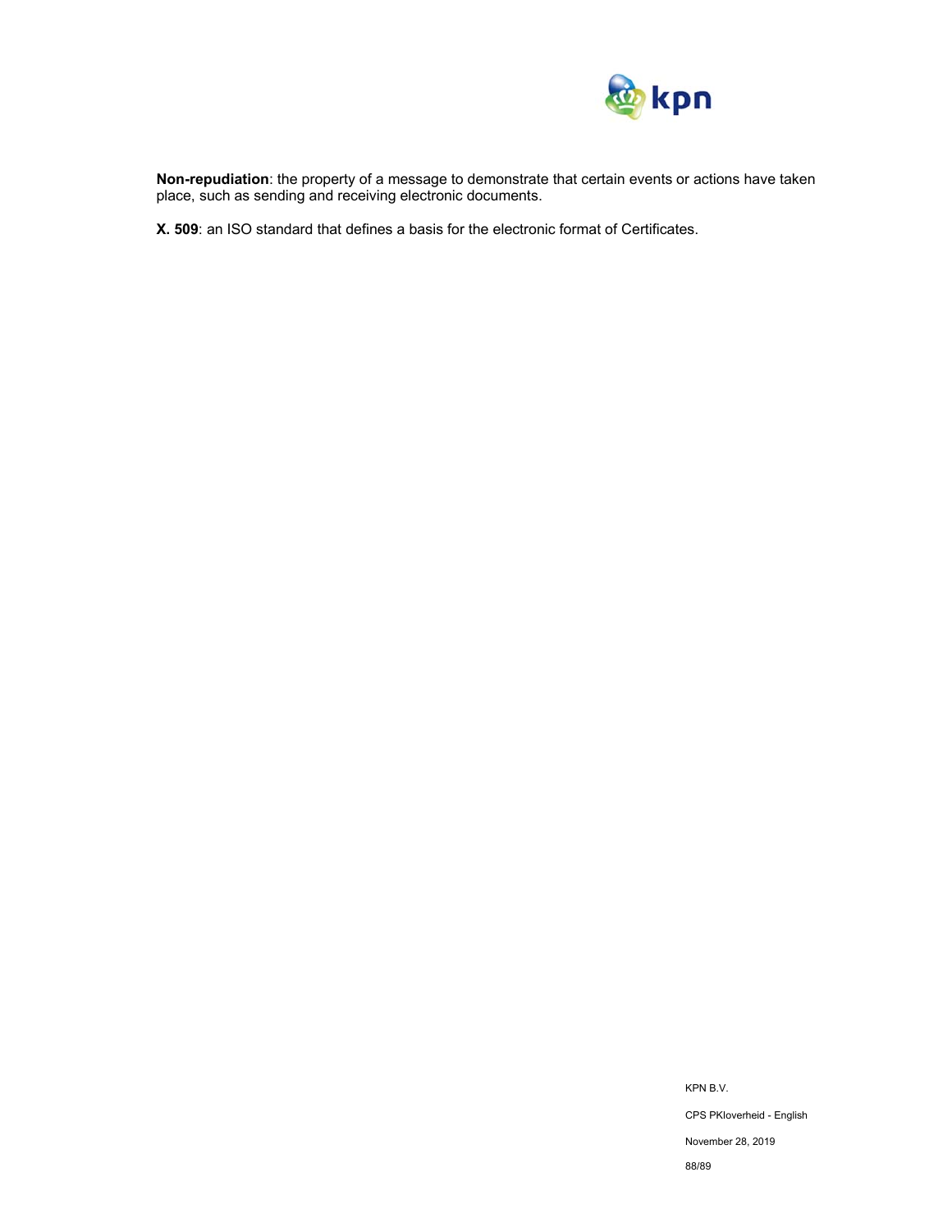

**Non-repudiation**: the property of a message to demonstrate that certain events or actions have taken place, such as sending and receiving electronic documents.

**X. 509**: an ISO standard that defines a basis for the electronic format of Certificates.

KPN B.V. CPS PKIoverheid - English November 28, 2019 88/89